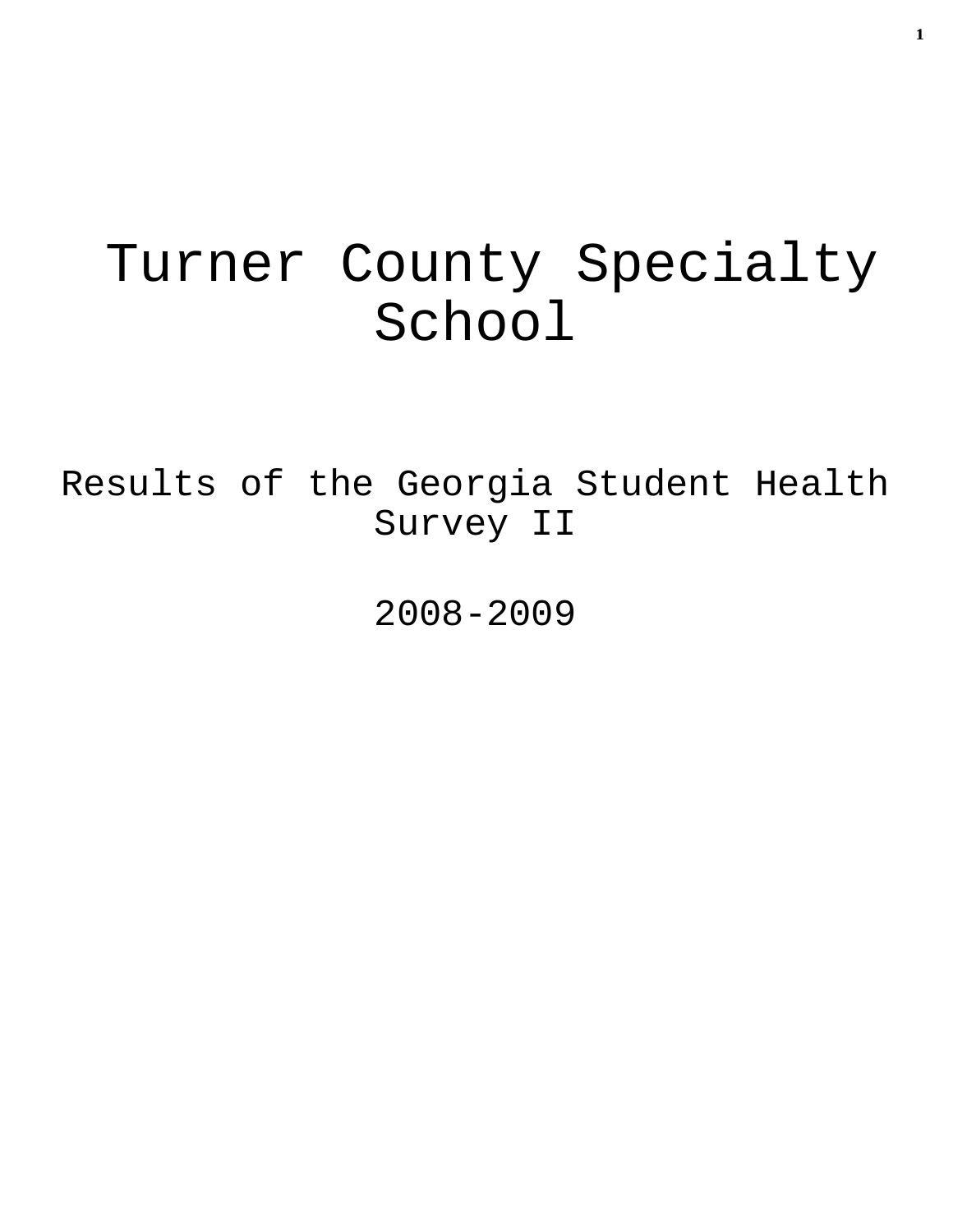# Turner County Specialty School

Results of the Georgia Student Health Survey II

2008-2009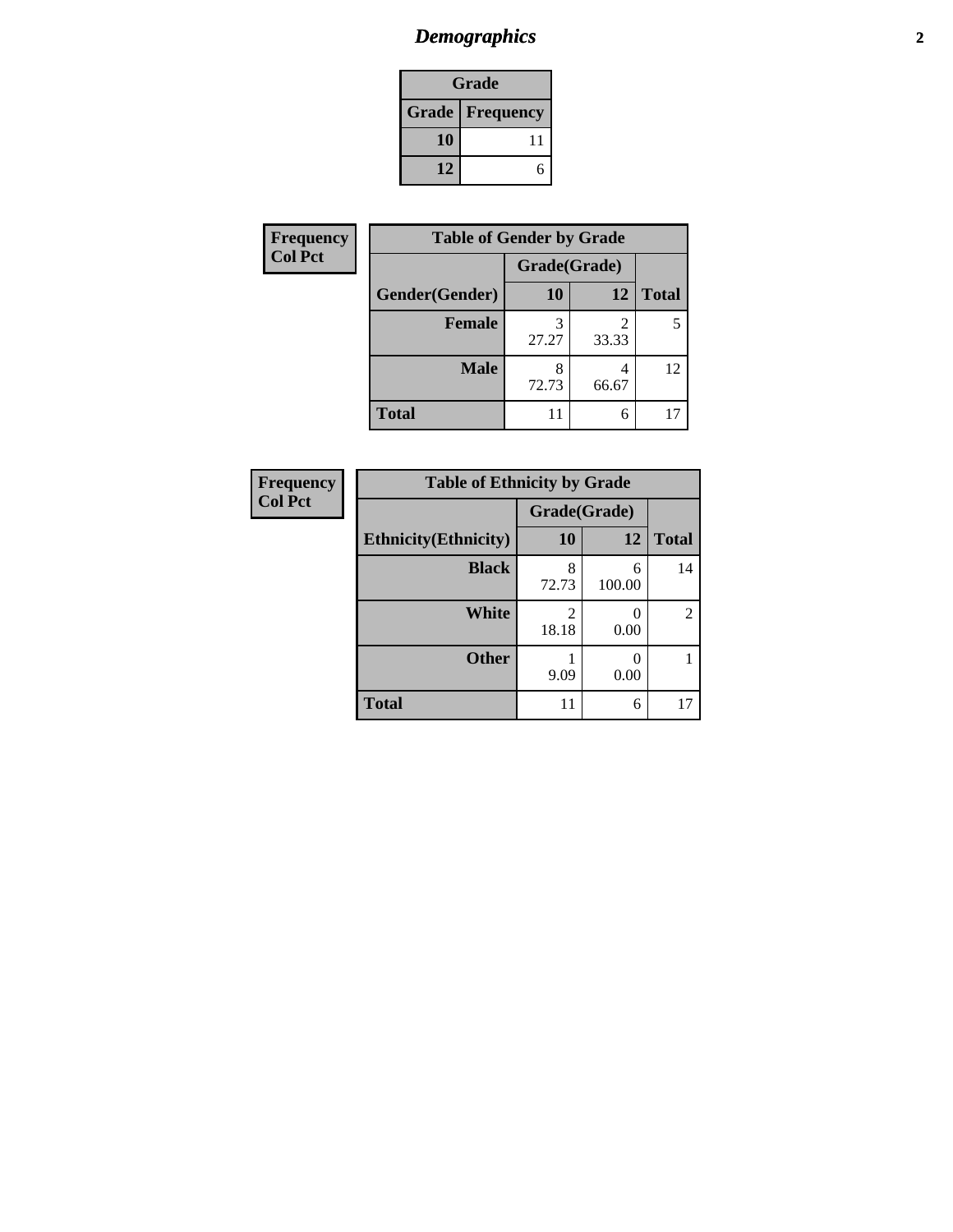# *Demographics* **2**

| Grade                    |    |  |  |
|--------------------------|----|--|--|
| <b>Grade   Frequency</b> |    |  |  |
| 10                       | 11 |  |  |
| 12                       |    |  |  |

| <b>Frequency</b> | <b>Table of Gender by Grade</b> |              |       |              |  |  |
|------------------|---------------------------------|--------------|-------|--------------|--|--|
| <b>Col Pct</b>   |                                 | Grade(Grade) |       |              |  |  |
|                  | Gender(Gender)                  | <b>10</b>    | 12    | <b>Total</b> |  |  |
|                  | <b>Female</b>                   | 27.27        | 33.33 | 5            |  |  |
|                  | <b>Male</b>                     | 72.73        | 66.67 | 12           |  |  |
|                  | <b>Total</b>                    | 11           | 6     |              |  |  |

| <b>Frequency</b> |
|------------------|
| <b>Col Pct</b>   |

| <b>Table of Ethnicity by Grade</b> |            |              |                |  |  |  |
|------------------------------------|------------|--------------|----------------|--|--|--|
|                                    |            | Grade(Grade) |                |  |  |  |
| <b>Ethnicity</b> (Ethnicity)       | 10         | 12           | <b>Total</b>   |  |  |  |
| <b>Black</b>                       | 8<br>72.73 | 6<br>100.00  | 14             |  |  |  |
| White                              | 2<br>18.18 | 0.00         | $\mathfrak{D}$ |  |  |  |
| <b>Other</b>                       | 9.09       | 0.00         |                |  |  |  |
| <b>Total</b>                       |            | 6            |                |  |  |  |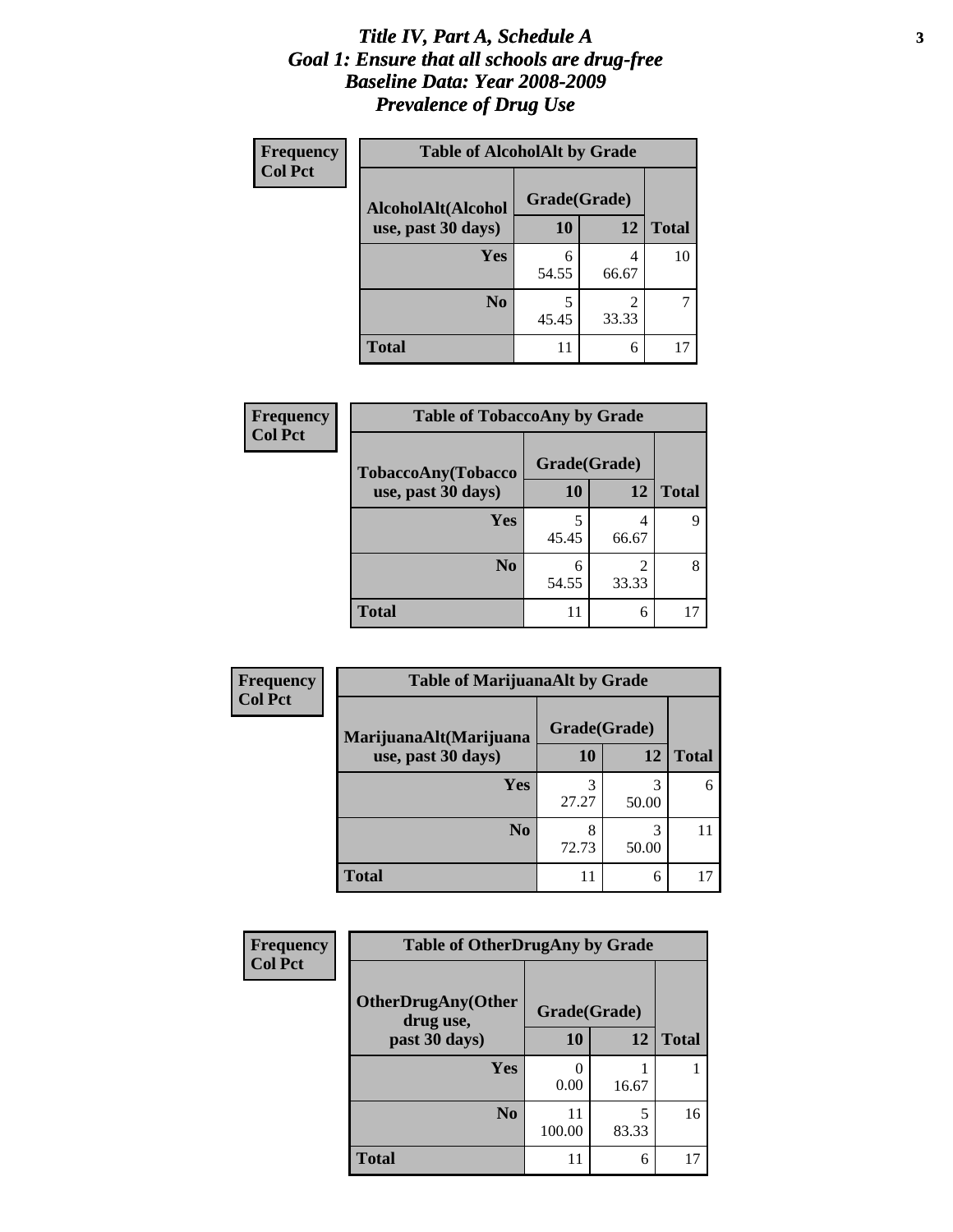#### *Title IV, Part A, Schedule A* **3** *Goal 1: Ensure that all schools are drug-free Baseline Data: Year 2008-2009 Prevalence of Drug Use*

| Frequency<br><b>Col Pct</b> | <b>Table of AlcoholAlt by Grade</b> |              |            |              |  |
|-----------------------------|-------------------------------------|--------------|------------|--------------|--|
|                             | AlcoholAlt(Alcohol                  | Grade(Grade) |            |              |  |
|                             | use, past 30 days)                  | 10           | <b>12</b>  | <b>Total</b> |  |
|                             | <b>Yes</b>                          | 6<br>54.55   | 4<br>66.67 | 10           |  |
|                             | N <sub>0</sub>                      | 5<br>45.45   | 2<br>33.33 |              |  |
|                             | <b>Total</b>                        | 11           | 6          | 17           |  |

| Frequency      | <b>Table of TobaccoAny by Grade</b> |              |            |              |  |
|----------------|-------------------------------------|--------------|------------|--------------|--|
| <b>Col Pct</b> | TobaccoAny(Tobacco                  | Grade(Grade) |            |              |  |
|                | use, past 30 days)                  | <b>10</b>    | 12         | <b>Total</b> |  |
|                | Yes                                 | 45.45        | 4<br>66.67 | q            |  |
|                | N <sub>0</sub>                      | 6<br>54.55   | 2<br>33.33 | 8            |  |
|                | Total                               | 11           | 6          |              |  |

| Frequency      | <b>Table of MarijuanaAlt by Grade</b> |              |            |              |  |  |
|----------------|---------------------------------------|--------------|------------|--------------|--|--|
| <b>Col Pct</b> | MarijuanaAlt(Marijuana                | Grade(Grade) |            |              |  |  |
|                | use, past 30 days)                    |              | 12         | <b>Total</b> |  |  |
|                | Yes                                   | 3<br>27.27   | 3<br>50.00 | 6            |  |  |
|                | N <sub>0</sub>                        | 8<br>72.73   | 3<br>50.00 | 11           |  |  |
|                | <b>Total</b>                          | 11           | 6          |              |  |  |

| Frequency<br><b>Col Pct</b> | <b>Table of OtherDrugAny by Grade</b>  |              |            |              |  |
|-----------------------------|----------------------------------------|--------------|------------|--------------|--|
|                             | <b>OtherDrugAny(Other</b><br>drug use, | Grade(Grade) |            |              |  |
|                             | past 30 days)                          | 10           | 12         | <b>Total</b> |  |
|                             | Yes                                    | 0.00         | 16.67      |              |  |
|                             | N <sub>0</sub>                         | 11<br>100.00 | 5<br>83.33 | 16           |  |
|                             | <b>Total</b>                           | 11           | 6          | 17           |  |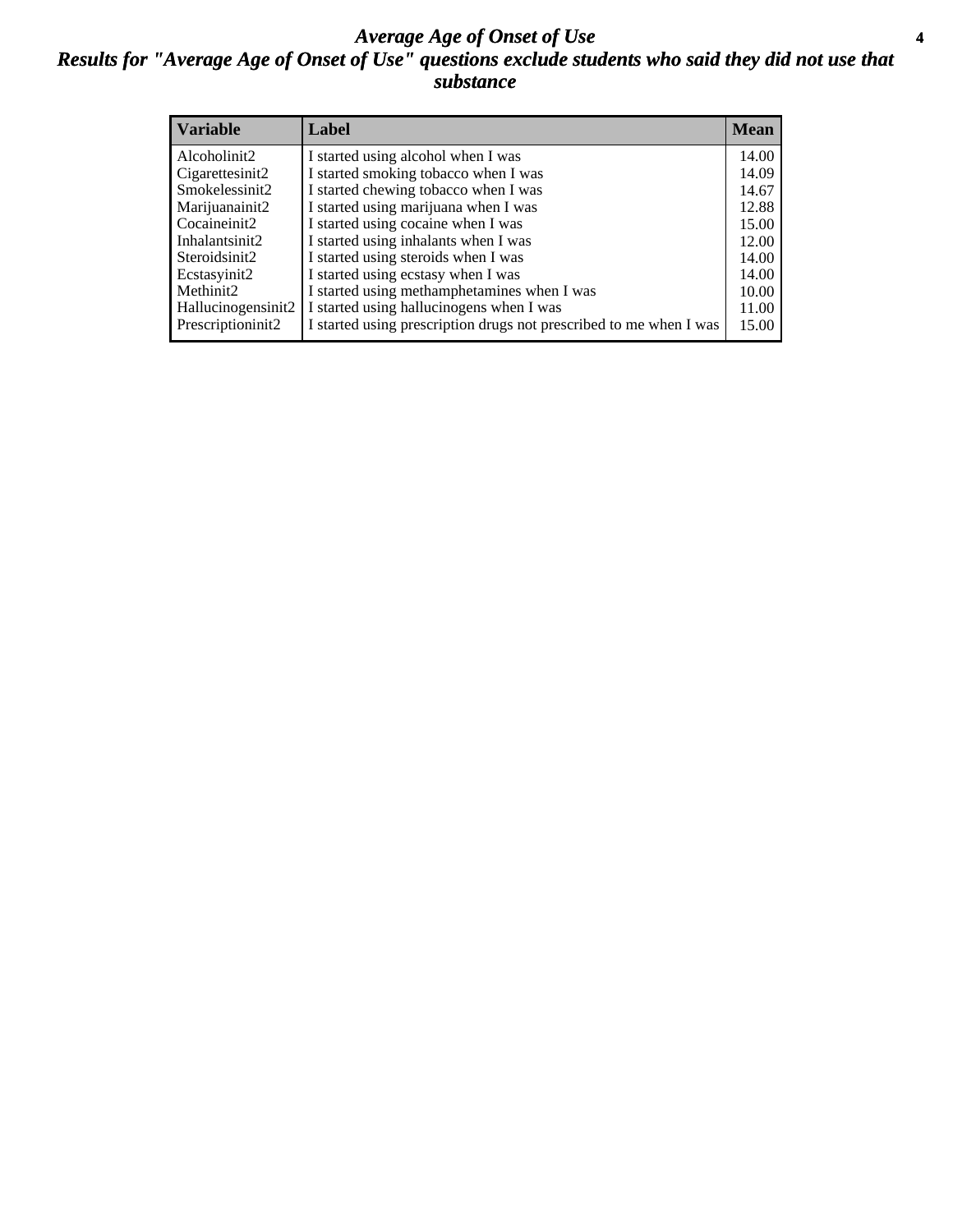#### *Average Age of Onset of Use* **4** *Results for "Average Age of Onset of Use" questions exclude students who said they did not use that substance*

| <b>Variable</b>       | Label                                                              | <b>Mean</b> |
|-----------------------|--------------------------------------------------------------------|-------------|
| Alcoholinit2          | I started using alcohol when I was                                 | 14.00       |
| Cigarettesinit2       | I started smoking tobacco when I was                               | 14.09       |
| Smokelessinit2        | I started chewing tobacco when I was                               | 14.67       |
| Marijuanainit2        | I started using marijuana when I was                               | 12.88       |
| Cocaineinit2          | I started using cocaine when I was                                 | 15.00       |
| Inhalantsinit2        | I started using inhalants when I was                               | 12.00       |
| Steroidsinit2         | I started using steroids when I was                                | 14.00       |
| Ecstasyinit2          | I started using ecstasy when I was                                 | 14.00       |
| Methinit <sub>2</sub> | I started using methamphetamines when I was                        | 10.00       |
| Hallucinogensinit2    | I started using hallucinogens when I was                           | 11.00       |
| Prescriptioninit2     | I started using prescription drugs not prescribed to me when I was | 15.00       |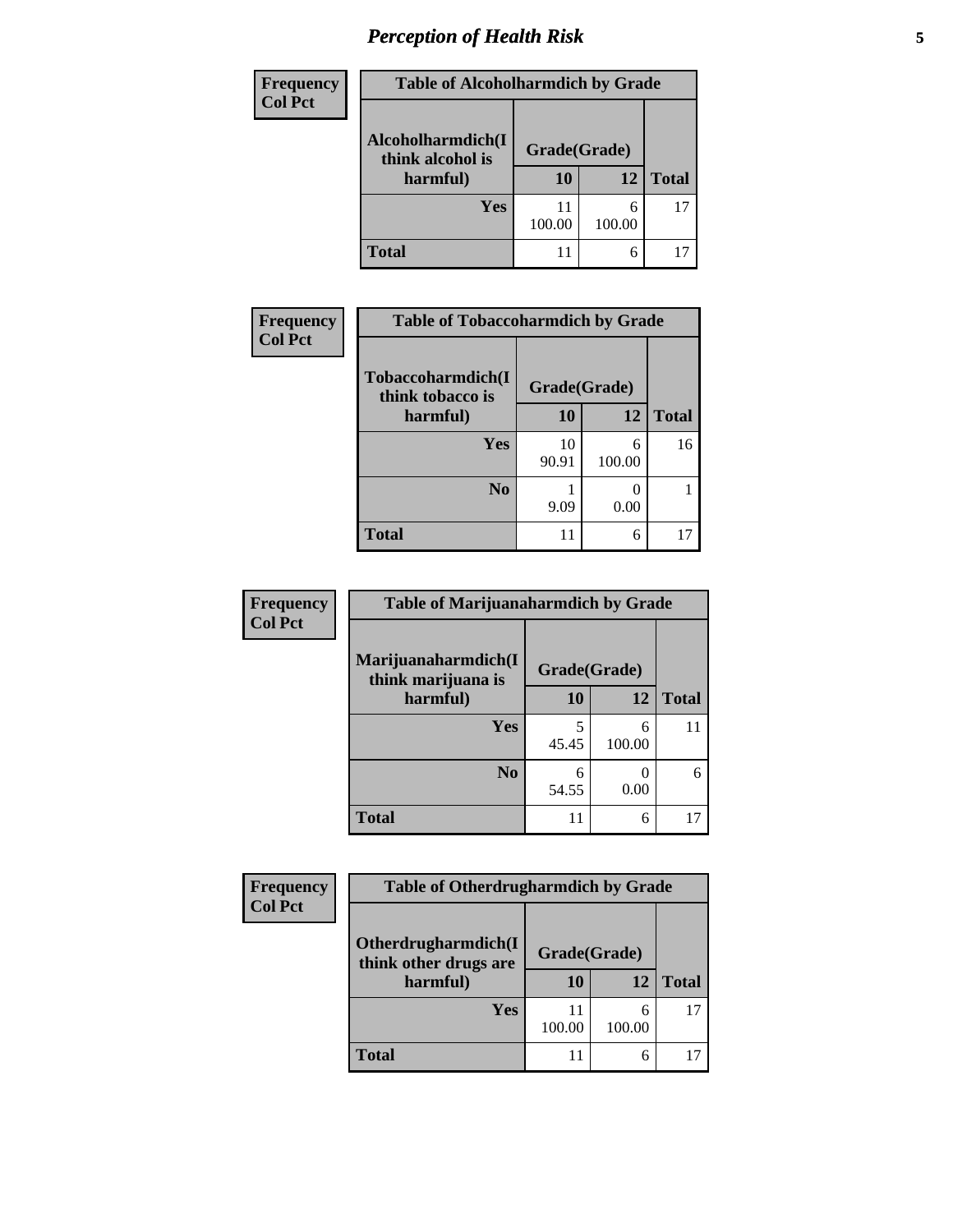# *Perception of Health Risk* **5**

| <b>Frequency</b> | <b>Table of Alcoholharmdich by Grade</b>          |              |             |              |  |
|------------------|---------------------------------------------------|--------------|-------------|--------------|--|
| <b>Col Pct</b>   | Alcoholharmdich(I<br>think alcohol is<br>harmful) | Grade(Grade) |             |              |  |
|                  |                                                   | 10           | 12          | <b>Total</b> |  |
|                  | Yes                                               | 11<br>100.00 | 6<br>100.00 | 17           |  |
|                  | <b>Total</b>                                      | 11           | 6           |              |  |

| <b>Frequency</b> | <b>Table of Tobaccoharmdich by Grade</b> |              |             |              |  |
|------------------|------------------------------------------|--------------|-------------|--------------|--|
| <b>Col Pct</b>   | Tobaccoharmdich(I<br>think tobacco is    | Grade(Grade) |             |              |  |
|                  | harmful)                                 | 10           | 12          | <b>Total</b> |  |
|                  | <b>Yes</b>                               | 10<br>90.91  | 6<br>100.00 | 16           |  |
|                  | N <sub>0</sub>                           | 9.09         | 0.00        |              |  |
|                  | <b>Total</b>                             | 11           | 6           |              |  |

| <b>Frequency</b> | <b>Table of Marijuanaharmdich by Grade</b>            |              |             |              |  |  |
|------------------|-------------------------------------------------------|--------------|-------------|--------------|--|--|
| <b>Col Pct</b>   | Marijuanaharmdich(I<br>think marijuana is<br>harmful) | Grade(Grade) |             |              |  |  |
|                  |                                                       | 10           | 12          | <b>Total</b> |  |  |
|                  | <b>Yes</b>                                            | 5<br>45.45   | 6<br>100.00 | 11           |  |  |
|                  | N <sub>0</sub>                                        | 6<br>54.55   | 0.00        | 6            |  |  |
|                  | <b>Total</b>                                          | 11           | 6           | 17           |  |  |

| <b>Frequency</b> | <b>Table of Otherdrugharmdich by Grade</b>   |              |             |              |
|------------------|----------------------------------------------|--------------|-------------|--------------|
| <b>Col Pct</b>   |                                              |              |             |              |
|                  | Otherdrugharmdich(I<br>think other drugs are | Grade(Grade) |             |              |
|                  | harmful)                                     | 10           | 12          | <b>Total</b> |
|                  | Yes                                          | 100.00       | 6<br>100.00 | 17           |
|                  | <b>Total</b>                                 |              | 6           |              |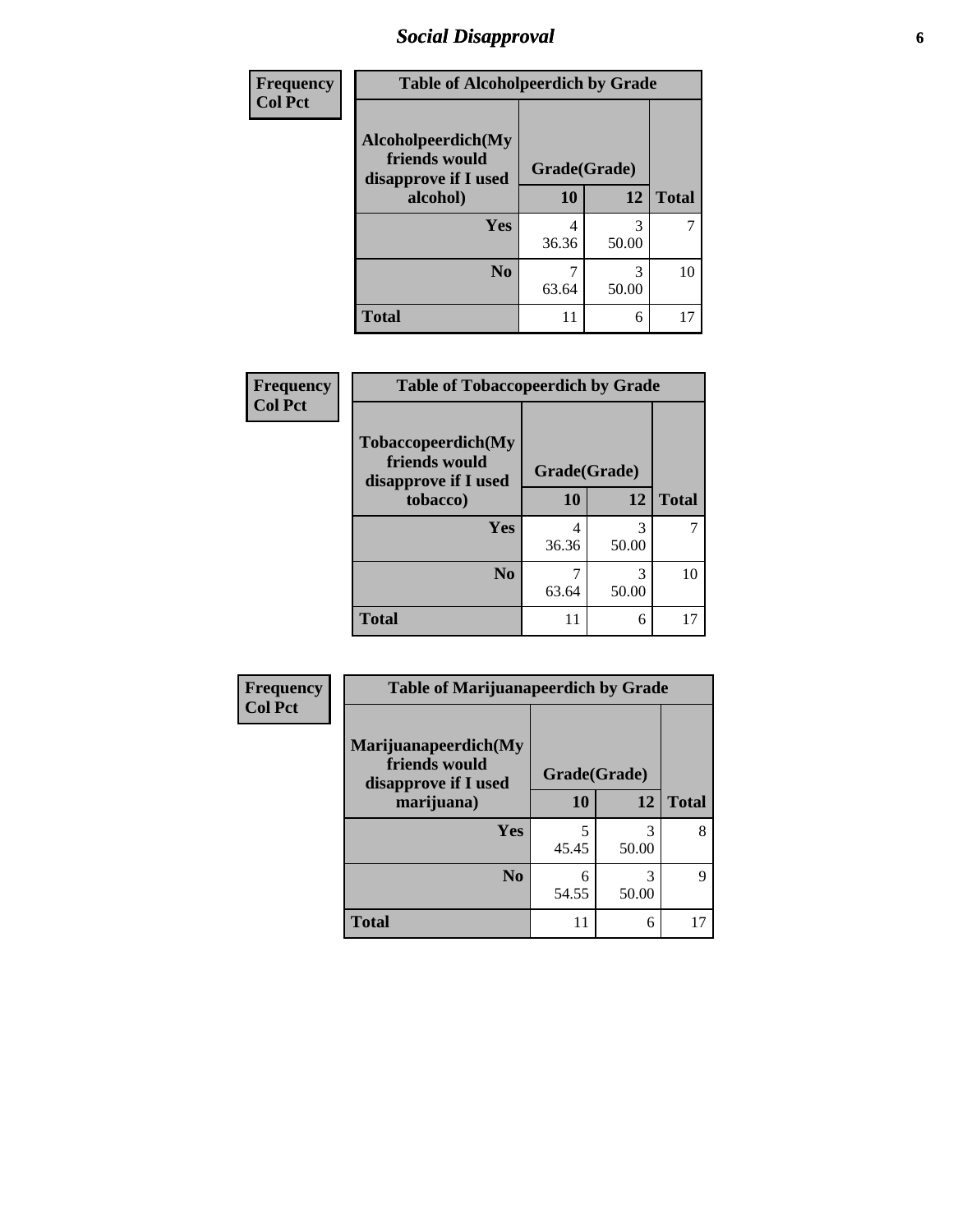### *Social Disapproval* **6**

| Frequency      | <b>Table of Alcoholpeerdich by Grade</b>                    |              |            |              |  |
|----------------|-------------------------------------------------------------|--------------|------------|--------------|--|
| <b>Col Pct</b> | Alcoholpeerdich(My<br>friends would<br>disapprove if I used | Grade(Grade) |            |              |  |
|                | alcohol)                                                    | 10           | 12         | <b>Total</b> |  |
|                | <b>Yes</b>                                                  | 4<br>36.36   | 3<br>50.00 |              |  |
|                | N <sub>0</sub>                                              | 63.64        | 3<br>50.00 | 10           |  |
|                | Total                                                       | 11           | 6          | 17           |  |

| <b>Frequency</b> |
|------------------|
| <b>Col Pct</b>   |

| <b>Table of Tobaccopeerdich by Grade</b>                    |              |            |              |  |
|-------------------------------------------------------------|--------------|------------|--------------|--|
| Tobaccopeerdich(My<br>friends would<br>disapprove if I used | Grade(Grade) |            |              |  |
| tobacco)                                                    | 10           | 12         | <b>Total</b> |  |
| Yes                                                         | 4<br>36.36   | 3<br>50.00 |              |  |
| N <sub>0</sub>                                              | 63.64        | 3<br>50.00 | 10           |  |
| <b>Total</b>                                                | 11           | 6          |              |  |

| Frequency      | <b>Table of Marijuanapeerdich by Grade</b>                    |              |            |              |
|----------------|---------------------------------------------------------------|--------------|------------|--------------|
| <b>Col Pct</b> | Marijuanapeerdich(My<br>friends would<br>disapprove if I used | Grade(Grade) |            |              |
|                | marijuana)                                                    | 10           | 12         | <b>Total</b> |
|                | <b>Yes</b>                                                    | 5<br>45.45   | 3<br>50.00 | 8            |
|                | N <sub>0</sub>                                                | 6<br>54.55   | 3<br>50.00 | 9            |
|                | <b>Total</b>                                                  | 11           | 6          | 17           |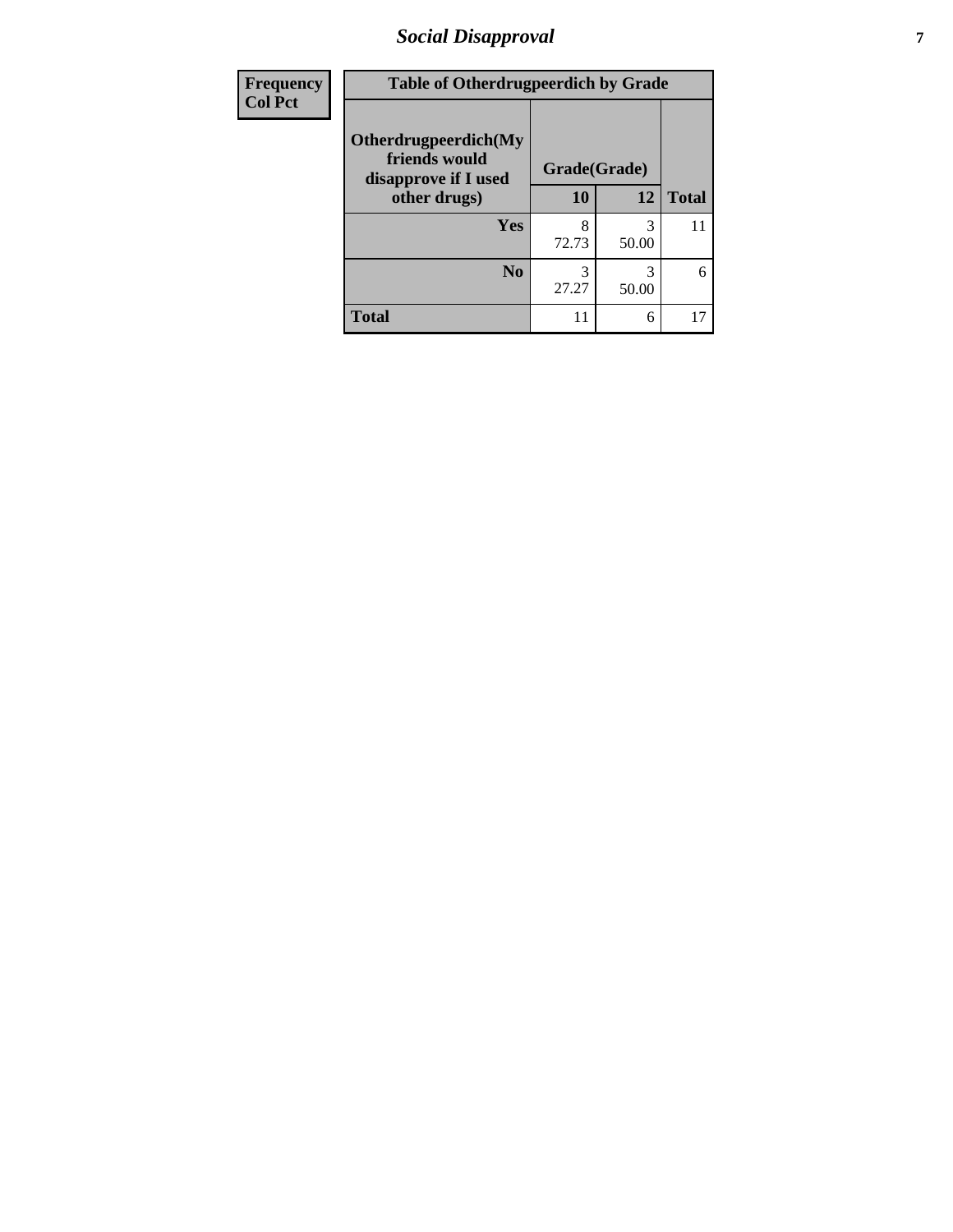### *Social Disapproval* **7**

| Frequency      | <b>Table of Otherdrugpeerdich by Grade</b>                    |              |            |              |
|----------------|---------------------------------------------------------------|--------------|------------|--------------|
| <b>Col Pct</b> | Otherdrugpeerdich(My<br>friends would<br>disapprove if I used | Grade(Grade) |            |              |
|                | other drugs)                                                  | 10           | 12         | <b>Total</b> |
|                | Yes                                                           | 8<br>72.73   | 3<br>50.00 | 11           |
|                | N <sub>0</sub>                                                | 27.27        | 50.00      | 6            |
|                | <b>Total</b>                                                  |              | 6          | 17           |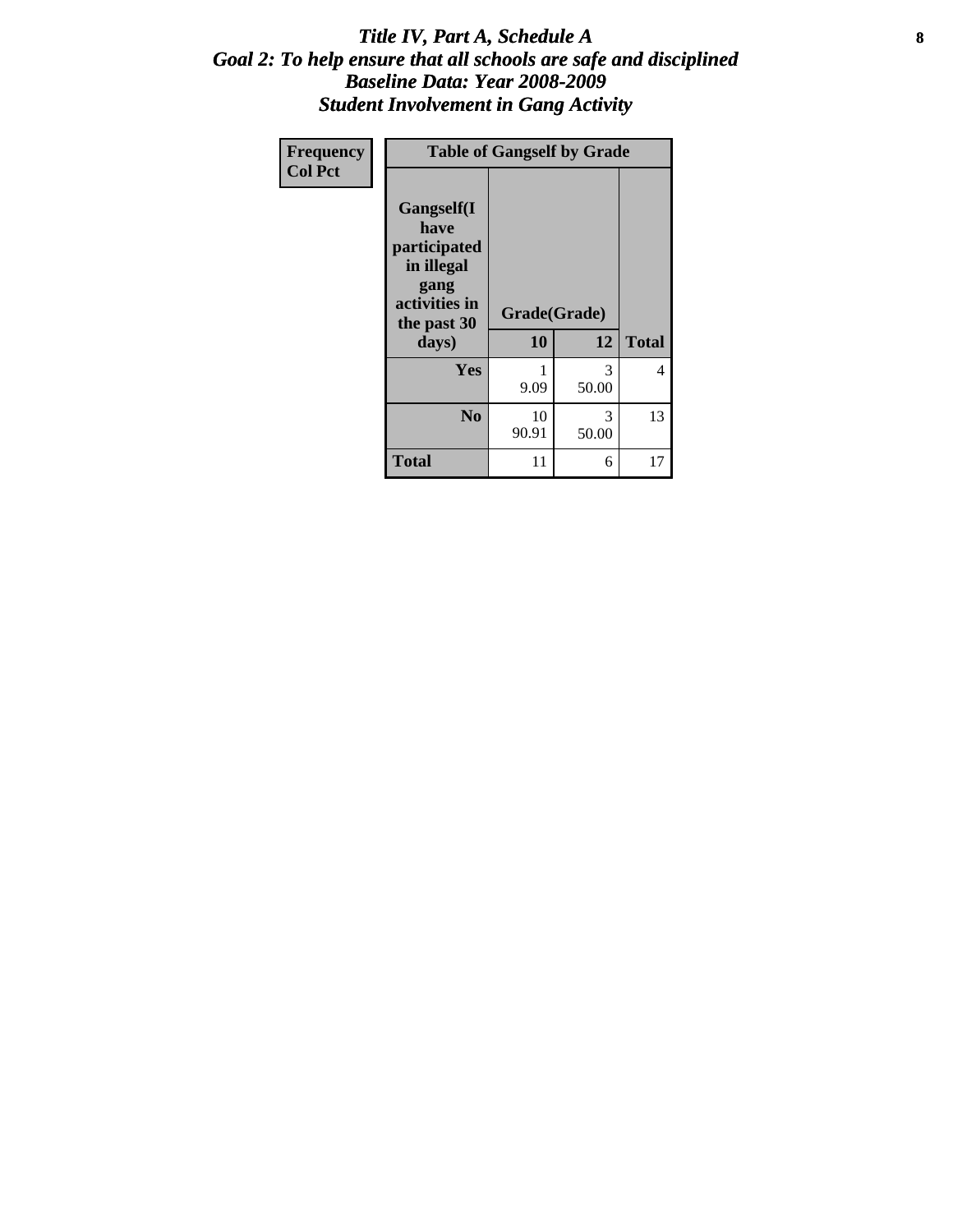#### Title IV, Part A, Schedule A **8** *Goal 2: To help ensure that all schools are safe and disciplined Baseline Data: Year 2008-2009 Student Involvement in Gang Activity*

| Frequency      | <b>Table of Gangself by Grade</b>                                                                 |                    |            |              |
|----------------|---------------------------------------------------------------------------------------------------|--------------------|------------|--------------|
| <b>Col Pct</b> | Gangself(I<br>have<br>participated<br>in illegal<br>gang<br>activities in<br>the past 30<br>days) | Grade(Grade)<br>10 | 12         | <b>Total</b> |
|                | Yes                                                                                               | 1<br>9.09          | 3<br>50.00 | 4            |
|                | N <sub>0</sub>                                                                                    | 10<br>90.91        | 3<br>50.00 | 13           |
|                | Total                                                                                             | 11                 | 6          | 17           |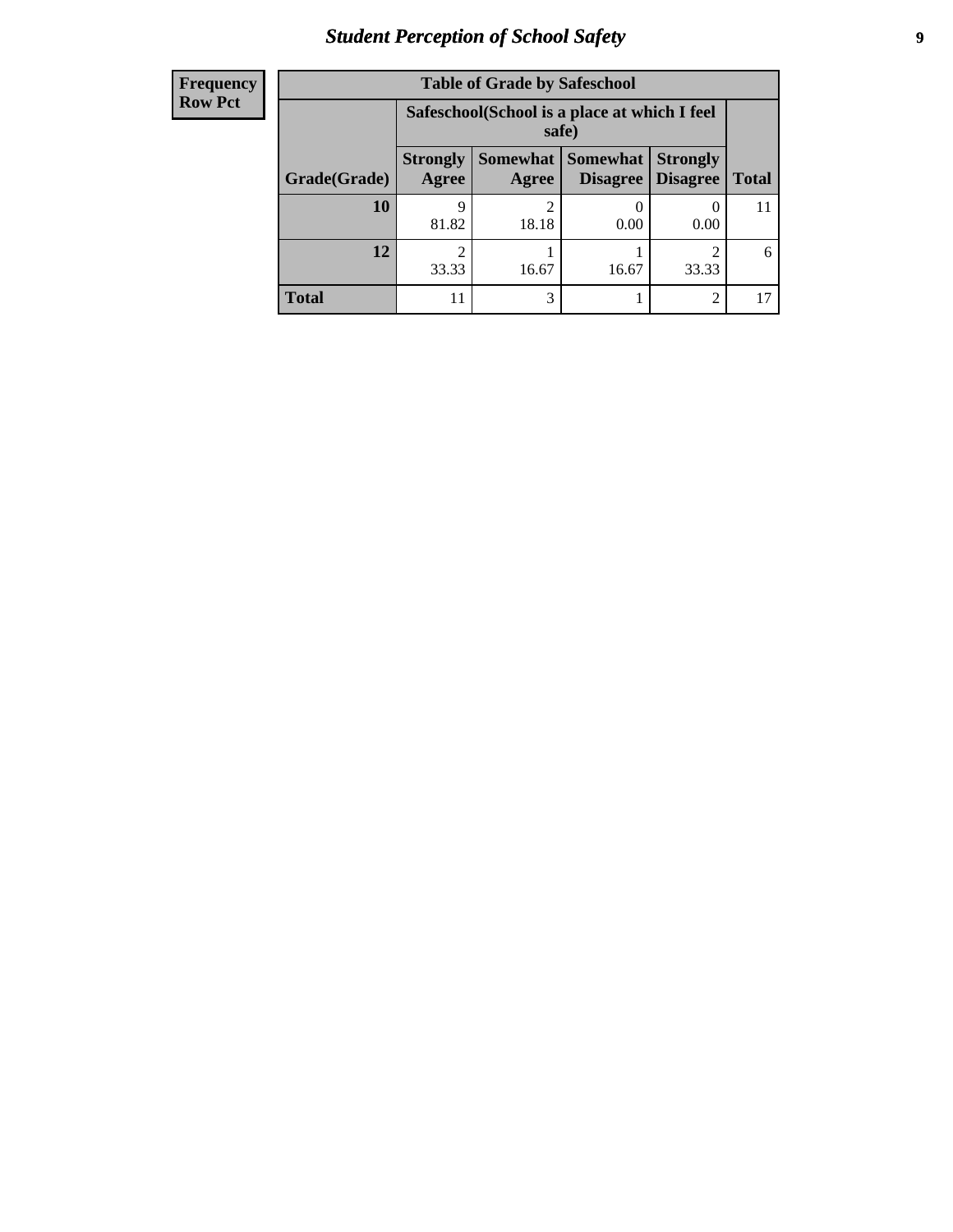# *Student Perception of School Safety* **9**

| <b>Frequency</b><br>Row Pct |
|-----------------------------|
|                             |

| <b>Table of Grade by Safeschool</b> |                                                                                                                                                    |                                                        |       |       |    |
|-------------------------------------|----------------------------------------------------------------------------------------------------------------------------------------------------|--------------------------------------------------------|-------|-------|----|
|                                     |                                                                                                                                                    | Safeschool (School is a place at which I feel<br>safe) |       |       |    |
| Grade(Grade)                        | <b>Somewhat</b><br>Somewhat  <br><b>Strongly</b><br><b>Strongly</b><br><b>Disagree</b><br><b>Agree</b><br><b>Disagree</b><br><b>Total</b><br>Agree |                                                        |       |       |    |
| 10                                  | 9<br>81.82                                                                                                                                         | 18.18                                                  | 0.00  | 0.00  | 11 |
| 12                                  | 33.33                                                                                                                                              | 16.67                                                  | 16.67 | 33.33 | 6  |
| Total                               |                                                                                                                                                    | 3                                                      |       | 2     |    |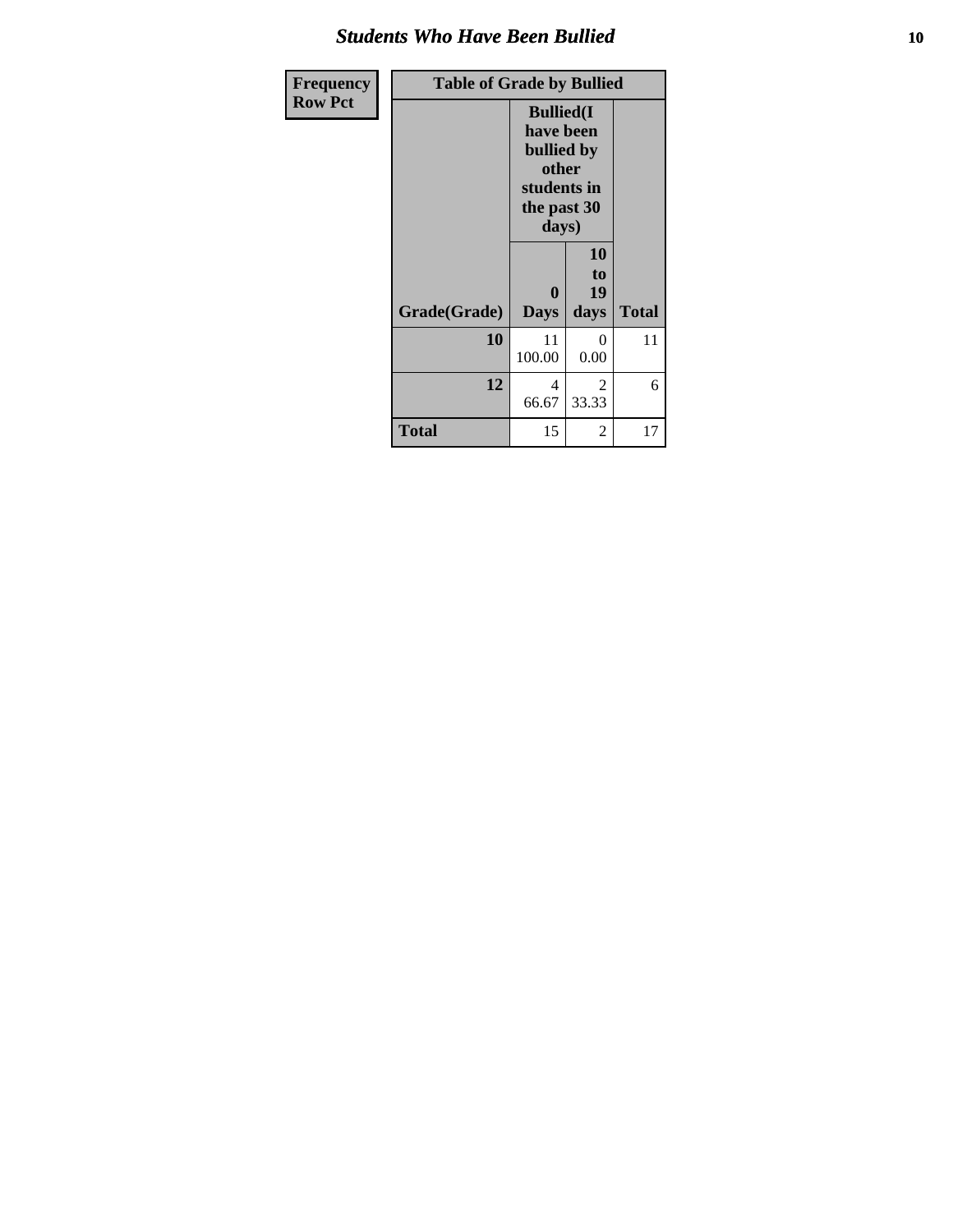#### *Students Who Have Been Bullied* **10**

| Frequency      | <b>Table of Grade by Bullied</b> |                                                                                              |                        |              |
|----------------|----------------------------------|----------------------------------------------------------------------------------------------|------------------------|--------------|
| <b>Row Pct</b> |                                  | <b>Bullied(I)</b><br>have been<br>bullied by<br>other<br>students in<br>the past 30<br>days) |                        |              |
|                | Grade(Grade)                     | $\bf{0}$<br><b>Days</b>                                                                      | 10<br>to<br>19<br>days | <b>Total</b> |
|                | 10                               | 11<br>100.00                                                                                 | $\Omega$<br>0.00       | 11           |
|                | 12                               | 4<br>66.67                                                                                   | 2<br>33.33             | 6            |
|                | <b>Total</b>                     | 15                                                                                           | 2                      | 17           |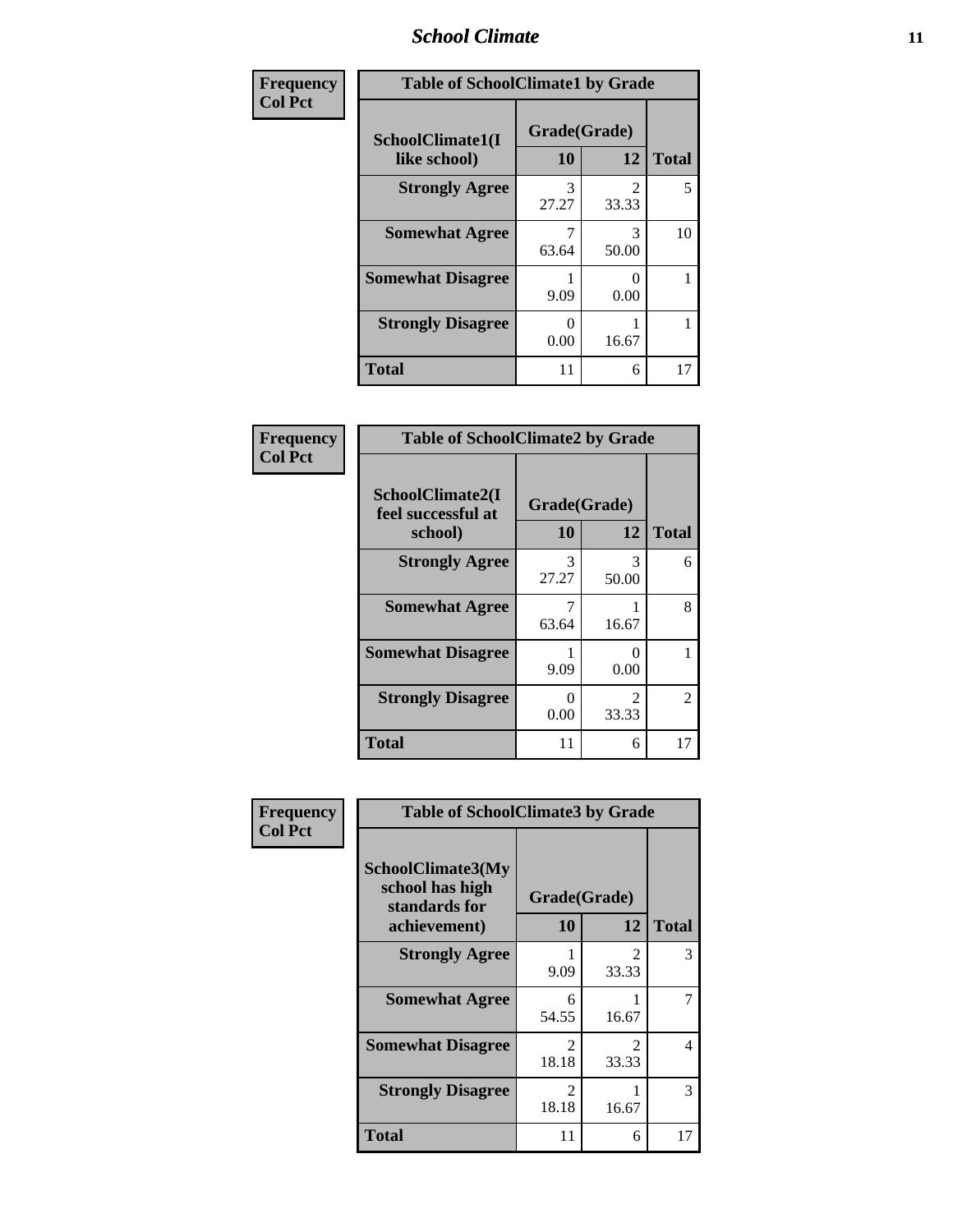#### *School Climate* **11**

| Frequency      | <b>Table of SchoolClimate1 by Grade</b> |                    |                                      |              |
|----------------|-----------------------------------------|--------------------|--------------------------------------|--------------|
| <b>Col Pct</b> | SchoolClimate1(I<br>like school)        | Grade(Grade)<br>10 | 12                                   | <b>Total</b> |
|                | <b>Strongly Agree</b>                   | 3<br>27.27         | $\mathcal{D}_{\mathcal{L}}$<br>33.33 | 5            |
|                | <b>Somewhat Agree</b>                   | 63.64              | 3<br>50.00                           | 10           |
|                | <b>Somewhat Disagree</b>                | 9.09               | 0.00                                 |              |
|                | <b>Strongly Disagree</b>                | 0.00               | 16.67                                |              |
|                | <b>Total</b>                            | 11                 | 6                                    | 17           |

| <b>Frequency</b> |
|------------------|
| <b>Col Pct</b>   |

| <b>Table of SchoolClimate2 by Grade</b>           |                    |                                      |              |  |
|---------------------------------------------------|--------------------|--------------------------------------|--------------|--|
| SchoolClimate2(I<br>feel successful at<br>school) | Grade(Grade)<br>10 | 12                                   | <b>Total</b> |  |
| <b>Strongly Agree</b>                             | 3<br>27.27         | 3<br>50.00                           | 6            |  |
| <b>Somewhat Agree</b>                             | 63.64              | 16.67                                | 8            |  |
| <b>Somewhat Disagree</b>                          | 9.09               | 0.00                                 |              |  |
| <b>Strongly Disagree</b>                          | 0<br>0.00          | $\mathcal{D}_{\mathcal{L}}$<br>33.33 | 2            |  |
| Total                                             | 11                 | 6                                    | 17           |  |

| Frequency      | <b>Table of SchoolClimate3 by Grade</b>               |                         |                                      |              |  |
|----------------|-------------------------------------------------------|-------------------------|--------------------------------------|--------------|--|
| <b>Col Pct</b> | SchoolClimate3(My<br>school has high<br>standards for | Grade(Grade)            |                                      |              |  |
|                | achievement)                                          | <b>10</b>               | 12                                   | <b>Total</b> |  |
|                | <b>Strongly Agree</b>                                 | 9.09                    | $\mathcal{D}_{\mathcal{L}}$<br>33.33 | 3            |  |
|                | <b>Somewhat Agree</b>                                 | 6<br>54.55              | 16.67                                | 7            |  |
|                | <b>Somewhat Disagree</b>                              | $\mathcal{D}$<br>18.18  | $\mathfrak{D}$<br>33.33              | 4            |  |
|                | <b>Strongly Disagree</b>                              | $\mathfrak{D}$<br>18.18 | 16.67                                | 3            |  |
|                | Total                                                 | 11                      | 6                                    | 17           |  |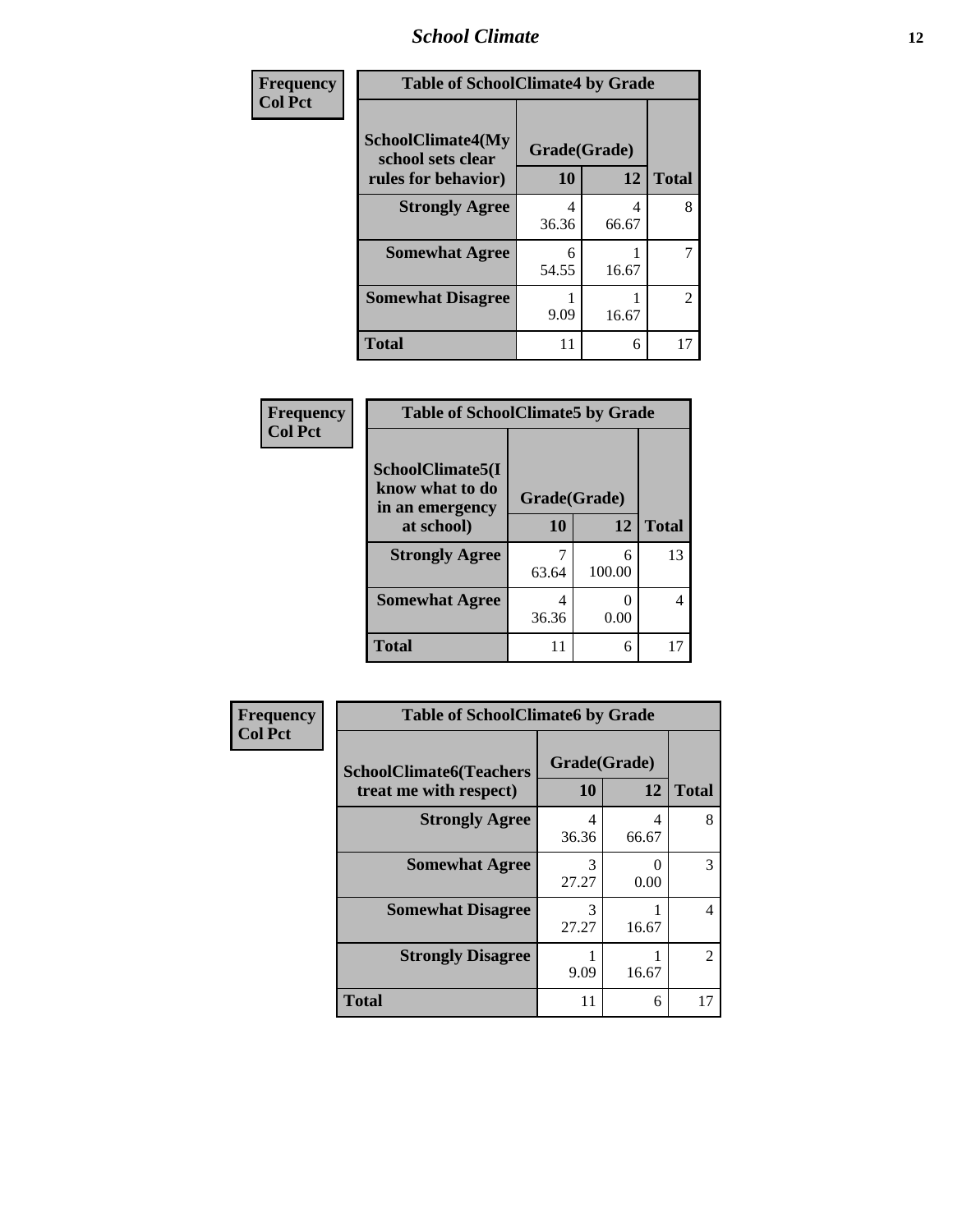#### *School Climate* **12**

| Frequency      | <b>Table of SchoolClimate4 by Grade</b>                       |            |            |              |
|----------------|---------------------------------------------------------------|------------|------------|--------------|
| <b>Col Pct</b> | <b>SchoolClimate4(My</b><br>Grade(Grade)<br>school sets clear |            |            |              |
|                | rules for behavior)                                           | 10         | 12         | <b>Total</b> |
|                | <b>Strongly Agree</b>                                         | 4<br>36.36 | 4<br>66.67 | 8            |
|                | <b>Somewhat Agree</b>                                         | 6<br>54.55 | 16.67      | 7            |
|                | <b>Somewhat Disagree</b>                                      | 9.09       | 16.67      | 2            |
|                | Total                                                         | 11         | 6          | 17           |

#### **Frequency Col Pct**

| <b>Table of SchoolClimate5 by Grade</b>                |              |             |              |  |
|--------------------------------------------------------|--------------|-------------|--------------|--|
| SchoolClimate5(I<br>know what to do<br>in an emergency | Grade(Grade) |             |              |  |
| at school)                                             | 10           | 12          | <b>Total</b> |  |
| <b>Strongly Agree</b>                                  | 63.64        | 6<br>100.00 | 13           |  |
| <b>Somewhat Agree</b>                                  | 4<br>36.36   | 0.00        |              |  |
| Total                                                  | 11           | 6           |              |  |

| Frequency      | <b>Table of SchoolClimate6 by Grade</b>                  |                    |            |              |
|----------------|----------------------------------------------------------|--------------------|------------|--------------|
| <b>Col Pct</b> | <b>SchoolClimate6(Teachers</b><br>treat me with respect) | Grade(Grade)<br>10 | 12         | <b>Total</b> |
|                | <b>Strongly Agree</b>                                    | 4<br>36.36         | 4<br>66.67 | 8            |
|                | <b>Somewhat Agree</b>                                    | 3<br>27.27         | 0<br>0.00  | 3            |
|                | <b>Somewhat Disagree</b>                                 | 3<br>27.27         | 16.67      | 4            |
|                | <b>Strongly Disagree</b>                                 | 9.09               | 16.67      | 2            |
|                | <b>Total</b>                                             | 11                 | 6          | 17           |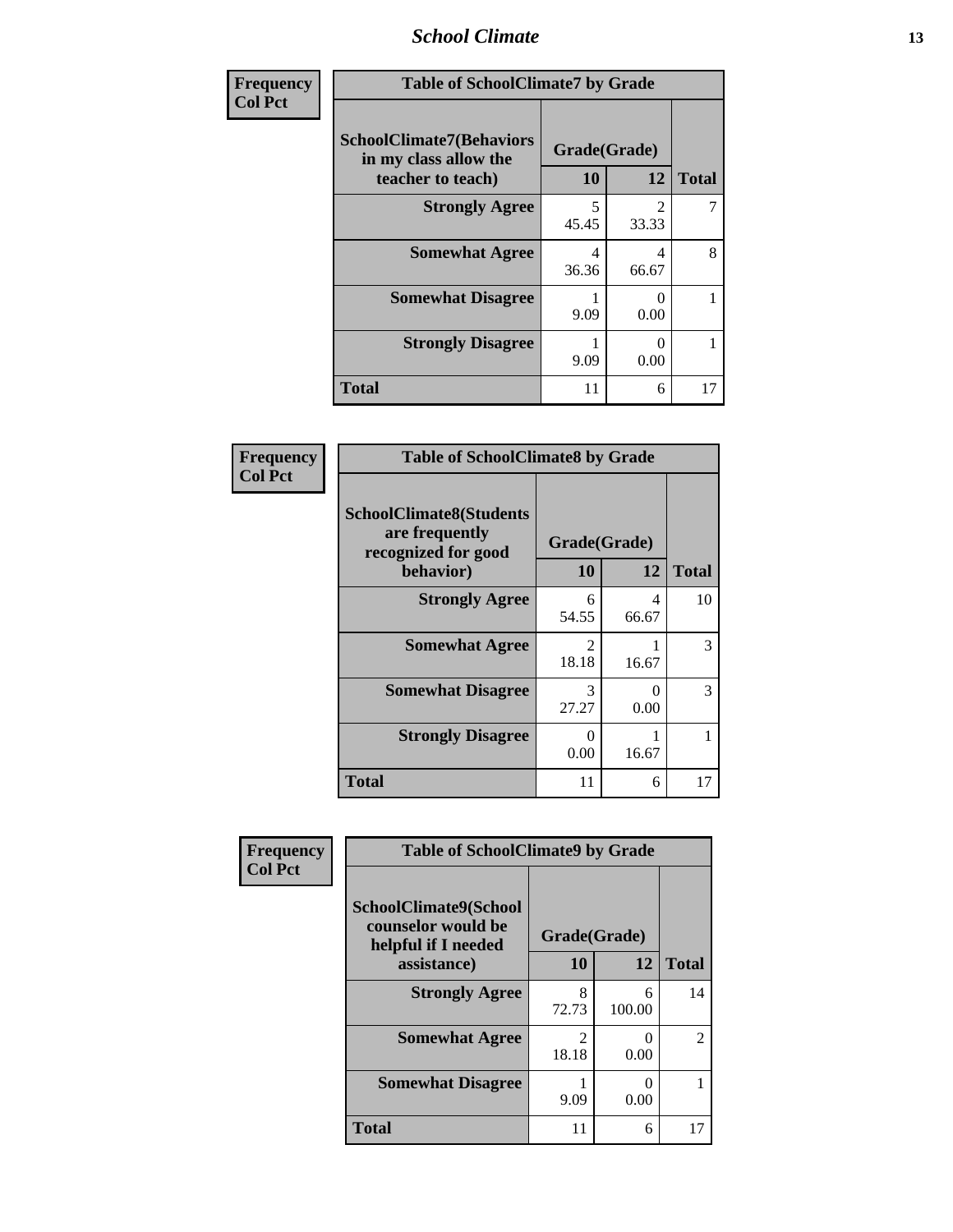#### *School Climate* **13**

| Frequency      | <b>Table of SchoolClimate7 by Grade</b>                                       |                           |                         |              |
|----------------|-------------------------------------------------------------------------------|---------------------------|-------------------------|--------------|
| <b>Col Pct</b> | <b>SchoolClimate7(Behaviors</b><br>in my class allow the<br>teacher to teach) | Grade(Grade)<br><b>10</b> | 12                      | <b>Total</b> |
|                | <b>Strongly Agree</b>                                                         | 5<br>45.45                | $\overline{c}$<br>33.33 |              |
|                | <b>Somewhat Agree</b>                                                         | 4<br>36.36                | 4<br>66.67              | 8            |
|                | <b>Somewhat Disagree</b>                                                      | 9.09                      | 0<br>0.00               |              |
|                | <b>Strongly Disagree</b>                                                      | 9.09                      | 0<br>0.00               |              |
|                | <b>Total</b>                                                                  | 11                        | 6                       | 17           |

| Frequency      | <b>Table of SchoolClimate8 by Grade</b>                                 |                                      |                           |              |
|----------------|-------------------------------------------------------------------------|--------------------------------------|---------------------------|--------------|
| <b>Col Pct</b> | <b>SchoolClimate8(Students</b><br>are frequently<br>recognized for good | Grade(Grade)                         |                           |              |
|                | behavior)                                                               | 10                                   | 12                        | <b>Total</b> |
|                | <b>Strongly Agree</b>                                                   | 6<br>54.55                           | 4<br>66.67                | 10           |
|                | <b>Somewhat Agree</b>                                                   | $\mathcal{D}_{\mathcal{L}}$<br>18.18 | 16.67                     | 3            |
|                | <b>Somewhat Disagree</b>                                                | 3<br>27.27                           | $\mathbf{\Omega}$<br>0.00 | 3            |
|                | <b>Strongly Disagree</b>                                                | 0<br>0.00                            | 16.67                     |              |
|                | <b>Total</b>                                                            | 11                                   | 6                         | 17           |

|                                             | <b>Table of SchoolClimate9 by Grade</b>                                           |                         |             |                |
|---------------------------------------------|-----------------------------------------------------------------------------------|-------------------------|-------------|----------------|
| Frequency<br><b>Col Pct</b><br><b>Total</b> | SchoolClimate9(School<br>counselor would be<br>helpful if I needed<br>assistance) | Grade(Grade)<br>10      | 12          | <b>Total</b>   |
|                                             | <b>Strongly Agree</b>                                                             | 8<br>72.73              | 6<br>100.00 | 14             |
|                                             | <b>Somewhat Agree</b>                                                             | $\mathfrak{D}$<br>18.18 | 0<br>0.00   | $\mathfrak{D}$ |
|                                             | <b>Somewhat Disagree</b>                                                          | 9.09                    | 0<br>0.00   |                |
|                                             |                                                                                   | 11                      | 6           | 17             |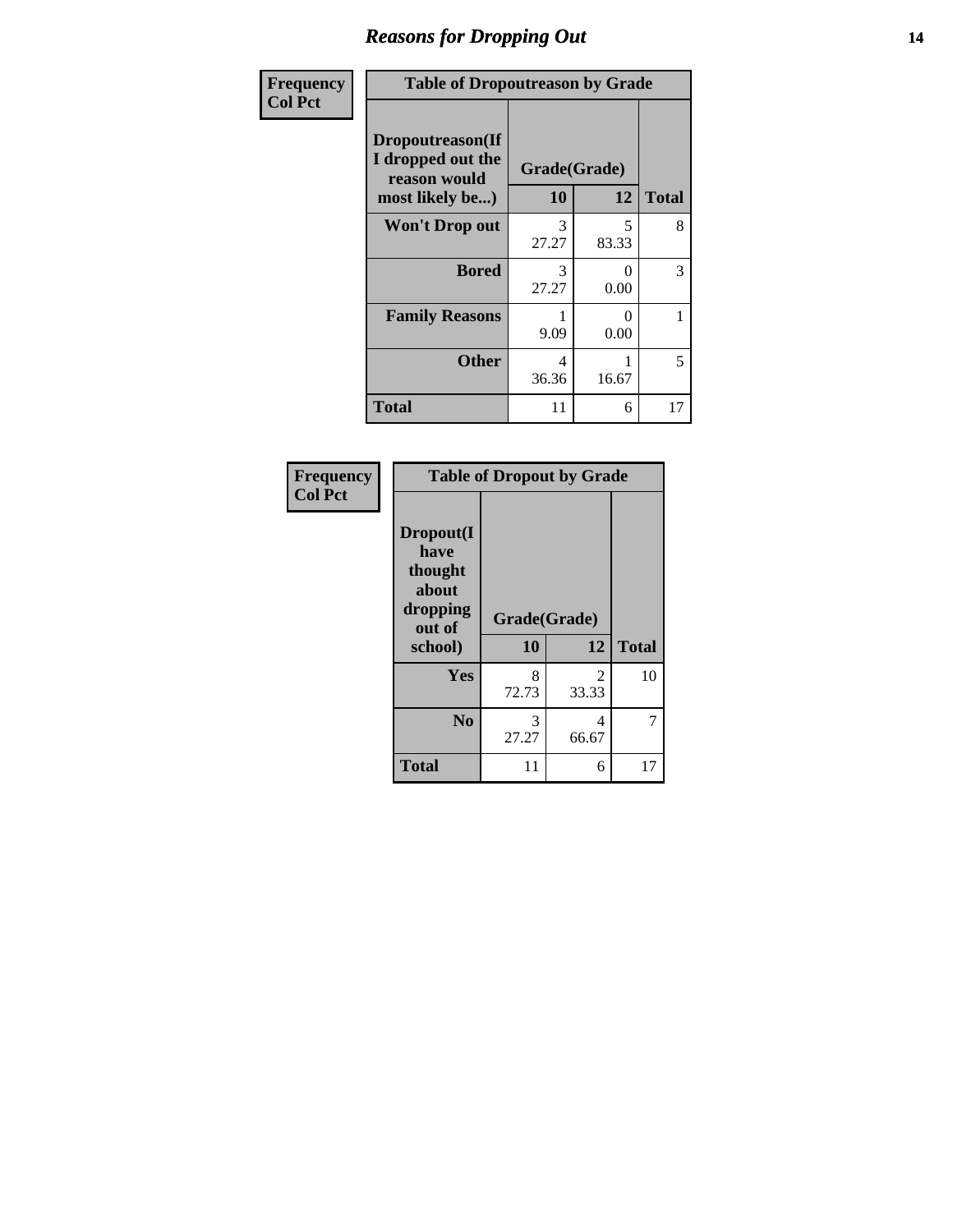#### *Reasons for Dropping Out* **14**

| Frequency      | <b>Table of Dropoutreason by Grade</b>                |              |            |              |
|----------------|-------------------------------------------------------|--------------|------------|--------------|
| <b>Col Pct</b> | Dropoutreason(If<br>I dropped out the<br>reason would | Grade(Grade) |            |              |
|                | most likely be)                                       | 10           | 12         | <b>Total</b> |
|                | <b>Won't Drop out</b>                                 | 3<br>27.27   | 5<br>83.33 | 8            |
|                | <b>Bored</b>                                          | 3<br>27.27   | ∩<br>0.00  | 3            |
|                | <b>Family Reasons</b>                                 | 9.09         | 0<br>0.00  | 1            |
|                | <b>Other</b>                                          | 4<br>36.36   | 16.67      | 5            |
|                | <b>Total</b>                                          | 11           | 6          | 17           |

| Frequency<br><b>Col Pct</b> | <b>Table of Dropout by Grade</b>                                       |                    |                                      |              |
|-----------------------------|------------------------------------------------------------------------|--------------------|--------------------------------------|--------------|
|                             | Dropout(I<br>have<br>thought<br>about<br>dropping<br>out of<br>school) | Grade(Grade)<br>10 | 12                                   | <b>Total</b> |
|                             |                                                                        |                    |                                      |              |
|                             | Yes                                                                    | 8<br>72.73         | $\mathcal{D}_{\mathcal{L}}$<br>33.33 | 10           |
|                             | N <sub>0</sub>                                                         | 3<br>27.27         | 4<br>66.67                           | 7            |
|                             | <b>Total</b>                                                           | 11                 | 6                                    | 17           |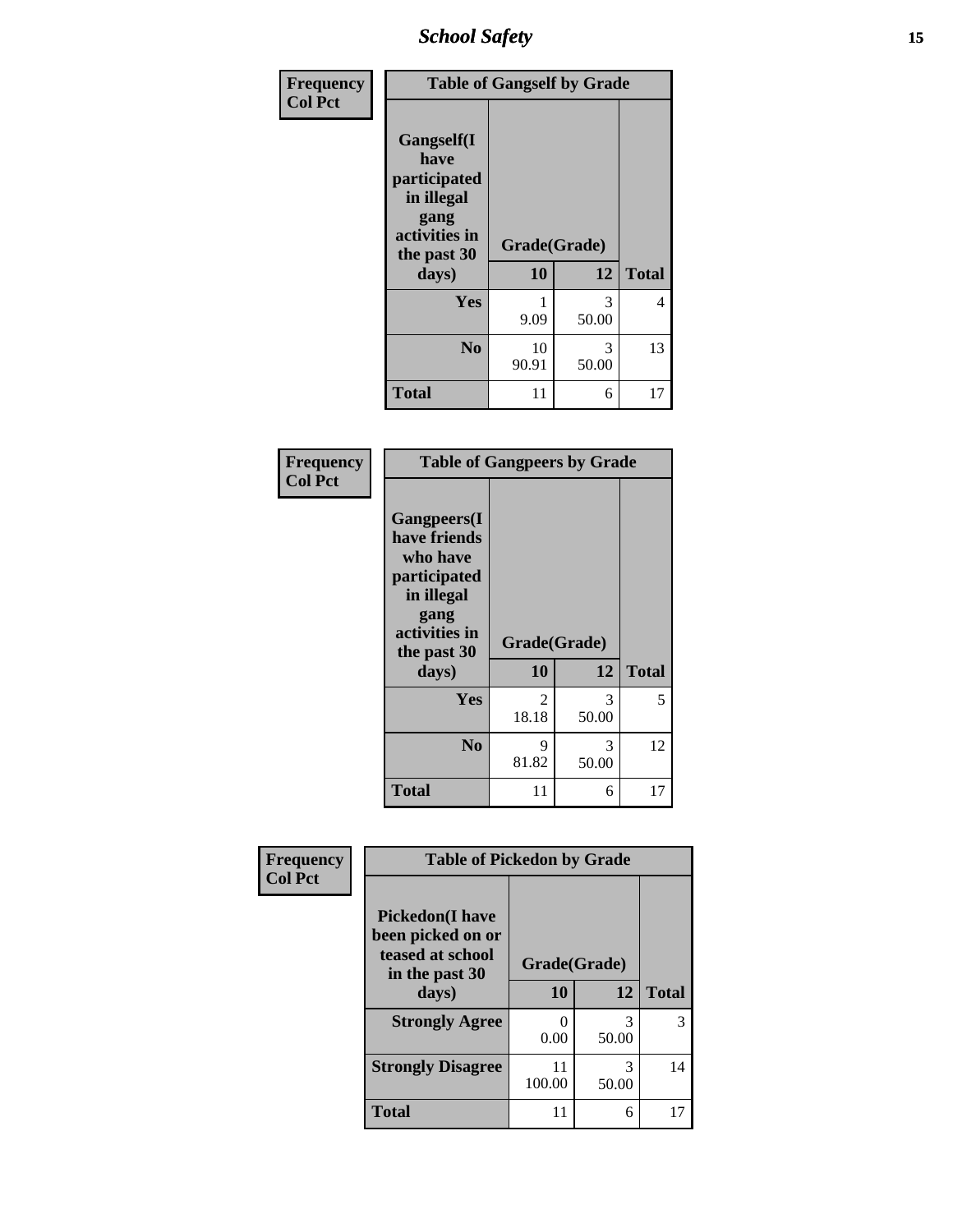*School Safety* **15**

| Frequency      | <b>Table of Gangself by Grade</b>                                                                 |                    |            |              |
|----------------|---------------------------------------------------------------------------------------------------|--------------------|------------|--------------|
| <b>Col Pct</b> | Gangself(I<br>have<br>participated<br>in illegal<br>gang<br>activities in<br>the past 30<br>days) | Grade(Grade)<br>10 | 12         | <b>Total</b> |
|                | Yes                                                                                               | 9.09               | 3<br>50.00 | 4            |
|                | N <sub>0</sub>                                                                                    | 10<br>90.91        | 3<br>50.00 | 13           |
|                | <b>Total</b>                                                                                      | 11                 | 6          | 17           |

| Frequency<br><b>Col Pct</b> | <b>Table of Gangpeers by Grade</b>                                                                                     |                         |            |              |
|-----------------------------|------------------------------------------------------------------------------------------------------------------------|-------------------------|------------|--------------|
|                             | Gangpeers(I<br>have friends<br>who have<br>participated<br>in illegal<br>gang<br>activities in<br>the past 30<br>days) | Grade(Grade)<br>10      | 12         | <b>Total</b> |
|                             | Yes                                                                                                                    | $\mathfrak{D}$<br>18.18 | 3<br>50.00 | 5            |
|                             | N <sub>0</sub>                                                                                                         | 9<br>81.82              | 3<br>50.00 | 12           |
|                             | <b>Total</b>                                                                                                           | 11                      | 6          | 17           |

| Frequency      | <b>Table of Pickedon by Grade</b>                                                  |              |            |              |
|----------------|------------------------------------------------------------------------------------|--------------|------------|--------------|
| <b>Col Pct</b> | <b>Pickedon</b> (I have<br>been picked on or<br>teased at school<br>in the past 30 | Grade(Grade) |            |              |
|                | days)                                                                              | 10           | 12         | <b>Total</b> |
|                | <b>Strongly Agree</b>                                                              | 0.00         | 3<br>50.00 | 3            |
|                | <b>Strongly Disagree</b>                                                           | 11<br>100.00 | 3<br>50.00 | 14           |
|                | <b>Total</b>                                                                       | 11           | 6          | 17           |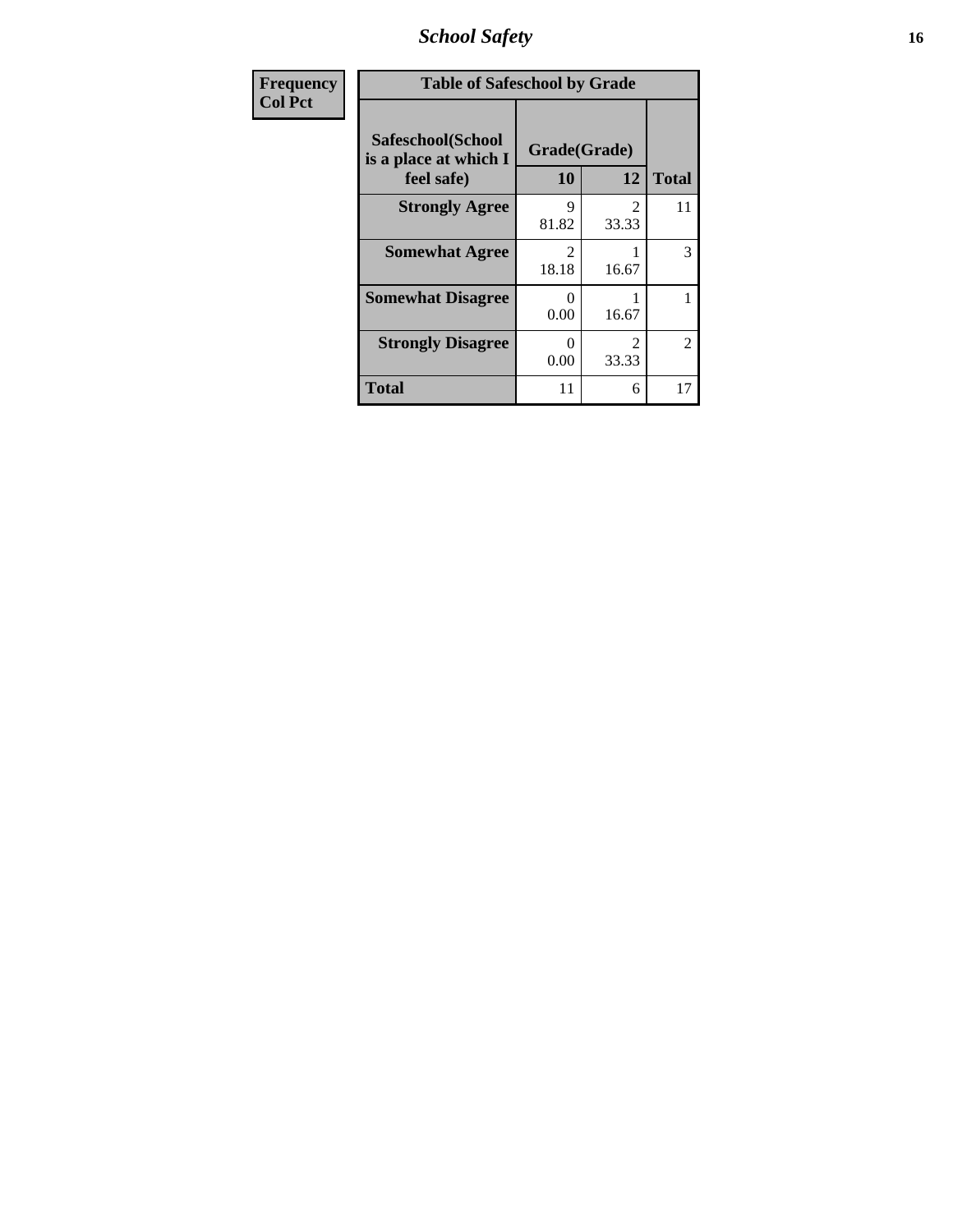*School Safety* **16**

| Frequency      | <b>Table of Safeschool by Grade</b>                      |                                      |                                      |                |  |  |
|----------------|----------------------------------------------------------|--------------------------------------|--------------------------------------|----------------|--|--|
| <b>Col Pct</b> | Safeschool(School<br>is a place at which I<br>feel safe) | Grade(Grade)<br>10                   | 12                                   | <b>Total</b>   |  |  |
|                | <b>Strongly Agree</b>                                    | Q<br>81.82                           | $\mathcal{D}_{\mathcal{L}}$<br>33.33 | 11             |  |  |
|                | <b>Somewhat Agree</b>                                    | $\mathcal{D}_{\mathcal{L}}$<br>18.18 | 16.67                                | 3              |  |  |
|                | <b>Somewhat Disagree</b>                                 | $\Omega$<br>0.00                     | 16.67                                |                |  |  |
|                | <b>Strongly Disagree</b>                                 | 0<br>0.00                            | $\mathcal{D}_{\mathcal{L}}$<br>33.33 | $\mathfrak{D}$ |  |  |
|                | <b>Total</b>                                             | 11                                   | 6                                    | 17             |  |  |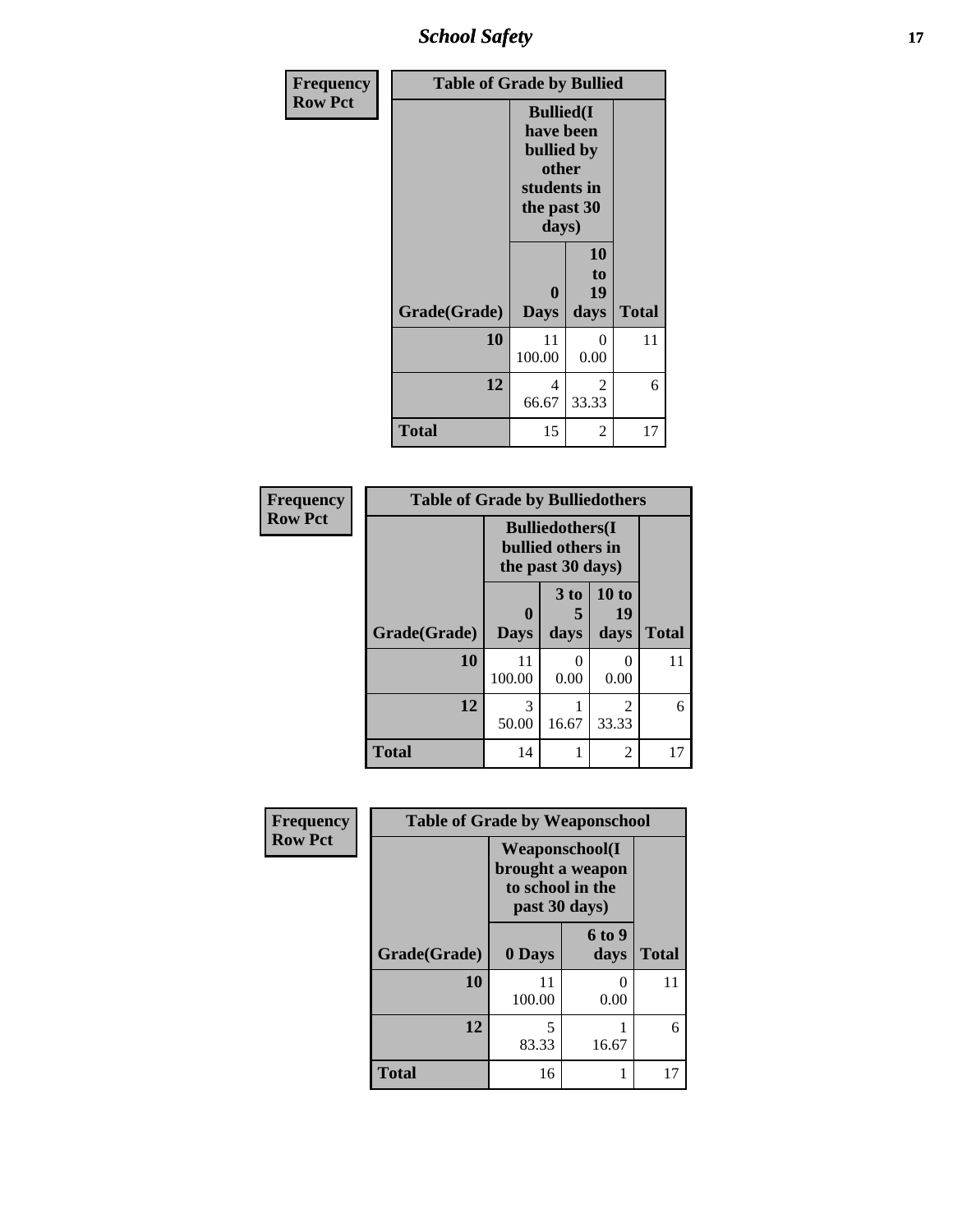*School Safety* **17**

| Frequency      | <b>Table of Grade by Bullied</b> |                                                                                              |                        |              |  |  |  |
|----------------|----------------------------------|----------------------------------------------------------------------------------------------|------------------------|--------------|--|--|--|
| <b>Row Pct</b> |                                  | <b>Bullied(I)</b><br>have been<br>bullied by<br>other<br>students in<br>the past 30<br>days) |                        |              |  |  |  |
|                | Grade(Grade)                     | $\bf{0}$<br><b>Days</b>                                                                      | 10<br>to<br>19<br>days | <b>Total</b> |  |  |  |
|                | 10                               | 11<br>100.00                                                                                 | 0<br>0.00              | 11           |  |  |  |
|                | 12                               | 4<br>66.67                                                                                   | 2<br>33.33             | 6            |  |  |  |
|                | <b>Total</b>                     | 15                                                                                           | 2                      | 17           |  |  |  |

| Frequency      | <b>Table of Grade by Bulliedothers</b> |                         |                                                                   |                     |              |  |  |  |  |
|----------------|----------------------------------------|-------------------------|-------------------------------------------------------------------|---------------------|--------------|--|--|--|--|
| <b>Row Pct</b> |                                        |                         | <b>Bulliedothers</b> (I<br>bullied others in<br>the past 30 days) |                     |              |  |  |  |  |
|                | Grade(Grade)                           | $\bf{0}$<br><b>Days</b> | 3 to<br>days                                                      | 10 to<br>19<br>days | <b>Total</b> |  |  |  |  |
|                | 10                                     | 11<br>100.00            | 0.00                                                              | 0<br>0.00           | 11           |  |  |  |  |
|                | 12                                     | 3<br>50.00              | 16.67                                                             | 2<br>33.33          | 6            |  |  |  |  |
|                | <b>Total</b>                           | 14                      |                                                                   | $\overline{2}$      | 17           |  |  |  |  |

| Frequency      | <b>Table of Grade by Weaponschool</b> |                                                                                 |                       |              |  |  |  |  |  |
|----------------|---------------------------------------|---------------------------------------------------------------------------------|-----------------------|--------------|--|--|--|--|--|
| <b>Row Pct</b> |                                       | <b>Weaponschool</b> (I<br>brought a weapon<br>to school in the<br>past 30 days) |                       |              |  |  |  |  |  |
|                | Grade(Grade)                          | 0 Days                                                                          | <b>6 to 9</b><br>days | <b>Total</b> |  |  |  |  |  |
|                | 10                                    | 11<br>100.00                                                                    | ∩<br>0.00             | 11           |  |  |  |  |  |
|                | 12                                    | 5<br>83.33                                                                      | 16.67                 | 6            |  |  |  |  |  |
|                | <b>Total</b>                          | 16                                                                              |                       | 17           |  |  |  |  |  |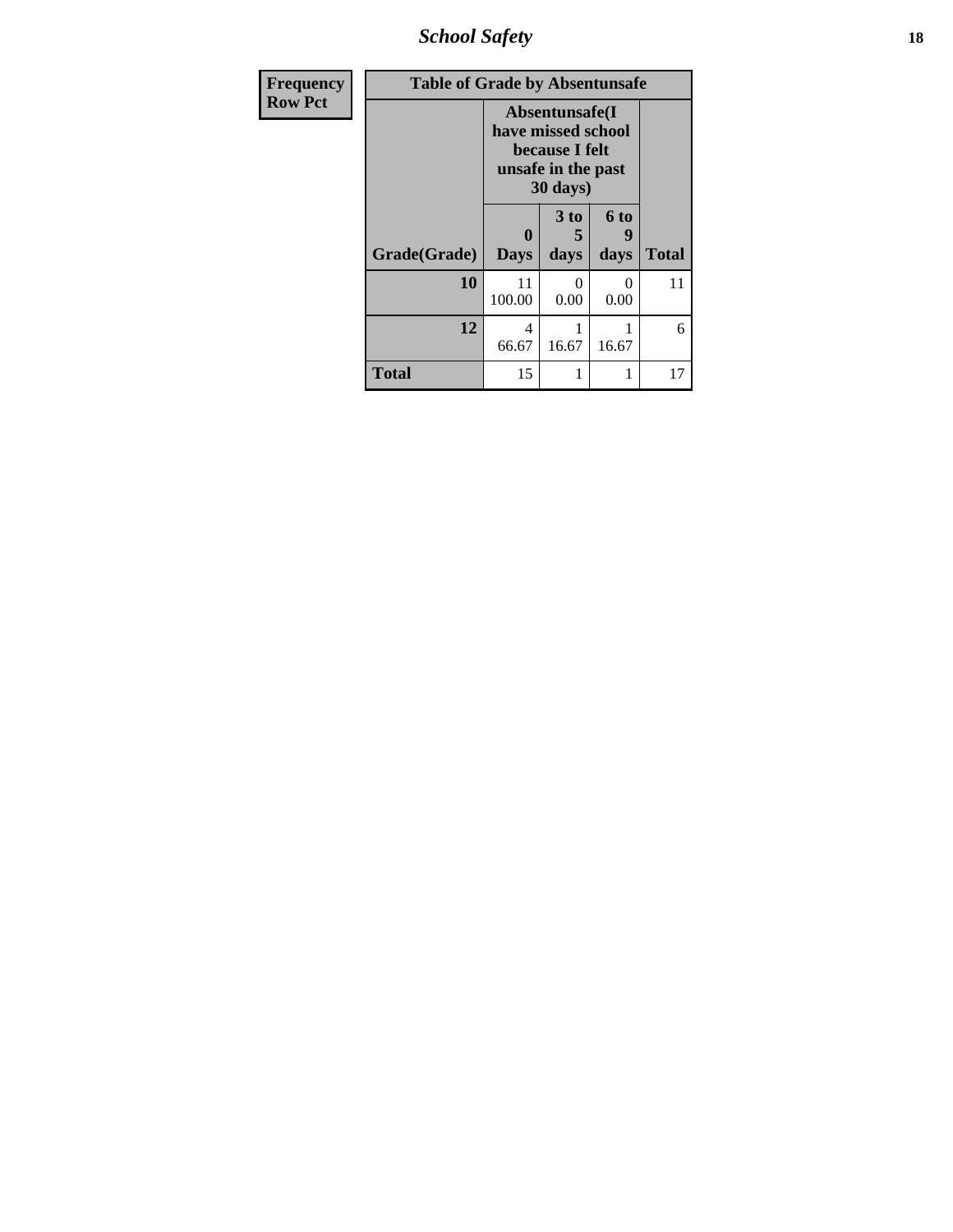*School Safety* **18**

| <b>Frequency</b> | <b>Table of Grade by Absentunsafe</b> |                         |                                                                                                    |              |              |  |  |  |
|------------------|---------------------------------------|-------------------------|----------------------------------------------------------------------------------------------------|--------------|--------------|--|--|--|
| <b>Row Pct</b>   |                                       |                         | Absentunsafe(I)<br>have missed school<br>because I felt<br>unsafe in the past<br>$30 \text{ days}$ |              |              |  |  |  |
|                  | Grade(Grade)                          | $\bf{0}$<br><b>Days</b> | 3 to<br>5<br>days                                                                                  | 6 to<br>days | <b>Total</b> |  |  |  |
|                  | 10                                    | 11<br>100.00            | 0<br>0.00                                                                                          | 0<br>0.00    | 11           |  |  |  |
|                  | 12                                    | 4<br>66.67              | 1<br>16.67                                                                                         | 16.67        | 6            |  |  |  |
|                  | <b>Total</b>                          | 15                      |                                                                                                    |              | 17           |  |  |  |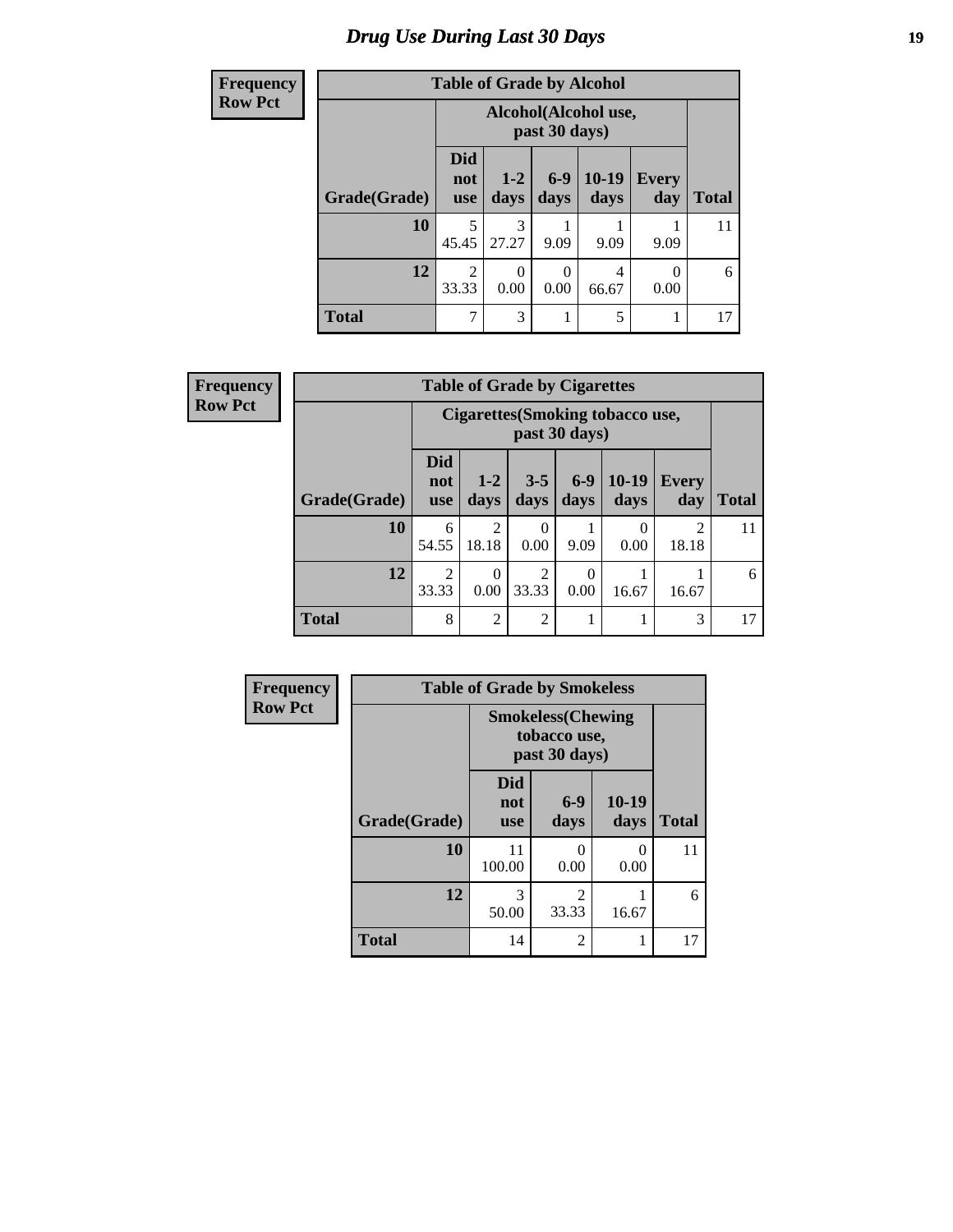### *Drug Use During Last 30 Days* **19**

| <b>Frequency</b> | <b>Table of Grade by Alcohol</b> |                                 |                 |                  |                      |                     |              |  |  |
|------------------|----------------------------------|---------------------------------|-----------------|------------------|----------------------|---------------------|--------------|--|--|
| <b>Row Pct</b>   |                                  |                                 |                 | past 30 days)    | Alcohol(Alcohol use, |                     |              |  |  |
|                  | Grade(Grade)                     | <b>Did</b><br>not<br><b>use</b> | $1 - 2$<br>days | $6-9$<br>days    | 10-19<br>days        | <b>Every</b><br>day | <b>Total</b> |  |  |
|                  | 10                               | 5<br>45.45                      | 3<br>27.27      | 9.09             | 9.09                 | 9.09                | 11           |  |  |
|                  | 12                               | $\overline{2}$<br>33.33         | 0<br>0.00       | $\Omega$<br>0.00 | 4<br>66.67           | 0<br>0.00           | 6            |  |  |
|                  | <b>Total</b>                     | 7                               | 3               |                  | 5                    |                     | 17           |  |  |

| Frequency      | <b>Table of Grade by Cigarettes</b> |                                 |                 |                         |                  |                                  |              |              |  |
|----------------|-------------------------------------|---------------------------------|-----------------|-------------------------|------------------|----------------------------------|--------------|--------------|--|
| <b>Row Pct</b> |                                     |                                 |                 |                         | past 30 days)    | Cigarettes (Smoking tobacco use, |              |              |  |
|                | Grade(Grade)                        | <b>Did</b><br>not<br><b>use</b> | $1 - 2$<br>days | $3 - 5$<br>days         | $6-9$<br>days    | $10-19$<br>days                  | Every<br>day | <b>Total</b> |  |
|                | 10                                  | 6<br>54.55                      | ↑<br>18.18      | 0<br>0.00               | 9.09             | $\Omega$<br>0.00                 | 2<br>18.18   | 11           |  |
|                | 12                                  | $\mathfrak{D}$<br>33.33         | 0<br>0.00       | $\overline{2}$<br>33.33 | $\Omega$<br>0.00 | 16.67                            | 16.67        | 6            |  |
|                | <b>Total</b>                        | 8                               | $\overline{2}$  | $\overline{2}$          |                  |                                  | 3            | 17           |  |

| Frequency      | <b>Table of Grade by Smokeless</b> |                                 |                                                            |               |              |  |  |  |
|----------------|------------------------------------|---------------------------------|------------------------------------------------------------|---------------|--------------|--|--|--|
| <b>Row Pct</b> |                                    |                                 | <b>Smokeless</b> (Chewing<br>tobacco use,<br>past 30 days) |               |              |  |  |  |
|                | Grade(Grade)                       | <b>Did</b><br>not<br><b>use</b> | $6-9$<br>days                                              | 10-19<br>days | <b>Total</b> |  |  |  |
|                | 10                                 | 11<br>100.00                    | 0<br>0.00                                                  | 0<br>0.00     | 11           |  |  |  |
|                | 12                                 | 3<br>50.00                      | $\mathfrak{D}$<br>33.33                                    | 16.67         | 6            |  |  |  |
|                | <b>Total</b>                       | 14                              | 2                                                          |               | 17           |  |  |  |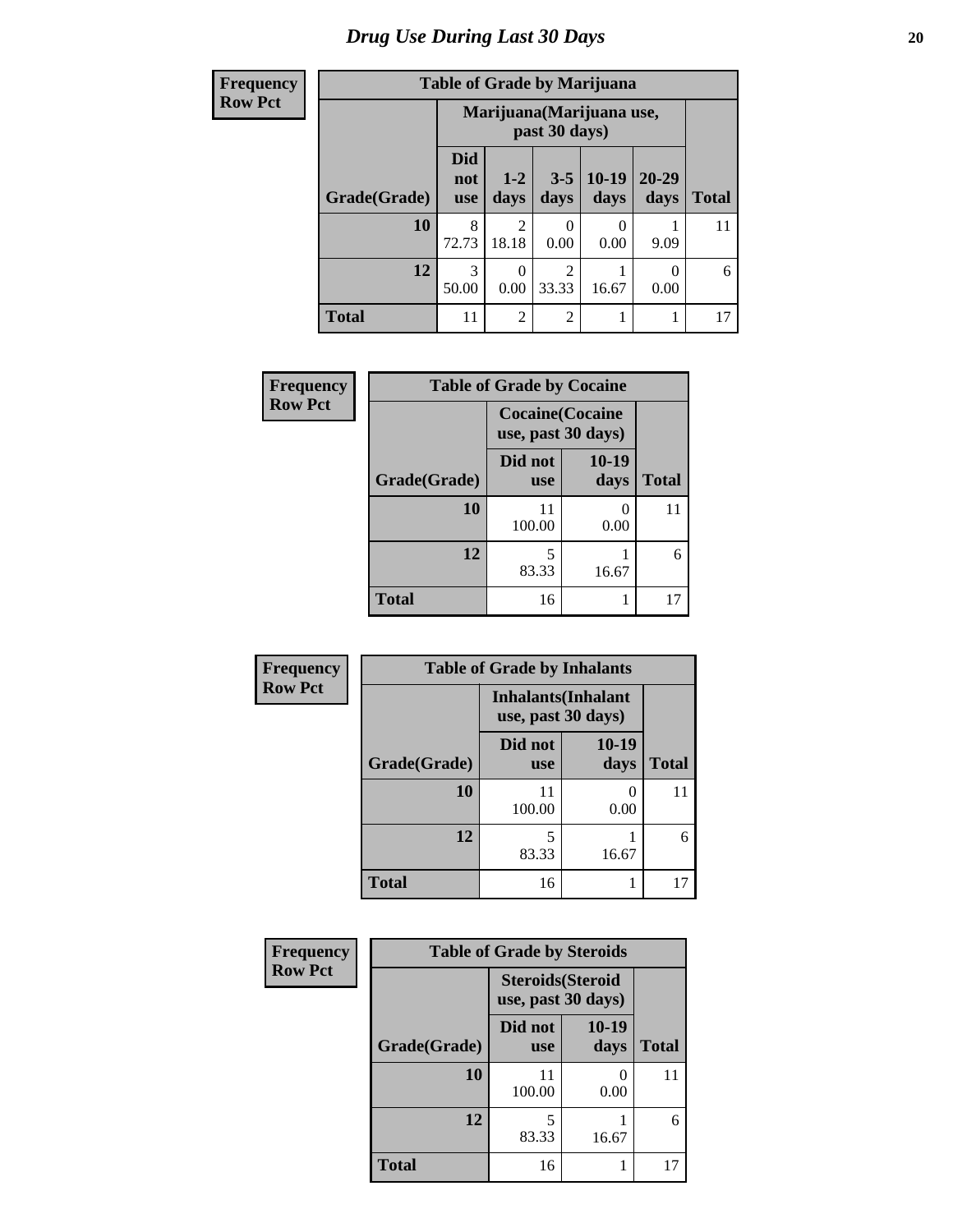# *Drug Use During Last 30 Days* 20

| <b>Frequency</b> | <b>Table of Grade by Marijuana</b> |                                 |                  |                         |                           |                   |              |  |  |  |
|------------------|------------------------------------|---------------------------------|------------------|-------------------------|---------------------------|-------------------|--------------|--|--|--|
| <b>Row Pct</b>   |                                    |                                 |                  | past 30 days)           | Marijuana (Marijuana use, |                   |              |  |  |  |
|                  | Grade(Grade)                       | <b>Did</b><br>not<br><b>use</b> | $1-2$<br>days    | $3 - 5$<br>days         | $10-19$<br>days           | $20 - 29$<br>days | <b>Total</b> |  |  |  |
|                  | 10                                 | 8<br>72.73                      | 2<br>18.18       | 0<br>0.00               | 0<br>0.00                 | 9.09              | 11           |  |  |  |
|                  | 12                                 | 3<br>50.00                      | $\Omega$<br>0.00 | $\overline{2}$<br>33.33 | 16.67                     | 0<br>0.00         | 6            |  |  |  |
|                  | <b>Total</b>                       | 11                              | $\overline{2}$   | $\overline{2}$          | 1                         |                   | 17           |  |  |  |

| <b>Frequency</b> | <b>Table of Grade by Cocaine</b> |                                              |               |              |  |  |  |  |
|------------------|----------------------------------|----------------------------------------------|---------------|--------------|--|--|--|--|
| <b>Row Pct</b>   |                                  | <b>Cocaine(Cocaine</b><br>use, past 30 days) |               |              |  |  |  |  |
|                  | Grade(Grade)                     | Did not<br><b>use</b>                        | 10-19<br>days | <b>Total</b> |  |  |  |  |
|                  | 10                               | 11<br>100.00                                 | 0.00          | 11           |  |  |  |  |
|                  | 12                               | 5<br>83.33                                   | 16.67         | 6            |  |  |  |  |
|                  | <b>Total</b>                     | 16                                           | 17            |              |  |  |  |  |

| Frequency      |              | <b>Table of Grade by Inhalants</b> |                            |              |  |  |  |  |
|----------------|--------------|------------------------------------|----------------------------|--------------|--|--|--|--|
| <b>Row Pct</b> |              | use, past 30 days)                 | <b>Inhalants</b> (Inhalant |              |  |  |  |  |
|                | Grade(Grade) | Did not<br><b>use</b>              | $10-19$<br>days            | <b>Total</b> |  |  |  |  |
|                | 10           | 11<br>100.00                       | 0.00                       | 11           |  |  |  |  |
|                | 12           | 83.33                              | 16.67                      | 6            |  |  |  |  |
|                | <b>Total</b> | 16                                 |                            | 17           |  |  |  |  |

| Frequency      | <b>Table of Grade by Steroids</b> |                                                |               |              |
|----------------|-----------------------------------|------------------------------------------------|---------------|--------------|
| <b>Row Pct</b> |                                   | <b>Steroids</b> (Steroid<br>use, past 30 days) |               |              |
|                | Grade(Grade)                      | Did not<br><b>use</b>                          | 10-19<br>days | <b>Total</b> |
|                | 10                                | 11<br>100.00                                   | 0.00          | 11           |
|                | 12                                | 5<br>83.33                                     | 16.67         | 6            |
|                | <b>Total</b>                      | 16                                             |               | 17           |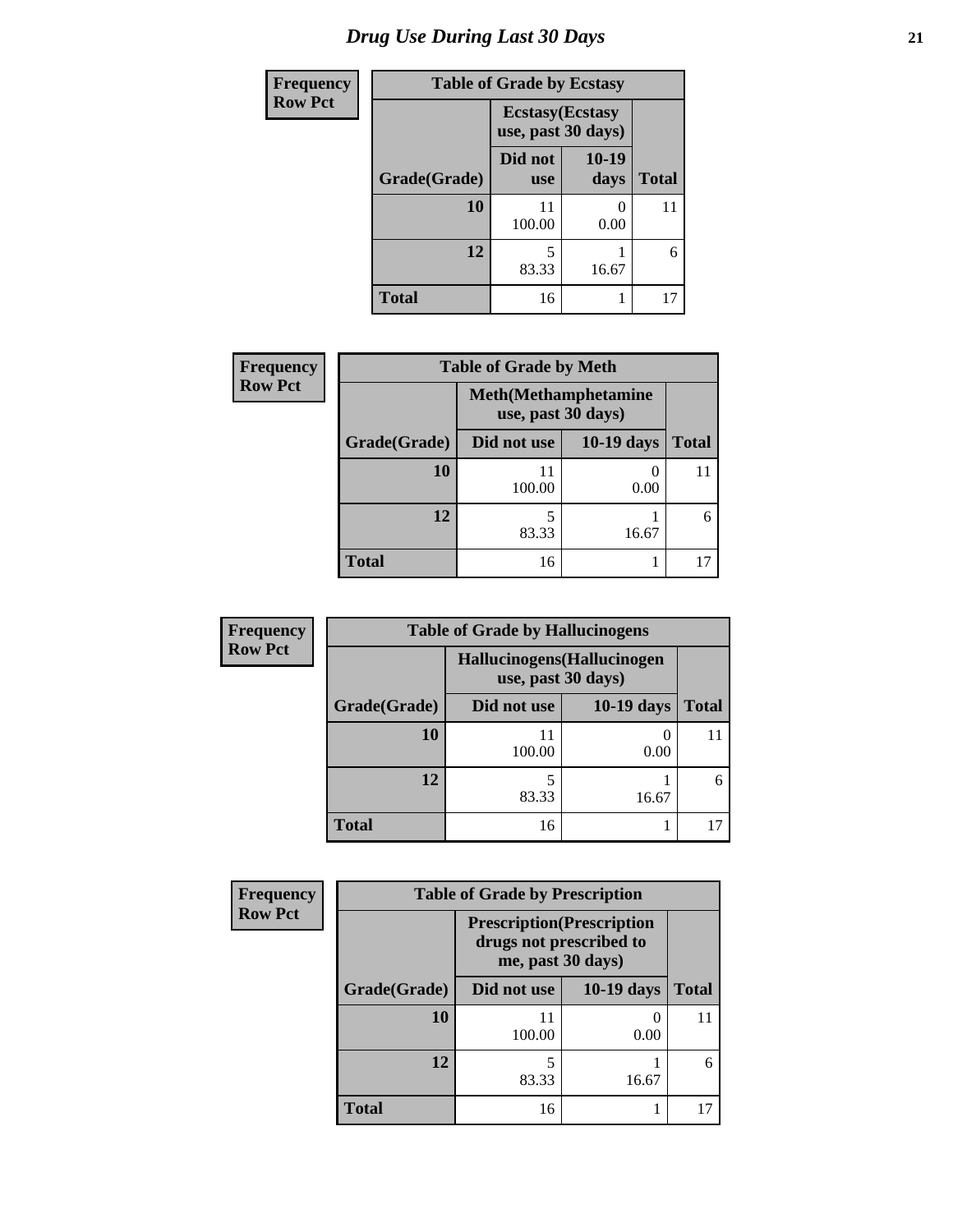# *Drug Use During Last 30 Days* **21**

| <b>Frequency</b> | <b>Table of Grade by Ecstasy</b> |                                               |               |              |
|------------------|----------------------------------|-----------------------------------------------|---------------|--------------|
| <b>Row Pct</b>   |                                  | <b>Ecstasy</b> (Ecstasy<br>use, past 30 days) |               |              |
|                  | Grade(Grade)                     | Did not<br><b>use</b>                         | 10-19<br>days | <b>Total</b> |
|                  | 10                               | 11<br>100.00                                  | 0.00          | 11           |
|                  | 12                               | 5<br>83.33                                    | 16.67         | 6            |
|                  | <b>Total</b>                     | 16                                            |               | 17           |

| <b>Frequency</b> |              | <b>Table of Grade by Meth</b> |                              |              |
|------------------|--------------|-------------------------------|------------------------------|--------------|
| <b>Row Pct</b>   |              | use, past 30 days)            | <b>Meth</b> (Methamphetamine |              |
|                  | Grade(Grade) | Did not use                   | <b>10-19 days</b>            | <b>Total</b> |
|                  | 10           | 11<br>100.00                  | 0.00                         | 11           |
|                  | 12           | 83.33                         | 16.67                        | 6            |
|                  | <b>Total</b> | 16                            |                              |              |

| <b>Frequency</b> | <b>Table of Grade by Hallucinogens</b> |                                                   |            |       |  |
|------------------|----------------------------------------|---------------------------------------------------|------------|-------|--|
| <b>Row Pct</b>   |                                        | Hallucinogens (Hallucinogen<br>use, past 30 days) |            |       |  |
|                  | Grade(Grade)                           | Did not use                                       | 10-19 days | Total |  |
|                  | 10                                     | 100.00                                            | 0.00       |       |  |
|                  | 12                                     | 83.33                                             | 16.67      | 6     |  |
|                  | <b>Total</b>                           | 16                                                |            |       |  |

| Frequency      | <b>Table of Grade by Prescription</b> |                                                                                   |                   |              |
|----------------|---------------------------------------|-----------------------------------------------------------------------------------|-------------------|--------------|
| <b>Row Pct</b> |                                       | <b>Prescription</b> (Prescription<br>drugs not prescribed to<br>me, past 30 days) |                   |              |
|                | Grade(Grade)                          | Did not use                                                                       | <b>10-19 days</b> | <b>Total</b> |
|                | 10                                    | 11<br>100.00                                                                      | 0.00              | 11           |
|                | 12                                    | 83.33                                                                             | 16.67             | 6            |
|                | <b>Total</b>                          | 16                                                                                |                   |              |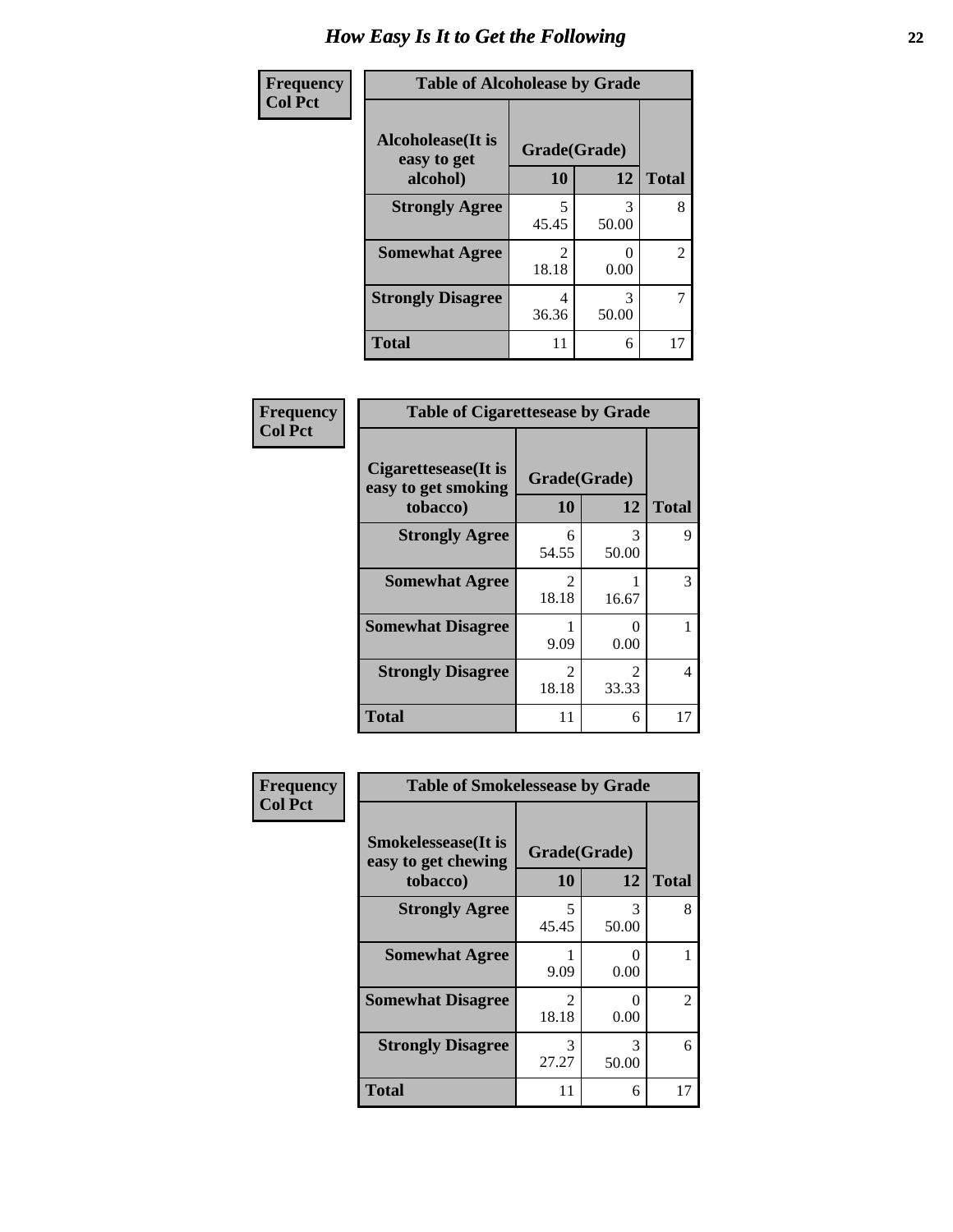| <b>Frequency</b> | <b>Table of Alcoholease by Grade</b>     |                         |            |                |
|------------------|------------------------------------------|-------------------------|------------|----------------|
| <b>Col Pct</b>   | <b>Alcoholease</b> (It is<br>easy to get | Grade(Grade)            |            |                |
|                  | alcohol)                                 | 10                      | 12         | <b>Total</b>   |
|                  | <b>Strongly Agree</b>                    | 5<br>45.45              | 3<br>50.00 | 8              |
|                  | <b>Somewhat Agree</b>                    | $\mathfrak{D}$<br>18.18 | 0.00       | $\overline{2}$ |
|                  | <b>Strongly Disagree</b>                 | 4<br>36.36              | 3<br>50.00 | 7              |
|                  | <b>Total</b>                             | 11                      | 6          | 17             |

| Frequency      | <b>Table of Cigarettesease by Grade</b>                 |                                      |                                      |              |
|----------------|---------------------------------------------------------|--------------------------------------|--------------------------------------|--------------|
| <b>Col Pct</b> | Cigarettesease(It is<br>easy to get smoking<br>tobacco) | Grade(Grade)<br>10                   | 12                                   | <b>Total</b> |
|                | <b>Strongly Agree</b>                                   | 6<br>54.55                           | 3<br>50.00                           | 9            |
|                | <b>Somewhat Agree</b>                                   | $\mathcal{D}_{\mathcal{L}}$<br>18.18 | 16.67                                | 3            |
|                | <b>Somewhat Disagree</b>                                | 9.09                                 | $\mathbf{\Omega}$<br>0.00            |              |
|                | <b>Strongly Disagree</b>                                | $\mathcal{D}_{\mathcal{L}}$<br>18.18 | $\mathcal{D}_{\mathcal{L}}$<br>33.33 | 4            |
|                | <b>Total</b>                                            | 11                                   | 6                                    | 17           |

| Frequency      | <b>Table of Smokelessease by Grade</b>                         |                        |                  |              |
|----------------|----------------------------------------------------------------|------------------------|------------------|--------------|
| <b>Col Pct</b> | <b>Smokelessease</b> (It is<br>easy to get chewing<br>tobacco) | Grade(Grade)<br>10     | 12               | <b>Total</b> |
|                | <b>Strongly Agree</b>                                          | 5<br>45.45             | 3<br>50.00       | 8            |
|                | <b>Somewhat Agree</b>                                          | 9.09                   | 0<br>0.00        |              |
|                | <b>Somewhat Disagree</b>                                       | $\mathcal{L}$<br>18.18 | $\Omega$<br>0.00 | 2            |
|                | <b>Strongly Disagree</b>                                       | 3<br>27.27             | 3<br>50.00       | 6            |
|                | <b>Total</b>                                                   | 11                     | 6                | 17           |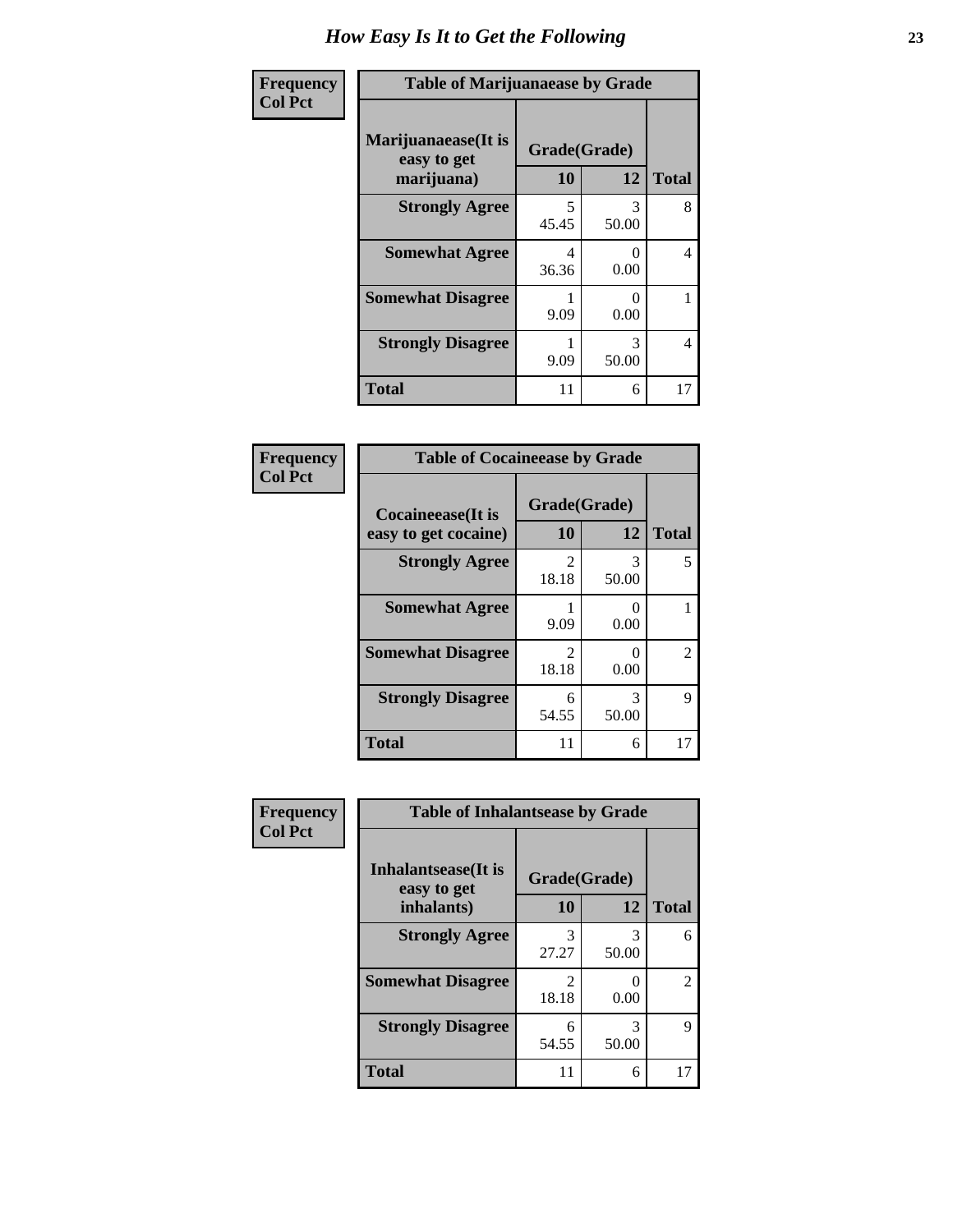| Frequency      | <b>Table of Marijuanaease by Grade</b>           |                           |                           |              |
|----------------|--------------------------------------------------|---------------------------|---------------------------|--------------|
| <b>Col Pct</b> | Marijuanaease(It is<br>easy to get<br>marijuana) | Grade(Grade)<br><b>10</b> | 12                        | <b>Total</b> |
|                | <b>Strongly Agree</b>                            | 5<br>45.45                | 3<br>50.00                | 8            |
|                | <b>Somewhat Agree</b>                            | 4<br>36.36                | $\mathbf{\Omega}$<br>0.00 | 4            |
|                | <b>Somewhat Disagree</b>                         | 9.09                      | $\mathbf{0}$<br>0.00      |              |
|                | <b>Strongly Disagree</b>                         | 9.09                      | 3<br>50.00                | 4            |
|                | <b>Total</b>                                     | 11                        | 6                         | 17           |

#### **Frequency Col Pct**

| <b>Table of Cocaineease by Grade</b>              |                         |            |                |  |
|---------------------------------------------------|-------------------------|------------|----------------|--|
| <b>Cocaineease</b> (It is<br>easy to get cocaine) | Grade(Grade)<br>10      | 12         | <b>Total</b>   |  |
| <b>Strongly Agree</b>                             | $\mathfrak{D}$<br>18.18 | 3<br>50.00 | 5              |  |
| <b>Somewhat Agree</b>                             | 9.09                    | 0.00       |                |  |
| <b>Somewhat Disagree</b>                          | $\mathfrak{D}$<br>18.18 | 0.00       | $\mathfrak{D}$ |  |
| <b>Strongly Disagree</b>                          | 6<br>54.55              | 3<br>50.00 | 9              |  |
| <b>Total</b>                                      | 11                      | 6          |                |  |

| Frequency      | <b>Table of Inhalantsease by Grade</b> |              |            |              |
|----------------|----------------------------------------|--------------|------------|--------------|
| <b>Col Pct</b> | Inhalantsease(It is<br>easy to get     | Grade(Grade) |            |              |
|                | inhalants)                             | 10           | 12         | <b>Total</b> |
|                | <b>Strongly Agree</b>                  | 3<br>27.27   | 3<br>50.00 | 6            |
|                | <b>Somewhat Disagree</b>               | 18.18        | 0.00       | 2            |
|                | <b>Strongly Disagree</b>               | 54.55        | 3<br>50.00 | 9            |
|                | <b>Total</b>                           | 11           | 6          |              |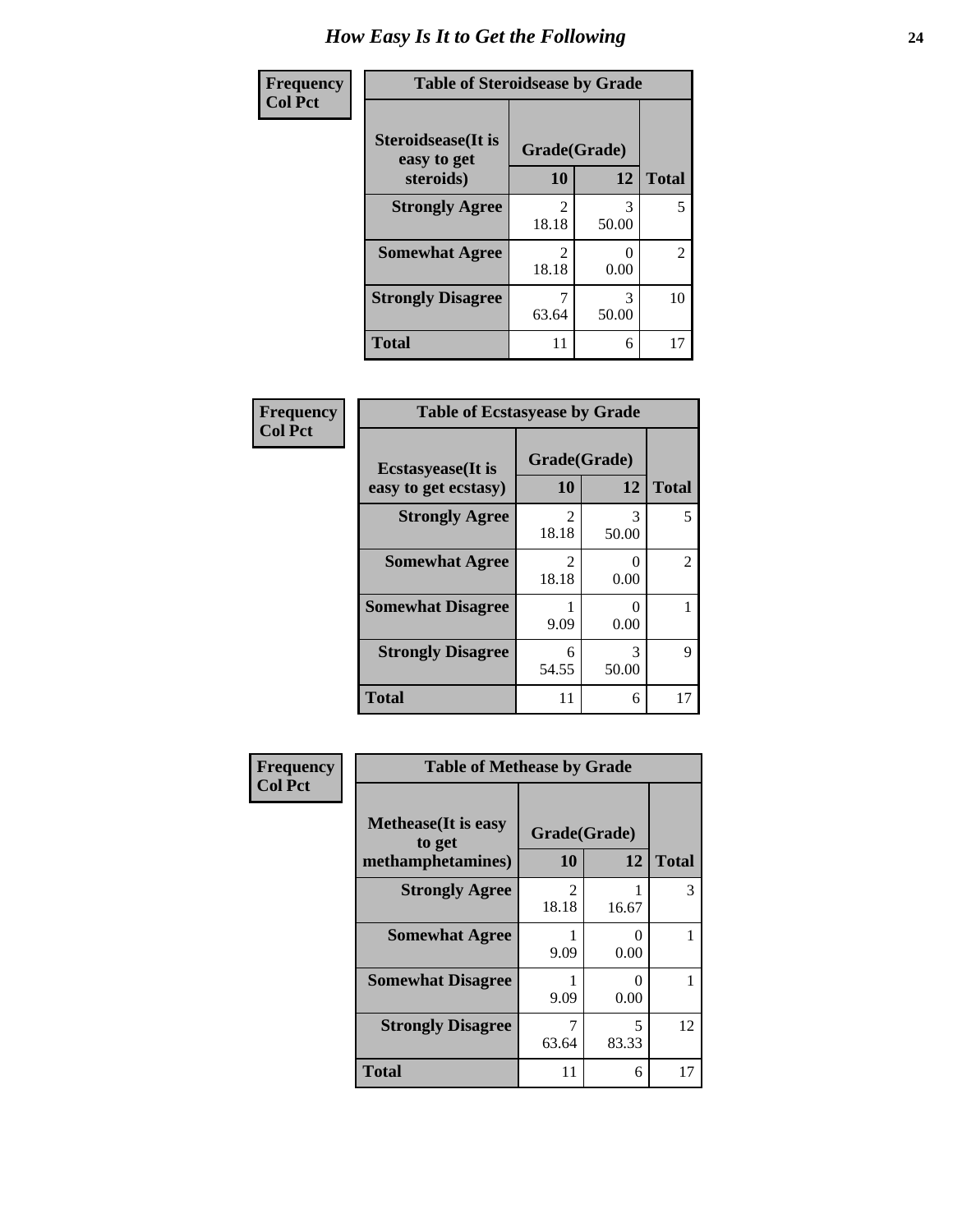| Frequency      | <b>Table of Steroidsease by Grade</b> |                         |            |                |
|----------------|---------------------------------------|-------------------------|------------|----------------|
| <b>Col Pct</b> | Steroidsease(It is<br>easy to get     | Grade(Grade)            |            |                |
|                | steroids)                             | 10                      | 12         | <b>Total</b>   |
|                | <b>Strongly Agree</b>                 | $\mathfrak{D}$<br>18.18 | 3<br>50.00 | 5              |
|                | <b>Somewhat Agree</b>                 | 2<br>18.18              | 0.00       | $\overline{2}$ |
|                | <b>Strongly Disagree</b>              | 63.64                   | 3<br>50.00 | 10             |
|                | <b>Total</b>                          | 11                      | 6          | 17             |

| Frequency      | <b>Table of Ecstasyease by Grade</b>              |                         |                           |                |
|----------------|---------------------------------------------------|-------------------------|---------------------------|----------------|
| <b>Col Pct</b> | <b>Ecstasyease</b> (It is<br>easy to get ecstasy) | Grade(Grade)<br>10      | 12                        | <b>Total</b>   |
|                | <b>Strongly Agree</b>                             | 2<br>18.18              | 3<br>50.00                | 5              |
|                | <b>Somewhat Agree</b>                             | $\mathfrak{D}$<br>18.18 | 0<br>0.00                 | $\mathfrak{D}$ |
|                | <b>Somewhat Disagree</b>                          | 9.09                    | $\mathbf{\Omega}$<br>0.00 |                |
|                | <b>Strongly Disagree</b>                          | 6<br>54.55              | 3<br>50.00                | 9              |
|                | <b>Total</b>                                      | 11                      | 6                         | 17             |

| Frequency      | <b>Table of Methease by Grade</b>                          |                         |            |              |  |
|----------------|------------------------------------------------------------|-------------------------|------------|--------------|--|
| <b>Col Pct</b> | <b>Methease</b> (It is easy<br>to get<br>methamphetamines) | Grade(Grade)<br>10      | 12         | <b>Total</b> |  |
|                | <b>Strongly Agree</b>                                      | $\mathfrak{D}$<br>18.18 | 16.67      | 3            |  |
|                | <b>Somewhat Agree</b>                                      | 9.09                    | 0<br>0.00  |              |  |
|                | <b>Somewhat Disagree</b>                                   | 9.09                    | 0<br>0.00  |              |  |
|                | <b>Strongly Disagree</b>                                   | 63.64                   | 5<br>83.33 | 12           |  |
|                | Total                                                      | 11                      | 6          | 17           |  |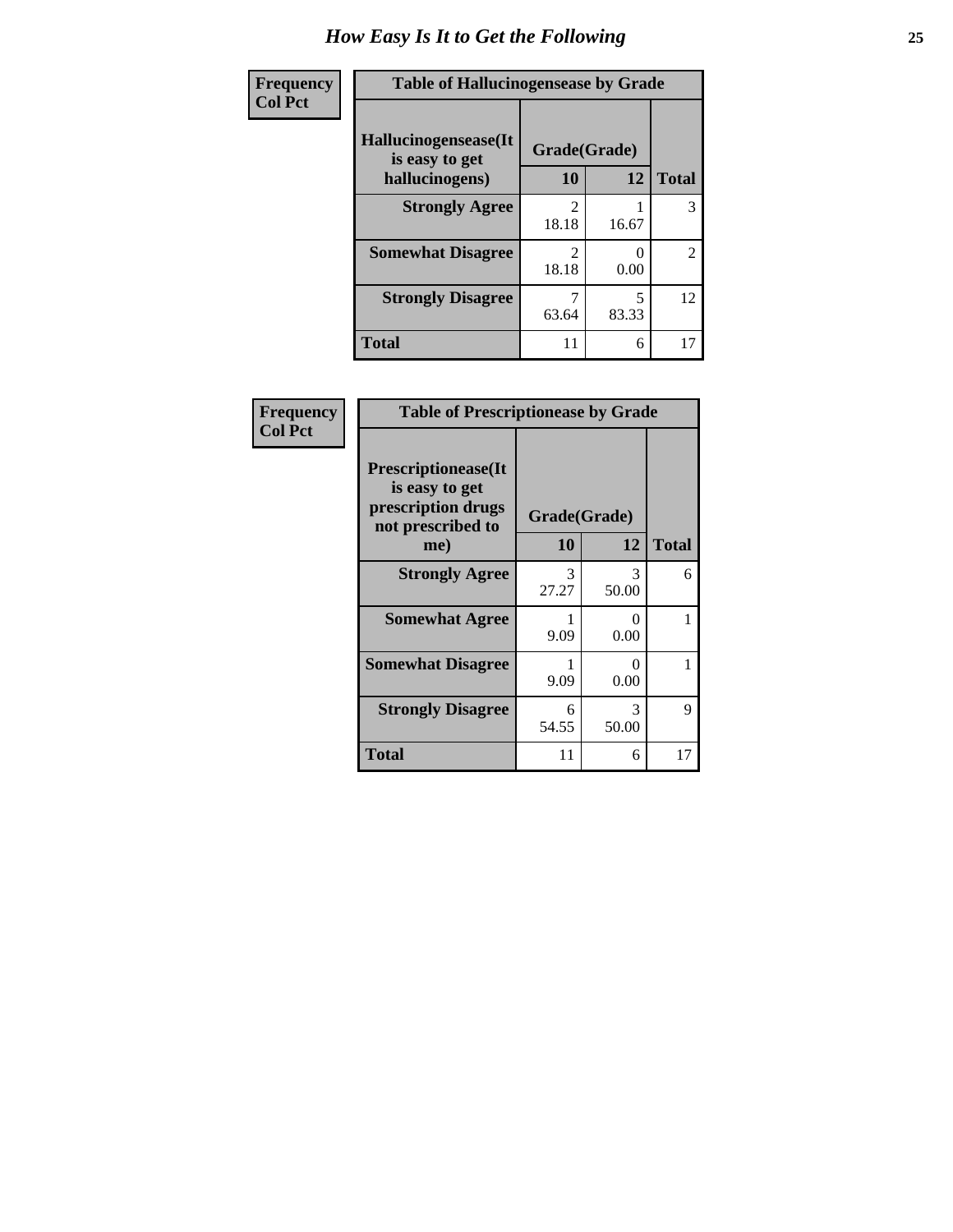| <b>Frequency</b> | <b>Table of Hallucinogensease by Grade</b> |                                      |                           |                |  |
|------------------|--------------------------------------------|--------------------------------------|---------------------------|----------------|--|
| <b>Col Pct</b>   | Hallucinogensease(It<br>is easy to get     | Grade(Grade)                         |                           |                |  |
|                  | hallucinogens)                             | 10                                   | 12                        | <b>Total</b>   |  |
|                  | <b>Strongly Agree</b>                      | $\mathfrak{D}$<br>18.18              | 16.67                     | 3              |  |
|                  | <b>Somewhat Disagree</b>                   | $\mathcal{D}_{\mathcal{A}}$<br>18.18 | $\mathbf{\Omega}$<br>0.00 | $\mathfrak{D}$ |  |
|                  | <b>Strongly Disagree</b>                   | 63.64                                | 5<br>83.33                | 12             |  |
|                  | <b>Total</b>                               | 11                                   | 6                         | 17             |  |

| Frequency      | <b>Table of Prescriptionease by Grade</b>                                                |              |            |              |  |  |
|----------------|------------------------------------------------------------------------------------------|--------------|------------|--------------|--|--|
| <b>Col Pct</b> | <b>Prescriptionease</b> (It<br>is easy to get<br>prescription drugs<br>not prescribed to | Grade(Grade) |            |              |  |  |
|                | me)                                                                                      | 10           | 12         | <b>Total</b> |  |  |
|                | <b>Strongly Agree</b>                                                                    | 3<br>27.27   | 3<br>50.00 | 6            |  |  |
|                | <b>Somewhat Agree</b>                                                                    | 9.09         | 0<br>0.00  | 1            |  |  |
|                | <b>Somewhat Disagree</b>                                                                 | 9.09         | 0<br>0.00  |              |  |  |
|                | <b>Strongly Disagree</b>                                                                 | 6<br>54.55   | 3<br>50.00 | 9            |  |  |
|                | Total                                                                                    | 11           | 6          | 17           |  |  |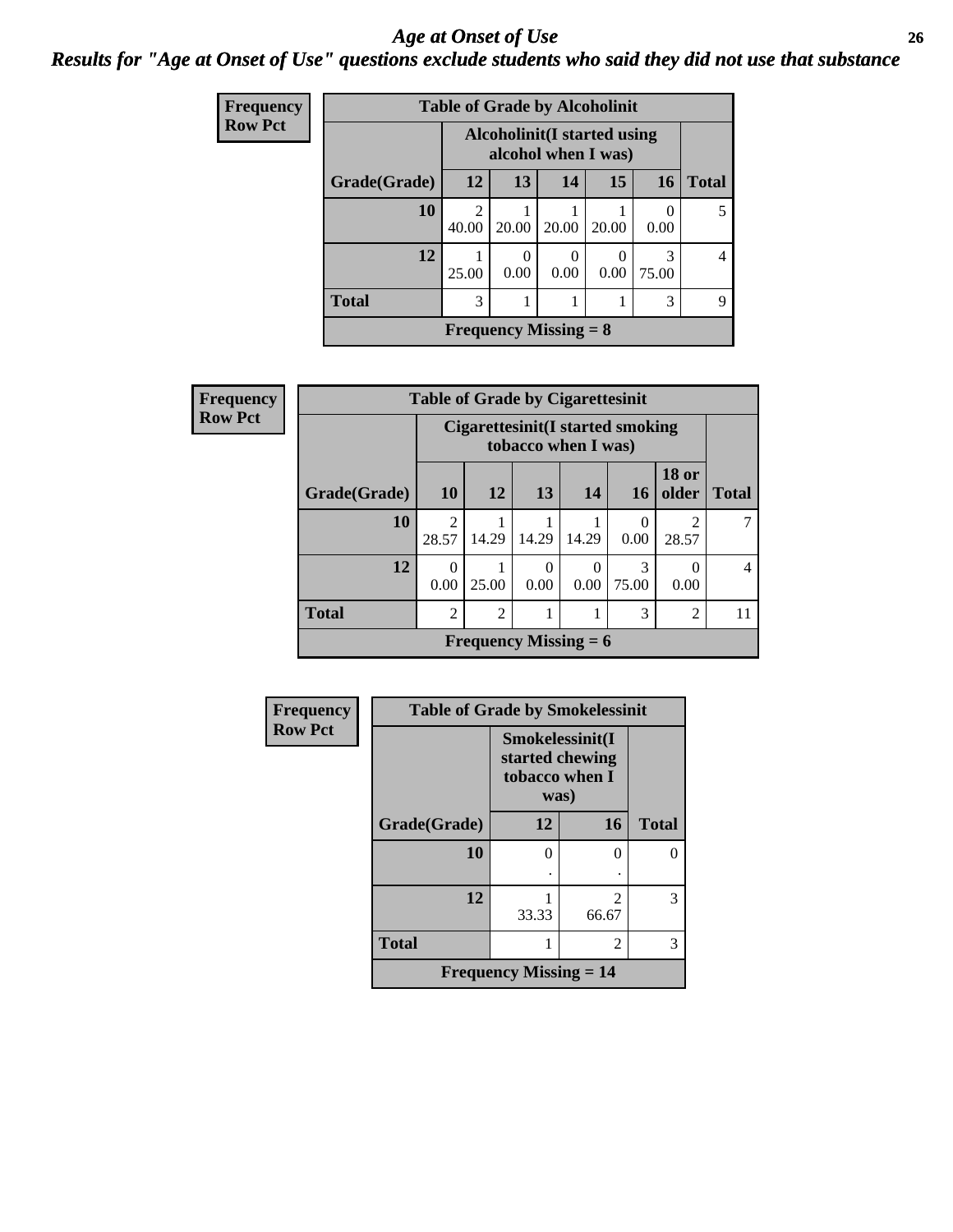#### *Age at Onset of Use* **26** *Results for "Age at Onset of Use" questions exclude students who said they did not use that substance*

| <b>Frequency</b> | <b>Table of Grade by Alcoholinit</b> |                         |                                                     |                  |           |            |       |  |
|------------------|--------------------------------------|-------------------------|-----------------------------------------------------|------------------|-----------|------------|-------|--|
| <b>Row Pct</b>   |                                      |                         | Alcoholinit (I started using<br>alcohol when I was) |                  |           |            |       |  |
|                  | Grade(Grade)                         | 12                      | 13                                                  | 14               | 15        | <b>16</b>  | Total |  |
|                  | 10                                   | $\mathfrak{D}$<br>40.00 | 20.00                                               | 20.00            | 20.00     | 0.00       |       |  |
|                  | 12                                   | 25.00                   | 0<br>0.00                                           | $\theta$<br>0.00 | 0<br>0.00 | 3<br>75.00 | 4     |  |
|                  | <b>Total</b>                         | 3                       |                                                     |                  |           | 3          | Q     |  |
|                  |                                      |                         | <b>Frequency Missing = 8</b>                        |                  |           |            |       |  |

| Frequency      | <b>Table of Grade by Cigarettesinit</b> |                         |                                                         |                  |                  |                  |                       |                |
|----------------|-----------------------------------------|-------------------------|---------------------------------------------------------|------------------|------------------|------------------|-----------------------|----------------|
| <b>Row Pct</b> |                                         |                         | Cigarettesinit(I started smoking<br>tobacco when I was) |                  |                  |                  |                       |                |
|                | Grade(Grade)                            | 10                      | 12                                                      | 13               | 14               | <b>16</b>        | <b>18 or</b><br>older | <b>Total</b>   |
|                | 10                                      | $\overline{2}$<br>28.57 | 14.29                                                   | 14.29            | 14.29            | $\theta$<br>0.00 | 2<br>28.57            |                |
|                | 12                                      | 0<br>0.00               | 25.00                                                   | $\Omega$<br>0.00 | $\Omega$<br>0.00 | 3<br>75.00       | 0<br>0.00             | $\overline{4}$ |
|                | <b>Total</b>                            | $\overline{2}$          | $\overline{2}$                                          |                  |                  | 3                | $\overline{2}$        | 11             |
|                |                                         |                         | <b>Frequency Missing = 6</b>                            |                  |                  |                  |                       |                |

| Frequency      | <b>Table of Grade by Smokelessinit</b> |                                                              |                         |              |
|----------------|----------------------------------------|--------------------------------------------------------------|-------------------------|--------------|
| <b>Row Pct</b> |                                        | Smokelessinit(I<br>started chewing<br>tobacco when I<br>was) |                         |              |
|                | Grade(Grade)                           | 12                                                           | 16                      | <b>Total</b> |
|                | 10                                     | 0                                                            | 0                       | 0            |
|                | 12                                     | 33.33                                                        | $\mathfrak{D}$<br>66.67 | 3            |
|                | <b>Total</b>                           |                                                              | 2                       | 3            |
|                |                                        | <b>Frequency Missing <math>= 14</math></b>                   |                         |              |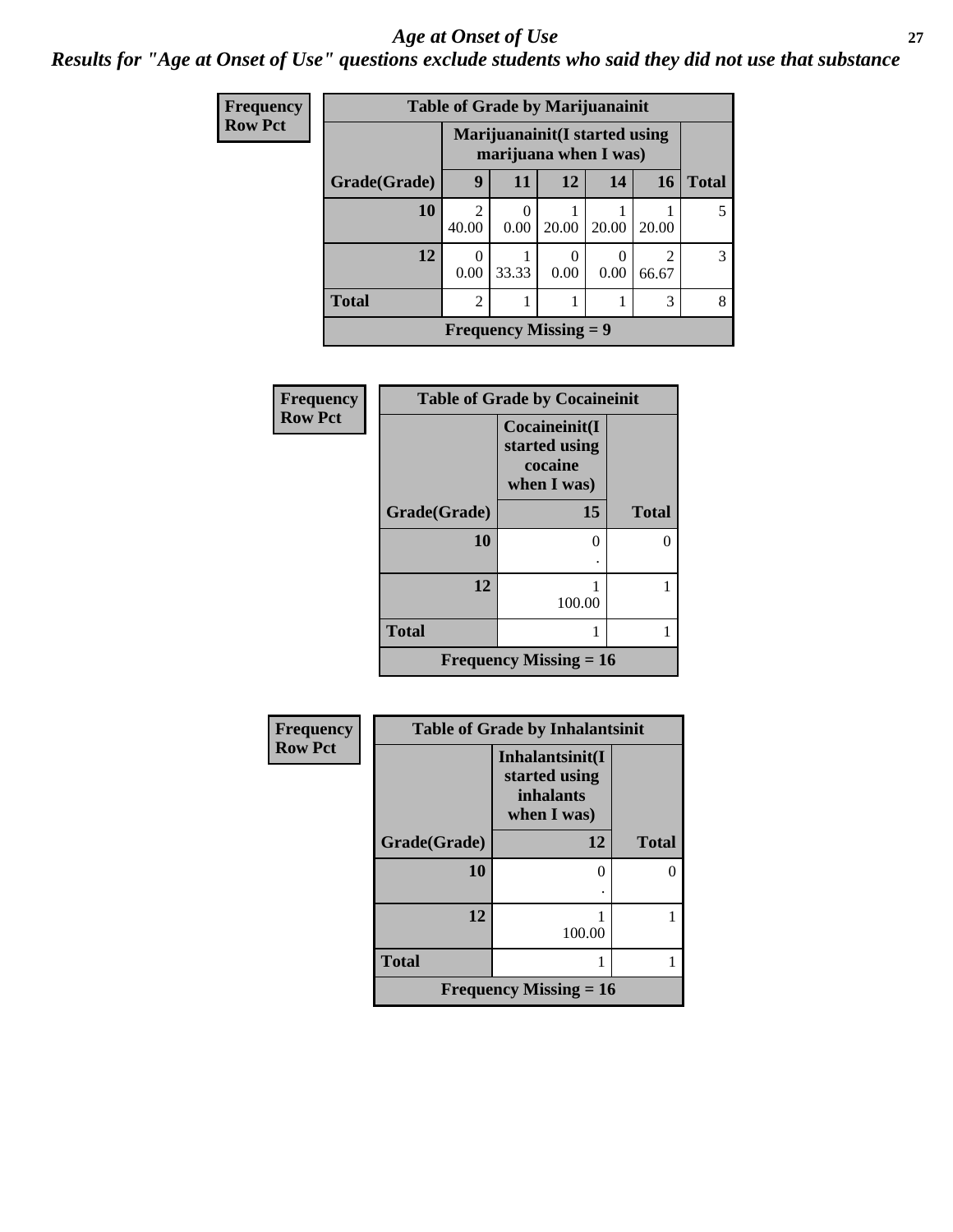#### *Age at Onset of Use* **27**

*Results for "Age at Onset of Use" questions exclude students who said they did not use that substance*

| Frequency      | <b>Table of Grade by Marijuanainit</b> |                                                         |                              |       |       |            |              |
|----------------|----------------------------------------|---------------------------------------------------------|------------------------------|-------|-------|------------|--------------|
| <b>Row Pct</b> |                                        | Marijuanainit (I started using<br>marijuana when I was) |                              |       |       |            |              |
|                | Grade(Grade)                           | 9                                                       | 11                           | 12    | 14    | <b>16</b>  | <b>Total</b> |
|                | 10                                     | $\mathfrak{D}$<br>40.00                                 | $\theta$<br>0.00             | 20.00 | 20.00 | 20.00      | 5            |
|                | 12                                     | $\theta$<br>0.00                                        | 33.33                        | 0.00  | 0.00  | 2<br>66.67 | 3            |
|                | <b>Total</b>                           | $\overline{2}$                                          |                              |       |       | 3          | 8            |
|                |                                        |                                                         | <b>Frequency Missing = 9</b> |       |       |            |              |

| Frequency      | <b>Table of Grade by Cocaineinit</b> |                                                          |              |  |  |
|----------------|--------------------------------------|----------------------------------------------------------|--------------|--|--|
| <b>Row Pct</b> |                                      | Cocaineinit(I<br>started using<br>cocaine<br>when I was) |              |  |  |
|                | Grade(Grade)                         | 15                                                       | <b>Total</b> |  |  |
|                | 10                                   | $\mathcal{L}$                                            |              |  |  |
|                | 12                                   | 100.00                                                   |              |  |  |
|                | <b>Total</b>                         |                                                          |              |  |  |
|                |                                      | <b>Frequency Missing = 16</b>                            |              |  |  |

| Frequency      |              | <b>Table of Grade by Inhalantsinit</b>                              |              |
|----------------|--------------|---------------------------------------------------------------------|--------------|
| <b>Row Pct</b> |              | Inhalantsinit(I<br>started using<br><i>inhalants</i><br>when I was) |              |
|                | Grade(Grade) | 12                                                                  | <b>Total</b> |
|                | 10           |                                                                     | 0            |
|                | 12           | 100.00                                                              |              |
|                | <b>Total</b> |                                                                     |              |
|                |              | <b>Frequency Missing = 16</b>                                       |              |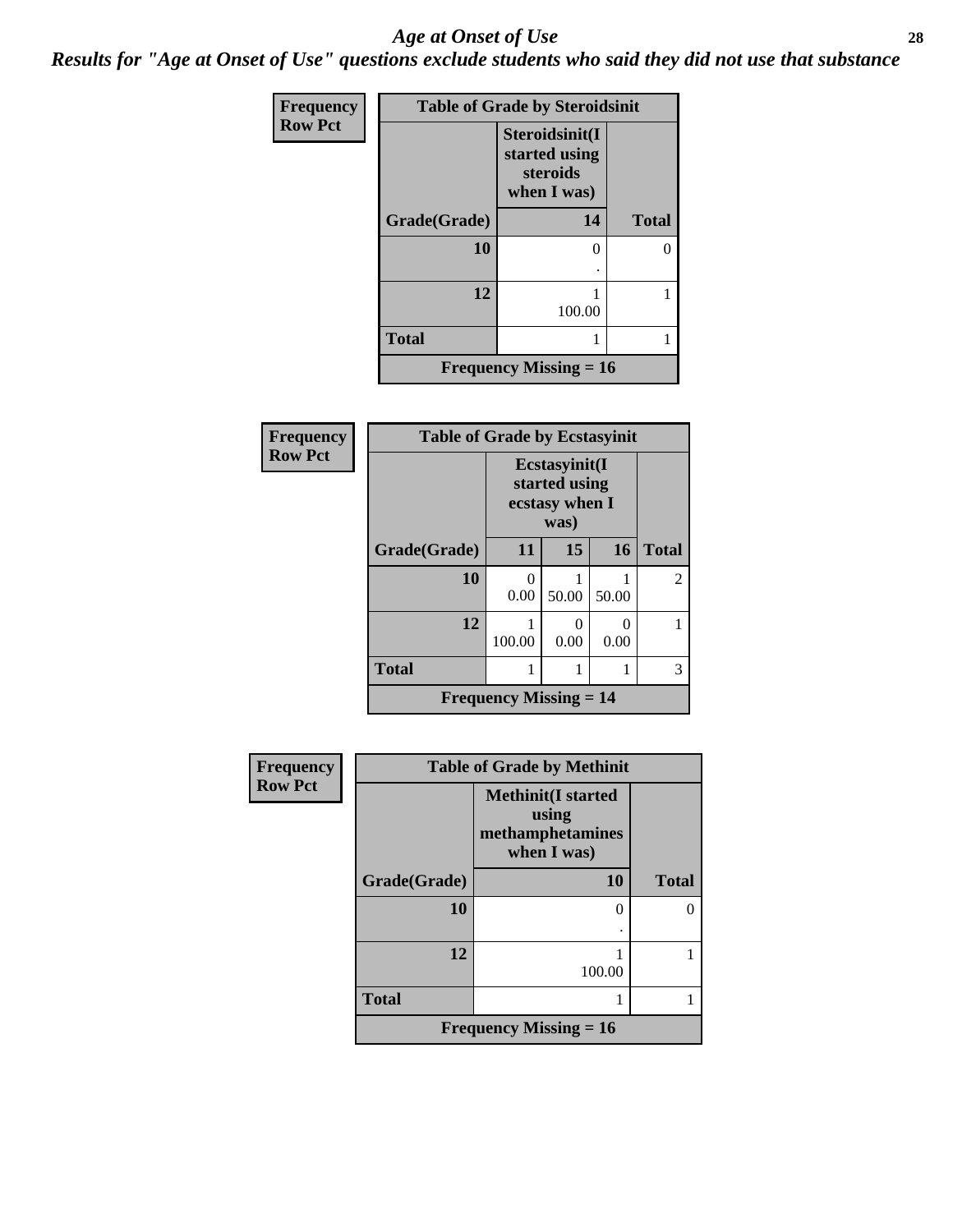#### *Age at Onset of Use* **28**

*Results for "Age at Onset of Use" questions exclude students who said they did not use that substance*

| Frequency      | <b>Table of Grade by Steroidsinit</b> |                                                            |              |  |  |  |
|----------------|---------------------------------------|------------------------------------------------------------|--------------|--|--|--|
| <b>Row Pct</b> |                                       | Steroidsinit(I<br>started using<br>steroids<br>when I was) |              |  |  |  |
|                | Grade(Grade)                          | 14                                                         | <b>Total</b> |  |  |  |
|                | 10                                    | 0                                                          | 0            |  |  |  |
|                | 12                                    | 100.00                                                     |              |  |  |  |
|                | <b>Total</b>                          |                                                            | 1            |  |  |  |
|                |                                       | <b>Frequency Missing = 16</b>                              |              |  |  |  |

| <b>Frequency</b> | <b>Table of Grade by Ecstasyinit</b> |                                                          |       |           |                |  |  |
|------------------|--------------------------------------|----------------------------------------------------------|-------|-----------|----------------|--|--|
| <b>Row Pct</b>   |                                      | Ecstasyinit(I<br>started using<br>ecstasy when I<br>was) |       |           |                |  |  |
|                  | Grade(Grade)                         | 11                                                       | 15    | 16        | <b>Total</b>   |  |  |
|                  | 10                                   | 0<br>0.00                                                | 50.00 | 50.00     | $\overline{2}$ |  |  |
|                  | 12                                   | 100.00                                                   | 0.00  | 0<br>0.00 |                |  |  |
|                  | <b>Total</b>                         |                                                          |       |           | 3              |  |  |
|                  |                                      | <b>Frequency Missing <math>= 14</math></b>               |       |           |                |  |  |

| Frequency      | <b>Table of Grade by Methinit</b> |                                                                        |              |  |
|----------------|-----------------------------------|------------------------------------------------------------------------|--------------|--|
| <b>Row Pct</b> |                                   | <b>Methinit</b> (I started<br>using<br>methamphetamines<br>when I was) |              |  |
|                | Grade(Grade)                      | 10                                                                     | <b>Total</b> |  |
|                | 10                                |                                                                        |              |  |
|                | 12                                | 100.00                                                                 |              |  |
|                | <b>Total</b>                      |                                                                        |              |  |
|                |                                   | Frequency Missing $= 16$                                               |              |  |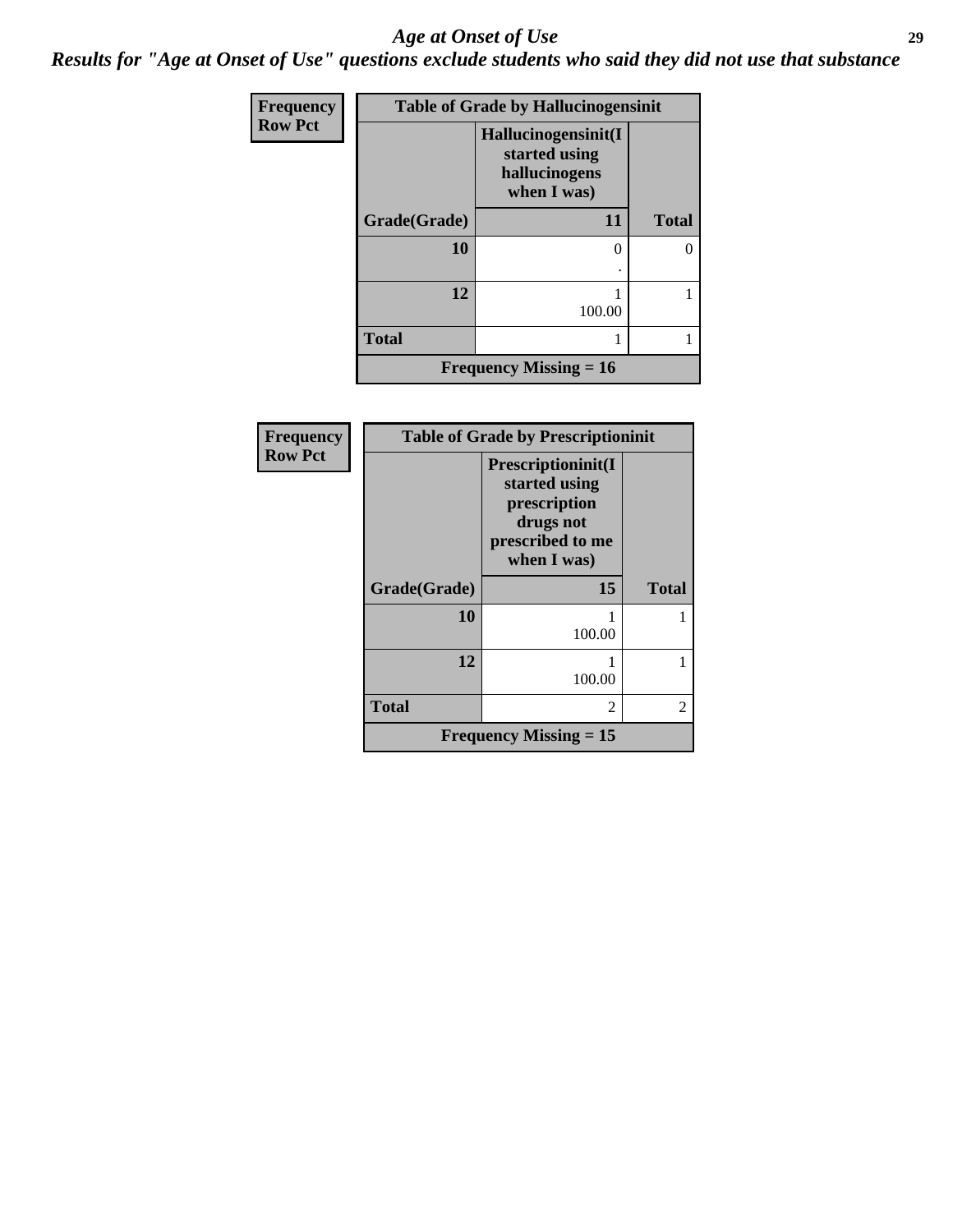#### *Age at Onset of Use* **29**

*Results for "Age at Onset of Use" questions exclude students who said they did not use that substance*

| <b>Frequency</b> | <b>Table of Grade by Hallucinogensinit</b> |                                                                      |              |  |
|------------------|--------------------------------------------|----------------------------------------------------------------------|--------------|--|
| <b>Row Pct</b>   |                                            | Hallucinogensinit(I<br>started using<br>hallucinogens<br>when I was) |              |  |
|                  | Grade(Grade)                               | 11                                                                   | <b>Total</b> |  |
|                  | 10                                         | 0                                                                    | 0            |  |
|                  |                                            |                                                                      |              |  |
|                  | 12                                         | 100.00                                                               |              |  |
|                  |                                            |                                                                      |              |  |
|                  | <b>Total</b>                               |                                                                      |              |  |
|                  |                                            | <b>Frequency Missing = 16</b>                                        |              |  |

| <b>Frequency</b> | <b>Table of Grade by Prescriptioninit</b> |                                                                                                     |              |  |
|------------------|-------------------------------------------|-----------------------------------------------------------------------------------------------------|--------------|--|
| <b>Row Pct</b>   |                                           | Prescriptioninit(I<br>started using<br>prescription<br>drugs not<br>prescribed to me<br>when I was) |              |  |
|                  | Grade(Grade)                              | 15                                                                                                  | <b>Total</b> |  |
|                  | 10                                        | 100.00                                                                                              |              |  |
|                  | 12                                        | 100.00                                                                                              |              |  |
|                  | <b>Total</b>                              | $\mathfrak{D}$                                                                                      | 2            |  |
|                  |                                           | Frequency Missing $= 15$                                                                            |              |  |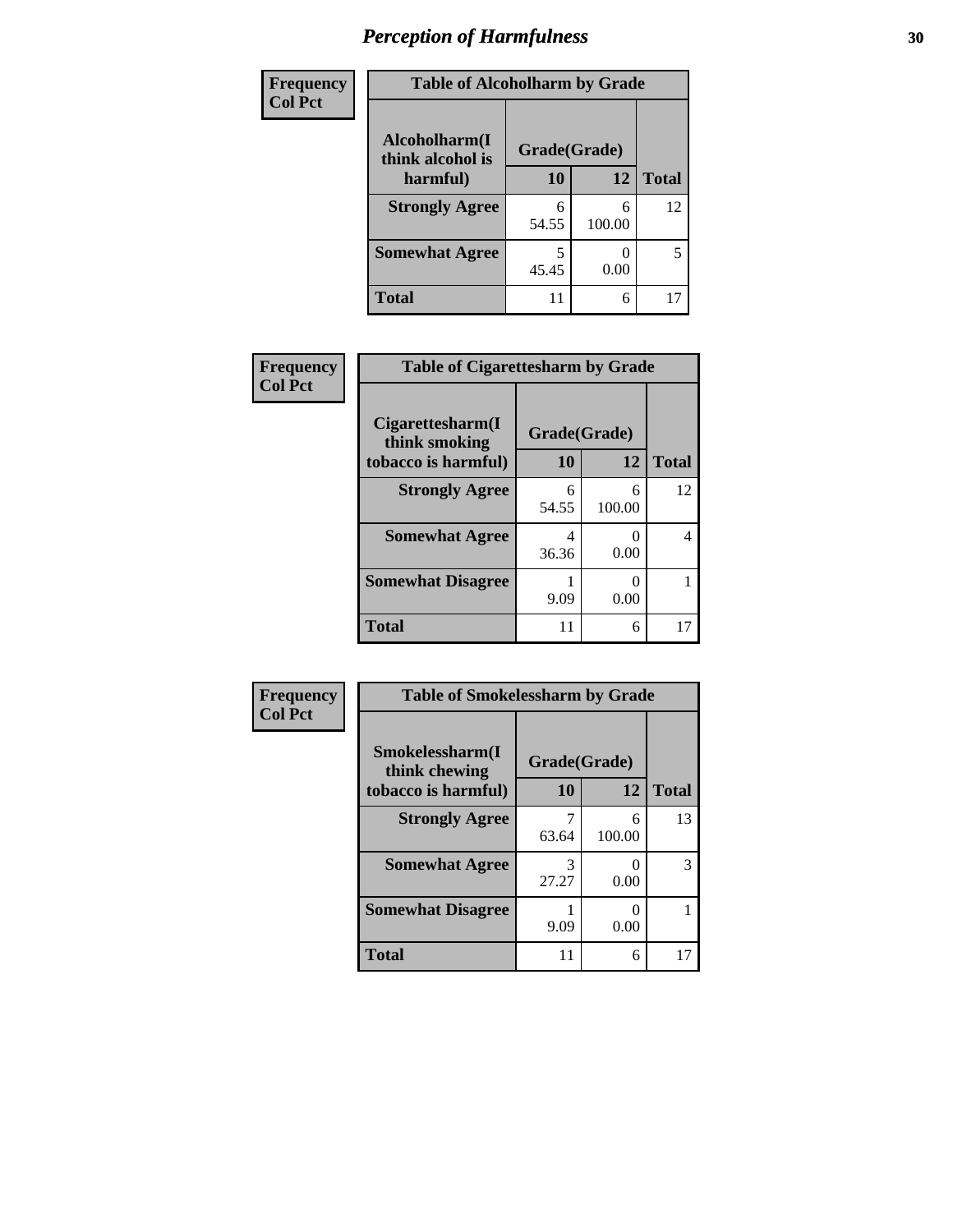| Frequency      | <b>Table of Alcoholharm by Grade</b> |              |             |              |
|----------------|--------------------------------------|--------------|-------------|--------------|
| <b>Col Pct</b> | Alcoholharm(I<br>think alcohol is    | Grade(Grade) |             |              |
|                | harmful)                             | 10           | 12          | <b>Total</b> |
|                | <b>Strongly Agree</b>                | 6<br>54.55   | 6<br>100.00 | 12           |
|                | <b>Somewhat Agree</b>                | 45.45        | 0.00        | 5            |
|                | Total                                | 11           | 6           | 17           |

| Frequency      | <b>Table of Cigarettesharm by Grade</b>           |            |             |              |
|----------------|---------------------------------------------------|------------|-------------|--------------|
| <b>Col Pct</b> | Cigarettesharm(I<br>Grade(Grade)<br>think smoking |            |             |              |
|                | tobacco is harmful)                               | 10         | 12          | <b>Total</b> |
|                | <b>Strongly Agree</b>                             | 6<br>54.55 | 6<br>100.00 | 12           |
|                | <b>Somewhat Agree</b>                             | 4<br>36.36 | 0.00        | 4            |
|                | <b>Somewhat Disagree</b>                          | 9.09       | 0<br>0.00   |              |
|                | <b>Total</b>                                      | 11         | 6           | 17           |

| Frequency      | <b>Table of Smokelessharm by Grade</b>                  |                    |             |              |
|----------------|---------------------------------------------------------|--------------------|-------------|--------------|
| <b>Col Pct</b> | Smokelessharm(I<br>think chewing<br>tobacco is harmful) | Grade(Grade)<br>10 | 12          | <b>Total</b> |
|                | <b>Strongly Agree</b>                                   | 63.64              | 6<br>100.00 | 13           |
|                | <b>Somewhat Agree</b>                                   | 3<br>27.27         | 0.00        | 3            |
|                | <b>Somewhat Disagree</b>                                | 9.09               | 0.00        |              |
|                | <b>Total</b>                                            | 11                 | 6           | 17           |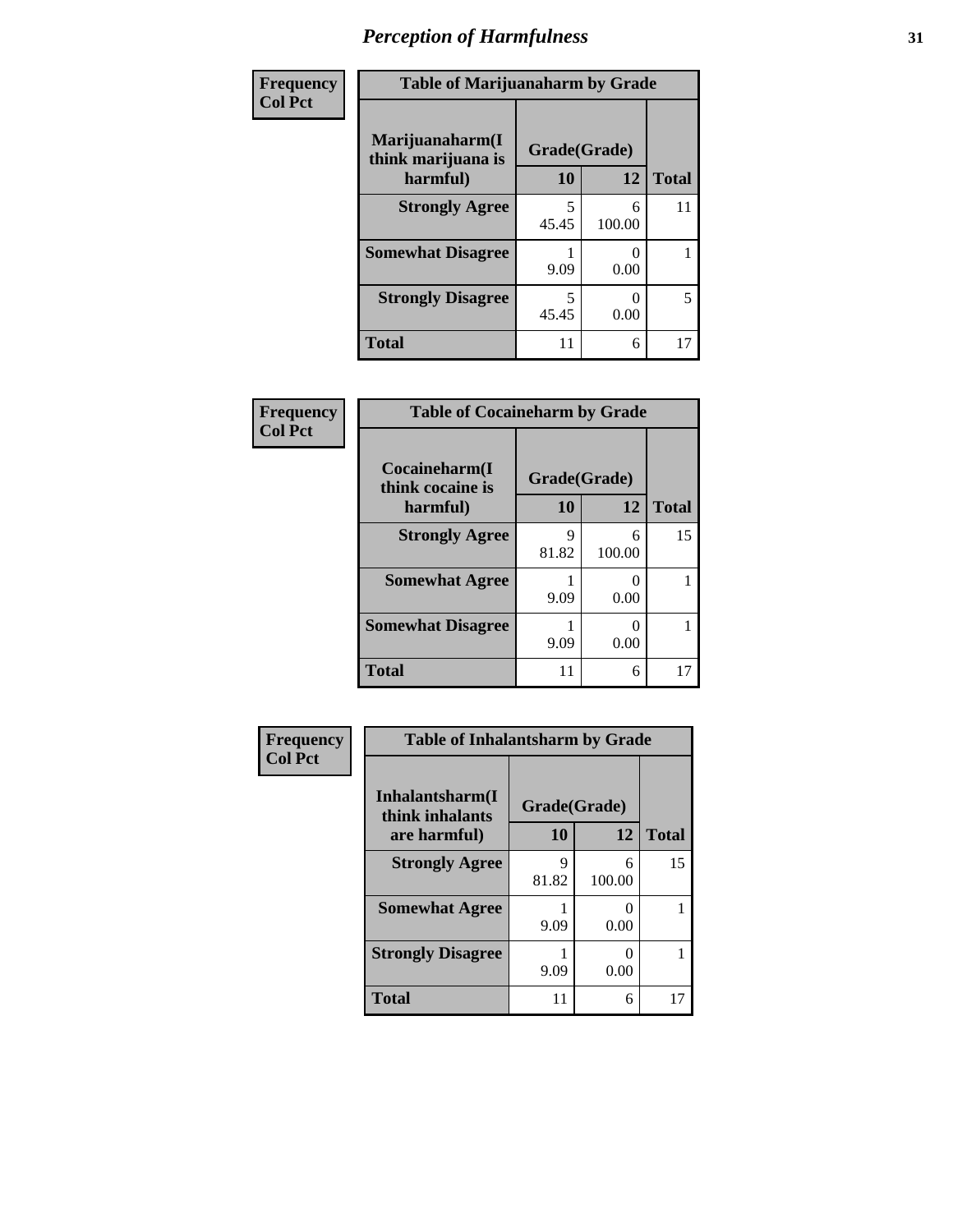| Frequency      | <b>Table of Marijuanaharm by Grade</b> |                    |        |                    |
|----------------|----------------------------------------|--------------------|--------|--------------------|
| <b>Col Pct</b> | Marijuanaharm(I<br>think marijuana is  | Grade(Grade)<br>10 | 12     |                    |
|                | harmful)<br><b>Strongly Agree</b>      | 5                  | 6      | <b>Total</b><br>11 |
|                |                                        | 45.45              | 100.00 |                    |
|                | <b>Somewhat Disagree</b>               | 9.09               | 0.00   |                    |
|                | <b>Strongly Disagree</b>               | 5<br>45.45         | 0.00   | 5                  |
|                | <b>Total</b>                           | 11                 | 6      | 17                 |

| Frequency      | <b>Table of Cocaineharm by Grade</b> |              |             |              |
|----------------|--------------------------------------|--------------|-------------|--------------|
| <b>Col Pct</b> | Cocaineharm(I<br>think cocaine is    | Grade(Grade) |             |              |
|                | harmful)                             | <b>10</b>    | 12          | <b>Total</b> |
|                | <b>Strongly Agree</b>                | 9<br>81.82   | 6<br>100.00 | 15           |
|                | <b>Somewhat Agree</b>                | 9.09         | 0.00        |              |
|                | <b>Somewhat Disagree</b>             | 9.09         | 0<br>0.00   |              |
|                | <b>Total</b>                         | 11           | 6           | 17           |

| Frequency      | <b>Table of Inhalantsharm by Grade</b> |                    |           |              |
|----------------|----------------------------------------|--------------------|-----------|--------------|
| <b>Col Pct</b> | Inhalantsharm(I<br>think inhalants     | Grade(Grade)<br>10 | 12        | <b>Total</b> |
|                | are harmful)<br><b>Strongly Agree</b>  | 9                  | 6         | 15           |
|                |                                        | 81.82              | 100.00    |              |
|                | <b>Somewhat Agree</b>                  | 9.09               | 0<br>0.00 |              |
|                | <b>Strongly Disagree</b>               | 9.09               | 0<br>0.00 |              |
|                | <b>Total</b>                           | 11                 | 6         | 17           |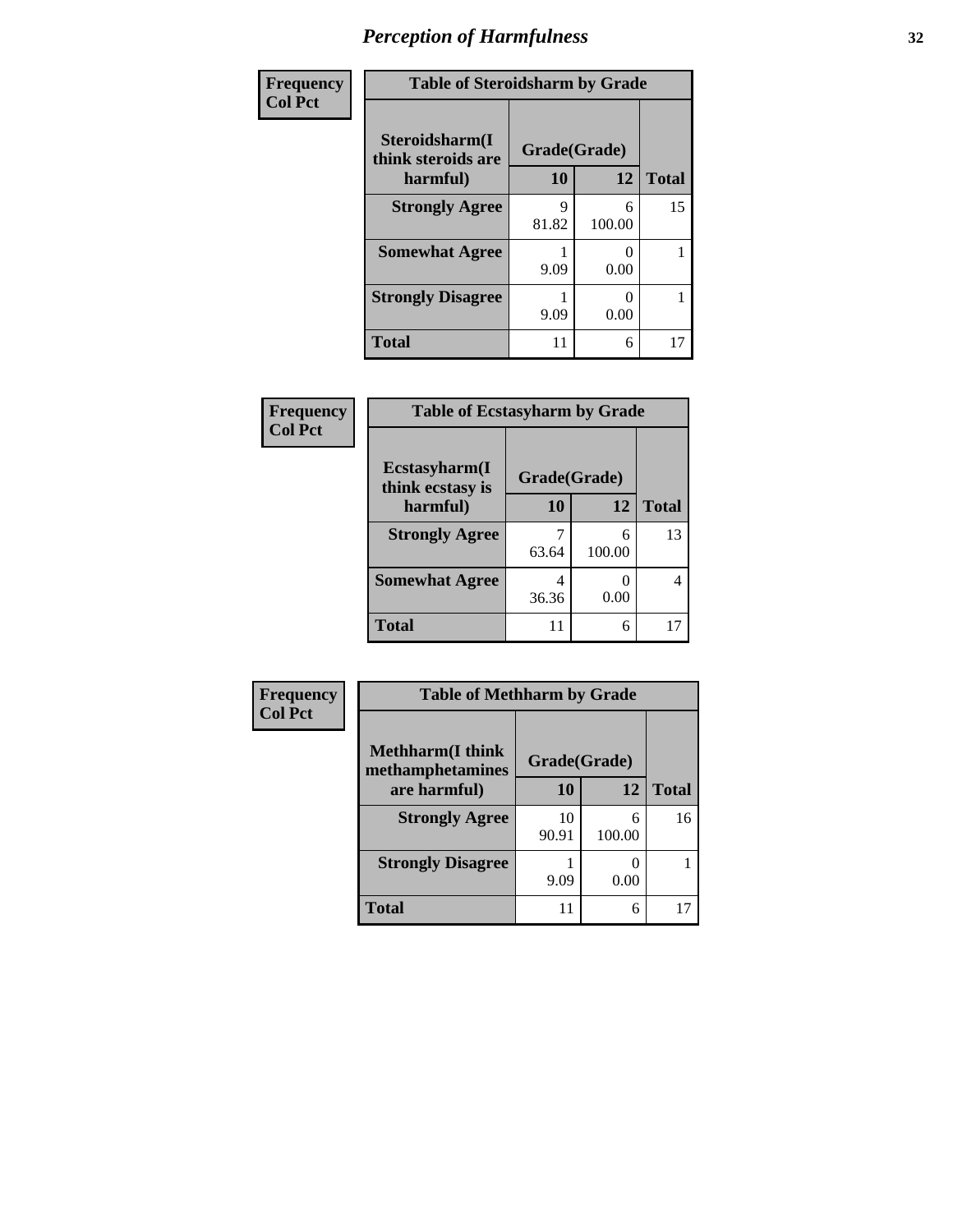| Frequency      |                                      | <b>Table of Steroidsharm by Grade</b> |             |              |  |
|----------------|--------------------------------------|---------------------------------------|-------------|--------------|--|
| <b>Col Pct</b> | Steroidsharm(I<br>think steroids are | Grade(Grade)                          |             |              |  |
|                | harmful)                             | 10                                    | 12          | <b>Total</b> |  |
|                | <b>Strongly Agree</b>                | 9<br>81.82                            | 6<br>100.00 | 15           |  |
|                | <b>Somewhat Agree</b>                | 9.09                                  | 0.00        |              |  |
|                | <b>Strongly Disagree</b>             | 9.09                                  | 0.00        |              |  |
|                | <b>Total</b>                         | 11                                    | 6           | 17           |  |

| Frequency<br><b>Col Pct</b> | <b>Table of Ecstasyharm by Grade</b> |              |             |              |
|-----------------------------|--------------------------------------|--------------|-------------|--------------|
|                             | Ecstasyharm(I<br>think ecstasy is    | Grade(Grade) |             |              |
|                             | harmful)                             | 10           | 12          | <b>Total</b> |
|                             | <b>Strongly Agree</b>                | 63.64        | 6<br>100.00 | 13           |
|                             | <b>Somewhat Agree</b>                | 4<br>36.36   | 0.00        | 4            |
|                             | <b>Total</b>                         | 11           | 6           | 17           |

| <b>Frequency</b> | <b>Table of Methharm by Grade</b>            |             |              |              |
|------------------|----------------------------------------------|-------------|--------------|--------------|
| <b>Col Pct</b>   | <b>Methharm</b> (I think<br>methamphetamines |             | Grade(Grade) |              |
|                  | are harmful)                                 | 10          | 12           | <b>Total</b> |
|                  | <b>Strongly Agree</b>                        | 10<br>90.91 | 6<br>100.00  | 16           |
|                  | <b>Strongly Disagree</b>                     | 9.09        | 0.00         |              |
|                  | <b>Total</b>                                 | 11          | 6            | 17           |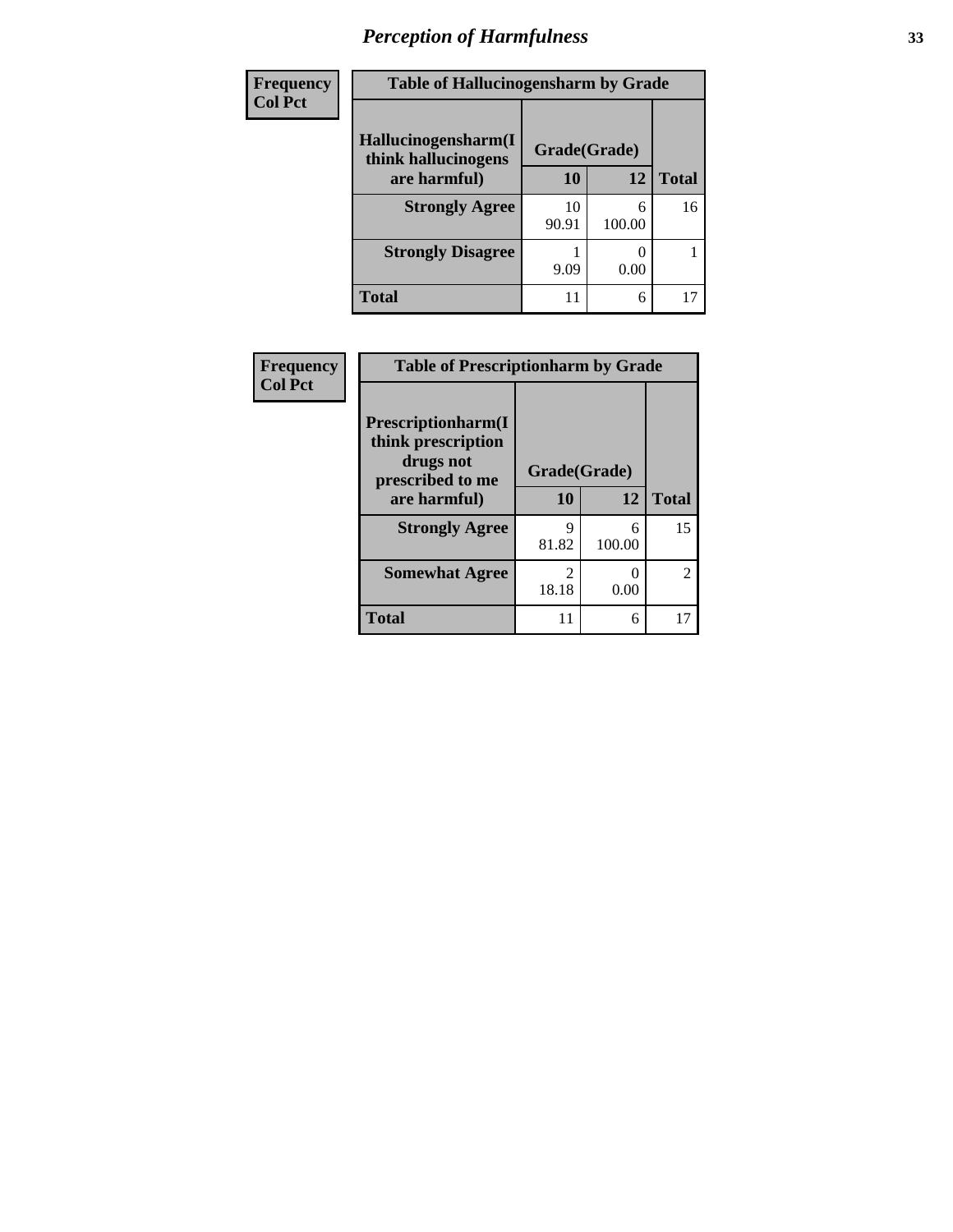| Frequency      | <b>Table of Hallucinogensharm by Grade</b> |              |             |              |
|----------------|--------------------------------------------|--------------|-------------|--------------|
| <b>Col Pct</b> | Hallucinogensharm(I<br>think hallucinogens | Grade(Grade) |             |              |
|                | are harmful)                               | 10           | 12          | <b>Total</b> |
|                | <b>Strongly Agree</b>                      | 10<br>90.91  | 6<br>100.00 | 16           |
|                | <b>Strongly Disagree</b>                   | 9.09         | 0.00        |              |
|                | <b>Total</b>                               | 11           | 6           | 17           |

| Frequency      | <b>Table of Prescriptionharm by Grade</b>             |                         |             |               |
|----------------|-------------------------------------------------------|-------------------------|-------------|---------------|
| <b>Col Pct</b> | Prescriptionharm(I<br>think prescription<br>drugs not |                         |             |               |
|                | prescribed to me<br>are harmful)                      | Grade(Grade)            |             |               |
|                |                                                       | 10                      | 12          | <b>Total</b>  |
|                | <b>Strongly Agree</b>                                 | q<br>81.82              | 6<br>100.00 | 15            |
|                |                                                       |                         |             |               |
|                | <b>Somewhat Agree</b>                                 | $\mathfrak{D}$<br>18.18 | 0<br>0.00   | $\mathcal{L}$ |
|                | <b>Total</b>                                          | 11                      | 6           |               |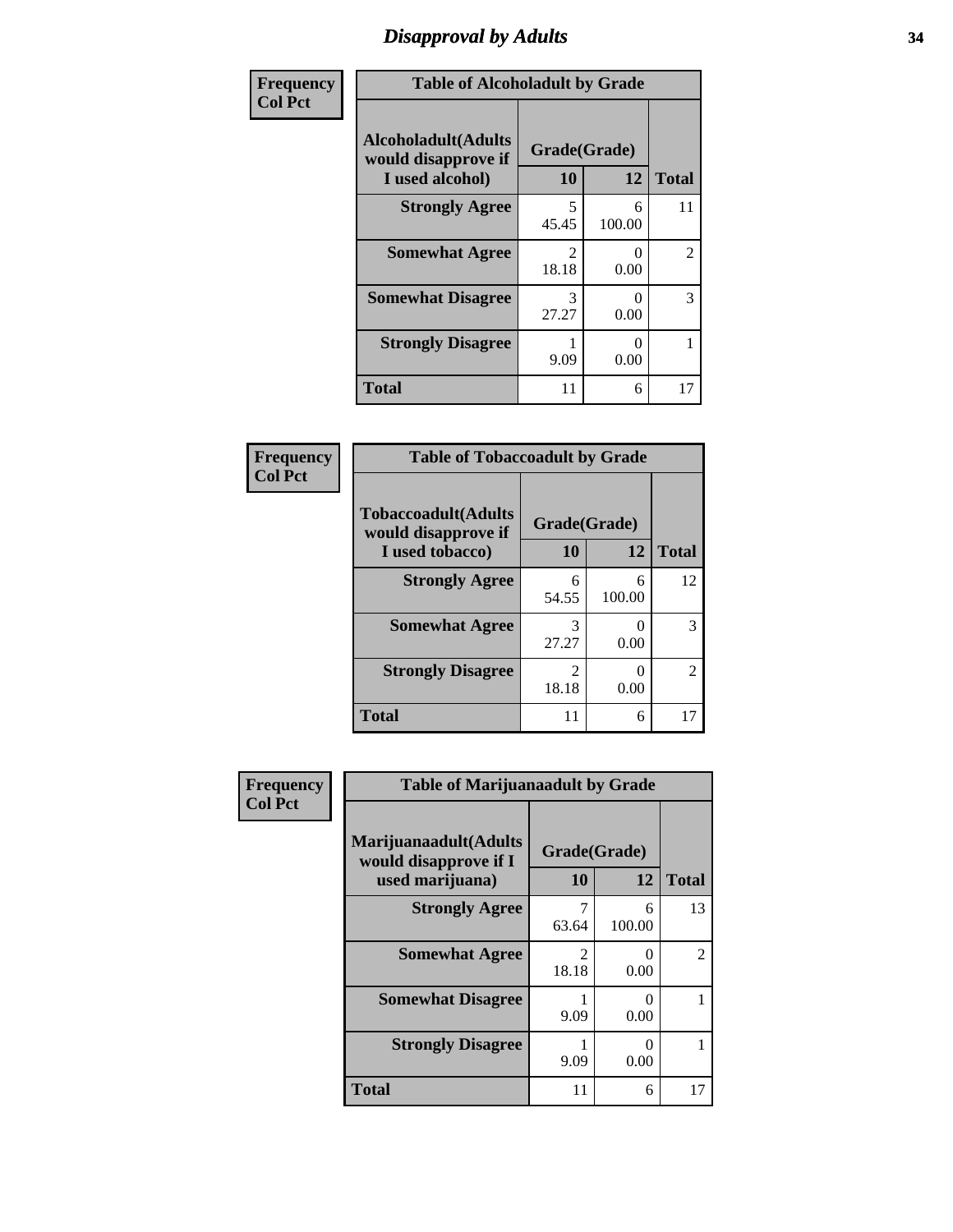### *Disapproval by Adults* **34**

| Frequency      |                                                                       | <b>Table of Alcoholadult by Grade</b> |                           |              |  |
|----------------|-----------------------------------------------------------------------|---------------------------------------|---------------------------|--------------|--|
| <b>Col Pct</b> | <b>Alcoholadult</b> (Adults<br>would disapprove if<br>I used alcohol) | Grade(Grade)<br>10                    | 12                        | <b>Total</b> |  |
|                | <b>Strongly Agree</b>                                                 | 5<br>45.45                            | 6<br>100.00               | 11           |  |
|                | <b>Somewhat Agree</b>                                                 | $\mathfrak{D}$<br>18.18               | $\mathbf{\Omega}$<br>0.00 | 2            |  |
|                | <b>Somewhat Disagree</b>                                              | 3<br>27.27                            | $\mathbf{\Omega}$<br>0.00 | 3            |  |
|                | <b>Strongly Disagree</b>                                              | 9.09                                  | 0<br>0.00                 |              |  |
|                | <b>Total</b>                                                          | 11                                    | 6                         | 17           |  |

#### **Frequency Col Pct**

| <b>Table of Tobaccoadult by Grade</b>              |                        |             |              |  |  |
|----------------------------------------------------|------------------------|-------------|--------------|--|--|
| <b>Tobaccoadult</b> (Adults<br>would disapprove if | Grade(Grade)           |             |              |  |  |
| I used tobacco)                                    | 10                     | 12          | <b>Total</b> |  |  |
| <b>Strongly Agree</b>                              | 6<br>54.55             | 6<br>100.00 | 12           |  |  |
| <b>Somewhat Agree</b>                              | 3<br>27.27             | 0.00        | 3            |  |  |
| <b>Strongly Disagree</b>                           | $\mathcal{L}$<br>18.18 | 0.00        | 2            |  |  |
| <b>Total</b>                                       | 11                     | 6           |              |  |  |

| <b>Frequency</b> | <b>Table of Marijuanaadult by Grade</b>                           |                                      |                  |              |
|------------------|-------------------------------------------------------------------|--------------------------------------|------------------|--------------|
| <b>Col Pct</b>   | Marijuanaadult(Adults<br>would disapprove if I<br>used marijuana) | Grade(Grade)<br>10                   | 12               | <b>Total</b> |
|                  | <b>Strongly Agree</b>                                             | 7<br>63.64                           | 6<br>100.00      | 13           |
|                  | <b>Somewhat Agree</b>                                             | $\mathcal{D}_{\mathcal{L}}$<br>18.18 | 0<br>0.00        | 2            |
|                  | <b>Somewhat Disagree</b>                                          | 9.09                                 | 0<br>0.00        |              |
|                  | <b>Strongly Disagree</b>                                          | 9.09                                 | $\Omega$<br>0.00 |              |
|                  | <b>Total</b>                                                      | 11                                   | 6                | 17           |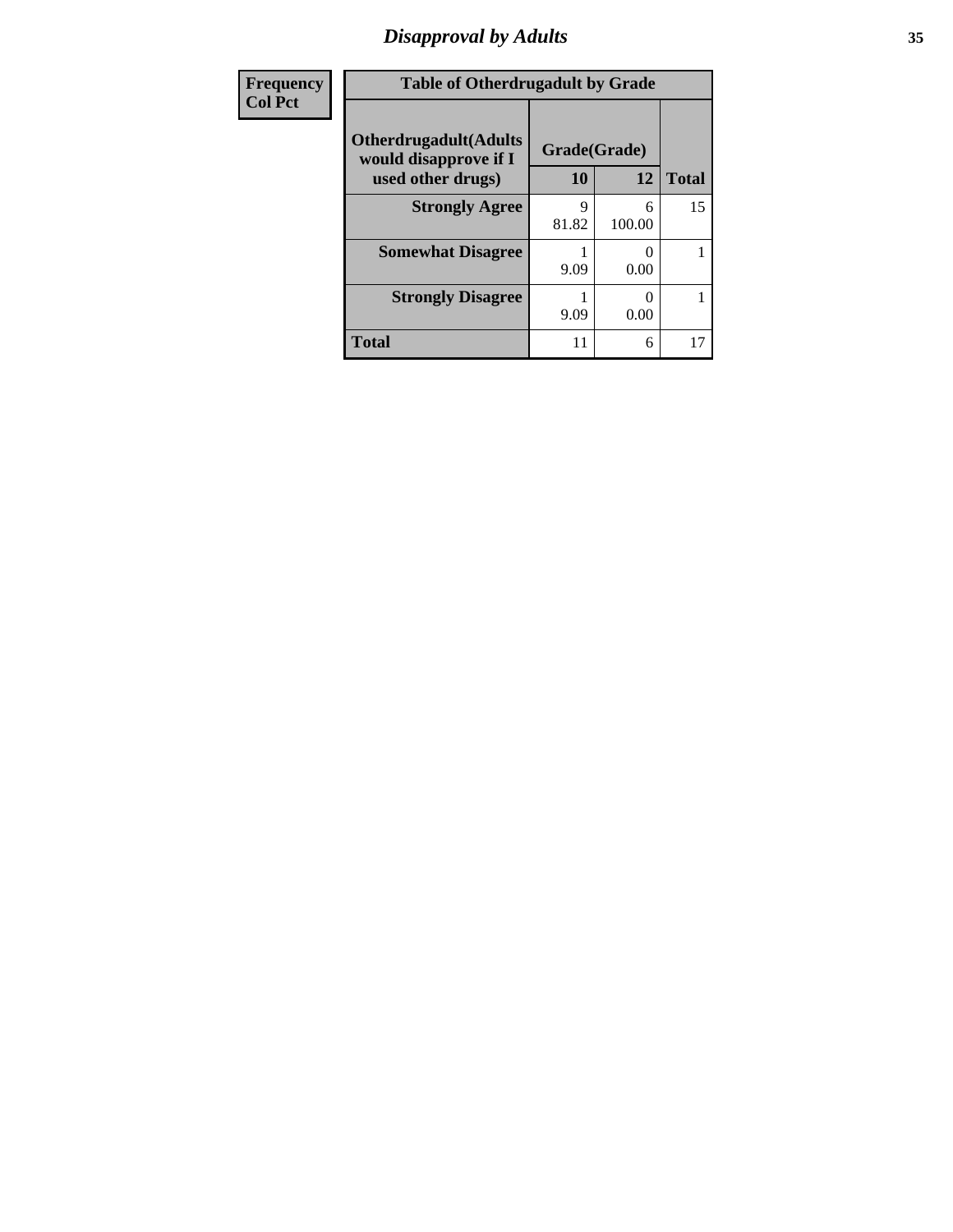### *Disapproval by Adults* **35**

| Frequency      | <b>Table of Otherdrugadult by Grade</b>                                     |                    |             |              |
|----------------|-----------------------------------------------------------------------------|--------------------|-------------|--------------|
| <b>Col Pct</b> | <b>Otherdrugadult</b> (Adults<br>would disapprove if I<br>used other drugs) | Grade(Grade)<br>10 | 12          | <b>Total</b> |
|                | <b>Strongly Agree</b>                                                       | Q<br>81.82         | 6<br>100.00 | 15           |
|                | <b>Somewhat Disagree</b>                                                    | 9.09               | 0.00        |              |
|                | <b>Strongly Disagree</b>                                                    | 9.09               | 0.00        |              |
|                | <b>Total</b>                                                                | 11                 | 6           | 17           |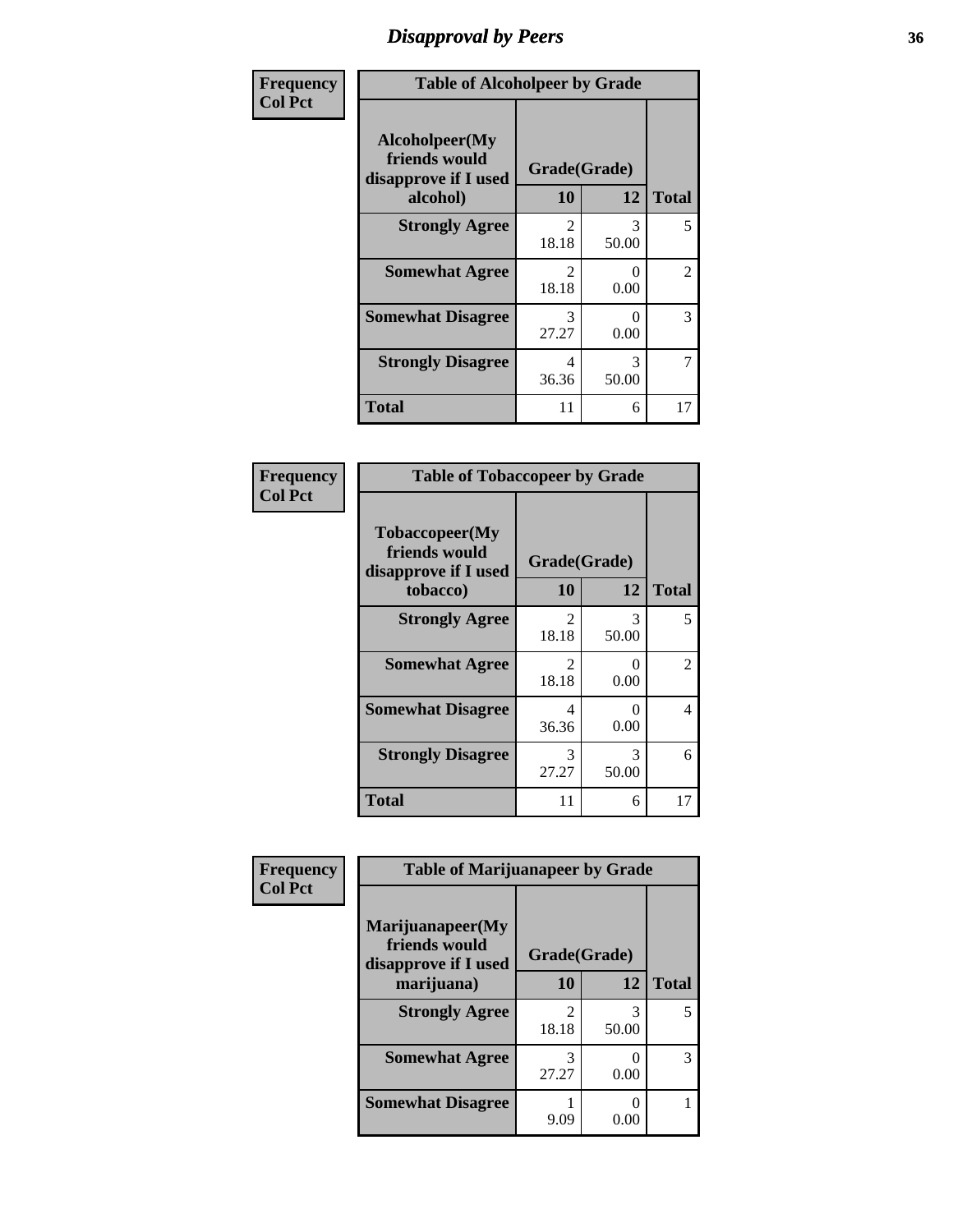### *Disapproval by Peers* **36**

| Frequency      | <b>Table of Alcoholpeer by Grade</b>                    |                         |                  |              |
|----------------|---------------------------------------------------------|-------------------------|------------------|--------------|
| <b>Col Pct</b> | Alcoholpeer(My<br>friends would<br>disapprove if I used | Grade(Grade)            |                  |              |
|                | alcohol)                                                | 10                      | 12               | <b>Total</b> |
|                | <b>Strongly Agree</b>                                   | $\mathfrak{D}$<br>18.18 | 3<br>50.00       | 5            |
|                | <b>Somewhat Agree</b>                                   | $\mathfrak{D}$<br>18.18 | $\Omega$<br>0.00 | 2            |
|                | <b>Somewhat Disagree</b>                                | 3<br>27.27              | 0.00             | 3            |
|                | <b>Strongly Disagree</b>                                | 4<br>36.36              | 3<br>50.00       | 7            |
|                | <b>Total</b>                                            | 11                      | 6                | 17           |

| Frequency      | <b>Table of Tobaccopeer by Grade</b>                    |                                      |                  |                |
|----------------|---------------------------------------------------------|--------------------------------------|------------------|----------------|
| <b>Col Pct</b> | Tobaccopeer(My<br>friends would<br>disapprove if I used | Grade(Grade)                         |                  |                |
|                | tobacco)                                                | 10                                   | 12               | <b>Total</b>   |
|                | <b>Strongly Agree</b>                                   | $\mathcal{D}_{\mathcal{L}}$<br>18.18 | 3<br>50.00       | 5              |
|                | <b>Somewhat Agree</b>                                   | $\mathfrak{D}$<br>18.18              | 0<br>0.00        | $\overline{c}$ |
|                | <b>Somewhat Disagree</b>                                | 4<br>36.36                           | $\Omega$<br>0.00 | $\overline{4}$ |
|                | <b>Strongly Disagree</b>                                | 3<br>27.27                           | 3<br>50.00       | 6              |
|                | <b>Total</b>                                            | 11                                   | 6                | 17             |

| Frequency      | <b>Table of Marijuanapeer by Grade</b>                    |                         |            |              |
|----------------|-----------------------------------------------------------|-------------------------|------------|--------------|
| <b>Col Pct</b> | Marijuanapeer(My<br>friends would<br>disapprove if I used | Grade(Grade)            |            |              |
|                | marijuana)                                                | 10                      | 12         | <b>Total</b> |
|                | <b>Strongly Agree</b>                                     | $\mathfrak{D}$<br>18.18 | 3<br>50.00 | 5            |
|                | <b>Somewhat Agree</b>                                     | 3<br>27.27              | 0<br>0.00  | 3            |
|                | <b>Somewhat Disagree</b>                                  | 9.09                    | 0.00       |              |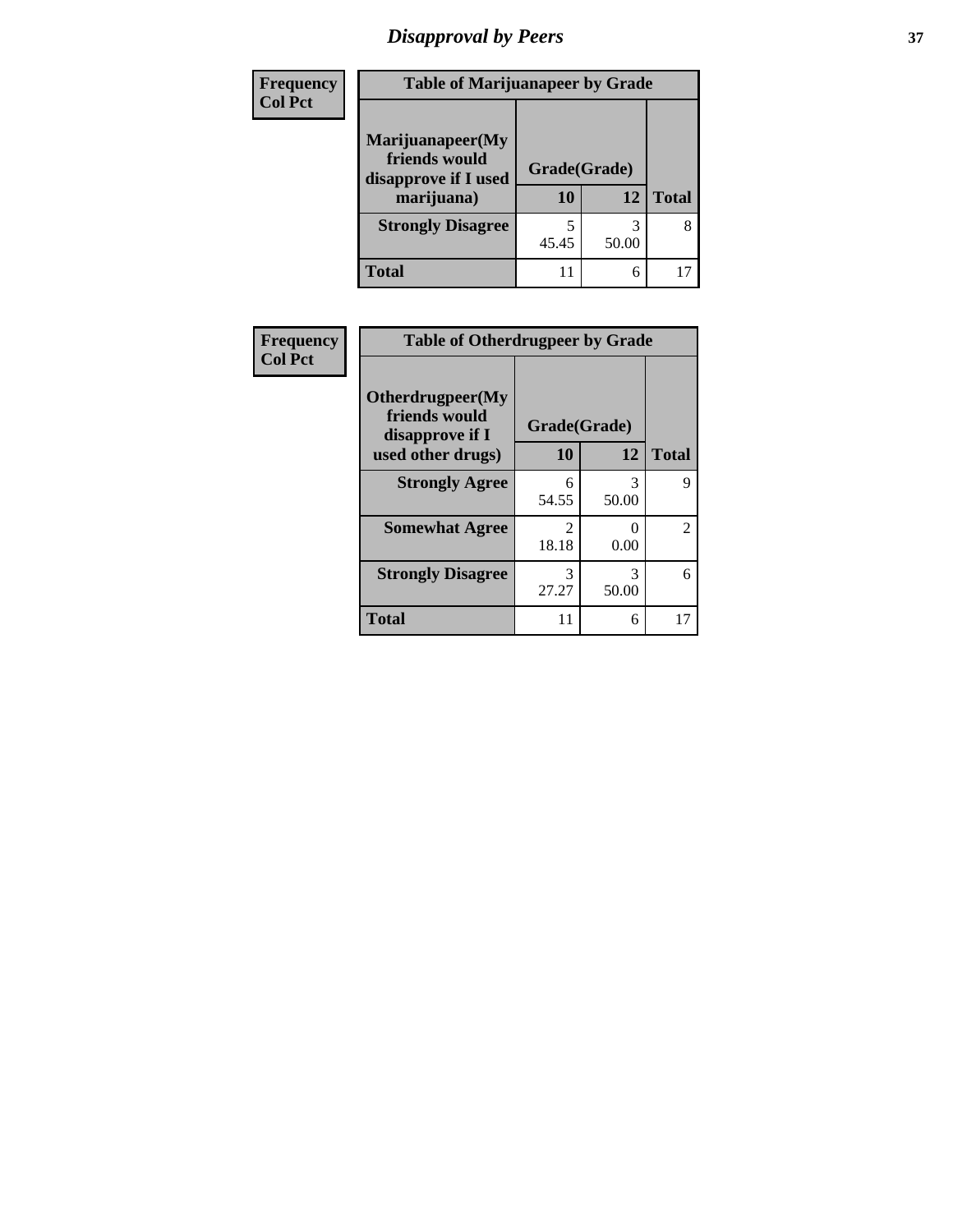# *Disapproval by Peers* **37**

| <b>Frequency</b> | <b>Table of Marijuanapeer by Grade</b>                                  |                    |       |              |  |
|------------------|-------------------------------------------------------------------------|--------------------|-------|--------------|--|
| <b>Col Pct</b>   | Marijuanapeer(My<br>friends would<br>disapprove if I used<br>marijuana) | Grade(Grade)<br>10 | 12    | <b>Total</b> |  |
|                  | <b>Strongly Disagree</b>                                                | 45.45              | 50.00 | 8            |  |
|                  | <b>Total</b>                                                            | 11                 | 6     |              |  |

| <b>Frequency</b> | <b>Table of Otherdrugpeer by Grade</b>               |                        |            |                |  |
|------------------|------------------------------------------------------|------------------------|------------|----------------|--|
| <b>Col Pct</b>   | Otherdrugpeer(My<br>friends would<br>disapprove if I | Grade(Grade)           |            |                |  |
|                  | used other drugs)                                    | 10                     | 12         | <b>Total</b>   |  |
|                  | <b>Strongly Agree</b>                                | 6<br>54.55             | 3<br>50.00 | 9              |  |
|                  | <b>Somewhat Agree</b>                                | $\mathcal{D}$<br>18.18 | 0<br>0.00  | $\overline{c}$ |  |
|                  | <b>Strongly Disagree</b>                             | 3<br>27.27             | 3<br>50.00 | 6              |  |
|                  | Total                                                | 11                     | 6          | 17             |  |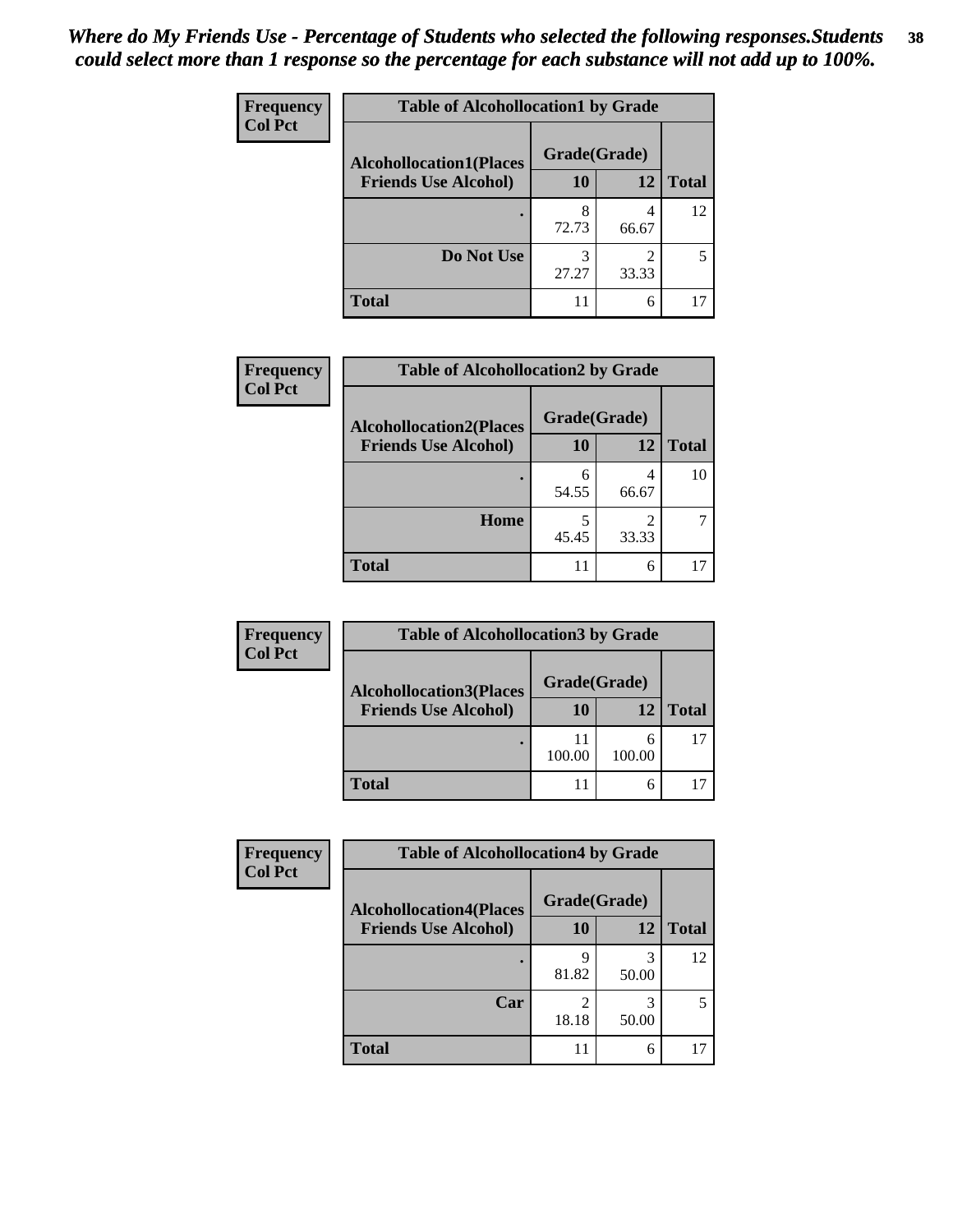| Frequency      | <b>Table of Alcohollocation1 by Grade</b> |              |                         |              |
|----------------|-------------------------------------------|--------------|-------------------------|--------------|
| <b>Col Pct</b> | <b>Alcohollocation1(Places</b>            | Grade(Grade) |                         |              |
|                | <b>Friends Use Alcohol)</b>               | 10           | 12                      | <b>Total</b> |
|                |                                           | 8<br>72.73   | 4<br>66.67              | 12           |
|                | Do Not Use                                | 3<br>27.27   | $\mathfrak{D}$<br>33.33 | 5            |
|                | <b>Total</b>                              | 11           | 6                       |              |

| Frequency      | <b>Table of Alcohollocation2 by Grade</b> |              |                                      |              |
|----------------|-------------------------------------------|--------------|--------------------------------------|--------------|
| <b>Col Pct</b> | <b>Alcohollocation2(Places</b>            | Grade(Grade) |                                      |              |
|                | <b>Friends Use Alcohol)</b>               | 10           | 12                                   | <b>Total</b> |
|                |                                           | 54.55        | 4<br>66.67                           | 10           |
|                | Home                                      | 45.45        | $\mathcal{D}_{\mathcal{A}}$<br>33.33 |              |
|                | <b>Total</b>                              | 11           | 6                                    |              |

| Frequency      | <b>Table of Alcohollocation3 by Grade</b> |              |        |              |  |
|----------------|-------------------------------------------|--------------|--------|--------------|--|
| <b>Col Pct</b> | <b>Alcohollocation3(Places</b>            | Grade(Grade) |        |              |  |
|                | <b>Friends Use Alcohol)</b>               | 10           | 12     | <b>Total</b> |  |
|                |                                           | 100.00       | 100.00 | 17           |  |
|                | <b>Total</b>                              |              |        |              |  |

| Frequency      | <b>Table of Alcohollocation4 by Grade</b> |              |            |              |
|----------------|-------------------------------------------|--------------|------------|--------------|
| <b>Col Pct</b> | <b>Alcohollocation4(Places</b>            | Grade(Grade) |            |              |
|                | <b>Friends Use Alcohol)</b>               | 10           | 12         | <b>Total</b> |
|                |                                           | q<br>81.82   | 3<br>50.00 | 12           |
|                | Car                                       | 2<br>18.18   | 3<br>50.00 |              |
|                | <b>Total</b>                              | 11           | 6          |              |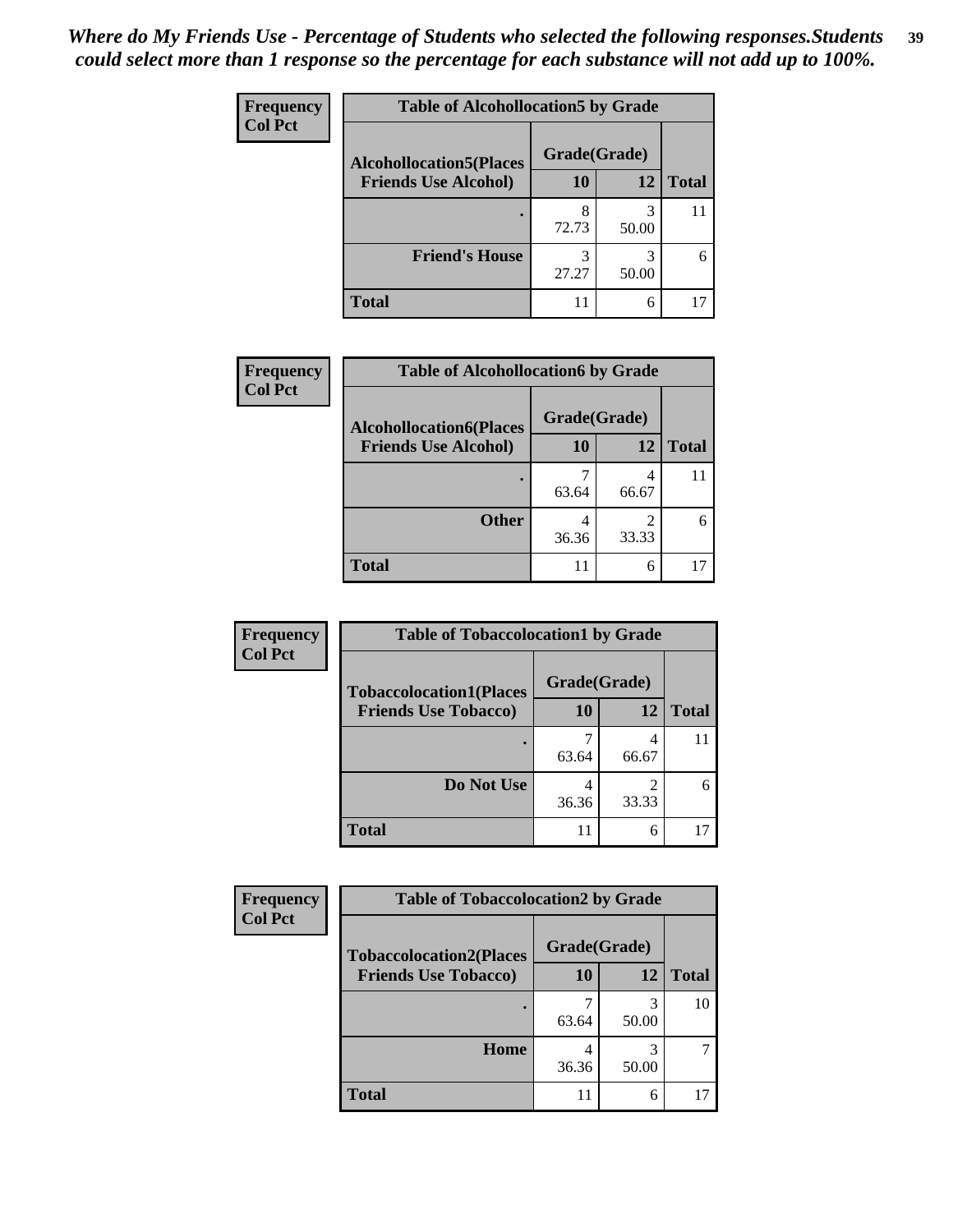| <b>Frequency</b> | <b>Table of Alcohollocation5 by Grade</b> |              |            |              |
|------------------|-------------------------------------------|--------------|------------|--------------|
| <b>Col Pct</b>   | <b>Alcohollocation5(Places</b>            | Grade(Grade) |            |              |
|                  | <b>Friends Use Alcohol)</b>               | 10           | 12         | <b>Total</b> |
|                  |                                           | 8<br>72.73   | 3<br>50.00 | 11           |
|                  | <b>Friend's House</b>                     | 3<br>27.27   | 3<br>50.00 | 6            |
|                  | <b>Total</b>                              | 11           | 6          |              |

| Frequency      | <b>Table of Alcohollocation6 by Grade</b>                     |                    |            |              |
|----------------|---------------------------------------------------------------|--------------------|------------|--------------|
| <b>Col Pct</b> | <b>Alcohollocation6(Places</b><br><b>Friends Use Alcohol)</b> | Grade(Grade)<br>10 | 12         | <b>Total</b> |
|                |                                                               | 63.64              | 4<br>66.67 | 11           |
|                | <b>Other</b>                                                  | 36.36              | 33.33      |              |
|                | <b>Total</b>                                                  | 11                 | 6          |              |

| Frequency      | <b>Table of Tobaccolocation1 by Grade</b>                     |                           |                |              |
|----------------|---------------------------------------------------------------|---------------------------|----------------|--------------|
| <b>Col Pct</b> | <b>Tobaccolocation1(Places</b><br><b>Friends Use Tobacco)</b> | Grade(Grade)<br><b>10</b> | 12             | <b>Total</b> |
|                |                                                               |                           |                |              |
|                |                                                               |                           | 4              |              |
|                |                                                               | 63.64                     | 66.67          |              |
|                | Do Not Use                                                    | 4                         | $\mathfrak{D}$ |              |
|                |                                                               | 36.36                     | 33.33          |              |
|                | <b>Total</b>                                                  |                           | 6              |              |

| <b>Frequency</b> | <b>Table of Tobaccolocation2 by Grade</b> |              |            |              |  |
|------------------|-------------------------------------------|--------------|------------|--------------|--|
| <b>Col Pct</b>   | <b>Tobaccolocation2(Places</b>            | Grade(Grade) |            |              |  |
|                  | <b>Friends Use Tobacco)</b>               | 10           | 12         | <b>Total</b> |  |
|                  |                                           | 63.64        | 3<br>50.00 | 10           |  |
|                  | Home                                      | 36.36        | 50.00      |              |  |
|                  | <b>Total</b>                              | 11           | 6          |              |  |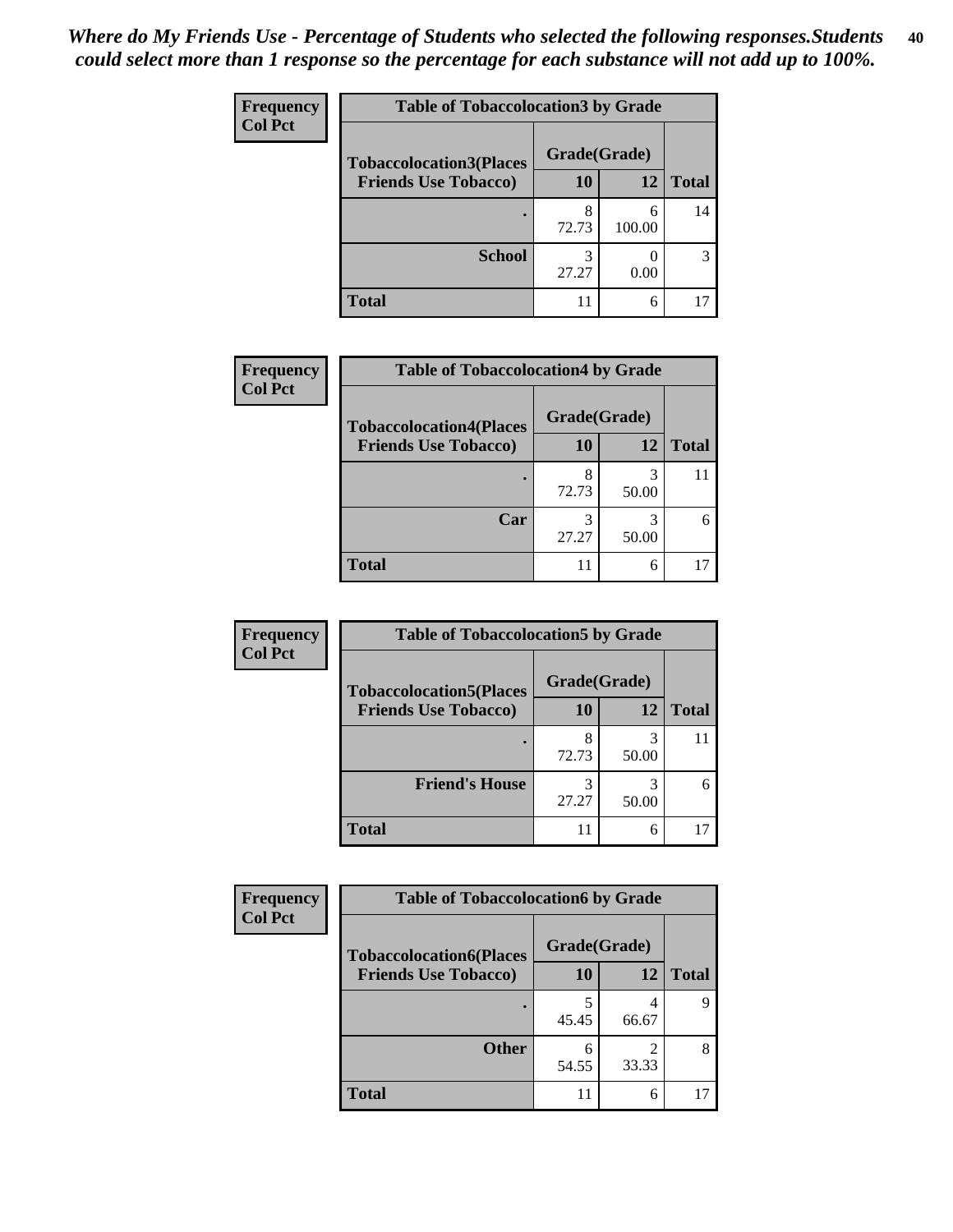| <b>Frequency</b> | <b>Table of Tobaccolocation 3 by Grade</b> |              |             |              |
|------------------|--------------------------------------------|--------------|-------------|--------------|
| <b>Col Pct</b>   | <b>Tobaccolocation3(Places</b>             | Grade(Grade) |             |              |
|                  | <b>Friends Use Tobacco)</b>                | 10           | 12          | <b>Total</b> |
|                  |                                            | 8<br>72.73   | 6<br>100.00 | 14           |
|                  | <b>School</b>                              | 27.27        | 0.00        | 3            |
|                  | <b>Total</b>                               |              | 6           |              |

| Frequency      | <b>Table of Tobaccolocation4 by Grade</b> |              |            |              |
|----------------|-------------------------------------------|--------------|------------|--------------|
| <b>Col Pct</b> | <b>Tobaccolocation4(Places</b>            | Grade(Grade) |            |              |
|                | <b>Friends Use Tobacco)</b>               | 10           | 12         | <b>Total</b> |
|                |                                           | 8<br>72.73   | 3<br>50.00 |              |
|                | Car                                       | 3<br>27.27   | 50.00      | 6            |
|                | <b>Total</b>                              | 11           | 6          |              |

| Frequency      | <b>Table of Tobaccolocation5 by Grade</b> |              |       |              |
|----------------|-------------------------------------------|--------------|-------|--------------|
| <b>Col Pct</b> | <b>Tobaccolocation5(Places</b>            | Grade(Grade) |       |              |
|                | <b>Friends Use Tobacco)</b>               | 10           | 12    | <b>Total</b> |
|                |                                           | 8<br>72.73   | 50.00 |              |
|                | <b>Friend's House</b>                     | 3<br>27.27   | 50.00 | 6            |
|                | <b>Total</b>                              |              | 6     |              |

| Frequency      | <b>Table of Tobaccolocation6 by Grade</b> |              |            |              |
|----------------|-------------------------------------------|--------------|------------|--------------|
| <b>Col Pct</b> | <b>Tobaccolocation6(Places</b>            | Grade(Grade) |            |              |
|                | <b>Friends Use Tobacco)</b>               | 10           | 12         | <b>Total</b> |
|                |                                           | 45.45        | 66.67      |              |
|                | <b>Other</b>                              | 6<br>54.55   | 2<br>33.33 |              |
|                | <b>Total</b>                              | 11           | 6          |              |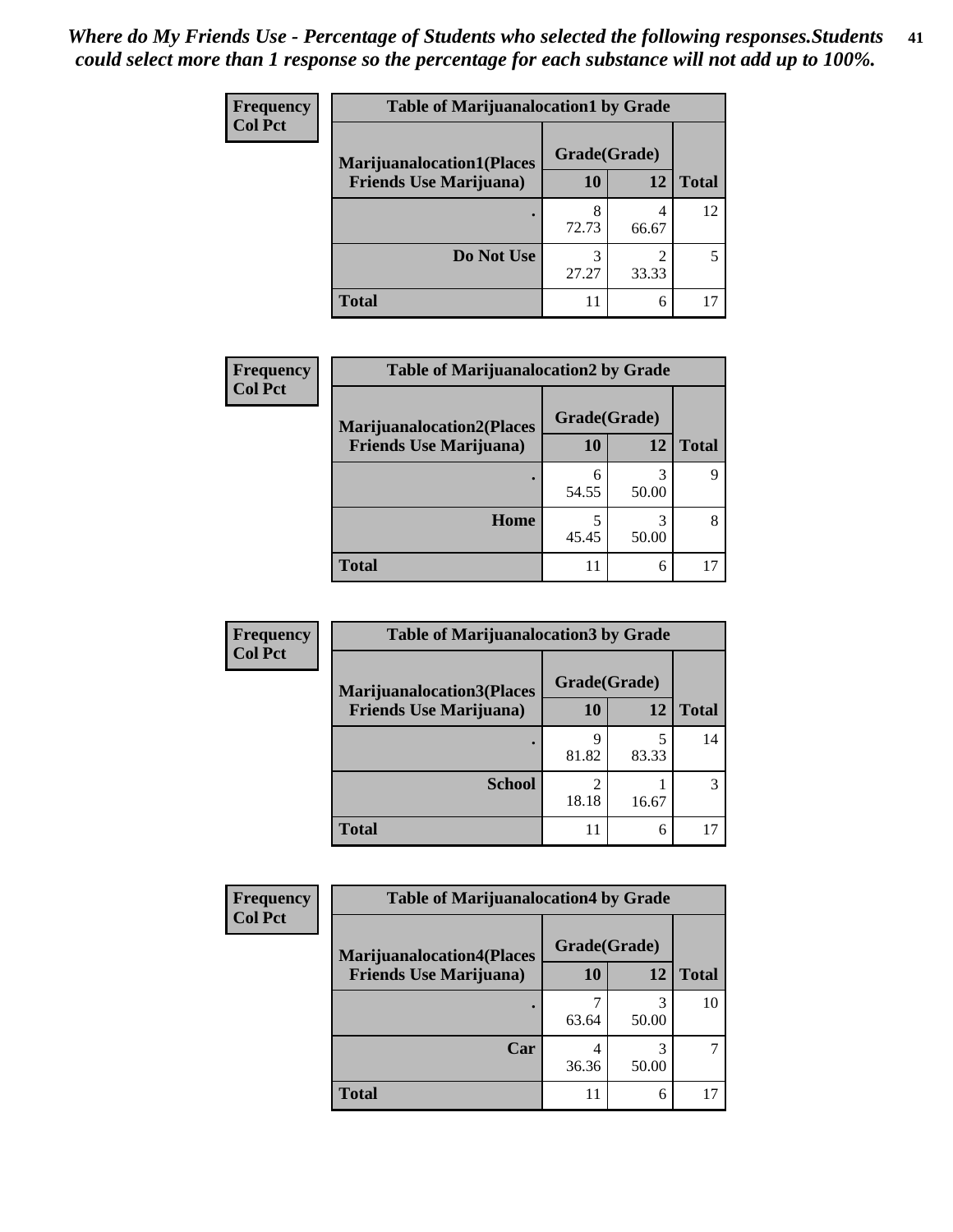| <b>Frequency</b> | <b>Table of Marijuanalocation1 by Grade</b> |              |            |              |
|------------------|---------------------------------------------|--------------|------------|--------------|
| <b>Col Pct</b>   | <b>Marijuanalocation1(Places</b>            | Grade(Grade) |            |              |
|                  | <b>Friends Use Marijuana</b> )              | 10           | 12         | <b>Total</b> |
|                  |                                             | 8<br>72.73   | 66.67      | 12           |
|                  | Do Not Use                                  | 3<br>27.27   | ∍<br>33.33 |              |
|                  | <b>Total</b>                                |              | 6          |              |

| <b>Frequency</b> | <b>Table of Marijuanalocation2 by Grade</b> |              |       |              |
|------------------|---------------------------------------------|--------------|-------|--------------|
| <b>Col Pct</b>   | <b>Marijuanalocation2(Places</b>            | Grade(Grade) |       |              |
|                  | <b>Friends Use Marijuana</b> )              | 10           | 12    | <b>Total</b> |
|                  |                                             | 54.55        | 50.00 |              |
|                  | Home                                        | 45.45        | 50.00 |              |
|                  | <b>Total</b>                                | 11           | 6     |              |

| <b>Frequency</b><br><b>Col Pct</b> | <b>Table of Marijuanalocation3 by Grade</b> |              |       |       |
|------------------------------------|---------------------------------------------|--------------|-------|-------|
|                                    | <b>Marijuanalocation3</b> (Places           | Grade(Grade) |       |       |
|                                    | <b>Friends Use Marijuana</b> )              | 10           | 12    | Total |
|                                    |                                             | Q<br>81.82   | 83.33 | 14    |
|                                    | <b>School</b>                               | 18.18        | 16.67 |       |
|                                    | <b>Total</b>                                | 11           | 6     |       |

| Frequency      | <b>Table of Marijuanalocation4 by Grade</b> |              |            |              |  |
|----------------|---------------------------------------------|--------------|------------|--------------|--|
| <b>Col Pct</b> | <b>Marijuanalocation4(Places</b>            | Grade(Grade) |            |              |  |
|                | <b>Friends Use Marijuana</b> )              | 10           | 12         | <b>Total</b> |  |
|                |                                             | 63.64        | 50.00      | 10           |  |
|                | Car                                         | 36.36        | 3<br>50.00 |              |  |
|                | <b>Total</b>                                | 11           | 6          |              |  |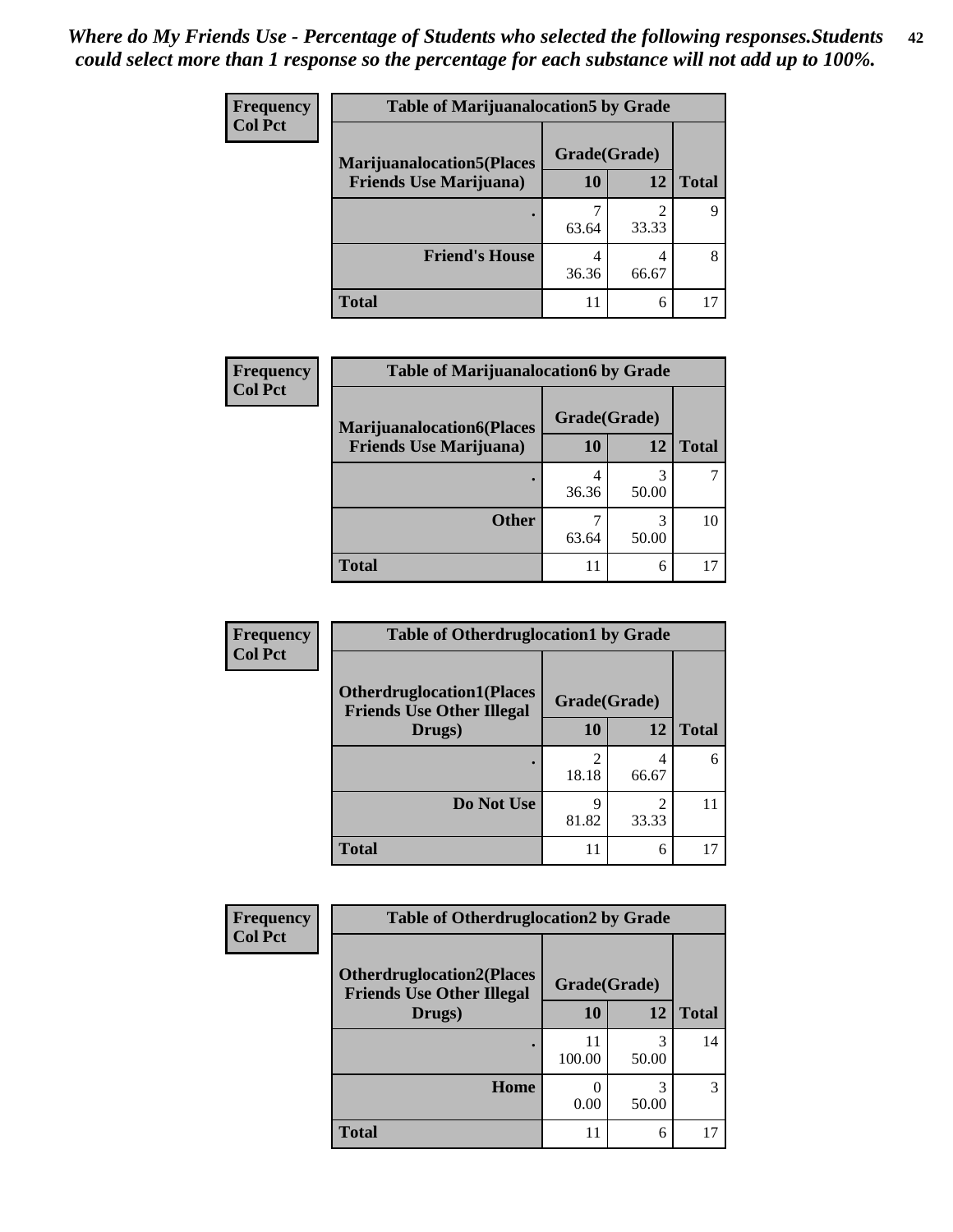| <b>Frequency</b> | <b>Table of Marijuanalocation5 by Grade</b>                         |              |       |              |
|------------------|---------------------------------------------------------------------|--------------|-------|--------------|
| <b>Col Pct</b>   | <b>Marijuanalocation5</b> (Places<br><b>Friends Use Marijuana</b> ) | Grade(Grade) |       |              |
|                  |                                                                     | 10           | 12    | <b>Total</b> |
|                  |                                                                     | 63.64        | 33.33 |              |
|                  | <b>Friend's House</b>                                               | 4<br>36.36   | 66.67 | 8            |
|                  | <b>Total</b>                                                        |              | 6     |              |

| <b>Frequency</b> | <b>Table of Marijuanalocation6 by Grade</b>                        |                           |            |              |
|------------------|--------------------------------------------------------------------|---------------------------|------------|--------------|
| <b>Col Pct</b>   | <b>Marijuanalocation6(Places</b><br><b>Friends Use Marijuana</b> ) | Grade(Grade)<br><b>10</b> | 12         | <b>Total</b> |
|                  |                                                                    | 36.36                     | 3<br>50.00 |              |
|                  | <b>Other</b>                                                       | 63.64                     | 3<br>50.00 | 10           |
|                  | <b>Total</b>                                                       | 11                        | 6          |              |

| <b>Frequency</b> | <b>Table of Otherdruglocation1 by Grade</b>                          |              |                                                                                                                                                                          |              |
|------------------|----------------------------------------------------------------------|--------------|--------------------------------------------------------------------------------------------------------------------------------------------------------------------------|--------------|
| <b>Col Pct</b>   | <b>Otherdruglocation1(Places</b><br><b>Friends Use Other Illegal</b> | Grade(Grade) |                                                                                                                                                                          |              |
|                  | Drugs)                                                               | 10           | 12                                                                                                                                                                       | <b>Total</b> |
|                  |                                                                      | 18.18        | 4<br>66.67                                                                                                                                                               | 6            |
|                  | Do Not Use                                                           | 9<br>81.82   | $\mathcal{D}_{\mathcal{A}}^{\mathcal{A}}(\mathcal{A})=\mathcal{D}_{\mathcal{A}}^{\mathcal{A}}(\mathcal{A})\mathcal{D}_{\mathcal{A}}^{\mathcal{A}}(\mathcal{A})$<br>33.33 |              |
|                  | <b>Total</b>                                                         | 11           | 6                                                                                                                                                                        |              |

| <b>Frequency</b> | <b>Table of Otherdruglocation2 by Grade</b>                          |              |            |              |
|------------------|----------------------------------------------------------------------|--------------|------------|--------------|
| <b>Col Pct</b>   | <b>Otherdruglocation2(Places</b><br><b>Friends Use Other Illegal</b> | Grade(Grade) |            |              |
|                  | Drugs)                                                               | 10           | 12         | <b>Total</b> |
|                  |                                                                      | 11<br>100.00 | 3<br>50.00 | 14           |
|                  | Home                                                                 | 0<br>0.00    | 3<br>50.00 | 3            |
|                  | <b>Total</b>                                                         | 11           | 6          | 17           |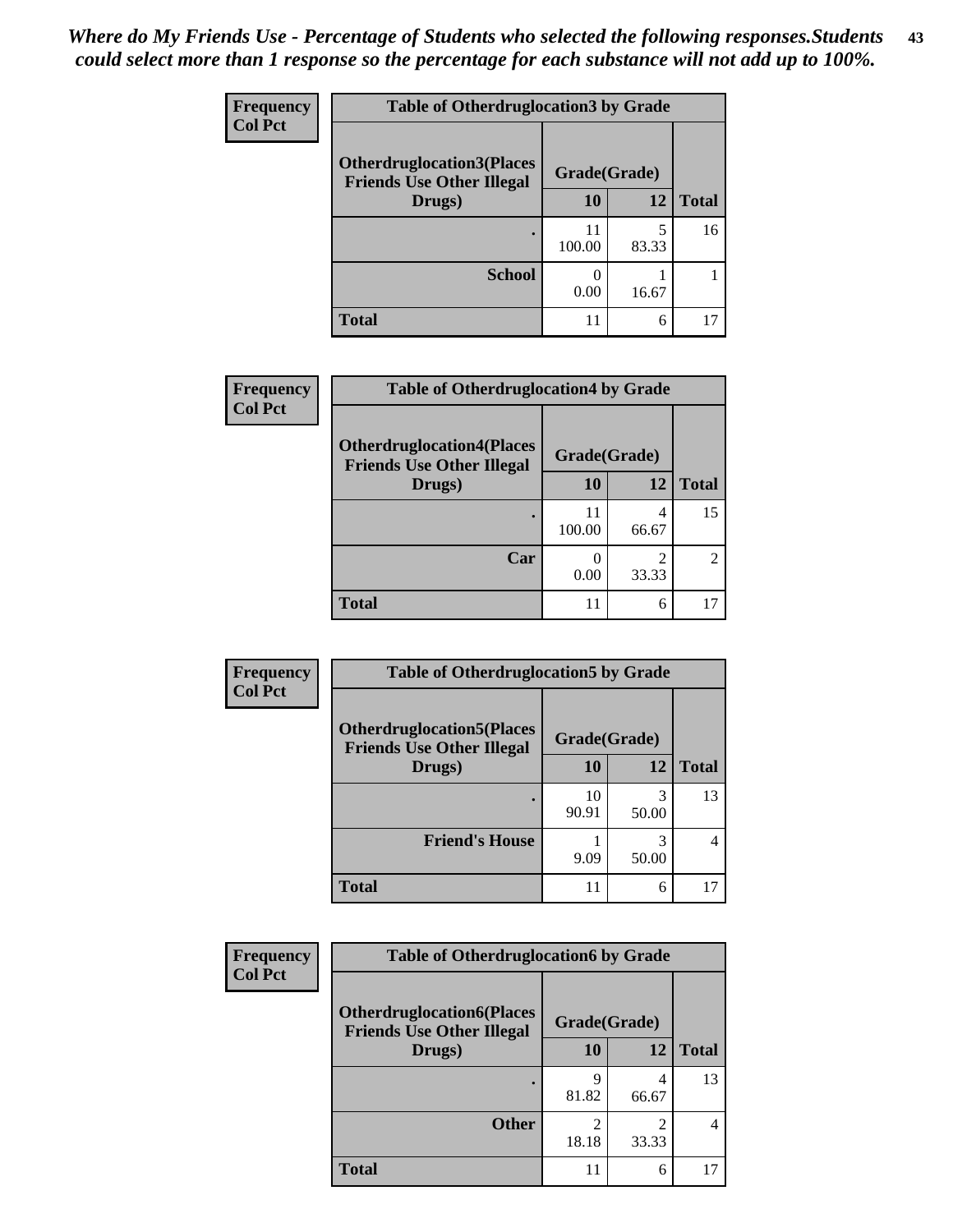| <b>Frequency</b> | <b>Table of Otherdruglocation3 by Grade</b>                          |              |       |              |
|------------------|----------------------------------------------------------------------|--------------|-------|--------------|
| <b>Col Pct</b>   | <b>Otherdruglocation3(Places</b><br><b>Friends Use Other Illegal</b> | Grade(Grade) |       |              |
|                  | Drugs)                                                               | 10           | 12    | <b>Total</b> |
|                  |                                                                      | 11<br>100.00 | 83.33 | 16           |
|                  | <b>School</b>                                                        | 0.00         | 16.67 |              |
|                  | <b>Total</b>                                                         | 11           | 6     |              |

| <b>Frequency</b> | <b>Table of Otherdruglocation4 by Grade</b>                          |              |       |               |
|------------------|----------------------------------------------------------------------|--------------|-------|---------------|
| <b>Col Pct</b>   | <b>Otherdruglocation4(Places</b><br><b>Friends Use Other Illegal</b> | Grade(Grade) |       |               |
|                  | Drugs)                                                               | 10           | 12    | <b>Total</b>  |
|                  |                                                                      | 11<br>100.00 | 66.67 | 15            |
|                  | Car                                                                  | 0.00         | 33.33 | $\mathcal{L}$ |
|                  | <b>Total</b>                                                         | 11           | 6     |               |

| <b>Frequency</b> | <b>Table of Otherdruglocation5 by Grade</b>                          |              |            |              |
|------------------|----------------------------------------------------------------------|--------------|------------|--------------|
| <b>Col Pct</b>   | <b>Otherdruglocation5(Places</b><br><b>Friends Use Other Illegal</b> | Grade(Grade) |            |              |
|                  | Drugs)                                                               | 10           | 12         | <b>Total</b> |
|                  |                                                                      | 10<br>90.91  | 3<br>50.00 | 13           |
|                  | <b>Friend's House</b>                                                | 9.09         | 3<br>50.00 | 4            |
|                  | Total                                                                | 11           | 6          | 17           |

| Frequency      | <b>Table of Otherdruglocation6 by Grade</b>                          |            |                                                                                                                                                                          |              |
|----------------|----------------------------------------------------------------------|------------|--------------------------------------------------------------------------------------------------------------------------------------------------------------------------|--------------|
| <b>Col Pct</b> | <b>Otherdruglocation6(Places</b><br><b>Friends Use Other Illegal</b> |            |                                                                                                                                                                          |              |
|                | Drugs)                                                               | 10         | 12                                                                                                                                                                       | <b>Total</b> |
|                |                                                                      | Q<br>81.82 | 66.67                                                                                                                                                                    | 13           |
|                | <b>Other</b>                                                         | 18.18      | $\mathcal{D}_{\mathcal{A}}^{\mathcal{A}}(\mathcal{A})=\mathcal{D}_{\mathcal{A}}^{\mathcal{A}}(\mathcal{A})\mathcal{D}_{\mathcal{A}}^{\mathcal{A}}(\mathcal{A})$<br>33.33 |              |
|                | <b>Total</b>                                                         | 11         | 6                                                                                                                                                                        |              |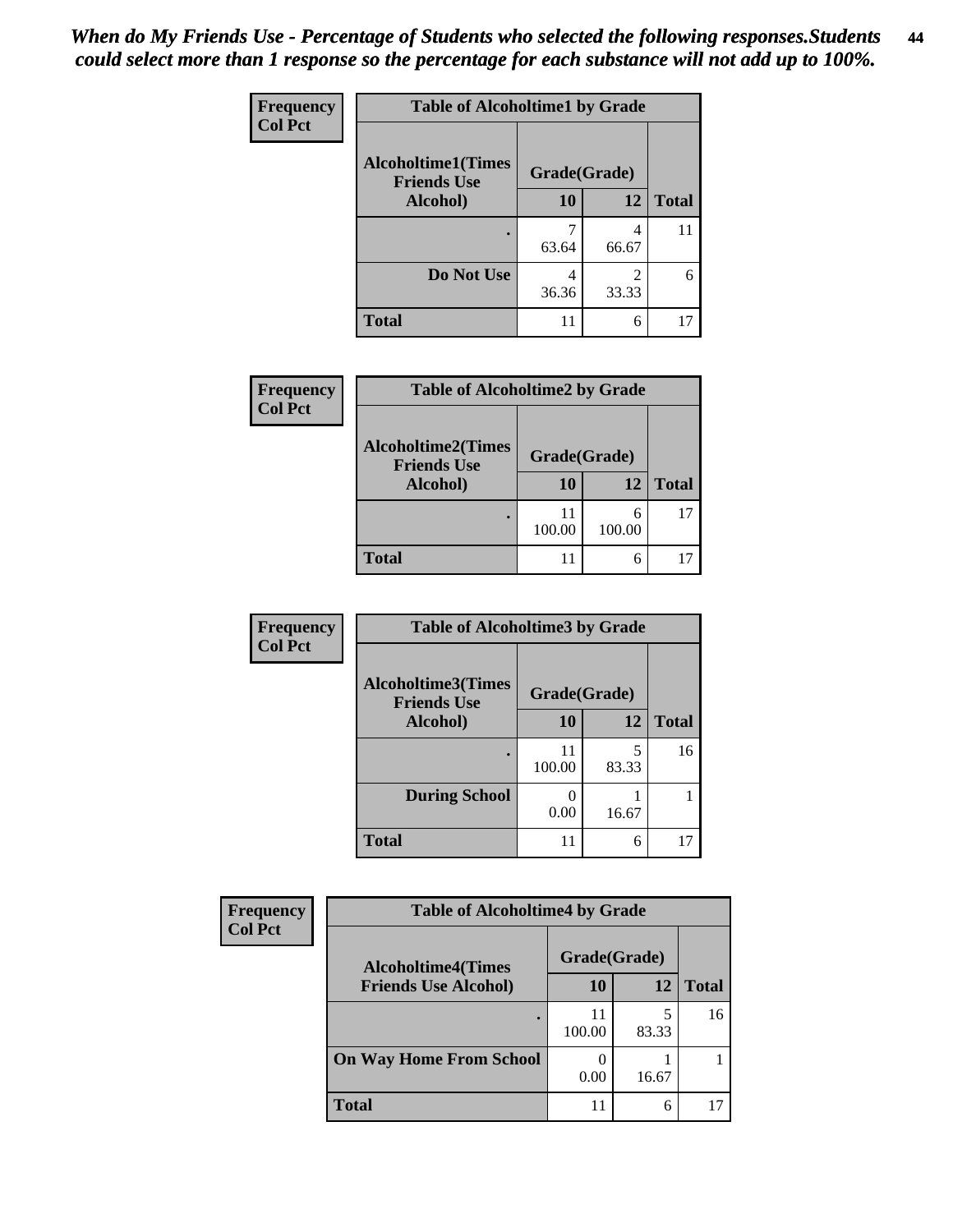| Frequency      | <b>Table of Alcoholtime1 by Grade</b>           |              |            |              |
|----------------|-------------------------------------------------|--------------|------------|--------------|
| <b>Col Pct</b> | <b>Alcoholtime1(Times</b><br><b>Friends Use</b> | Grade(Grade) |            |              |
|                | Alcohol)                                        | 10           | <b>12</b>  | <b>Total</b> |
|                |                                                 | 63.64        | 4<br>66.67 | 11           |
|                | Do Not Use                                      | 4<br>36.36   | 2<br>33.33 | 6            |
|                | <b>Total</b>                                    | 11           | 6          | 17           |

| Frequency      | <b>Table of Alcoholtime2 by Grade</b>           |              |             |              |
|----------------|-------------------------------------------------|--------------|-------------|--------------|
| <b>Col Pct</b> | <b>Alcoholtime2(Times</b><br><b>Friends Use</b> | Grade(Grade) |             |              |
|                | Alcohol)                                        | 10           | 12          | <b>Total</b> |
|                |                                                 | 11<br>100.00 | 6<br>100.00 | 17           |
|                | <b>Total</b>                                    | 11           | 6           |              |

| Frequency<br><b>Col Pct</b> | <b>Table of Alcoholtime3 by Grade</b>           |              |            |              |
|-----------------------------|-------------------------------------------------|--------------|------------|--------------|
|                             | <b>Alcoholtime3(Times</b><br><b>Friends Use</b> | Grade(Grade) |            |              |
|                             | Alcohol)                                        | 10           | 12         | <b>Total</b> |
|                             |                                                 | 11<br>100.00 | 5<br>83.33 | 16           |
|                             | <b>During School</b>                            | 0.00         | 16.67      |              |
|                             | <b>Total</b>                                    | 11           | 6          | 17           |

| <b>Frequency</b><br><b>Col Pct</b> | <b>Table of Alcoholtime4 by Grade</b> |              |       |       |
|------------------------------------|---------------------------------------|--------------|-------|-------|
|                                    | <b>Alcoholtime4(Times</b>             | Grade(Grade) |       |       |
|                                    | <b>Friends Use Alcohol)</b>           | 10           | 12    | Total |
|                                    |                                       | 11<br>100.00 | 83.33 | 16    |
|                                    | <b>On Way Home From School</b>        | 0.00         | 16.67 |       |
|                                    | <b>Total</b>                          | 11           | 6     |       |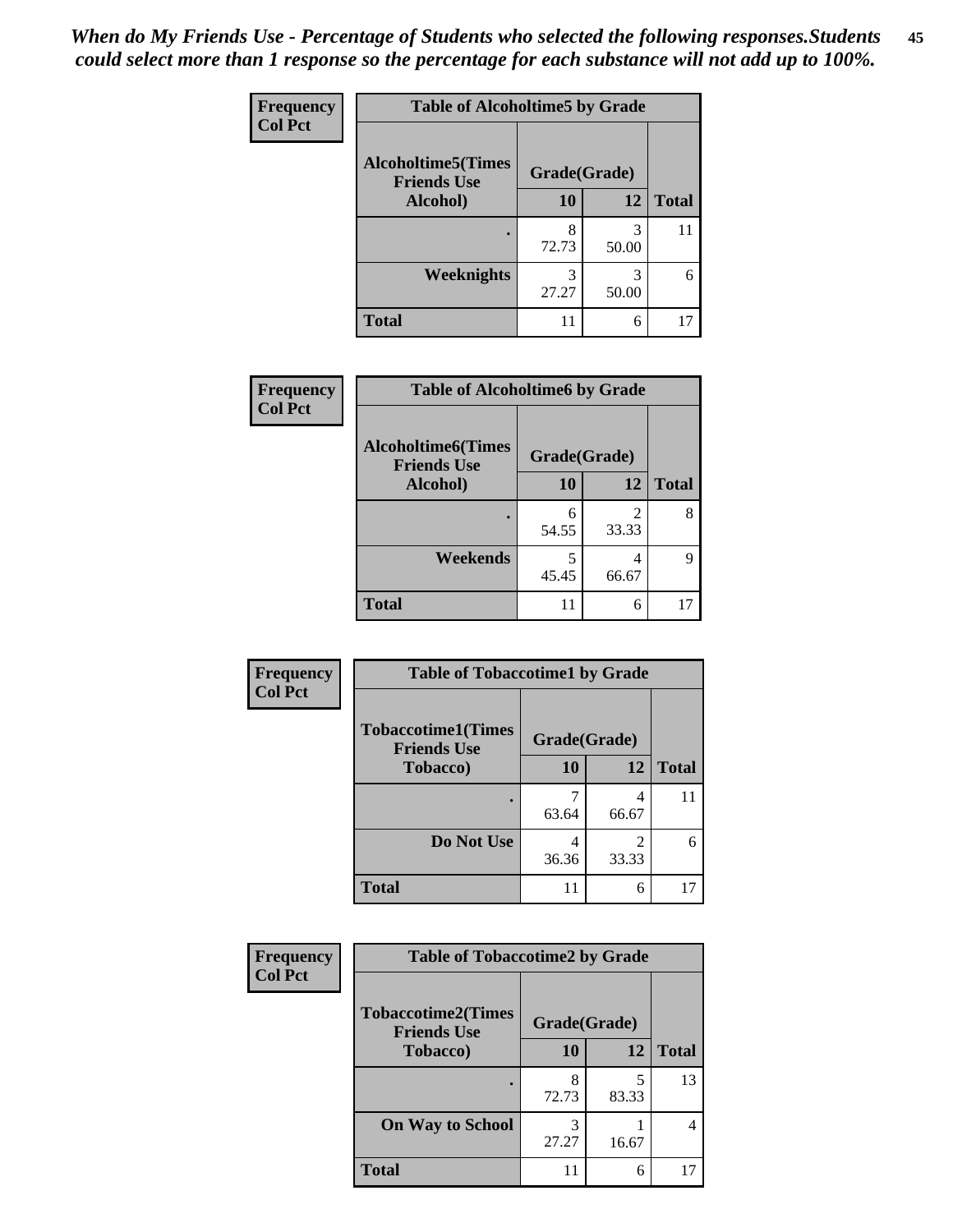*When do My Friends Use - Percentage of Students who selected the following responses.Students could select more than 1 response so the percentage for each substance will not add up to 100%.* **45**

| Frequency      | <b>Table of Alcoholtime5 by Grade</b>           |              |            |              |
|----------------|-------------------------------------------------|--------------|------------|--------------|
| <b>Col Pct</b> | <b>Alcoholtime5(Times</b><br><b>Friends Use</b> | Grade(Grade) |            |              |
|                | Alcohol)                                        | 10           | 12         | <b>Total</b> |
|                |                                                 | 8<br>72.73   | 3<br>50.00 | 11           |
|                | <b>Weeknights</b>                               | 27.27        | 3<br>50.00 | 6            |
|                | <b>Total</b>                                    | 11           | 6          | 17           |

| <b>Frequency</b> | <b>Table of Alcoholtime6 by Grade</b>           |              |            |              |  |
|------------------|-------------------------------------------------|--------------|------------|--------------|--|
| <b>Col Pct</b>   | <b>Alcoholtime6(Times</b><br><b>Friends Use</b> | Grade(Grade) |            |              |  |
|                  | Alcohol)                                        | 10           | 12         | <b>Total</b> |  |
|                  |                                                 | 6<br>54.55   | 2<br>33.33 | 8            |  |
|                  | Weekends                                        | 5<br>45.45   | 4<br>66.67 | Q            |  |
|                  | <b>Total</b>                                    | 11           | 6          | 17           |  |

| <b>Frequency</b> | <b>Table of Tobaccotime1 by Grade</b>           |              |            |              |
|------------------|-------------------------------------------------|--------------|------------|--------------|
| <b>Col Pct</b>   | <b>Tobaccotime1(Times</b><br><b>Friends Use</b> | Grade(Grade) |            |              |
|                  | <b>Tobacco</b> )                                | 10           | 12         | <b>Total</b> |
|                  |                                                 | 63.64        | 4<br>66.67 | 11           |
|                  | Do Not Use                                      | 4<br>36.36   | 2<br>33.33 | 6            |
|                  | <b>Total</b>                                    | 11           | 6          | 17           |

| <b>Frequency</b> | <b>Table of Tobaccotime2 by Grade</b>           |              |       |              |
|------------------|-------------------------------------------------|--------------|-------|--------------|
| <b>Col Pct</b>   | <b>Tobaccotime2(Times</b><br><b>Friends Use</b> | Grade(Grade) |       |              |
|                  | Tobacco)                                        | <b>10</b>    | 12    | <b>Total</b> |
|                  |                                                 | 8<br>72.73   | 83.33 | 13           |
|                  | <b>On Way to School</b>                         | 27.27        | 16.67 | 4            |
|                  | <b>Total</b>                                    | 11           | 6     | 17           |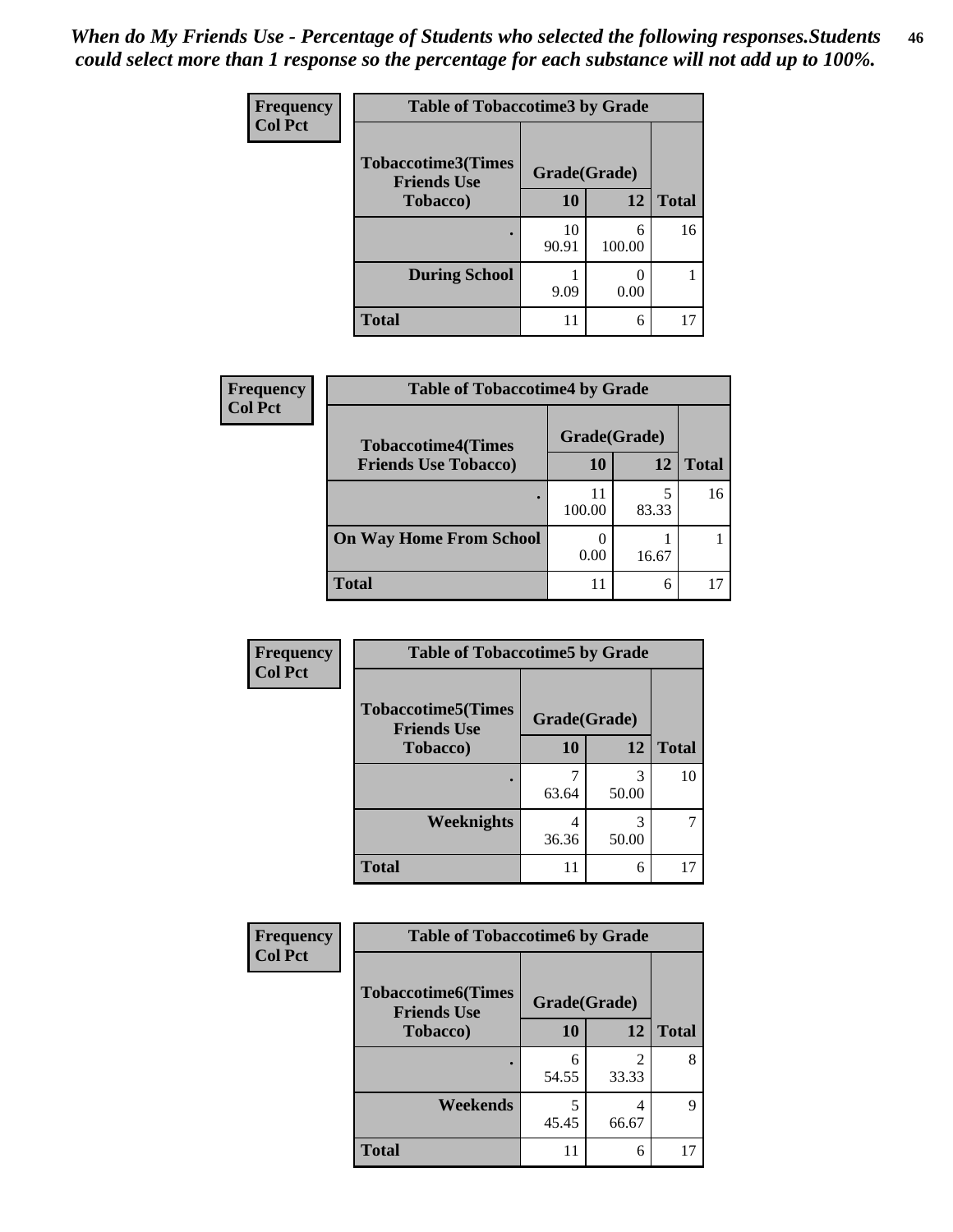| <b>Frequency</b> | <b>Table of Tobaccotime3 by Grade</b>           |              |             |              |  |
|------------------|-------------------------------------------------|--------------|-------------|--------------|--|
| <b>Col Pct</b>   | <b>Tobaccotime3(Times</b><br><b>Friends Use</b> | Grade(Grade) |             |              |  |
|                  | Tobacco)                                        | 10           | 12          | <b>Total</b> |  |
|                  |                                                 | 10<br>90.91  | 6<br>100.00 | 16           |  |
|                  | <b>During School</b>                            | 9.09         | 0.00        |              |  |
|                  | <b>Total</b>                                    | 11           | 6           | 17           |  |

| <b>Frequency</b><br><b>Col Pct</b> | <b>Table of Tobaccotime4 by Grade</b> |              |       |              |  |
|------------------------------------|---------------------------------------|--------------|-------|--------------|--|
|                                    | <b>Tobaccotime4(Times</b>             | Grade(Grade) |       |              |  |
|                                    | <b>Friends Use Tobacco)</b>           | 10           | 12    | <b>Total</b> |  |
|                                    |                                       | 100.00       | 83.33 | 16           |  |
|                                    | <b>On Way Home From School</b>        | 0.00         | 16.67 |              |  |
|                                    | Total                                 | 11           | 6     |              |  |

| Frequency      | <b>Table of Tobaccotime5 by Grade</b>           |              |            |              |
|----------------|-------------------------------------------------|--------------|------------|--------------|
| <b>Col Pct</b> | <b>Tobaccotime5(Times</b><br><b>Friends Use</b> | Grade(Grade) |            |              |
|                | <b>Tobacco</b> )                                | 10           | 12         | <b>Total</b> |
|                |                                                 | 63.64        | 3<br>50.00 | 10           |
|                | <b>Weeknights</b>                               | 4<br>36.36   | 3<br>50.00 | 7            |
|                | <b>Total</b>                                    | 11           | 6          | 17           |

| Frequency      | <b>Table of Tobaccotime6 by Grade</b>           |              |            |              |
|----------------|-------------------------------------------------|--------------|------------|--------------|
| <b>Col Pct</b> | <b>Tobaccotime6(Times</b><br><b>Friends Use</b> | Grade(Grade) |            |              |
|                | <b>Tobacco</b> )                                | <b>10</b>    | <b>12</b>  | <b>Total</b> |
|                |                                                 | 54.55        | 2<br>33.33 | 8            |
|                | Weekends                                        | 45.45        | 4<br>66.67 | 9            |
|                | <b>Total</b>                                    | 11           | 6          | 17           |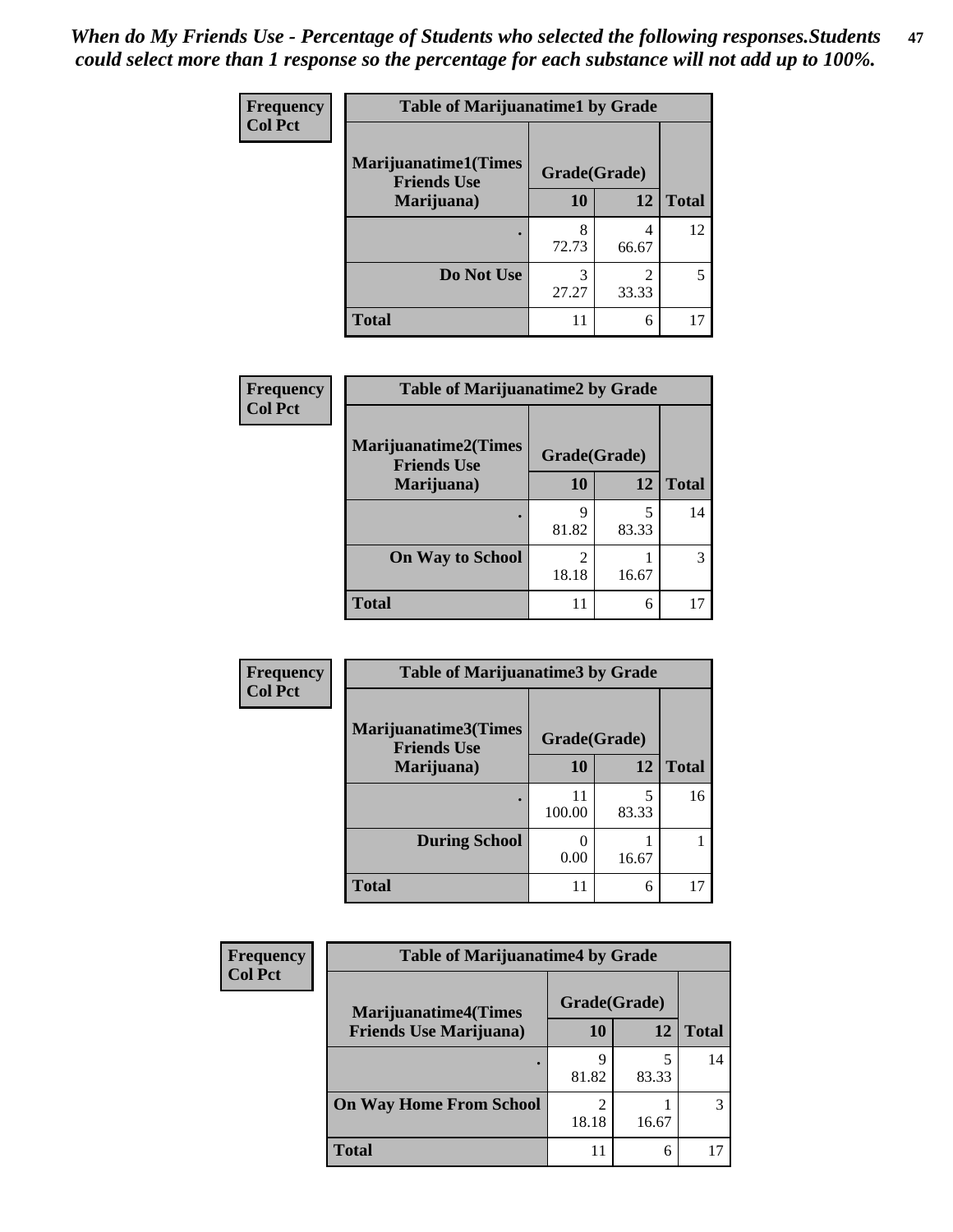| Frequency      | <b>Table of Marijuanatime1 by Grade</b>           |              |                         |              |  |
|----------------|---------------------------------------------------|--------------|-------------------------|--------------|--|
| <b>Col Pct</b> | <b>Marijuanatime1(Times</b><br><b>Friends Use</b> | Grade(Grade) |                         |              |  |
|                | Marijuana)                                        | 10           | 12                      | <b>Total</b> |  |
|                |                                                   | 8<br>72.73   | 4<br>66.67              | 12           |  |
|                | Do Not Use                                        | 3<br>27.27   | $\mathfrak{D}$<br>33.33 | 5            |  |
|                | <b>Total</b>                                      | 11           | 6                       |              |  |

| Frequency      | <b>Table of Marijuanatime2 by Grade</b>           |              |            |              |
|----------------|---------------------------------------------------|--------------|------------|--------------|
| <b>Col Pct</b> | <b>Marijuanatime2(Times</b><br><b>Friends Use</b> | Grade(Grade) |            |              |
|                | Marijuana)                                        | 10           | 12         | <b>Total</b> |
|                |                                                   | 9<br>81.82   | 5<br>83.33 | 14           |
|                | <b>On Way to School</b>                           | 2<br>18.18   | 16.67      | 3            |
|                | <b>Total</b>                                      | 11           | 6          | 17           |

| <b>Frequency</b> | <b>Table of Marijuanatime3 by Grade</b>    |              |            |              |
|------------------|--------------------------------------------|--------------|------------|--------------|
| <b>Col Pct</b>   | Marijuanatime3(Times<br><b>Friends Use</b> | Grade(Grade) |            |              |
|                  | Marijuana)                                 | 10           | 12         | <b>Total</b> |
|                  |                                            | 100.00       | 5<br>83.33 | 16           |
|                  | <b>During School</b>                       | 0.00         | 16.67      |              |
|                  | <b>Total</b>                               | 11           | 6          | 17           |

| <b>Frequency</b> | <b>Table of Marijuanatime4 by Grade</b> |              |       |               |
|------------------|-----------------------------------------|--------------|-------|---------------|
| <b>Col Pct</b>   | <b>Marijuanatime4(Times</b>             | Grade(Grade) |       |               |
|                  | <b>Friends Use Marijuana</b> )          | 10           | 12    | <b>Total</b>  |
|                  |                                         | 9<br>81.82   | 83.33 | 14            |
|                  | <b>On Way Home From School</b>          | 2<br>18.18   | 16.67 | $\mathcal{R}$ |
|                  | <b>Total</b>                            | 11           | 6     |               |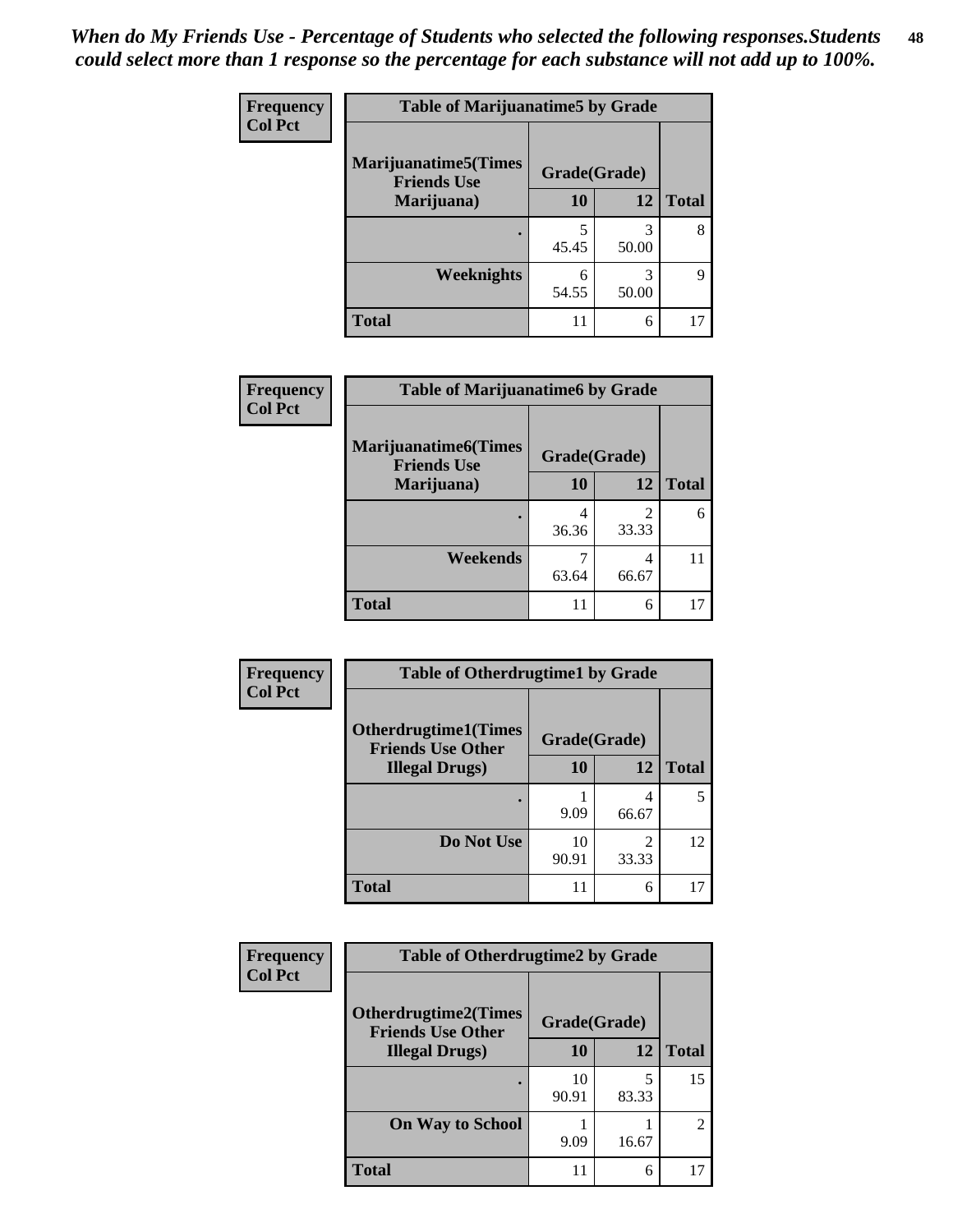| Frequency      | <b>Table of Marijuanatime5 by Grade</b>            |              |            |              |  |
|----------------|----------------------------------------------------|--------------|------------|--------------|--|
| <b>Col Pct</b> | <b>Marijuanatime5</b> (Times<br><b>Friends Use</b> | Grade(Grade) |            |              |  |
|                | Marijuana)                                         | 10           | 12         | <b>Total</b> |  |
|                |                                                    | 5<br>45.45   | 3<br>50.00 | 8            |  |
|                | Weeknights                                         | 6<br>54.55   | 3<br>50.00 | Q            |  |
|                | <b>Total</b>                                       |              | 6          | 17           |  |

| Frequency      | <b>Table of Marijuanatime6 by Grade</b>            |              |                         |              |
|----------------|----------------------------------------------------|--------------|-------------------------|--------------|
| <b>Col Pct</b> | <b>Marijuanatime6</b> (Times<br><b>Friends Use</b> | Grade(Grade) |                         |              |
|                | Marijuana)                                         | 10           | 12                      | <b>Total</b> |
|                |                                                    | 4<br>36.36   | $\mathfrak{D}$<br>33.33 | 6            |
|                | Weekends                                           | 63.64        | 4<br>66.67              | 11           |
|                | <b>Total</b>                                       | 11           | 6                       | 17           |

| <b>Frequency</b> | <b>Table of Otherdrugtime1 by Grade</b>                  |              |                        |              |
|------------------|----------------------------------------------------------|--------------|------------------------|--------------|
| <b>Col Pct</b>   | <b>Otherdrugtime1</b> (Times<br><b>Friends Use Other</b> | Grade(Grade) |                        |              |
|                  | <b>Illegal Drugs</b> )                                   | 10           | 12                     | <b>Total</b> |
|                  |                                                          | 9.09         | 4<br>66.67             |              |
|                  | Do Not Use                                               | 10<br>90.91  | $\mathcal{D}$<br>33.33 | 12           |
|                  | <b>Total</b>                                             | 11           | 6                      |              |

| <b>Frequency</b><br><b>Col Pct</b> | <b>Table of Otherdrugtime2 by Grade</b>                 |              |            |                |  |
|------------------------------------|---------------------------------------------------------|--------------|------------|----------------|--|
|                                    | <b>Otherdrugtime2(Times</b><br><b>Friends Use Other</b> | Grade(Grade) |            |                |  |
|                                    | <b>Illegal Drugs</b> )                                  | 10           | 12         | <b>Total</b>   |  |
|                                    |                                                         | 10<br>90.91  | 5<br>83.33 | 15             |  |
|                                    | <b>On Way to School</b>                                 | 9.09         | 16.67      | $\overline{2}$ |  |
|                                    | <b>Total</b>                                            |              | 6          | 17             |  |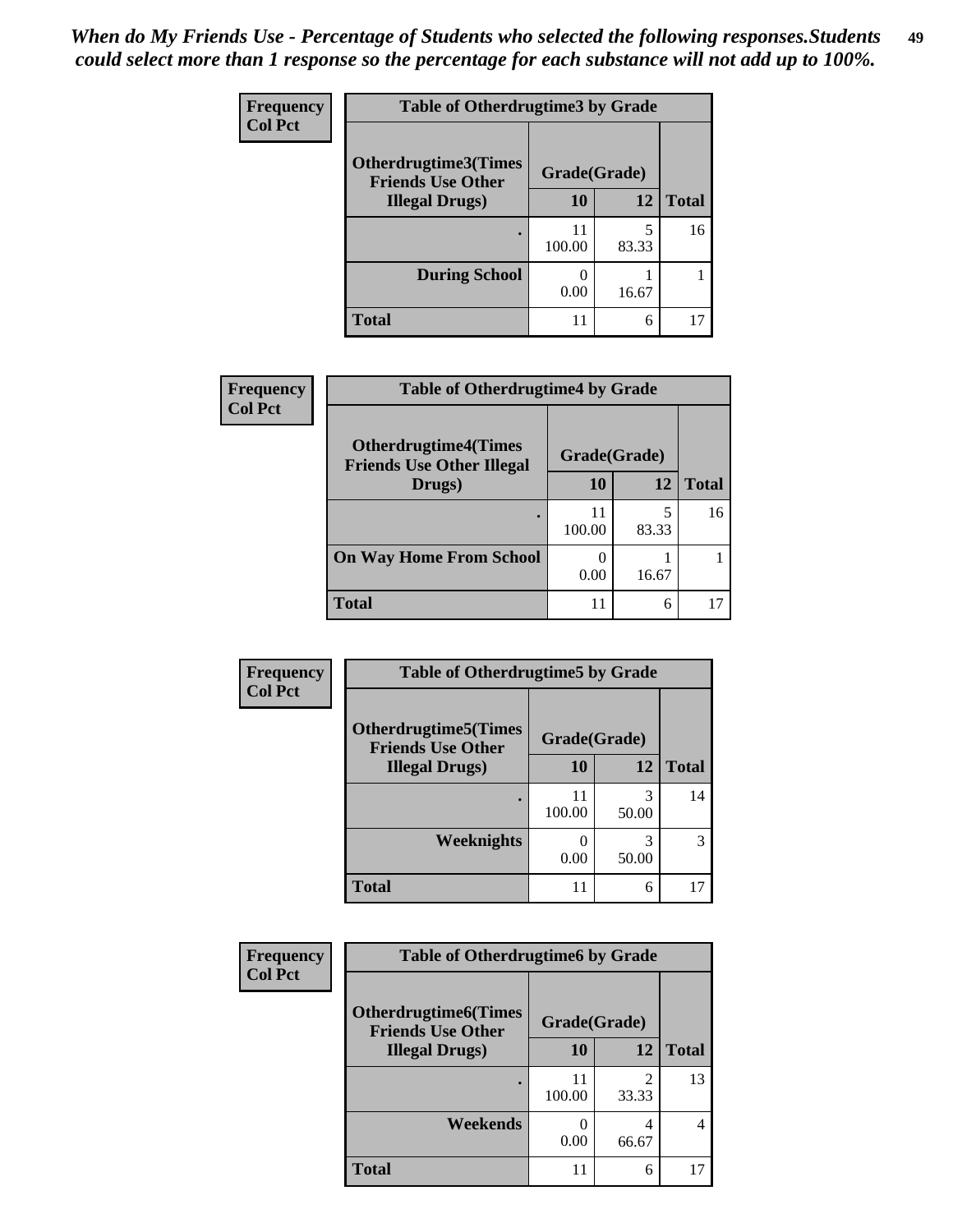| <b>Frequency</b> | <b>Table of Otherdrugtime3 by Grade</b>          |              |            |              |
|------------------|--------------------------------------------------|--------------|------------|--------------|
| <b>Col Pct</b>   | Otherdrugtime3(Times<br><b>Friends Use Other</b> | Grade(Grade) |            |              |
|                  | <b>Illegal Drugs</b> )                           | 10           | 12         | <b>Total</b> |
|                  |                                                  | 11<br>100.00 | 5<br>83.33 | 16           |
|                  | <b>During School</b>                             | 0.00         | 16.67      |              |
|                  | Total                                            | 11           | 6          |              |

| Frequency      | <b>Table of Otherdrugtime4 by Grade</b>                         |                           |       |              |
|----------------|-----------------------------------------------------------------|---------------------------|-------|--------------|
| <b>Col Pct</b> | <b>Otherdrugtime4(Times</b><br><b>Friends Use Other Illegal</b> | Grade(Grade)              |       |              |
|                | Drugs)                                                          | 10                        | 12    | <b>Total</b> |
|                | $\bullet$                                                       | 11<br>100.00              | 83.33 | 16           |
|                | <b>On Way Home From School</b>                                  | $\mathbf{\Omega}$<br>0.00 | 16.67 |              |
|                | <b>Total</b>                                                    | 11                        | 6     |              |

| <b>Frequency</b> | <b>Table of Otherdrugtime5 by Grade</b>                  |              |            |              |  |
|------------------|----------------------------------------------------------|--------------|------------|--------------|--|
| <b>Col Pct</b>   | <b>Otherdrugtime5</b> (Times<br><b>Friends Use Other</b> | Grade(Grade) |            |              |  |
|                  | <b>Illegal Drugs</b> )                                   | 10           | 12         | <b>Total</b> |  |
|                  |                                                          | 11<br>100.00 | 3<br>50.00 | 14           |  |
|                  | Weeknights                                               | 0.00         | 3<br>50.00 | 3            |  |
|                  | <b>Total</b>                                             |              | 6          | 17           |  |

| <b>Frequency</b><br><b>Col Pct</b> | <b>Table of Otherdrugtime6 by Grade</b>                 |              |            |                |
|------------------------------------|---------------------------------------------------------|--------------|------------|----------------|
|                                    | <b>Otherdrugtime6(Times</b><br><b>Friends Use Other</b> | Grade(Grade) |            |                |
|                                    | <b>Illegal Drugs</b> )                                  | 10           | 12         | <b>Total</b>   |
|                                    |                                                         | 100.00       | 2<br>33.33 | 13             |
|                                    | Weekends                                                | 0.00         | 4<br>66.67 | $\overline{4}$ |
|                                    | <b>Total</b>                                            |              | 6          | 17             |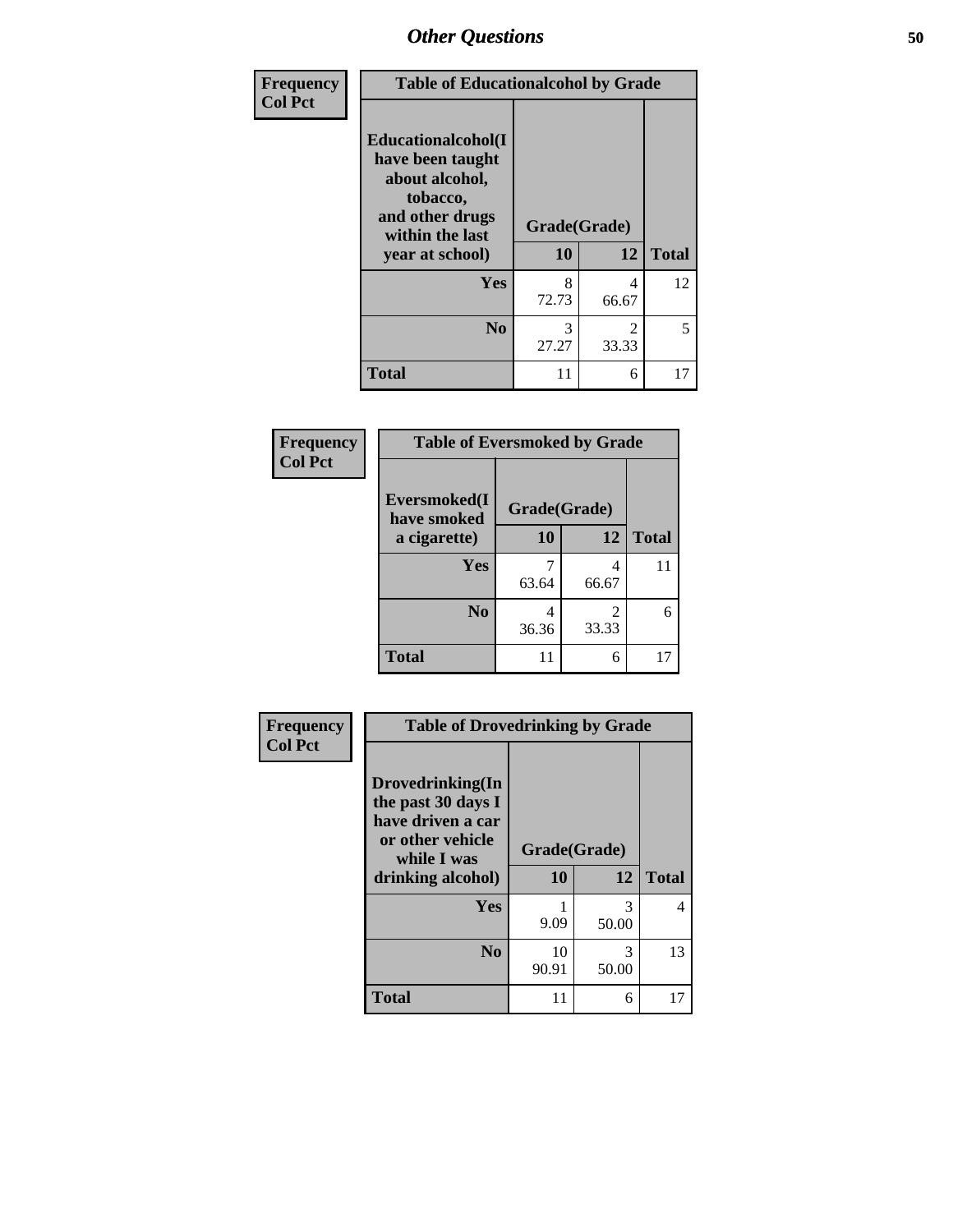| Frequency      | <b>Table of Educationalcohol by Grade</b>                                                                  |              |                        |              |
|----------------|------------------------------------------------------------------------------------------------------------|--------------|------------------------|--------------|
| <b>Col Pct</b> | Educationalcohol(I<br>have been taught<br>about alcohol,<br>tobacco,<br>and other drugs<br>within the last | Grade(Grade) |                        |              |
|                | year at school)                                                                                            | 10           | 12                     | <b>Total</b> |
|                | Yes                                                                                                        | 8<br>72.73   | 4<br>66.67             | 12           |
|                | N <sub>0</sub>                                                                                             | 3<br>27.27   | $\mathcal{D}$<br>33.33 | 5            |
|                | <b>Total</b>                                                                                               | 11           | 6                      | 17           |

| Frequency      | <b>Table of Eversmoked by Grade</b> |              |            |              |  |
|----------------|-------------------------------------|--------------|------------|--------------|--|
| <b>Col Pct</b> | Eversmoked(I<br>have smoked         | Grade(Grade) |            |              |  |
|                | a cigarette)                        | 10           | 12         | <b>Total</b> |  |
|                | Yes                                 | 63.64        | 4<br>66.67 | 11           |  |
|                | N <sub>0</sub>                      | 4<br>36.36   | 2<br>33.33 | 6            |  |
|                | <b>Total</b>                        | 11           | 6          | 17           |  |

| Frequency<br><b>Col Pct</b> | <b>Table of Drovedrinking by Grade</b>                                                                              |                    |            |              |
|-----------------------------|---------------------------------------------------------------------------------------------------------------------|--------------------|------------|--------------|
|                             | Drovedrinking(In<br>the past 30 days I<br>have driven a car<br>or other vehicle<br>while I was<br>drinking alcohol) | Grade(Grade)<br>10 | 12         | <b>Total</b> |
|                             | <b>Yes</b>                                                                                                          | 9.09               | 3<br>50.00 | 4            |
|                             | N <sub>0</sub>                                                                                                      | 10<br>90.91        | 3<br>50.00 | 13           |
|                             | <b>Total</b>                                                                                                        | 11                 | 6          | 17           |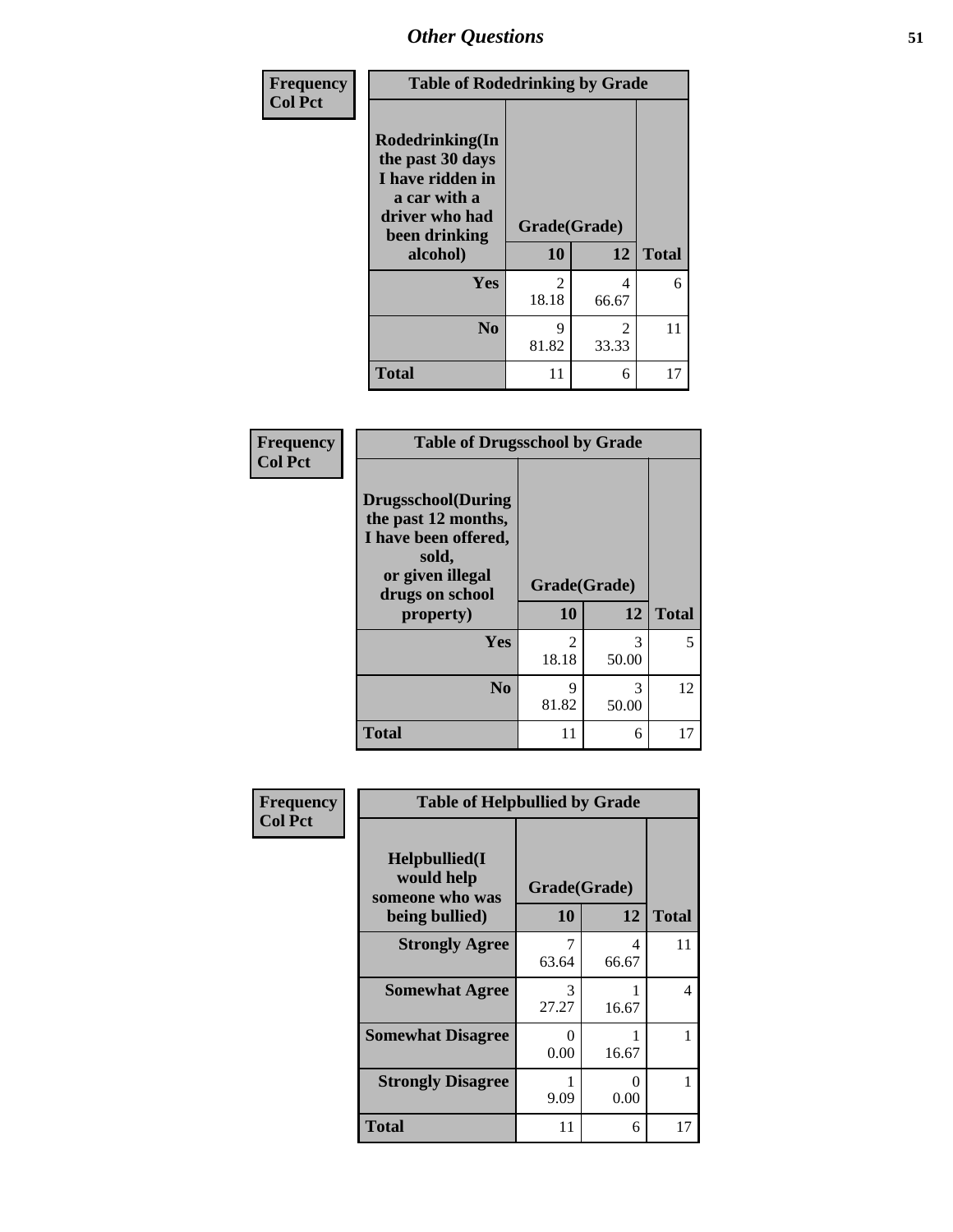| <b>Frequency</b> | <b>Table of Rodedrinking by Grade</b>                                                                                  |                    |                                      |              |  |
|------------------|------------------------------------------------------------------------------------------------------------------------|--------------------|--------------------------------------|--------------|--|
| <b>Col Pct</b>   | Rodedrinking(In<br>the past 30 days<br>I have ridden in<br>a car with a<br>driver who had<br>been drinking<br>alcohol) | Grade(Grade)<br>10 | 12                                   | <b>Total</b> |  |
|                  | <b>Yes</b>                                                                                                             | 2<br>18.18         | 4<br>66.67                           | 6            |  |
|                  | N <sub>0</sub>                                                                                                         | 9<br>81.82         | $\mathcal{D}_{\mathcal{L}}$<br>33.33 | 11           |  |
|                  | <b>Total</b>                                                                                                           | 11                 | 6                                    | 17           |  |

### **Frequency Col Pct**

| <b>Table of Drugsschool by Grade</b>                                                                                      |                |       |              |  |  |
|---------------------------------------------------------------------------------------------------------------------------|----------------|-------|--------------|--|--|
| <b>Drugsschool</b> (During<br>the past 12 months,<br>I have been offered,<br>sold,<br>or given illegal<br>drugs on school | Grade(Grade)   |       |              |  |  |
| property)                                                                                                                 | 10             | 12    | <b>Total</b> |  |  |
|                                                                                                                           |                |       |              |  |  |
| Yes                                                                                                                       | $\mathfrak{D}$ | 3     | 5            |  |  |
|                                                                                                                           | 18.18          | 50.00 |              |  |  |
| N <sub>0</sub>                                                                                                            | 9              | 3     | 12           |  |  |
|                                                                                                                           | 81.82          | 50.00 |              |  |  |

| Frequency      | <b>Table of Helpbullied by Grade</b>                                   |                           |            |              |
|----------------|------------------------------------------------------------------------|---------------------------|------------|--------------|
| <b>Col Pct</b> | $Helpb$ ullied $(I$<br>would help<br>someone who was<br>being bullied) | Grade(Grade)<br><b>10</b> | 12         | <b>Total</b> |
|                | <b>Strongly Agree</b>                                                  | 63.64                     | 4<br>66.67 | 11           |
|                | <b>Somewhat Agree</b>                                                  | 3<br>27.27                | 16.67      | 4            |
|                | <b>Somewhat Disagree</b>                                               | 0<br>0.00                 | 16.67      |              |
|                | <b>Strongly Disagree</b>                                               | 9.09                      | 0<br>0.00  |              |
|                | <b>Total</b>                                                           | 11                        | 6          | 17           |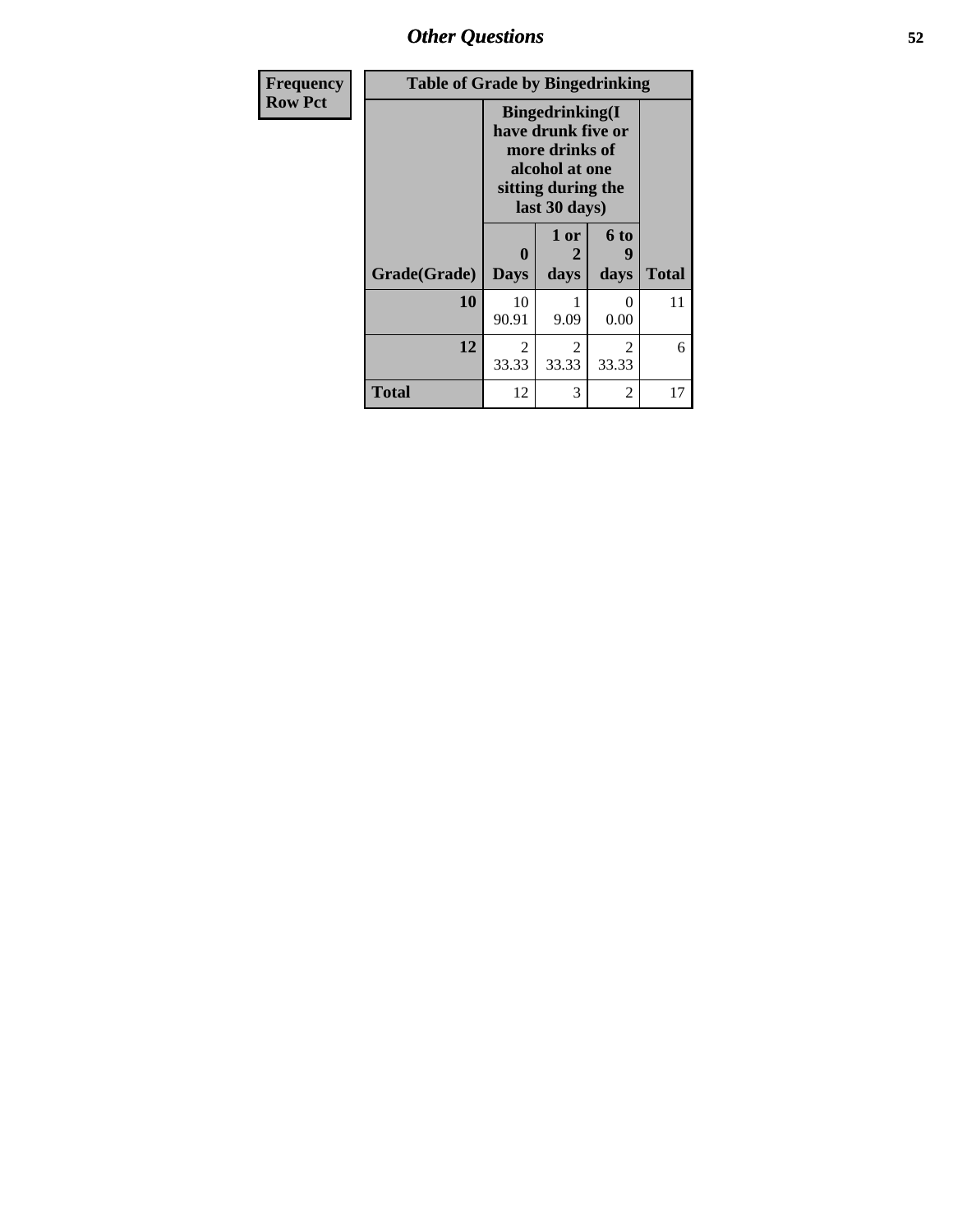*Other Questions* **52**

| <b>Frequency</b> | <b>Table of Grade by Bingedrinking</b> |                                                                                                                          |                         |                           |              |
|------------------|----------------------------------------|--------------------------------------------------------------------------------------------------------------------------|-------------------------|---------------------------|--------------|
| <b>Row Pct</b>   |                                        | <b>Bingedrinking</b> (I<br>have drunk five or<br>more drinks of<br>alcohol at one<br>sitting during the<br>last 30 days) |                         |                           |              |
|                  | Grade(Grade)                           | A<br><b>Days</b>                                                                                                         | 1 or<br>2<br>days       | 6 to<br>days              | <b>Total</b> |
|                  | 10                                     | 10<br>90.91                                                                                                              | 9.09                    | $\mathbf{\Omega}$<br>0.00 | 11           |
|                  | 12                                     | $\overline{2}$<br>33.33                                                                                                  | $\overline{c}$<br>33.33 | $\mathfrak{D}$<br>33.33   | 6            |
|                  | <b>Total</b>                           | 12                                                                                                                       | 3                       | $\overline{2}$            | 17           |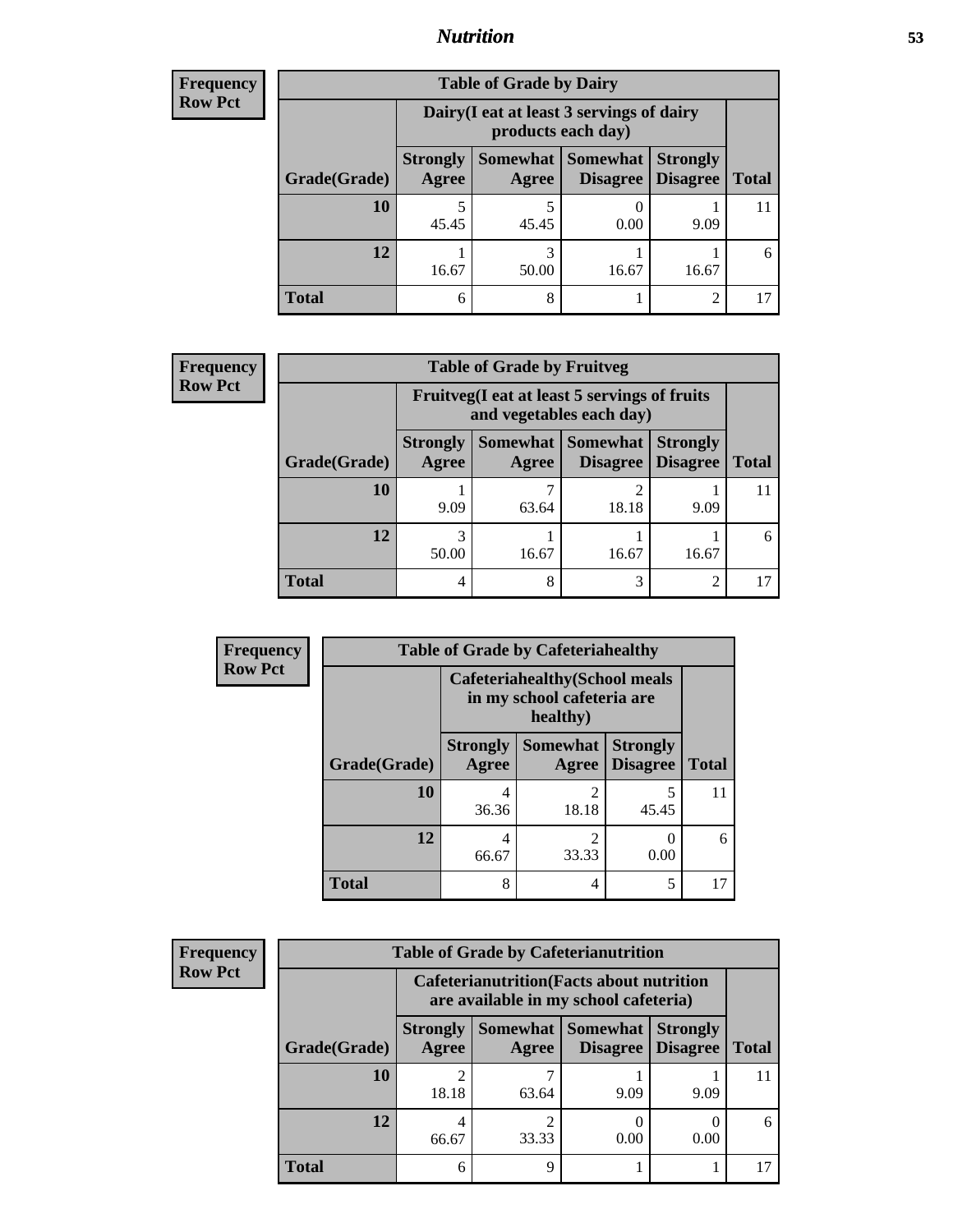### *Nutrition* **53**

| <b>Frequency</b> |
|------------------|
| - Row Pct        |

| <b>Table of Grade by Dairy</b> |                          |                                                                                                  |       |                |  |  |
|--------------------------------|--------------------------|--------------------------------------------------------------------------------------------------|-------|----------------|--|--|
|                                |                          | Dairy (I eat at least 3 servings of dairy<br>products each day)                                  |       |                |  |  |
| Grade(Grade)                   | <b>Strongly</b><br>Agree | Somewhat   Somewhat  <br><b>Strongly</b><br><b>Disagree</b><br><b>Total</b><br>Disagree<br>Agree |       |                |  |  |
| 10                             | 5<br>45.45               | 45.45                                                                                            | 0.00  | 9.09           |  |  |
| 12                             | 16.67                    | 50.00                                                                                            | 16.67 | 16.67          |  |  |
| <b>Total</b>                   | 6                        | 8                                                                                                |       | $\mathfrak{D}$ |  |  |

| <b>Frequency</b> |  |
|------------------|--|
| <b>Row Pct</b>   |  |

| <b>icy</b> | <b>Table of Grade by Fruitveg</b> |                          |                                                                          |                                 |                                    |              |
|------------|-----------------------------------|--------------------------|--------------------------------------------------------------------------|---------------------------------|------------------------------------|--------------|
|            |                                   |                          | Fruitveg(I eat at least 5 servings of fruits<br>and vegetables each day) |                                 |                                    |              |
|            | Grade(Grade)                      | <b>Strongly</b><br>Agree | Agree                                                                    | Somewhat   Somewhat<br>Disagree | <b>Strongly</b><br><b>Disagree</b> | <b>Total</b> |
|            | <b>10</b>                         | 9.09                     | 63.64                                                                    | 18.18                           | 9.09                               |              |
|            | 12                                | 3<br>50.00               | 16.67                                                                    | 16.67                           | 16.67                              | 6            |
|            | <b>Total</b>                      | 4                        | 8                                                                        | 3                               | $\mathfrak{D}$                     |              |

| Frequency      | <b>Table of Grade by Cafeteriahealthy</b> |                                                                     |                          |                                    |              |
|----------------|-------------------------------------------|---------------------------------------------------------------------|--------------------------|------------------------------------|--------------|
| <b>Row Pct</b> |                                           | <b>Cafeteriahealthy</b> (School meals<br>in my school cafeteria are |                          |                                    |              |
|                | Grade(Grade)                              | <b>Strongly</b><br>Agree                                            | <b>Somewhat</b><br>Agree | <b>Strongly</b><br><b>Disagree</b> | <b>Total</b> |
|                | 10                                        | 4<br>36.36                                                          | $\mathfrak{D}$<br>18.18  | 45.45                              | 11           |
|                | 12                                        | 4<br>66.67                                                          | $\overline{2}$<br>33.33  | 0.00                               | 6            |
|                | <b>Total</b>                              | 8                                                                   | 4                        | 5                                  | 17           |

| <b>Frequency</b> |
|------------------|
| <b>Row Pct</b>   |

| <b>Table of Grade by Cafeterianutrition</b> |                          |                                                                                           |                                   |                                    |              |  |  |
|---------------------------------------------|--------------------------|-------------------------------------------------------------------------------------------|-----------------------------------|------------------------------------|--------------|--|--|
|                                             |                          | <b>Cafeterianutrition</b> (Facts about nutrition<br>are available in my school cafeteria) |                                   |                                    |              |  |  |
| Grade(Grade)                                | <b>Strongly</b><br>Agree | Agree                                                                                     | Somewhat   Somewhat  <br>Disagree | <b>Strongly</b><br><b>Disagree</b> | <b>Total</b> |  |  |
| 10                                          | $\overline{2}$<br>18.18  | 63.64                                                                                     | 9.09                              | 9.09                               |              |  |  |
| 12                                          | 4<br>66.67               | ◠<br>33.33                                                                                | 0.00                              | 0.00                               | 6            |  |  |
| <b>Total</b>                                | 6                        | Q                                                                                         |                                   |                                    |              |  |  |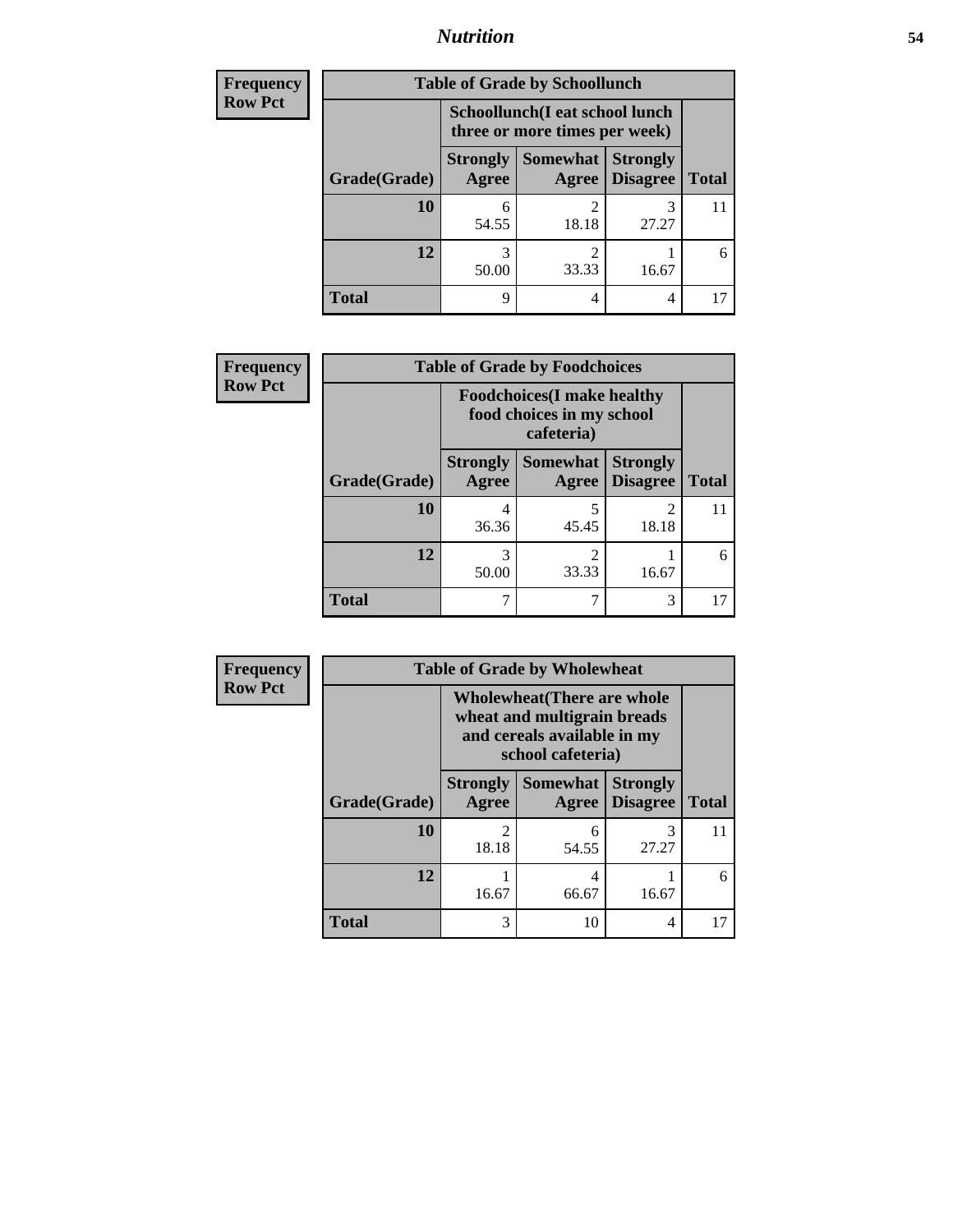# *Nutrition* **54**

| <b>Frequency</b> | <b>Table of Grade by Schoollunch</b> |                          |                                                                 |                                    |              |
|------------------|--------------------------------------|--------------------------|-----------------------------------------------------------------|------------------------------------|--------------|
| <b>Row Pct</b>   |                                      |                          | Schoollunch(I eat school lunch<br>three or more times per week) |                                    |              |
|                  | Grade(Grade)                         | <b>Strongly</b><br>Agree | Somewhat<br>Agree                                               | <b>Strongly</b><br><b>Disagree</b> | <b>Total</b> |
|                  | 10                                   | 6<br>54.55               | $\mathfrak{D}$<br>18.18                                         | 3<br>27.27                         | 11           |
|                  | 12                                   | 3<br>50.00               | $\mathfrak{D}$<br>33.33                                         | 16.67                              | 6            |
|                  | <b>Total</b>                         | 9                        | 4                                                               | 4                                  |              |

| <b>Frequency</b> | <b>Table of Grade by Foodchoices</b>                                          |                          |                          |                                    |              |
|------------------|-------------------------------------------------------------------------------|--------------------------|--------------------------|------------------------------------|--------------|
| <b>Row Pct</b>   | <b>Foodchoices</b> (I make healthy<br>food choices in my school<br>cafeteria) |                          |                          |                                    |              |
|                  | Grade(Grade)                                                                  | <b>Strongly</b><br>Agree | <b>Somewhat</b><br>Agree | <b>Strongly</b><br><b>Disagree</b> | <b>Total</b> |
|                  | 10                                                                            | 36.36                    | 5<br>45.45               | 18.18                              |              |
|                  | 12                                                                            | 50.00                    | $\mathfrak{D}$<br>33.33  | 16.67                              | 6            |
|                  | <b>Total</b>                                                                  |                          |                          | 3                                  |              |

| <b>Frequency</b> | <b>Table of Grade by Wholewheat</b> |                                                                                                                                                                          |                          |                                    |              |  |
|------------------|-------------------------------------|--------------------------------------------------------------------------------------------------------------------------------------------------------------------------|--------------------------|------------------------------------|--------------|--|
| <b>Row Pct</b>   |                                     | <b>Wholewheat</b> (There are whole<br>wheat and multigrain breads<br>and cereals available in my<br>school cafeteria)                                                    |                          |                                    |              |  |
|                  | Grade(Grade)                        | <b>Strongly</b><br><b>Agree</b>                                                                                                                                          | <b>Somewhat</b><br>Agree | <b>Strongly</b><br><b>Disagree</b> | <b>Total</b> |  |
|                  | 10                                  | $\mathcal{D}_{\mathcal{A}}^{\mathcal{A}}(\mathcal{A})=\mathcal{D}_{\mathcal{A}}^{\mathcal{A}}(\mathcal{A})\mathcal{D}_{\mathcal{A}}^{\mathcal{A}}(\mathcal{A})$<br>18.18 | 6<br>54.55               | 3<br>27.27                         | 11           |  |
|                  | 12                                  | 16.67                                                                                                                                                                    | 4<br>66.67               | 16.67                              | 6            |  |
|                  | <b>Total</b>                        | 3                                                                                                                                                                        | 10                       | 4                                  | 17           |  |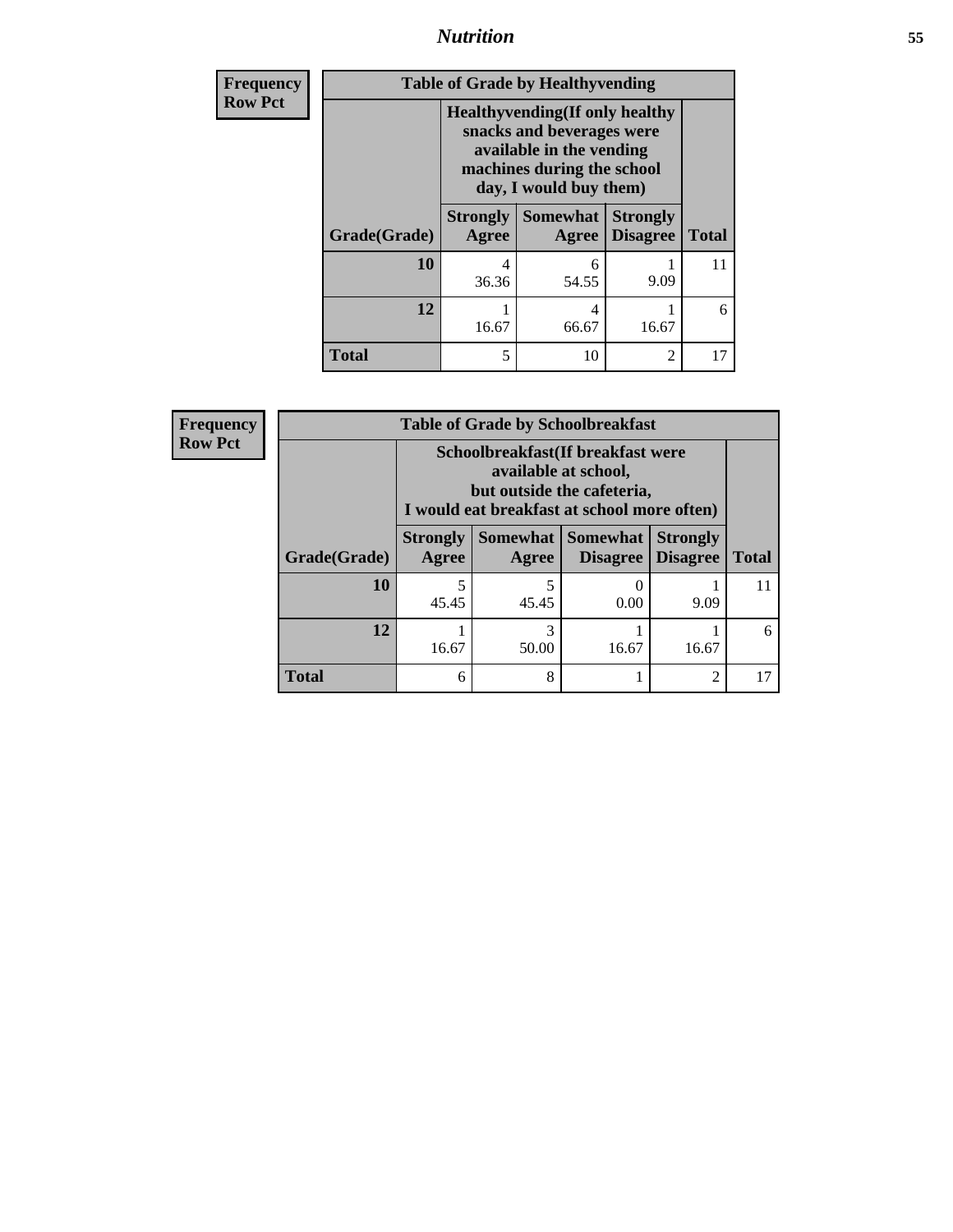*Nutrition* **55**

| <b>Frequency</b> | <b>Table of Grade by Healthyvending</b> |                                                                                   |                                                                    |                                    |              |  |  |
|------------------|-----------------------------------------|-----------------------------------------------------------------------------------|--------------------------------------------------------------------|------------------------------------|--------------|--|--|
| <b>Row Pct</b>   |                                         | snacks and beverages were<br>machines during the school<br>day, I would buy them) | <b>Healthyvending</b> (If only healthy<br>available in the vending |                                    |              |  |  |
|                  | Grade(Grade)                            | <b>Strongly</b><br>Agree                                                          | <b>Somewhat</b><br>Agree                                           | <b>Strongly</b><br><b>Disagree</b> | <b>Total</b> |  |  |
|                  | 10                                      | 4<br>36.36                                                                        | 6<br>54.55                                                         | 9.09                               | 11           |  |  |
|                  | 12                                      | 16.67                                                                             | 4<br>66.67                                                         | 16.67                              | 6            |  |  |
|                  | <b>Total</b>                            | 5                                                                                 | 10                                                                 | 2                                  | 17           |  |  |

| <b>Frequency</b> | <b>Table of Grade by Schoolbreakfast</b> |                                                                                                                                         |            |                                        |                                    |              |  |  |
|------------------|------------------------------------------|-----------------------------------------------------------------------------------------------------------------------------------------|------------|----------------------------------------|------------------------------------|--------------|--|--|
| <b>Row Pct</b>   |                                          | Schoolbreakfast (If breakfast were<br>available at school,<br>but outside the cafeteria,<br>I would eat breakfast at school more often) |            |                                        |                                    |              |  |  |
|                  | Grade(Grade)                             | <b>Strongly</b><br>Agree                                                                                                                | Agree      | Somewhat   Somewhat<br><b>Disagree</b> | <b>Strongly</b><br><b>Disagree</b> | <b>Total</b> |  |  |
|                  | 10                                       | 45.45                                                                                                                                   | 5<br>45.45 | 0.00                                   | 9.09                               | 11           |  |  |
|                  | 12                                       | 16.67                                                                                                                                   | 3<br>50.00 | 16.67                                  | 16.67                              | 6            |  |  |
|                  | <b>Total</b>                             | 6                                                                                                                                       | 8          |                                        | $\mathfrak{D}$                     | 17           |  |  |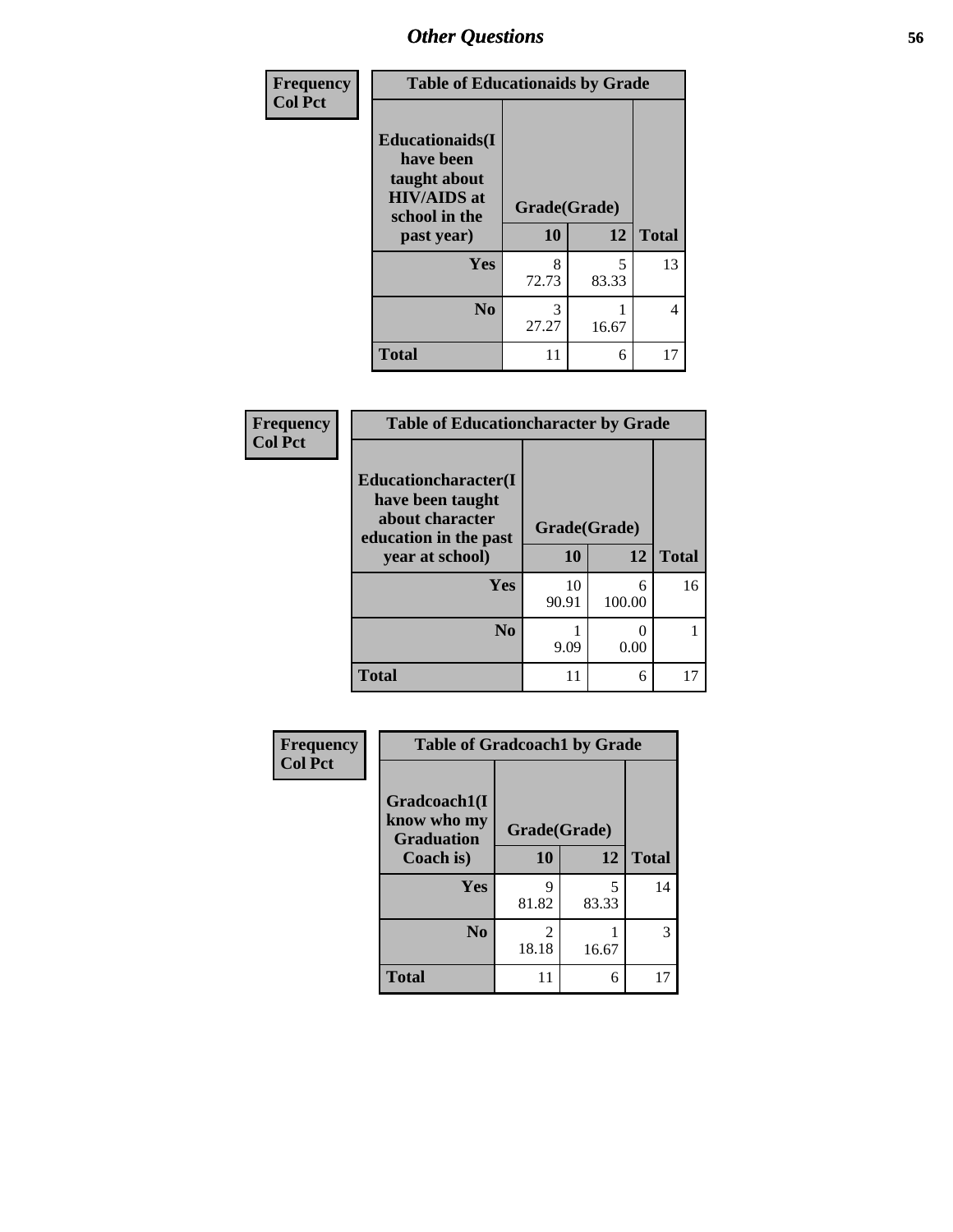| Frequency      | <b>Table of Educationaids by Grade</b>                                                                    |                    |       |              |  |
|----------------|-----------------------------------------------------------------------------------------------------------|--------------------|-------|--------------|--|
| <b>Col Pct</b> | <b>Educationaids</b> (I<br>have been<br>taught about<br><b>HIV/AIDS</b> at<br>school in the<br>past year) | Grade(Grade)<br>10 | 12    | <b>Total</b> |  |
|                | <b>Yes</b>                                                                                                | 8                  | 5     | 13           |  |
|                |                                                                                                           | 72.73              | 83.33 |              |  |
|                | N <sub>0</sub>                                                                                            | 3<br>27.27         | 16.67 | 4            |  |
|                | <b>Total</b>                                                                                              | 11                 | 6     | 17           |  |

| Frequency      |                                                              | <b>Table of Educationcharacter by Grade</b> |             |              |  |
|----------------|--------------------------------------------------------------|---------------------------------------------|-------------|--------------|--|
| <b>Col Pct</b> | <b>Educationcharacter(I)</b>                                 |                                             |             |              |  |
|                | have been taught<br>about character<br>education in the past | Grade(Grade)                                |             |              |  |
|                | year at school)                                              | 10                                          | 12          | <b>Total</b> |  |
|                | Yes                                                          | 10<br>90.91                                 | 6<br>100.00 | 16           |  |
|                | N <sub>0</sub>                                               | 9.09                                        | O<br>0.00   |              |  |
|                | <b>Total</b>                                                 | 11                                          | 6           | 17           |  |

| Frequency      | <b>Table of Gradcoach1 by Grade</b>              |                         |            |              |  |
|----------------|--------------------------------------------------|-------------------------|------------|--------------|--|
| <b>Col Pct</b> | Gradcoach1(I<br>know who my<br><b>Graduation</b> | Grade(Grade)            |            |              |  |
|                | Coach is)                                        | 10                      | 12         | <b>Total</b> |  |
|                | Yes                                              | 9<br>81.82              | 5<br>83.33 | 14           |  |
|                | N <sub>0</sub>                                   | $\overline{2}$<br>18.18 | 16.67      | 3            |  |
|                | <b>Total</b>                                     | 11                      | 6          | 17           |  |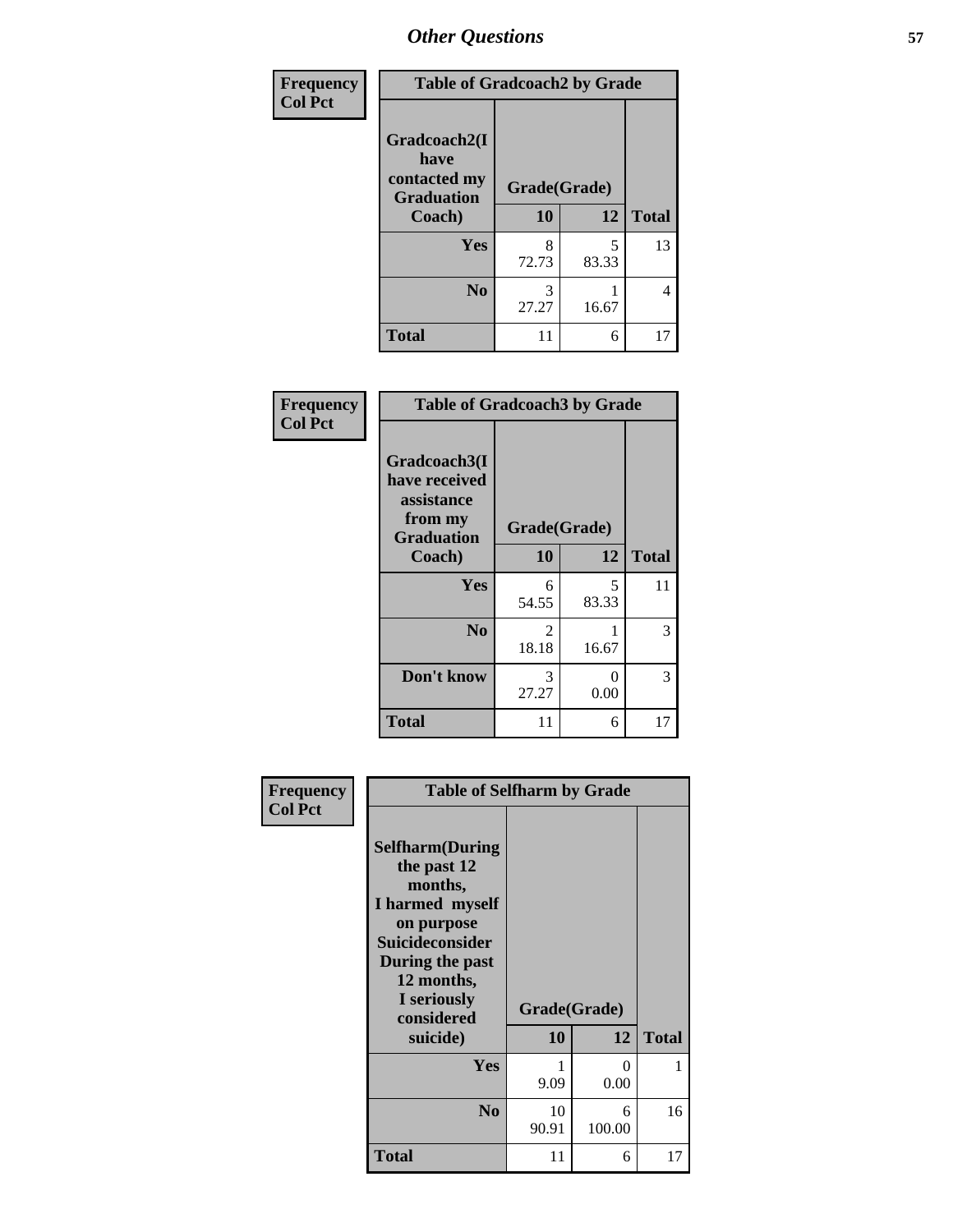| Frequency      | <b>Table of Gradcoach2 by Grade</b>       |              |            |              |  |  |
|----------------|-------------------------------------------|--------------|------------|--------------|--|--|
| <b>Col Pct</b> |                                           |              |            |              |  |  |
|                | Gradcoach2(I                              |              |            |              |  |  |
|                | have<br>contacted my<br><b>Graduation</b> | Grade(Grade) |            |              |  |  |
|                | Coach)                                    | 10           | 12         | <b>Total</b> |  |  |
|                | Yes                                       | 8<br>72.73   | 5<br>83.33 | 13           |  |  |
|                | N <sub>0</sub>                            | 3<br>27.27   | 16.67      | 4            |  |  |
|                | <b>Total</b>                              | 11           | 6          | 17           |  |  |

| Frequency<br><b>Col Pct</b> | <b>Table of Gradcoach3 by Grade</b>                                         |              |            |              |
|-----------------------------|-----------------------------------------------------------------------------|--------------|------------|--------------|
|                             | Gradcoach3(I<br>have received<br>assistance<br>from my<br><b>Graduation</b> | Grade(Grade) |            |              |
|                             | Coach)                                                                      | 10           | 12         | <b>Total</b> |
|                             | Yes                                                                         | 6<br>54.55   | 5<br>83.33 | 11           |
|                             | N <sub>0</sub>                                                              | 2<br>18.18   | 1<br>16.67 | 3            |
|                             | Don't know                                                                  | 3<br>27.27   | 0<br>0.00  | 3            |
|                             | <b>Total</b>                                                                | 11           | 6          | 17           |

| Frequency<br><b>Col Pct</b> | <b>Table of Selfharm by Grade</b>                                                                                                                                                      |                           |                  |              |
|-----------------------------|----------------------------------------------------------------------------------------------------------------------------------------------------------------------------------------|---------------------------|------------------|--------------|
|                             | <b>Selfharm</b> (During<br>the past 12<br>months,<br>I harmed myself<br>on purpose<br><b>Suicideconsider</b><br>During the past<br>12 months,<br>I seriously<br>considered<br>suicide) | Grade(Grade)<br><b>10</b> | 12               | <b>Total</b> |
|                             |                                                                                                                                                                                        |                           |                  |              |
|                             | Yes                                                                                                                                                                                    | 9.09                      | $\Omega$<br>0.00 | 1            |
|                             | N <sub>0</sub>                                                                                                                                                                         | 10<br>90.91               | 6<br>100.00      | 16           |
|                             | Total                                                                                                                                                                                  | 11                        | 6                | 17           |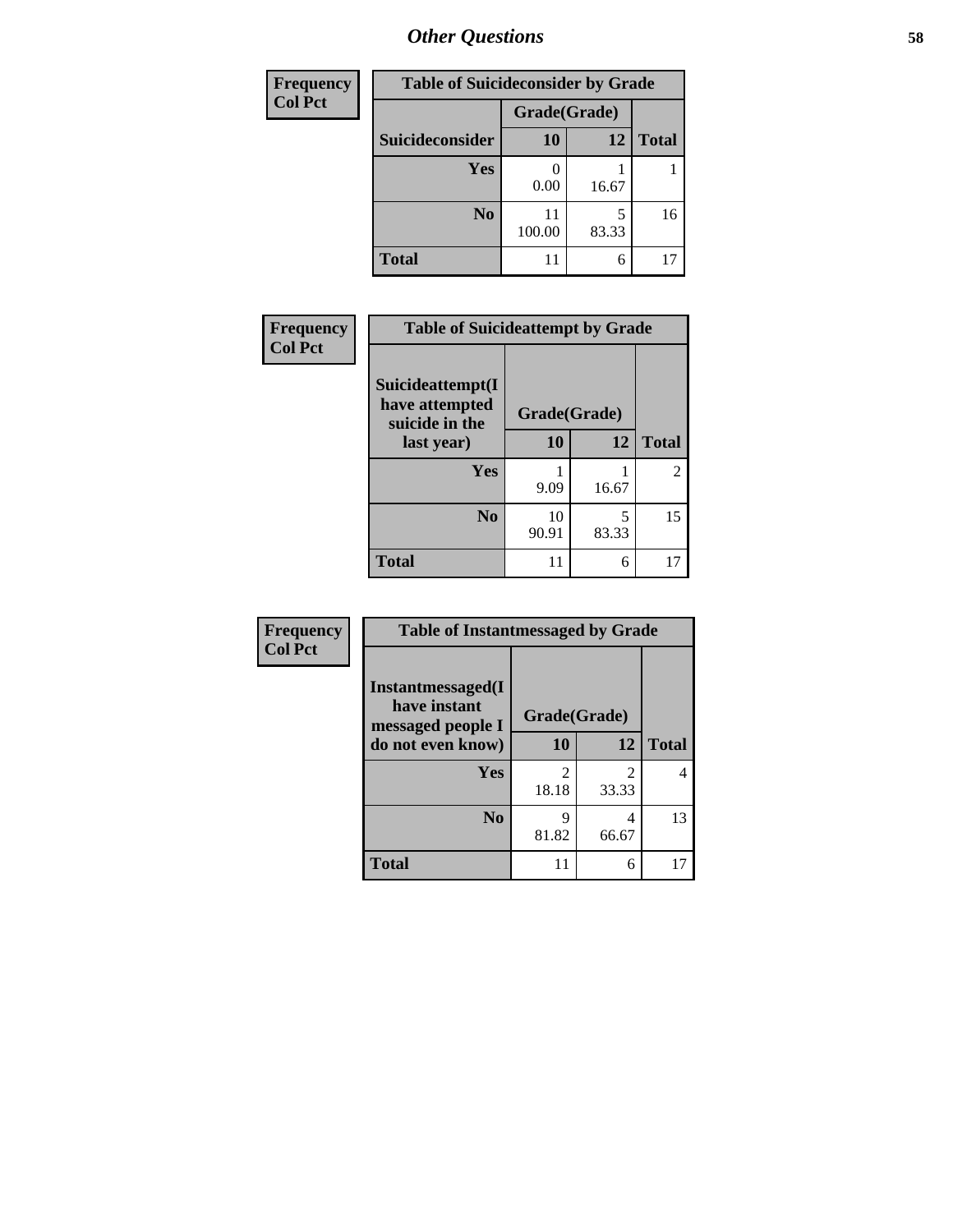| <b>Frequency</b> | <b>Table of Suicideconsider by Grade</b> |              |       |              |
|------------------|------------------------------------------|--------------|-------|--------------|
| <b>Col Pct</b>   |                                          | Grade(Grade) |       |              |
|                  | Suicideconsider                          | <b>10</b>    | 12    | <b>Total</b> |
|                  | <b>Yes</b>                               | 0.00         | 16.67 |              |
|                  | N <sub>0</sub>                           | 11<br>100.00 | 83.33 | 16           |
|                  | <b>Total</b>                             | 11           | 6     |              |

| Frequency      | <b>Table of Suicideattempt by Grade</b>              |              |            |                |
|----------------|------------------------------------------------------|--------------|------------|----------------|
| <b>Col Pct</b> | Suicideattempt(I<br>have attempted<br>suicide in the | Grade(Grade) |            |                |
|                | last year)                                           | 10           | 12         | <b>Total</b>   |
|                | Yes                                                  | 9.09         | 16.67      | $\mathfrak{D}$ |
|                | N <sub>0</sub>                                       | 10<br>90.91  | 5<br>83.33 | 15             |
|                | <b>Total</b>                                         | 11           | 6          | 17             |

| Frequency      | <b>Table of Instantmessaged by Grade</b>               |                         |                         |              |
|----------------|--------------------------------------------------------|-------------------------|-------------------------|--------------|
| <b>Col Pct</b> | Instantmessaged(I<br>have instant<br>messaged people I | Grade(Grade)            |                         |              |
|                | do not even know)                                      | 10                      | 12                      | <b>Total</b> |
|                | Yes                                                    | $\mathfrak{D}$<br>18.18 | $\mathfrak{D}$<br>33.33 |              |
|                | N <sub>0</sub>                                         | 9<br>81.82              | 4<br>66.67              | 13           |
|                | <b>Total</b>                                           | 11                      | 6                       | 17           |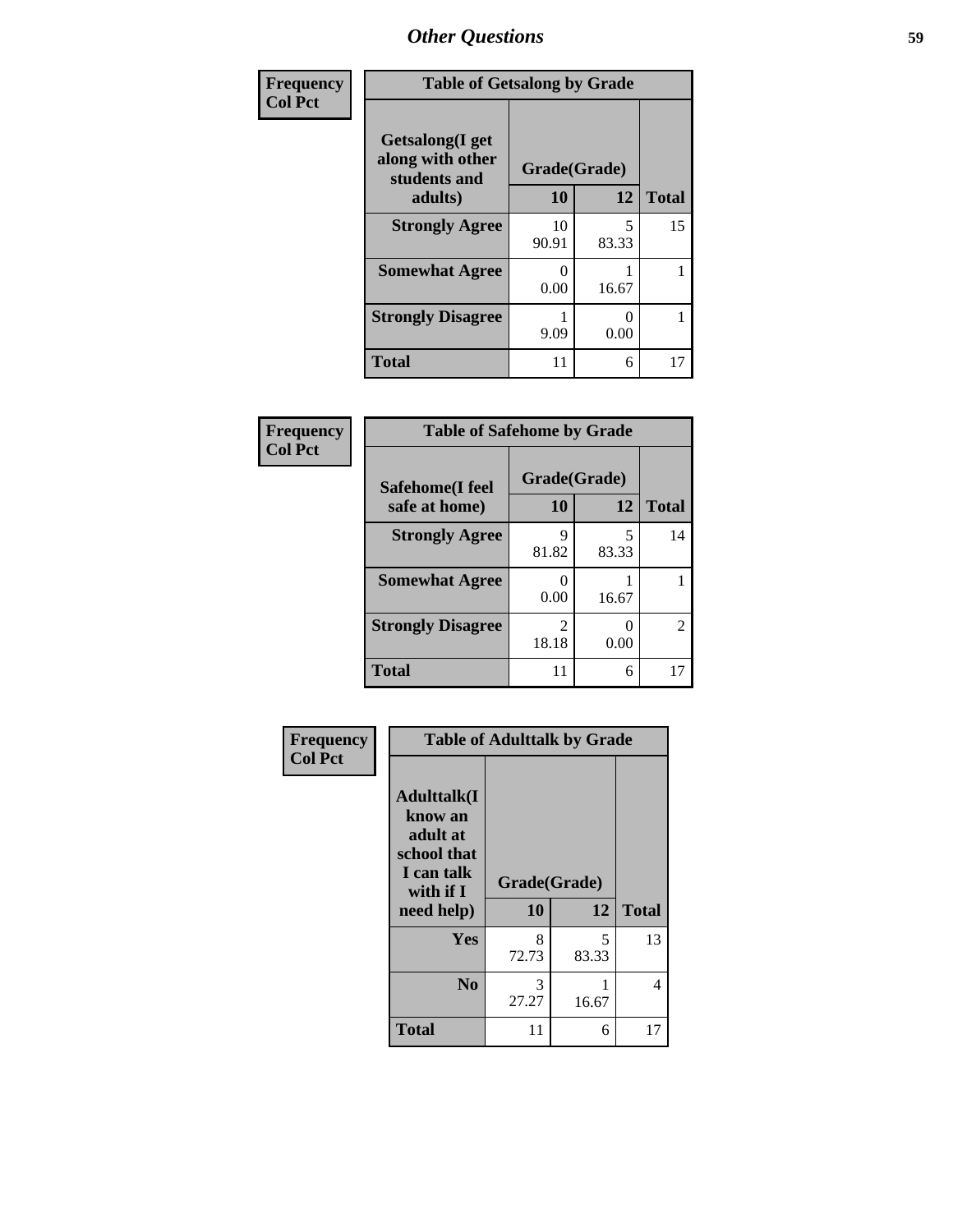| Frequency      | <b>Table of Getsalong by Grade</b>                          |              |            |              |  |  |
|----------------|-------------------------------------------------------------|--------------|------------|--------------|--|--|
| <b>Col Pct</b> | <b>Getsalong</b> (I get<br>along with other<br>students and | Grade(Grade) |            |              |  |  |
|                | adults)                                                     | 10           | 12         | <b>Total</b> |  |  |
|                | <b>Strongly Agree</b>                                       | 10<br>90.91  | 5<br>83.33 | 15           |  |  |
|                | <b>Somewhat Agree</b>                                       | 0<br>0.00    | 16.67      |              |  |  |
|                | <b>Strongly Disagree</b>                                    | 9.09         | 0<br>0.00  |              |  |  |
|                | <b>Total</b>                                                | 11           | 6          | 17           |  |  |

### **Frequency Col Pct**

**Frequency Col Pct**

| <b>Table of Safehome by Grade</b> |                        |            |              |  |  |  |  |
|-----------------------------------|------------------------|------------|--------------|--|--|--|--|
| Safehome(I feel                   | Grade(Grade)           |            |              |  |  |  |  |
| safe at home)                     | 10                     | 12         | <b>Total</b> |  |  |  |  |
| <b>Strongly Agree</b>             | Q<br>81.82             | 5<br>83.33 | 14           |  |  |  |  |
| <b>Somewhat Agree</b>             | 0.00                   | 16.67      |              |  |  |  |  |
| <b>Strongly Disagree</b>          | $\mathcal{L}$<br>18.18 | 0.00       | 2            |  |  |  |  |
| <b>Total</b>                      |                        | 6          |              |  |  |  |  |

| <b>Table of Adulttalk by Grade</b>                                                                |                    |            |              |
|---------------------------------------------------------------------------------------------------|--------------------|------------|--------------|
| <b>Adulttalk(I</b><br>know an<br>adult at<br>school that<br>I can talk<br>with if I<br>need help) | Grade(Grade)<br>10 | 12         | <b>Total</b> |
| Yes                                                                                               | 8<br>72.73         | 5<br>83.33 | 13           |
| N <sub>0</sub>                                                                                    | 3<br>27.27         | 16.67      | 4            |
| Total                                                                                             | 11                 | 6          |              |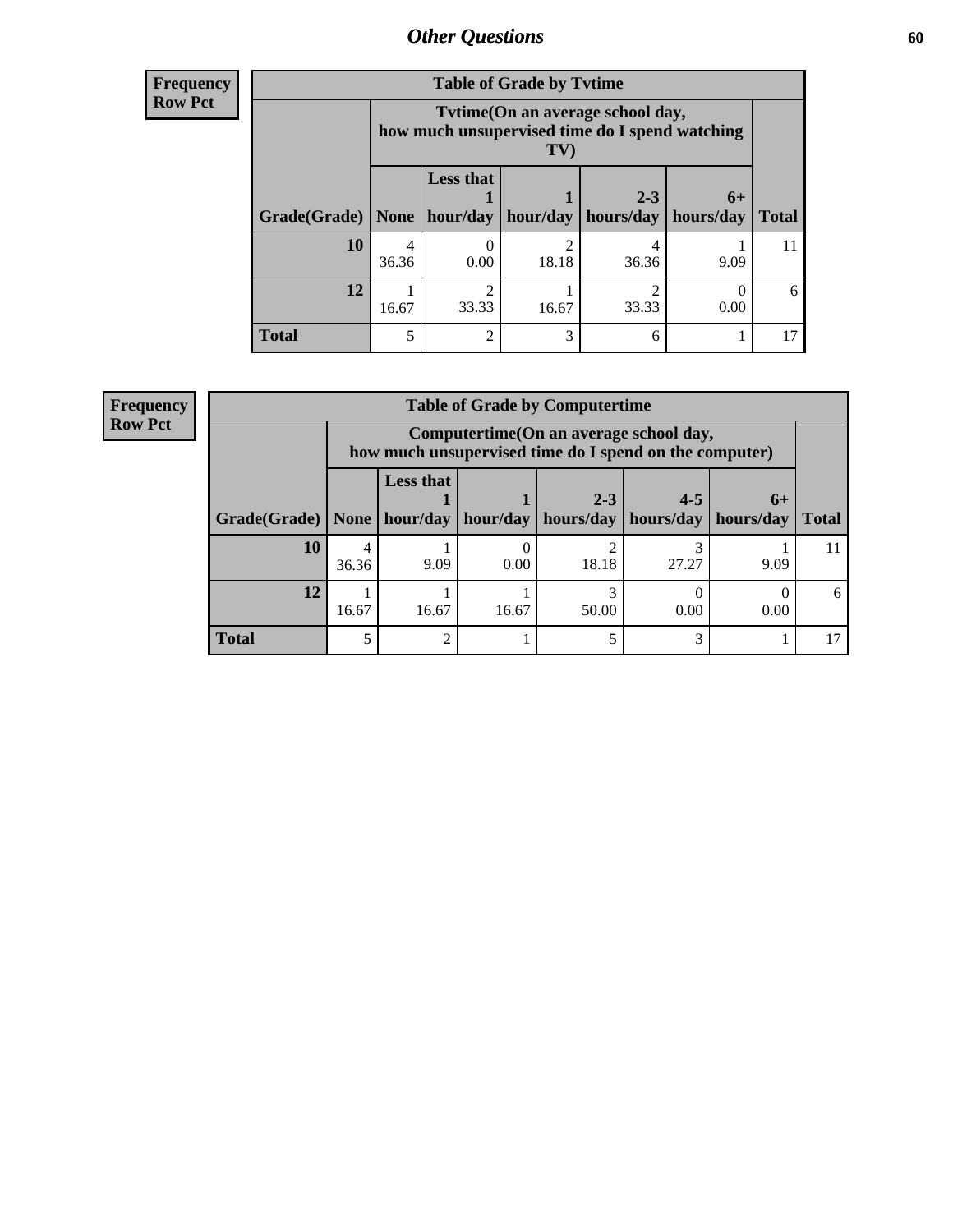**Frequency Row Pct**

| <b>Table of Grade by Tytime</b> |       |                                                                                                                |            |                      |                   |              |  |  |
|---------------------------------|-------|----------------------------------------------------------------------------------------------------------------|------------|----------------------|-------------------|--------------|--|--|
|                                 |       | Tvtime (On an average school day,<br>how much unsupervised time do I spend watching<br>$\mathbf{T} \mathbf{V}$ |            |                      |                   |              |  |  |
| Grade(Grade)                    | None  | <b>Less that</b><br>hour/day                                                                                   | hour/day   | $2 - 3$<br>hours/day | $6+$<br>hours/day | <b>Total</b> |  |  |
| 10                              | 36.36 | 0.00                                                                                                           | ◠<br>18.18 | 36.36                | 9.09              | 11           |  |  |
| 12                              | 16.67 | $\mathfrak{D}$<br>33.33                                                                                        | 16.67      | 33.33                | 0.00              | 6            |  |  |
| <b>Total</b>                    |       | $\mathfrak{D}$                                                                                                 | 3          |                      |                   | 17           |  |  |

**Frequency Row Pct**

| <b>Table of Grade by Computertime</b>                             |            |                                                                                                   |       |         |         |                   |              |  |  |
|-------------------------------------------------------------------|------------|---------------------------------------------------------------------------------------------------|-------|---------|---------|-------------------|--------------|--|--|
|                                                                   |            | Computertime (On an average school day,<br>how much unsupervised time do I spend on the computer) |       |         |         |                   |              |  |  |
| Grade(Grade)   None   hour/day   hour/day   hours/day   hours/day |            | <b>Less that</b>                                                                                  |       | $2 - 3$ | $4 - 5$ | $6+$<br>hours/day | <b>Total</b> |  |  |
| 10                                                                | 4<br>36.36 | 9.09                                                                                              | 0.00  | 18.18   | 27.27   | 9.09              |              |  |  |
| 12                                                                | 16.67      | 16.67                                                                                             | 16.67 | 50.00   | 0.00    | 0.00              | 6            |  |  |
| <b>Total</b>                                                      |            | 2                                                                                                 |       |         |         |                   |              |  |  |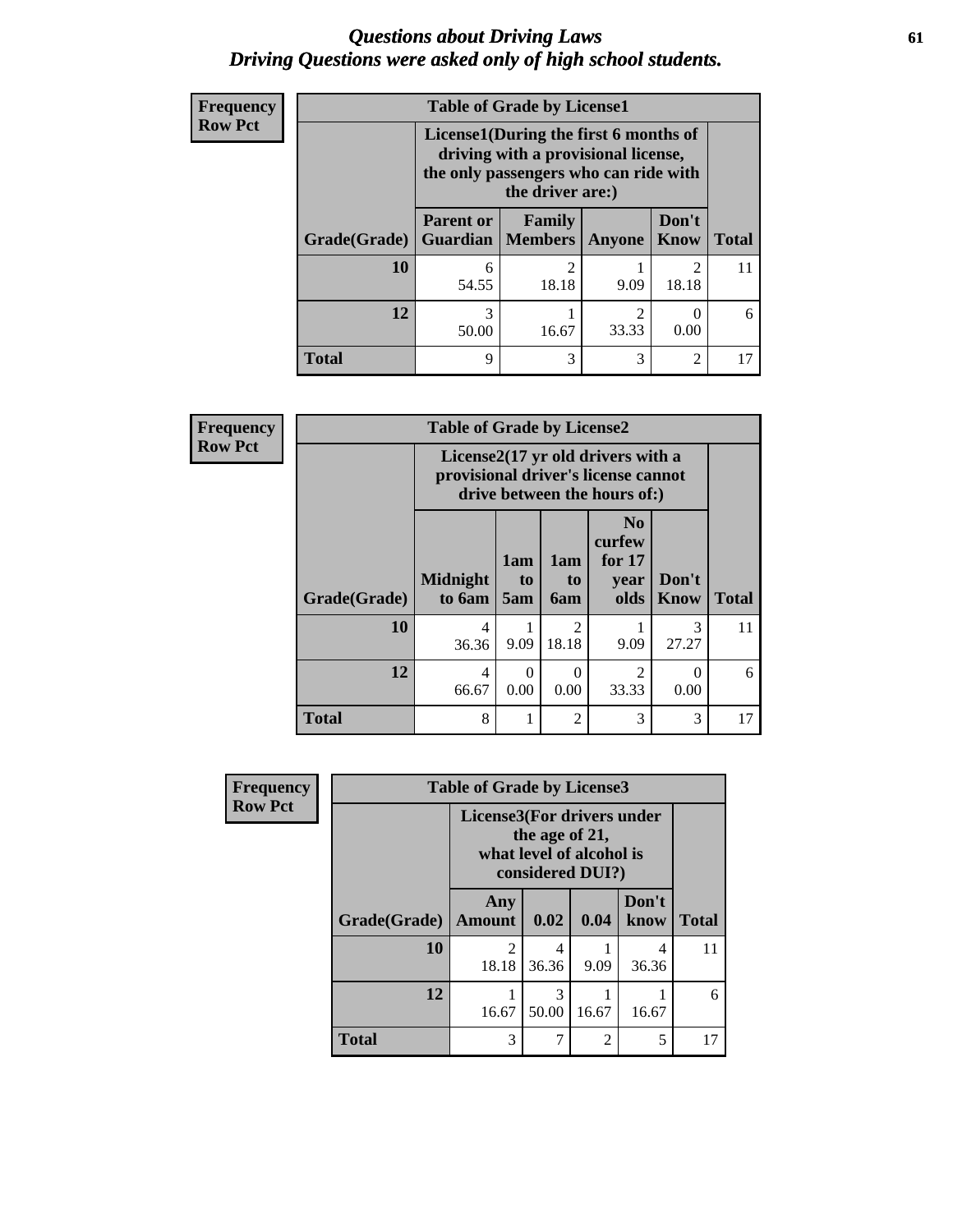### *Questions about Driving Laws* **61** *Driving Questions were asked only of high school students.*

| <b>Frequency</b><br><b>Row Pct</b> |                     | <b>Table of Grade by License1</b><br>License1(During the first 6 months of                       |            |                         |                                      |              |  |  |
|------------------------------------|---------------------|--------------------------------------------------------------------------------------------------|------------|-------------------------|--------------------------------------|--------------|--|--|
|                                    |                     | driving with a provisional license,<br>the only passengers who can ride with<br>the driver are:) |            |                         |                                      |              |  |  |
|                                    | <b>Grade(Grade)</b> | <b>Parent or</b><br><b>Guardian   Members</b>                                                    | Family     | Anyone                  | Don't<br><b>Know</b>                 | <b>Total</b> |  |  |
|                                    | <b>10</b>           | 6<br>54.55                                                                                       | 2<br>18.18 | 9.09                    | $\mathcal{D}_{\mathcal{L}}$<br>18.18 | 11           |  |  |
|                                    | 12                  | 3<br>50.00                                                                                       | 16.67      | $\mathfrak{D}$<br>33.33 | 0.00                                 | 6            |  |  |
|                                    | <b>Total</b>        | 9                                                                                                | 3          | 3                       | $\mathfrak{D}$                       | 17           |  |  |

| <b>Frequency</b> |                     | <b>Table of Grade by License2</b> |                                                                                                          |                         |                                                      |                        |              |  |
|------------------|---------------------|-----------------------------------|----------------------------------------------------------------------------------------------------------|-------------------------|------------------------------------------------------|------------------------|--------------|--|
| Row Pct          |                     |                                   | License2(17 yr old drivers with a<br>provisional driver's license cannot<br>drive between the hours of:) |                         |                                                      |                        |              |  |
|                  | <b>Grade(Grade)</b> | <b>Midnight</b><br>to 6am         | 1am<br>t <sub>0</sub><br>5am                                                                             | 1am<br>to<br>6am        | N <sub>0</sub><br>curfew<br>for $17$<br>year<br>olds | Don't<br><b>Know</b>   | <b>Total</b> |  |
|                  | 10                  | 4<br>36.36                        | 9.09                                                                                                     | $\overline{2}$<br>18.18 | 9.09                                                 | $\mathcal{R}$<br>27.27 | 11           |  |
|                  | 12                  | $\overline{4}$<br>66.67           | $\Omega$<br>0.00                                                                                         | $\Omega$<br>0.00        | 2<br>33.33                                           | 0<br>0.00              | 6            |  |
|                  | <b>Total</b>        | 8                                 | 1                                                                                                        | $\mathfrak{D}$          | 3                                                    | 3                      | 17           |  |

| <b>Frequency</b> | <b>Table of Grade by License3</b>                                                            |                      |            |                |               |              |
|------------------|----------------------------------------------------------------------------------------------|----------------------|------------|----------------|---------------|--------------|
| <b>Row Pct</b>   | License3(For drivers under<br>the age of 21,<br>what level of alcohol is<br>considered DUI?) |                      |            |                |               |              |
|                  | Grade(Grade)                                                                                 | Any<br><b>Amount</b> | 0.02       | 0.04           | Don't<br>know | <b>Total</b> |
|                  | 10                                                                                           | 2<br>18.18           | 4<br>36.36 | 9.09           | 4<br>36.36    | 11           |
|                  | 12                                                                                           | 16.67                | 3<br>50.00 | 16.67          | 16.67         | 6            |
|                  | <b>Total</b>                                                                                 | 3                    | 7          | $\overline{2}$ | 5             | 17           |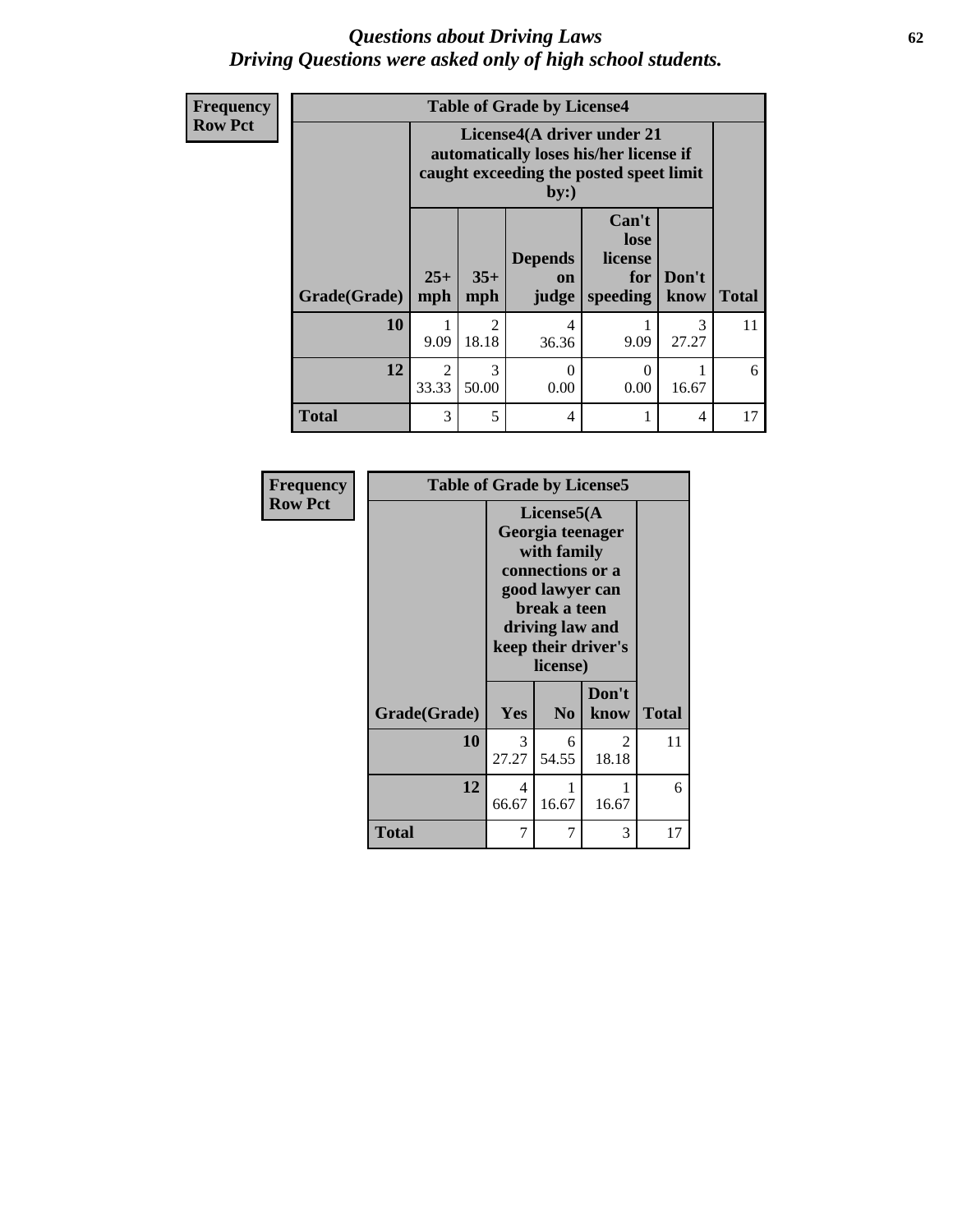### *Questions about Driving Laws* **62** *Driving Questions were asked only of high school students.*

| Frequency      |                     |                         |                                                                                                                        | <b>Table of Grade by License4</b>    |                                             |               |              |  |
|----------------|---------------------|-------------------------|------------------------------------------------------------------------------------------------------------------------|--------------------------------------|---------------------------------------------|---------------|--------------|--|
| <b>Row Pct</b> |                     |                         | License4(A driver under 21<br>automatically loses his/her license if<br>caught exceeding the posted speet limit<br>by: |                                      |                                             |               |              |  |
|                | <b>Grade(Grade)</b> | $25+$<br>mph            | $35+$<br>mph                                                                                                           | <b>Depends</b><br><b>on</b><br>judge | Can't<br>lose<br>license<br>for<br>speeding | Don't<br>know | <b>Total</b> |  |
|                | 10                  | 9.09                    | $\mathfrak{D}$<br>18.18                                                                                                | 4<br>36.36                           | 9.09                                        | 3<br>27.27    | 11           |  |
|                | 12                  | $\overline{2}$<br>33.33 | $\mathcal{R}$<br>50.00                                                                                                 | 0<br>0.00                            | 0.00                                        | 16.67         | 6            |  |
|                | <b>Total</b>        | 3                       | 5                                                                                                                      | 4                                    |                                             | 4             | 17           |  |

| <b>Frequency</b> | <b>Table of Grade by License5</b> |                                                                                                                                                             |                |               |              |  |  |
|------------------|-----------------------------------|-------------------------------------------------------------------------------------------------------------------------------------------------------------|----------------|---------------|--------------|--|--|
| <b>Row Pct</b>   |                                   | License5(A)<br>Georgia teenager<br>with family<br>connections or a<br>good lawyer can<br>break a teen<br>driving law and<br>keep their driver's<br>license) |                |               |              |  |  |
|                  | Grade(Grade)                      | Yes                                                                                                                                                         | N <sub>0</sub> | Don't<br>know | <b>Total</b> |  |  |
|                  | 10                                | 3<br>27.27                                                                                                                                                  | 6<br>54.55     | 2<br>18.18    | 11           |  |  |
|                  | 12                                | 4<br>66.67                                                                                                                                                  | 1<br>16.67     | 1<br>16.67    | 6            |  |  |
|                  | Total                             | 7                                                                                                                                                           | 7              | 3             | 17           |  |  |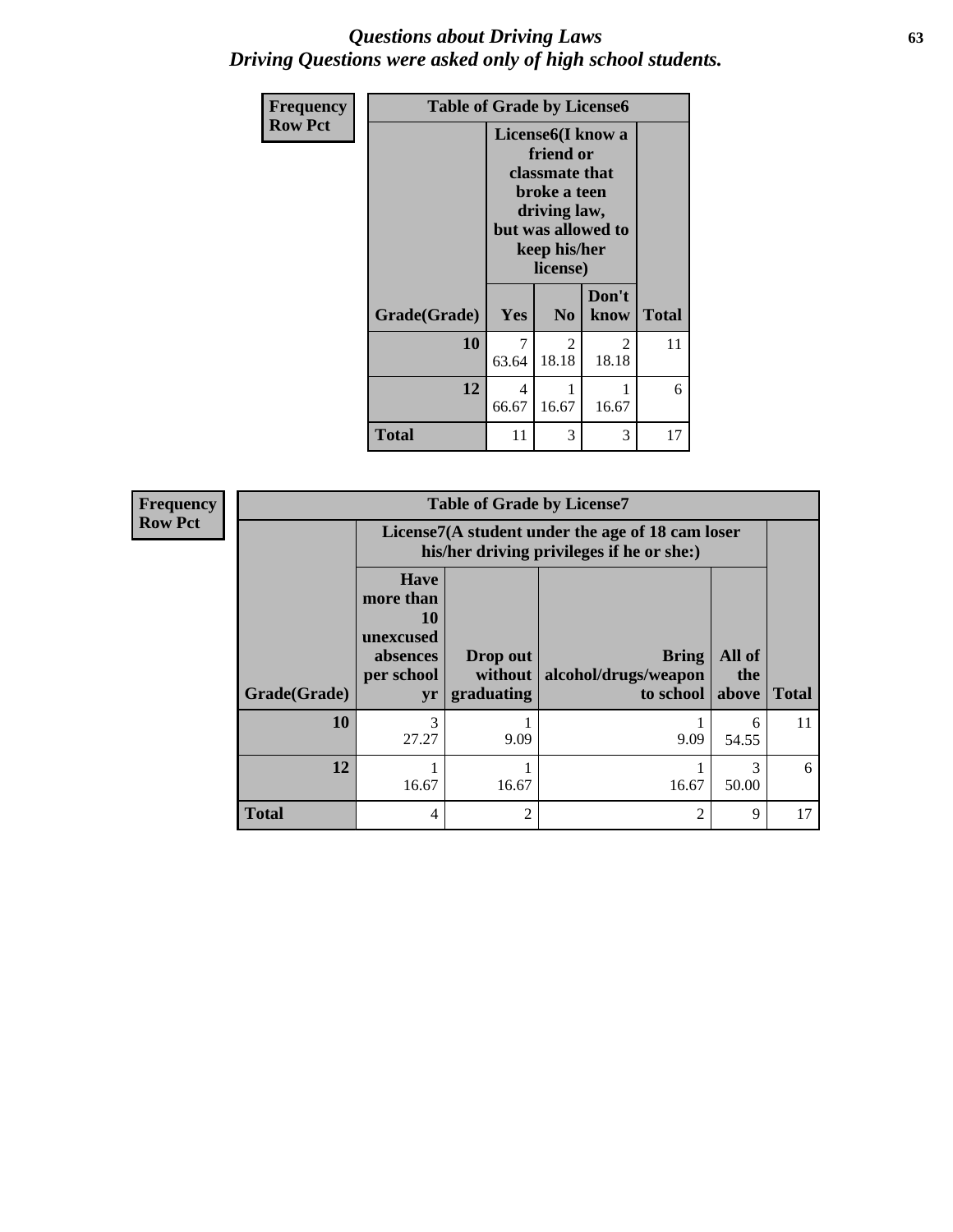### *Questions about Driving Laws* **63** *Driving Questions were asked only of high school students.*

| <b>Frequency</b> | <b>Table of Grade by License6</b> |                                                                                                                                                 |                |                       |              |
|------------------|-----------------------------------|-------------------------------------------------------------------------------------------------------------------------------------------------|----------------|-----------------------|--------------|
| <b>Row Pct</b>   |                                   | License <sub>6</sub> (I know a<br>friend or<br>classmate that<br>broke a teen<br>driving law,<br>but was allowed to<br>keep his/her<br>license) |                |                       |              |
|                  | Grade(Grade)                      | <b>Yes</b>                                                                                                                                      | N <sub>0</sub> | Don't<br>know         | <b>Total</b> |
|                  | 10                                | 7<br>63.64                                                                                                                                      | 2<br>18.18     | 2<br>18.18            | 11           |
|                  | 12                                | 4<br>66.67                                                                                                                                      | 16.67          | $\mathbf{1}$<br>16.67 | 6            |
|                  | <b>Total</b>                      | 11                                                                                                                                              | 3              | 3                     | 17           |

| <b>Frequency</b> | <b>Table of Grade by License7</b> |                                                                             |                                   |                                                                                               |                        |              |  |  |
|------------------|-----------------------------------|-----------------------------------------------------------------------------|-----------------------------------|-----------------------------------------------------------------------------------------------|------------------------|--------------|--|--|
| <b>Row Pct</b>   |                                   |                                                                             |                                   | License7(A student under the age of 18 cam loser<br>his/her driving privileges if he or she:) |                        |              |  |  |
|                  | Grade(Grade)                      | <b>Have</b><br>more than<br>10<br>unexcused<br>absences<br>per school<br>yr | Drop out<br>without<br>graduating | Bring<br>alcohol/drugs/weapon<br>to school                                                    | All of<br>the<br>above | <b>Total</b> |  |  |
|                  | 10                                | 3<br>27.27                                                                  | 9.09                              | 9.09                                                                                          | 6<br>54.55             | 11           |  |  |
|                  | 12                                | 16.67                                                                       | 16.67                             | 16.67                                                                                         | 50.00                  | 6            |  |  |
|                  | <b>Total</b>                      | $\overline{4}$                                                              | $\overline{2}$                    | $\mathfrak{D}$                                                                                | 9                      | 17           |  |  |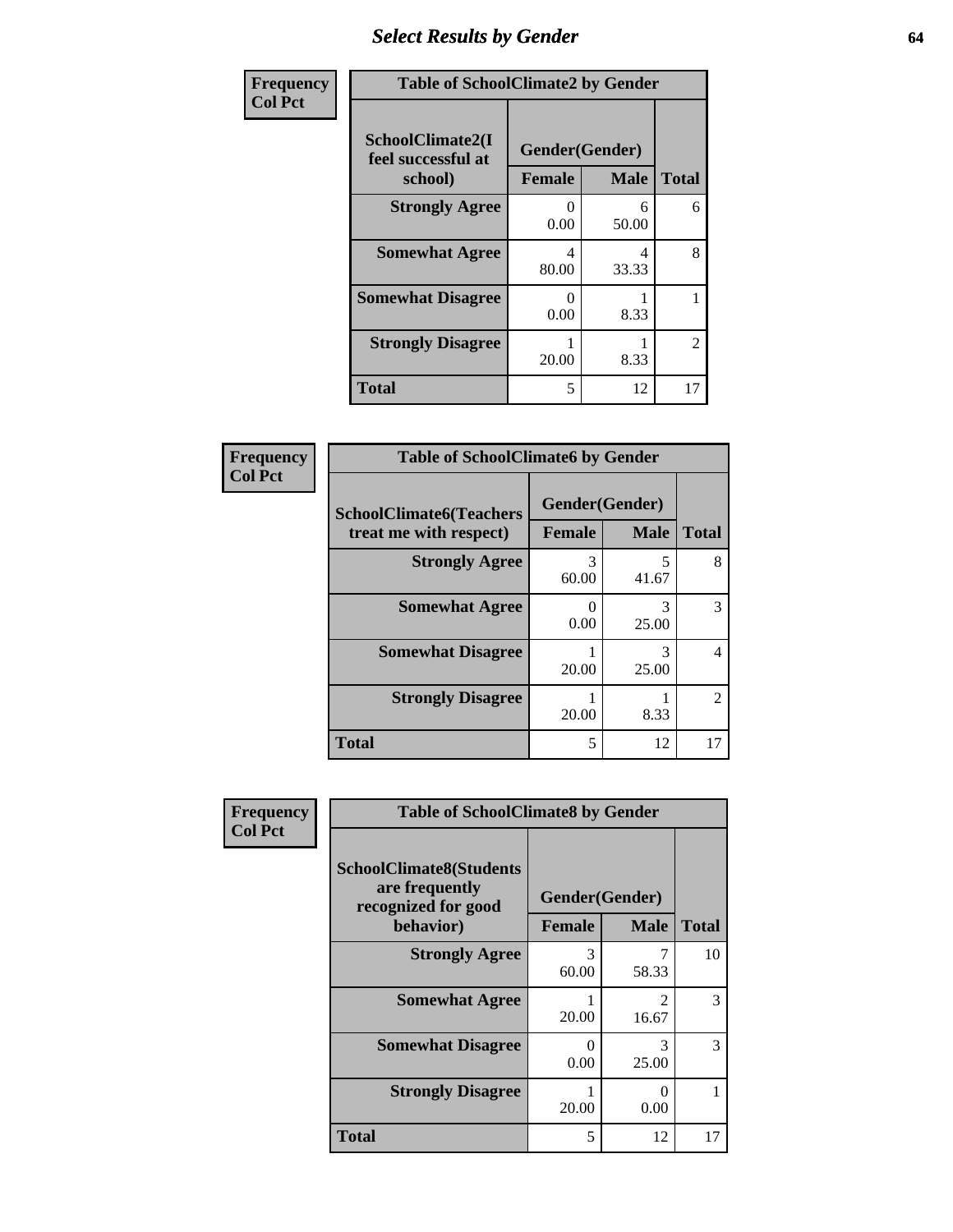# *Select Results by Gender* **64**

| Frequency      | <b>Table of SchoolClimate2 by Gender</b>          |                                 |             |                |  |  |
|----------------|---------------------------------------------------|---------------------------------|-------------|----------------|--|--|
| <b>Col Pct</b> | SchoolClimate2(I<br>feel successful at<br>school) | Gender(Gender)<br><b>Female</b> | <b>Male</b> | <b>Total</b>   |  |  |
|                | <b>Strongly Agree</b>                             | $\Omega$<br>0.00                | 6<br>50.00  | 6              |  |  |
|                | <b>Somewhat Agree</b>                             | 4<br>80.00                      | 4<br>33.33  | 8              |  |  |
|                | <b>Somewhat Disagree</b>                          | $\mathbf{\Omega}$<br>0.00       | 8.33        |                |  |  |
|                | <b>Strongly Disagree</b>                          | 20.00                           | 8.33        | $\overline{2}$ |  |  |
|                | <b>Total</b>                                      | 5                               | 12          | 17             |  |  |

| <b>Frequency</b> | <b>Table of SchoolClimate6 by Gender</b>                 |                |             |                             |
|------------------|----------------------------------------------------------|----------------|-------------|-----------------------------|
| <b>Col Pct</b>   | <b>SchoolClimate6(Teachers</b><br>treat me with respect) | Gender(Gender) |             |                             |
|                  |                                                          | Female         | <b>Male</b> | <b>Total</b>                |
|                  | <b>Strongly Agree</b>                                    | 3<br>60.00     | 5<br>41.67  | 8                           |
|                  | <b>Somewhat Agree</b>                                    | 0<br>0.00      | 3<br>25.00  | 3                           |
|                  | <b>Somewhat Disagree</b>                                 | 20.00          | 3<br>25.00  | 4                           |
|                  | <b>Strongly Disagree</b>                                 | 20.00          | 8.33        | $\mathcal{D}_{\mathcal{L}}$ |
|                  | <b>Total</b>                                             | 5              | 12          | 17                          |

| <b>Frequency</b> | <b>Table of SchoolClimate8 by Gender</b>                                             |                                 |                         |              |  |  |
|------------------|--------------------------------------------------------------------------------------|---------------------------------|-------------------------|--------------|--|--|
| <b>Col Pct</b>   | <b>SchoolClimate8(Students</b><br>are frequently<br>recognized for good<br>behavior) | Gender(Gender)<br><b>Female</b> | <b>Male</b>             | <b>Total</b> |  |  |
|                  | <b>Strongly Agree</b>                                                                | 3<br>60.00                      | 7<br>58.33              | 10           |  |  |
|                  | <b>Somewhat Agree</b>                                                                | 20.00                           | $\mathfrak{D}$<br>16.67 | 3            |  |  |
|                  | <b>Somewhat Disagree</b>                                                             | $\Omega$<br>0.00                | 3<br>25.00              | 3            |  |  |
|                  | <b>Strongly Disagree</b>                                                             | 1<br>20.00                      | ∩<br>0.00               |              |  |  |
|                  | <b>Total</b>                                                                         | 5                               | 12                      | 17           |  |  |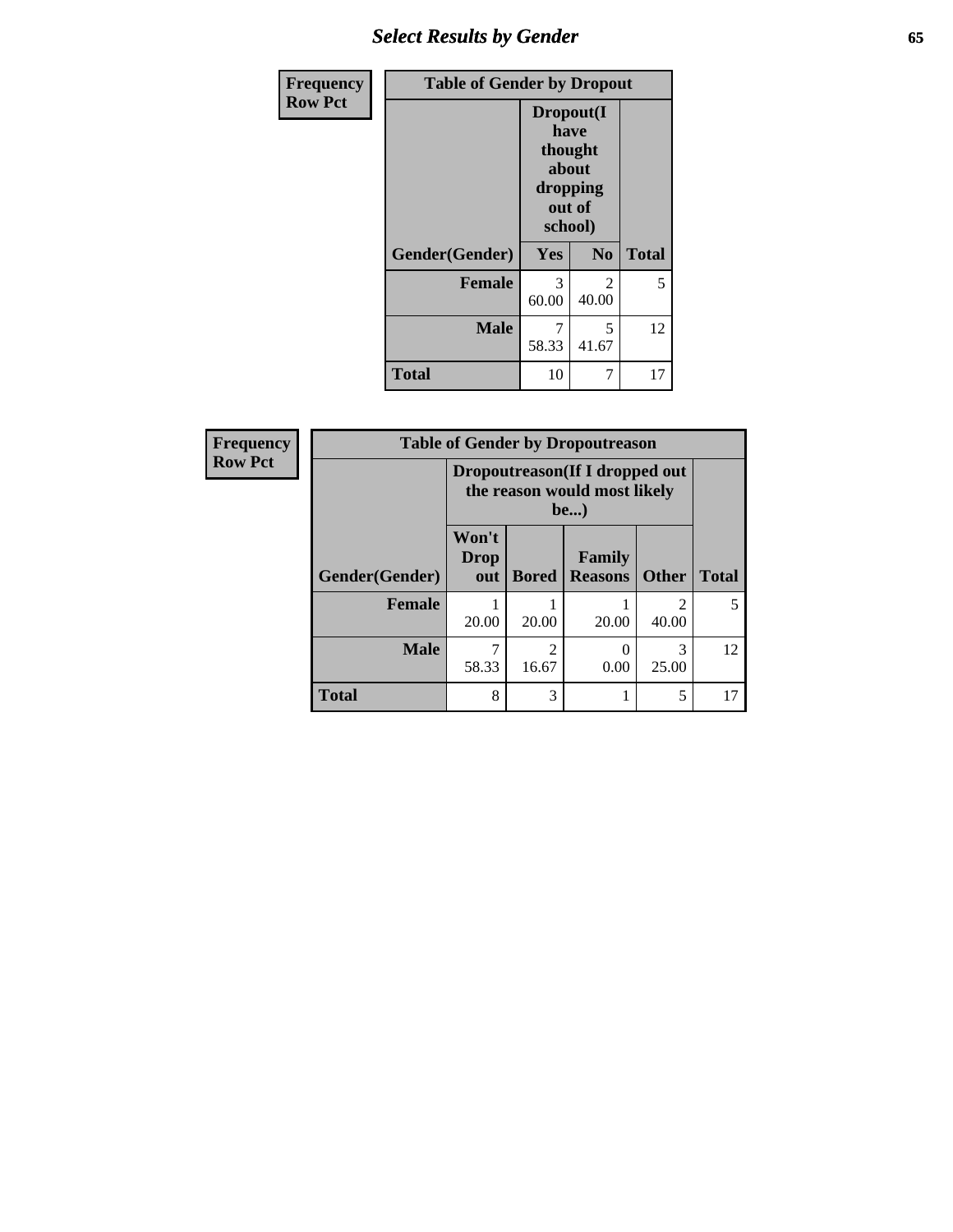# *Select Results by Gender* **65**

| <b>Frequency</b> | <b>Table of Gender by Dropout</b> |            |                                                                        |              |  |
|------------------|-----------------------------------|------------|------------------------------------------------------------------------|--------------|--|
| <b>Row Pct</b>   |                                   |            | Dropout(I<br>have<br>thought<br>about<br>dropping<br>out of<br>school) |              |  |
|                  | Gender(Gender)                    | Yes        | N <sub>0</sub>                                                         | <b>Total</b> |  |
|                  | <b>Female</b>                     | 3<br>60.00 | 2<br>40.00                                                             | 5            |  |
|                  | <b>Male</b>                       | 7<br>58.33 | 5<br>41.67                                                             | 12           |  |
|                  | <b>Total</b>                      | 10         | 7                                                                      | 17           |  |

| Frequency      | <b>Table of Gender by Dropoutreason</b> |                      |                                                                        |                          |              |              |  |  |
|----------------|-----------------------------------------|----------------------|------------------------------------------------------------------------|--------------------------|--------------|--------------|--|--|
| <b>Row Pct</b> |                                         |                      | Dropoutreason (If I dropped out<br>the reason would most likely<br>be) |                          |              |              |  |  |
|                | <b>Gender</b> (Gender)                  | Won't<br>Drop<br>out | <b>Bored</b>                                                           | Family<br><b>Reasons</b> | <b>Other</b> | <b>Total</b> |  |  |
|                | <b>Female</b>                           | 20.00                | 20.00                                                                  | 20.00                    | 40.00        | 5            |  |  |
|                | <b>Male</b>                             | 58.33                | っ<br>16.67                                                             | 0.00                     | 3<br>25.00   | 12           |  |  |
|                | <b>Total</b>                            | 8                    | 3                                                                      |                          | 5            | 17           |  |  |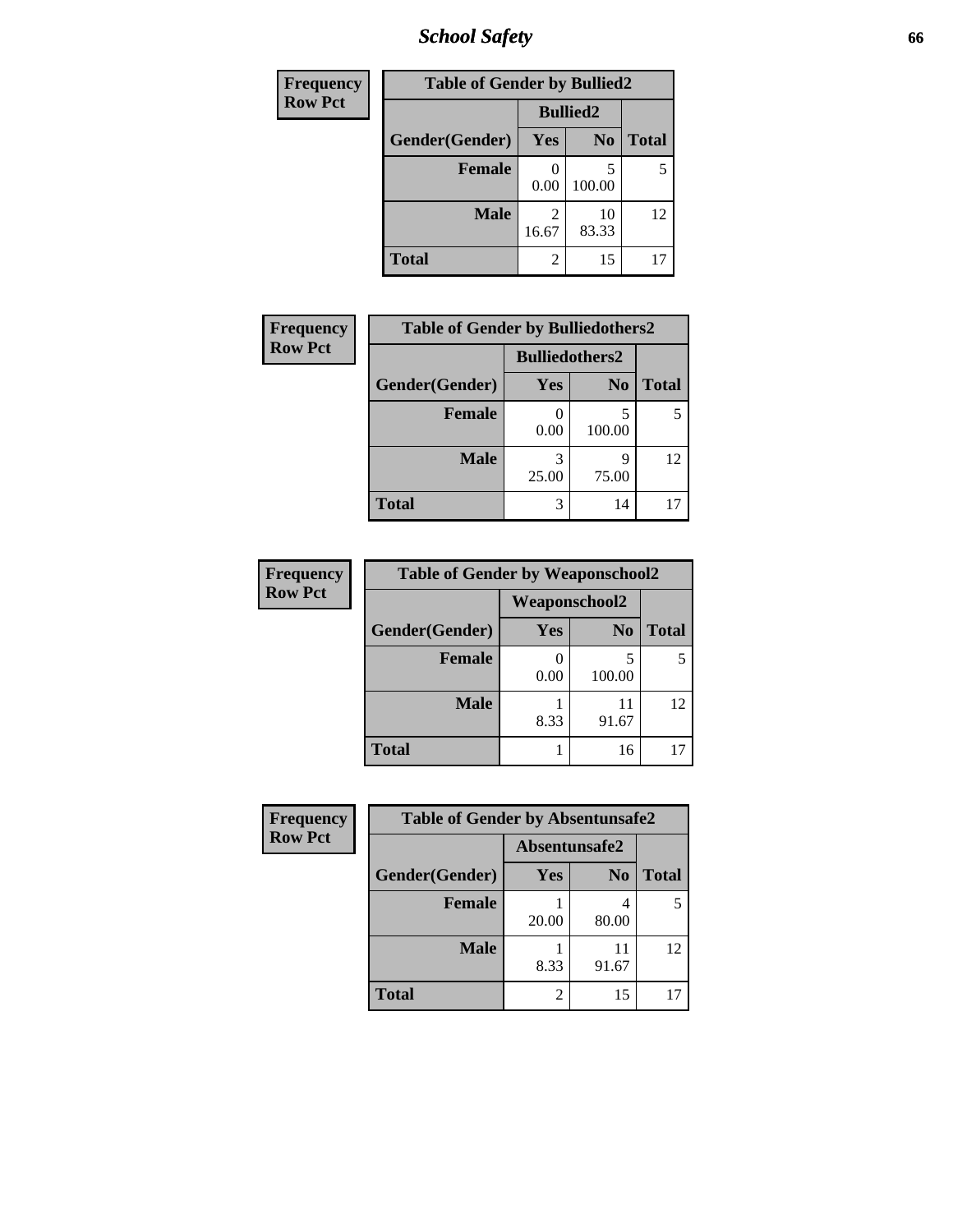# *School Safety* **66**

| Frequency      | <b>Table of Gender by Bullied2</b> |            |                 |              |  |  |  |
|----------------|------------------------------------|------------|-----------------|--------------|--|--|--|
| <b>Row Pct</b> |                                    |            | <b>Bullied2</b> |              |  |  |  |
|                | Gender(Gender)                     | Yes        | N <sub>0</sub>  | <b>Total</b> |  |  |  |
|                | <b>Female</b>                      | 0.00       | 5<br>100.00     |              |  |  |  |
|                | <b>Male</b>                        | 2<br>16.67 | 10<br>83.33     | 12           |  |  |  |
|                | <b>Total</b>                       | 2          | 15              |              |  |  |  |

| Frequency      | <b>Table of Gender by Bulliedothers2</b> |                       |            |              |
|----------------|------------------------------------------|-----------------------|------------|--------------|
| <b>Row Pct</b> |                                          | <b>Bulliedothers2</b> |            |              |
|                | Gender(Gender)                           | <b>Yes</b>            | $\bf N_0$  | <b>Total</b> |
|                | <b>Female</b>                            | 0.00                  | 100.00     |              |
|                | <b>Male</b>                              | 3<br>25.00            | Q<br>75.00 | 12           |
|                | <b>Total</b>                             | 3                     | 14         |              |

| <b>Frequency</b> | <b>Table of Gender by Weaponschool2</b> |            |                |              |  |
|------------------|-----------------------------------------|------------|----------------|--------------|--|
| <b>Row Pct</b>   | Weaponschool2                           |            |                |              |  |
|                  | Gender(Gender)                          | <b>Yes</b> | N <sub>0</sub> | <b>Total</b> |  |
|                  | <b>Female</b>                           | 0.00       | 5<br>100.00    |              |  |
|                  | <b>Male</b>                             | 8.33       | 11<br>91.67    | 12           |  |
|                  | <b>Total</b>                            |            | 16             |              |  |

| Frequency      | <b>Table of Gender by Absentunsafe2</b> |                |                |              |
|----------------|-----------------------------------------|----------------|----------------|--------------|
| <b>Row Pct</b> |                                         | Absentunsafe2  |                |              |
|                | Gender(Gender)                          | Yes            | N <sub>0</sub> | <b>Total</b> |
|                | <b>Female</b>                           | 20.00          | 80.00          | 5            |
|                | <b>Male</b>                             | 8.33           | 11<br>91.67    | 12           |
|                | <b>Total</b>                            | $\overline{2}$ | 15             |              |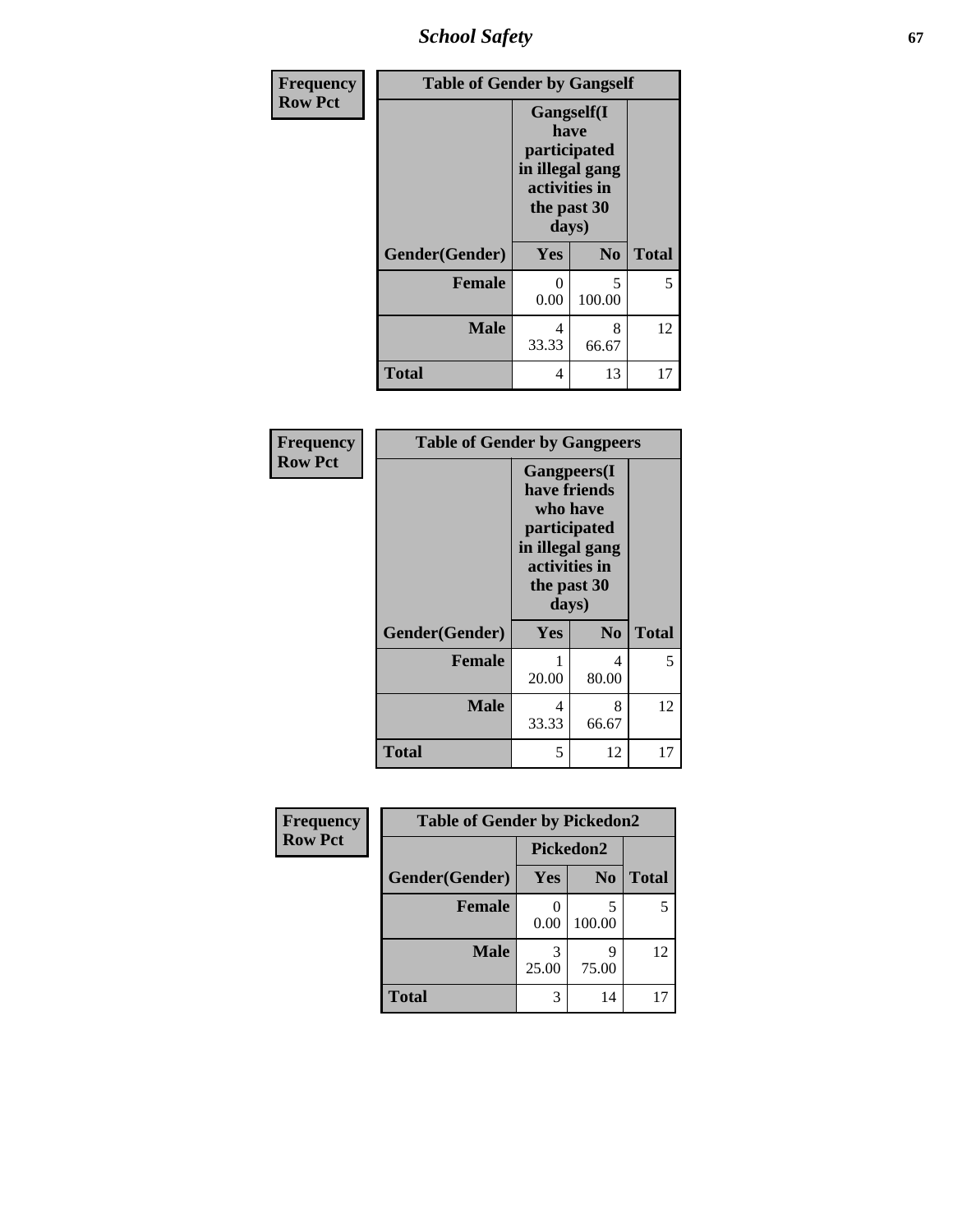*School Safety* **67**

| Frequency      | <b>Table of Gender by Gangself</b> |                                                                                                |                |              |
|----------------|------------------------------------|------------------------------------------------------------------------------------------------|----------------|--------------|
| <b>Row Pct</b> |                                    | Gangself(I<br>have<br>participated<br>in illegal gang<br>activities in<br>the past 30<br>days) |                |              |
|                | Gender(Gender)                     | Yes                                                                                            | N <sub>0</sub> | <b>Total</b> |
|                | <b>Female</b>                      | 0<br>0.00                                                                                      | 5<br>100.00    | 5            |
|                | <b>Male</b>                        | 4<br>33.33                                                                                     | 8<br>66.67     | 12           |
|                | <b>Total</b>                       | 4                                                                                              | 13             | 17           |

| <b>Frequency</b> | <b>Table of Gender by Gangpeers</b> |                                                                                                                             |                |              |
|------------------|-------------------------------------|-----------------------------------------------------------------------------------------------------------------------------|----------------|--------------|
| <b>Row Pct</b>   |                                     | <b>Gangpeers</b> (I<br>have friends<br>who have<br>participated<br>in illegal gang<br>activities in<br>the past 30<br>days) |                |              |
|                  | Gender(Gender)                      | <b>Yes</b>                                                                                                                  | N <sub>0</sub> | <b>Total</b> |
|                  | <b>Female</b>                       | 20.00                                                                                                                       | 4<br>80.00     | 5            |
|                  | <b>Male</b>                         | 4<br>33.33                                                                                                                  | 8<br>66.67     | 12           |
|                  | <b>Total</b>                        | 5                                                                                                                           | 12             | 17           |

| Frequency      | <b>Table of Gender by Pickedon2</b> |            |                |       |
|----------------|-------------------------------------|------------|----------------|-------|
| <b>Row Pct</b> |                                     |            | Pickedon2      |       |
|                | Gender(Gender)                      | Yes        | N <sub>0</sub> | Total |
|                | <b>Female</b>                       | 0.00       | 100.00         |       |
|                | <b>Male</b>                         | 3<br>25.00 | 75.00          | 12    |
|                | <b>Total</b>                        | 3          | 14             |       |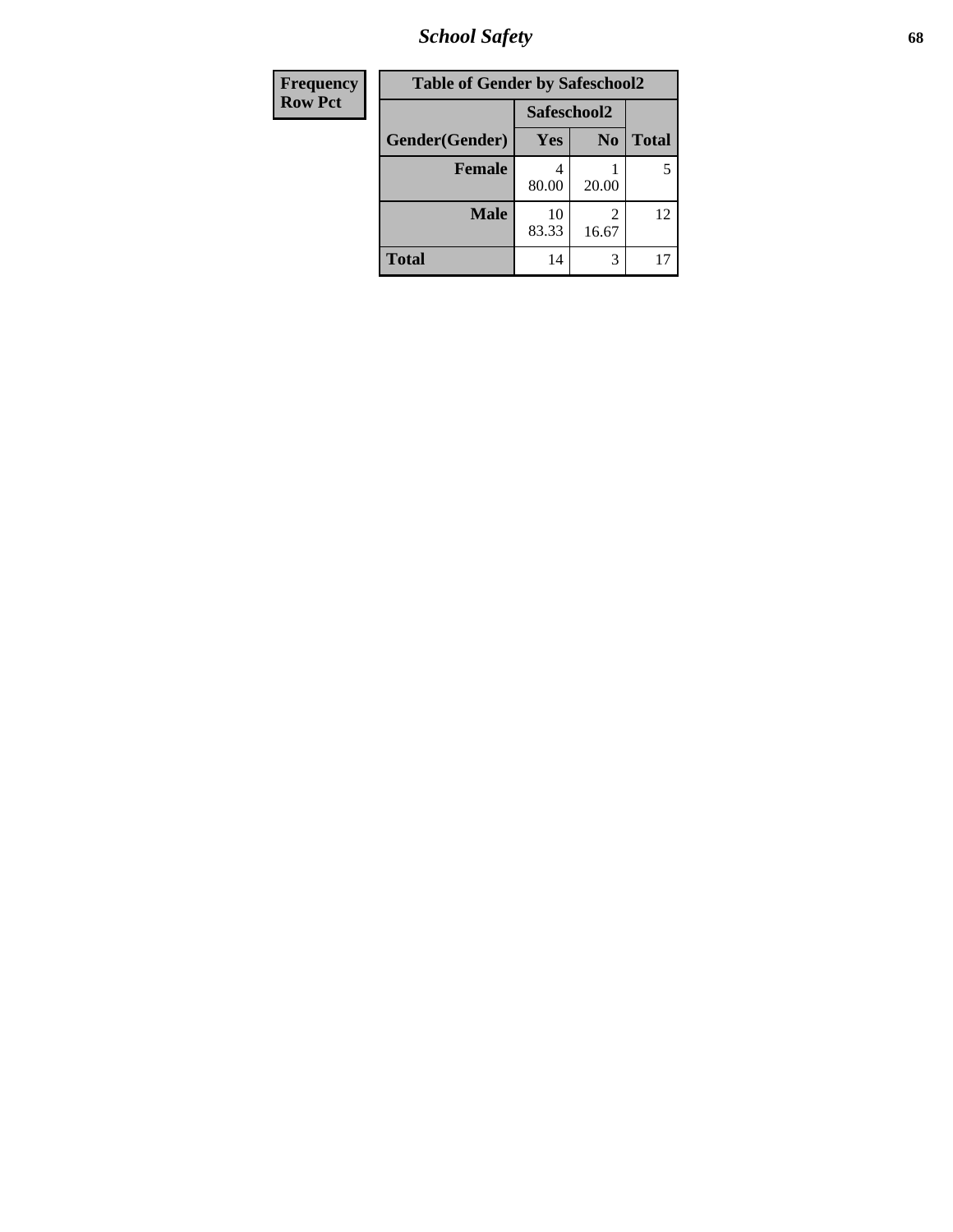*School Safety* **68**

| Frequency      | <b>Table of Gender by Safeschool2</b> |             |                |              |  |
|----------------|---------------------------------------|-------------|----------------|--------------|--|
| <b>Row Pct</b> | Safeschool2                           |             |                |              |  |
|                | Gender(Gender)                        | Yes         | N <sub>0</sub> | <b>Total</b> |  |
|                | <b>Female</b>                         | 80.00       | 20.00          | 5            |  |
|                | <b>Male</b>                           | 10<br>83.33 | 2<br>16.67     | 12           |  |
|                | <b>Total</b>                          | 14          | 3              |              |  |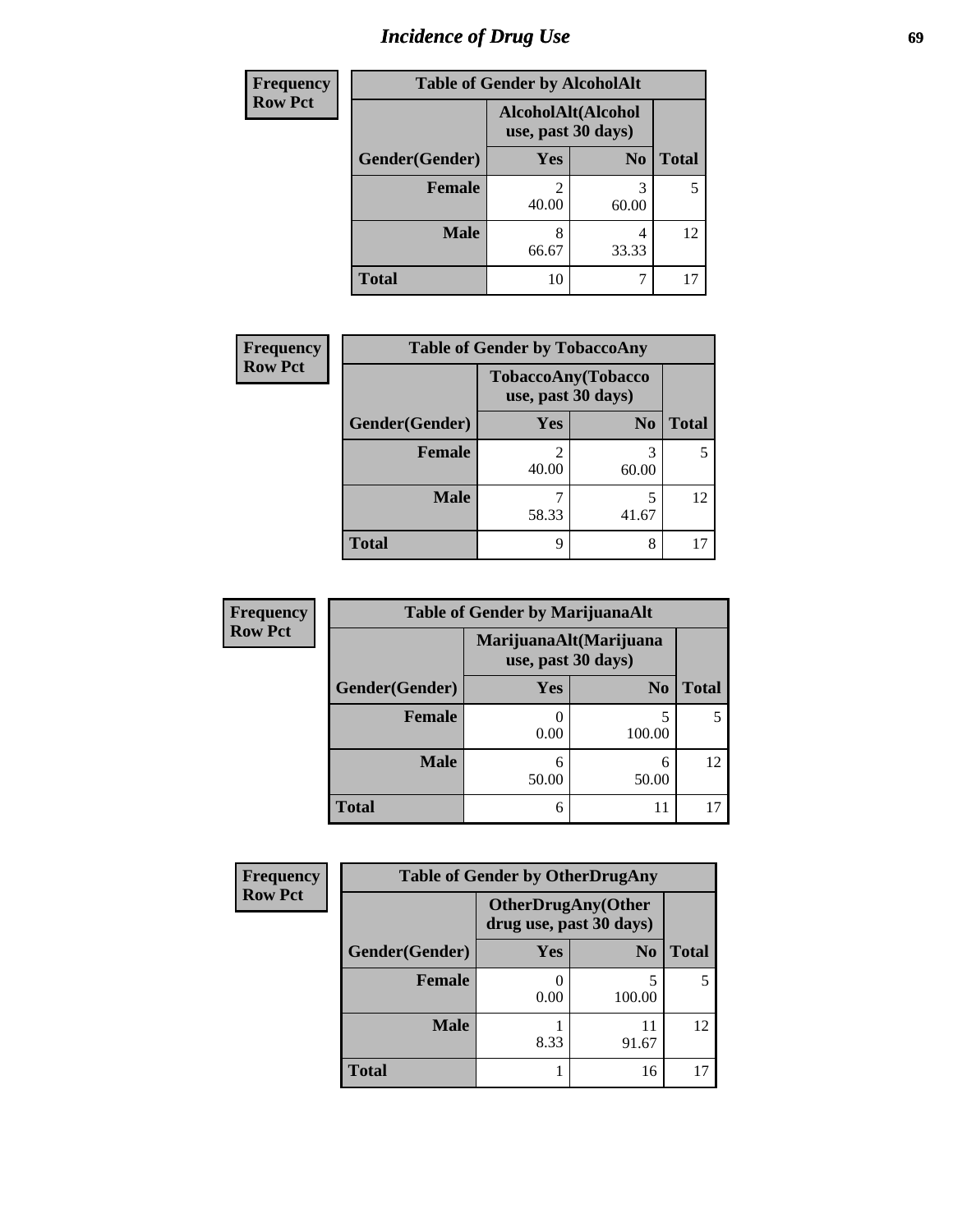# *Incidence of Drug Use* 69

| <b>Frequency</b> | <b>Table of Gender by AlcoholAlt</b>     |            |                |              |
|------------------|------------------------------------------|------------|----------------|--------------|
| <b>Row Pct</b>   | AlcoholAlt(Alcohol<br>use, past 30 days) |            |                |              |
|                  | Gender(Gender)                           | Yes        | N <sub>0</sub> | <b>Total</b> |
|                  | <b>Female</b>                            | 40.00      | 3<br>60.00     | 5            |
|                  | <b>Male</b>                              | 8<br>66.67 | 4<br>33.33     | 12           |
|                  | <b>Total</b>                             | 10         | 7              | 17           |

| <b>Frequency</b> | <b>Table of Gender by TobaccoAny</b> |                    |                    |              |
|------------------|--------------------------------------|--------------------|--------------------|--------------|
| <b>Row Pct</b>   |                                      | use, past 30 days) | TobaccoAny(Tobacco |              |
|                  | Gender(Gender)                       | Yes                | N <sub>0</sub>     | <b>Total</b> |
|                  | Female                               | 40.00              | 60.00              |              |
|                  | <b>Male</b>                          | 58.33              | 5<br>41.67         | 12           |
|                  | <b>Total</b>                         | q                  | 8                  |              |

| <b>Frequency</b> | <b>Table of Gender by MarijuanaAlt</b> |                    |                        |              |
|------------------|----------------------------------------|--------------------|------------------------|--------------|
| <b>Row Pct</b>   |                                        | use, past 30 days) | MarijuanaAlt(Marijuana |              |
|                  | Gender(Gender)                         | Yes                | N <sub>0</sub>         | <b>Total</b> |
|                  | <b>Female</b>                          | 0.00               | 5<br>100.00            |              |
|                  | <b>Male</b>                            | 6<br>50.00         | 6<br>50.00             | 12           |
|                  | <b>Total</b>                           | 6                  |                        |              |

| <b>Frequency</b> | <b>Table of Gender by OtherDrugAny</b> |      |                                                      |              |
|------------------|----------------------------------------|------|------------------------------------------------------|--------------|
| <b>Row Pct</b>   |                                        |      | <b>OtherDrugAny(Other</b><br>drug use, past 30 days) |              |
|                  | Gender(Gender)                         | Yes  | N <sub>0</sub>                                       | <b>Total</b> |
|                  | <b>Female</b>                          | 0.00 | 5<br>100.00                                          |              |
|                  | <b>Male</b>                            | 8.33 | 11<br>91.67                                          | 12           |
|                  | <b>Total</b>                           |      | 16                                                   |              |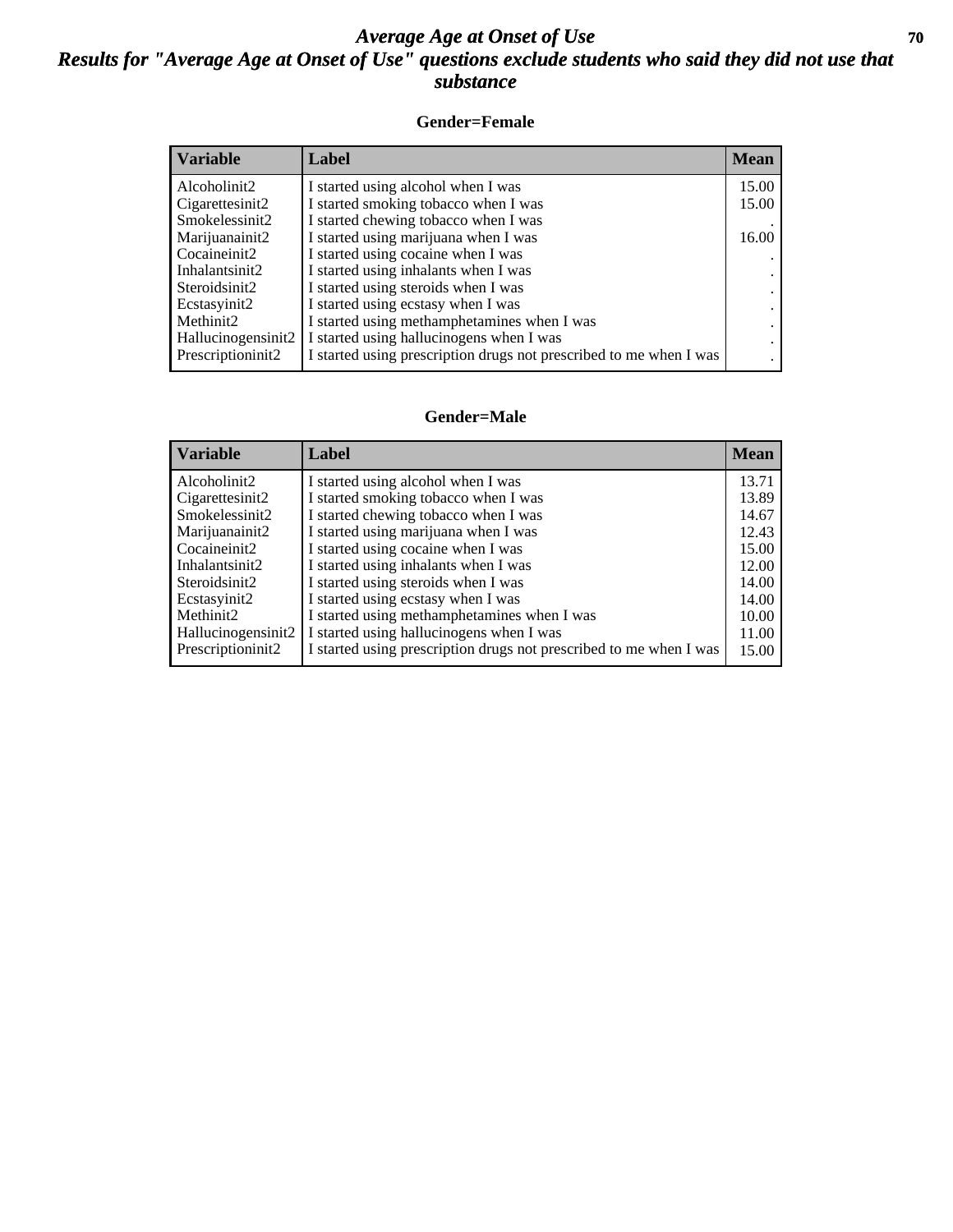### *Average Age at Onset of Use* 70 *Results for "Average Age at Onset of Use" questions exclude students who said they did not use that substance*

### **Gender=Female**

| <b>Variable</b>                 | Label                                                              | <b>Mean</b> |
|---------------------------------|--------------------------------------------------------------------|-------------|
| Alcoholinit2                    | I started using alcohol when I was                                 | 15.00       |
| Cigarettesinit2                 | I started smoking tobacco when I was                               | 15.00       |
| Smokelessinit2                  | I started chewing tobacco when I was                               |             |
| Marijuanainit2                  | I started using marijuana when I was                               | 16.00       |
| Cocaineinit2                    | I started using cocaine when I was                                 |             |
| Inhalantsinit2                  | I started using inhalants when I was                               |             |
| Steroidsinit2                   | I started using steroids when I was                                |             |
| Ecstasyinit2                    | I started using ecstasy when I was                                 |             |
| Methinit2                       | I started using methamphetamines when I was                        |             |
| Hallucinogensinit2              | I started using hallucinogens when I was                           |             |
| Prescription in it <sub>2</sub> | I started using prescription drugs not prescribed to me when I was |             |

### **Gender=Male**

| <b>Variable</b>    | Label                                                              | <b>Mean</b> |
|--------------------|--------------------------------------------------------------------|-------------|
| Alcoholinit2       | I started using alcohol when I was                                 | 13.71       |
| Cigarettesinit2    | I started smoking tobacco when I was                               | 13.89       |
| Smokelessinit2     | I started chewing tobacco when I was                               | 14.67       |
| Marijuanainit2     | I started using marijuana when I was                               | 12.43       |
| Cocaineinit2       | I started using cocaine when I was                                 | 15.00       |
| Inhalantsinit2     | I started using inhalants when I was                               | 12.00       |
| Steroidsinit2      | I started using steroids when I was                                | 14.00       |
| Ecstasyinit2       | I started using ecstasy when I was                                 | 14.00       |
| Methinit2          | I started using methamphetamines when I was                        | 10.00       |
| Hallucinogensinit2 | I started using hallucinogens when I was                           | 11.00       |
| Prescription in t2 | I started using prescription drugs not prescribed to me when I was | 15.00       |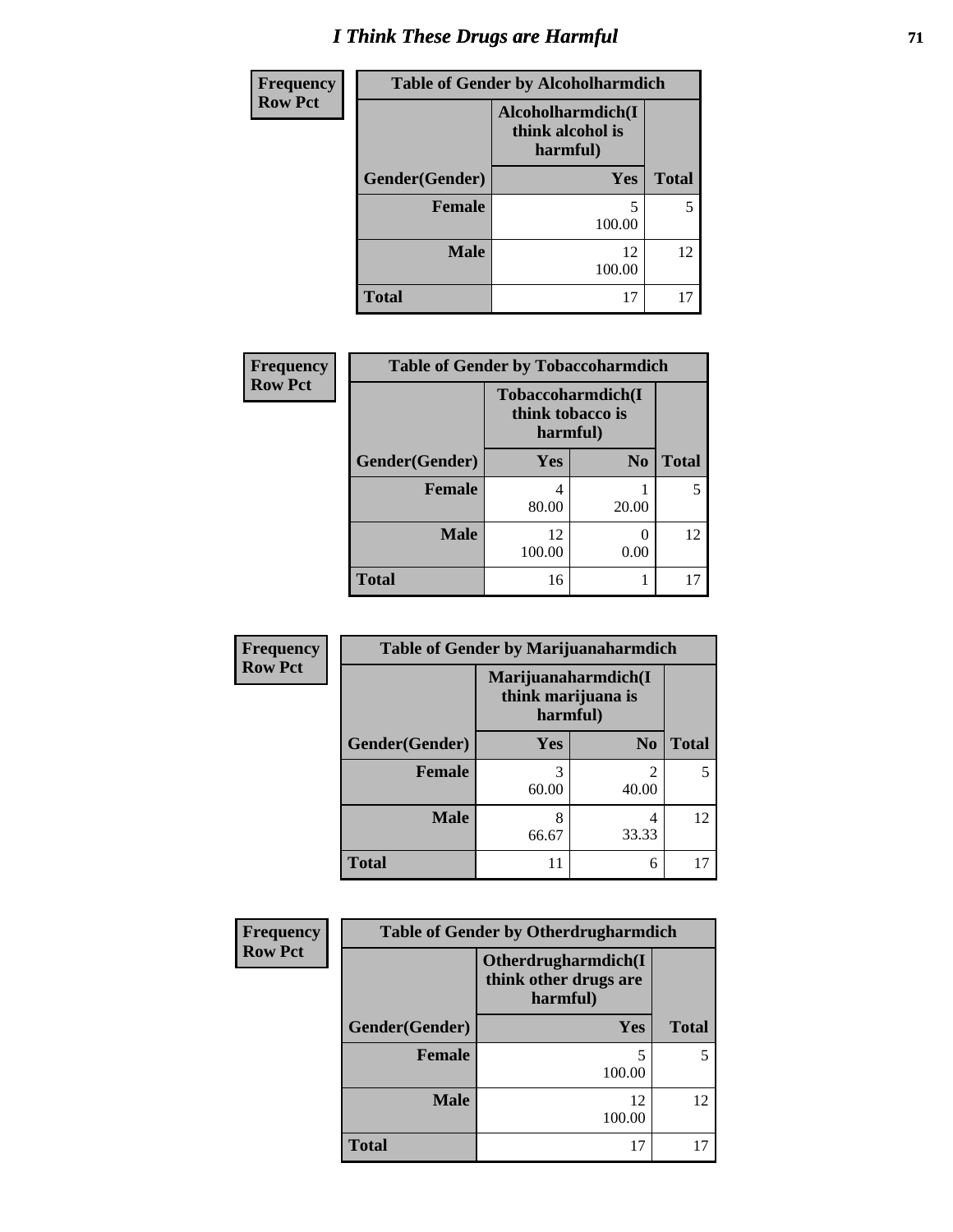# *I Think These Drugs are Harmful* **71**

| Frequency      | <b>Table of Gender by Alcoholharmdich</b> |                                                   |              |
|----------------|-------------------------------------------|---------------------------------------------------|--------------|
| <b>Row Pct</b> |                                           | Alcoholharmdich(I<br>think alcohol is<br>harmful) |              |
|                | Gender(Gender)                            | Yes                                               | <b>Total</b> |
|                | <b>Female</b>                             | 100.00                                            | 5            |
|                | <b>Male</b>                               | 12<br>100.00                                      | 12           |
|                | <b>Total</b>                              | 17                                                | 17           |

| Frequency      | <b>Table of Gender by Tobaccoharmdich</b> |                                                   |                |              |
|----------------|-------------------------------------------|---------------------------------------------------|----------------|--------------|
| <b>Row Pct</b> |                                           | Tobaccoharmdich(I<br>think tobacco is<br>harmful) |                |              |
|                | Gender(Gender)                            | Yes                                               | N <sub>0</sub> | <b>Total</b> |
|                | <b>Female</b>                             | 4<br>80.00                                        | 20.00          |              |
|                | <b>Male</b>                               | 12<br>100.00                                      | 0<br>0.00      | 12           |
|                | <b>Total</b>                              | 16                                                |                |              |

| Frequency      | <b>Table of Gender by Marijuanaharmdich</b> |                                                       |                         |              |
|----------------|---------------------------------------------|-------------------------------------------------------|-------------------------|--------------|
| <b>Row Pct</b> |                                             | Marijuanaharmdich(I<br>think marijuana is<br>harmful) |                         |              |
|                | Gender(Gender)                              | <b>Yes</b>                                            | N <sub>0</sub>          | <b>Total</b> |
|                | <b>Female</b>                               | 3<br>60.00                                            | $\mathfrak{D}$<br>40.00 | 5            |
|                | <b>Male</b>                                 | 8<br>66.67                                            | 4<br>33.33              | 12           |
|                | <b>Total</b>                                | 11                                                    | 6                       | 17           |

| <b>Frequency</b> | <b>Table of Gender by Otherdrugharmdich</b> |                                                          |              |  |
|------------------|---------------------------------------------|----------------------------------------------------------|--------------|--|
| <b>Row Pct</b>   |                                             | Otherdrugharmdich(I<br>think other drugs are<br>harmful) |              |  |
|                  | Gender(Gender)                              | <b>Yes</b>                                               | <b>Total</b> |  |
|                  | <b>Female</b>                               | 5<br>100.00                                              | 5            |  |
|                  | <b>Male</b>                                 | 12<br>100.00                                             | 12           |  |
|                  | <b>Total</b>                                | 17                                                       | 17           |  |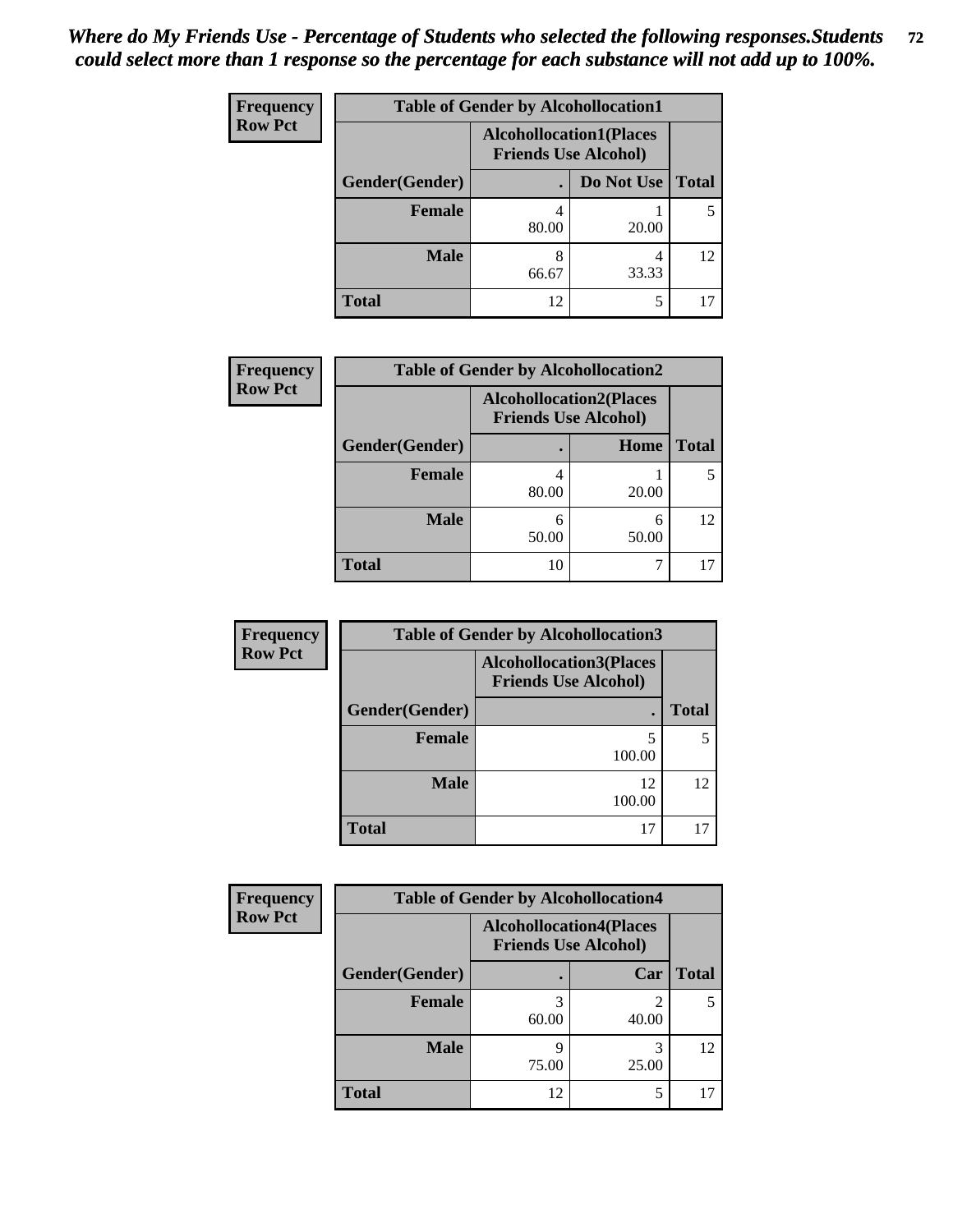| <b>Frequency</b> | <b>Table of Gender by Alcohollocation1</b> |                                                               |            |              |
|------------------|--------------------------------------------|---------------------------------------------------------------|------------|--------------|
| <b>Row Pct</b>   |                                            | <b>Alcohollocation1(Places</b><br><b>Friends Use Alcohol)</b> |            |              |
|                  | Gender(Gender)                             |                                                               | Do Not Use | <b>Total</b> |
|                  | <b>Female</b>                              | 80.00                                                         | 20.00      |              |
|                  | <b>Male</b>                                | 8<br>66.67                                                    | 33.33      | 12           |
|                  | <b>Total</b>                               | 12                                                            | 5          |              |

| <b>Frequency</b> | <b>Table of Gender by Alcohollocation2</b> |                                                               |             |              |
|------------------|--------------------------------------------|---------------------------------------------------------------|-------------|--------------|
| <b>Row Pct</b>   |                                            | <b>Alcohollocation2(Places</b><br><b>Friends Use Alcohol)</b> |             |              |
|                  | Gender(Gender)                             |                                                               | <b>Home</b> | <b>Total</b> |
|                  | Female                                     | 80.00                                                         | 20.00       |              |
|                  | <b>Male</b>                                | 6<br>50.00                                                    | 6<br>50.00  | 12           |
|                  | <b>Total</b>                               | 10                                                            |             |              |

| <b>Frequency</b> | <b>Table of Gender by Alcohollocation3</b> |                                                               |              |
|------------------|--------------------------------------------|---------------------------------------------------------------|--------------|
| <b>Row Pct</b>   |                                            | <b>Alcohollocation3(Places</b><br><b>Friends Use Alcohol)</b> |              |
|                  | Gender(Gender)                             |                                                               | <b>Total</b> |
|                  | <b>Female</b>                              | 5<br>100.00                                                   |              |
|                  | <b>Male</b>                                | 12<br>100.00                                                  | 12           |
|                  | <b>Total</b>                               | 17                                                            |              |

| Frequency      | <b>Table of Gender by Alcohollocation4</b> |                                                               |            |              |
|----------------|--------------------------------------------|---------------------------------------------------------------|------------|--------------|
| <b>Row Pct</b> |                                            | <b>Alcohollocation4(Places</b><br><b>Friends Use Alcohol)</b> |            |              |
|                | Gender(Gender)                             |                                                               | Car        | <b>Total</b> |
|                | <b>Female</b>                              | 60.00                                                         | 40.00      |              |
|                | <b>Male</b>                                | 75.00                                                         | 3<br>25.00 | 12           |
|                | <b>Total</b>                               | 12                                                            |            |              |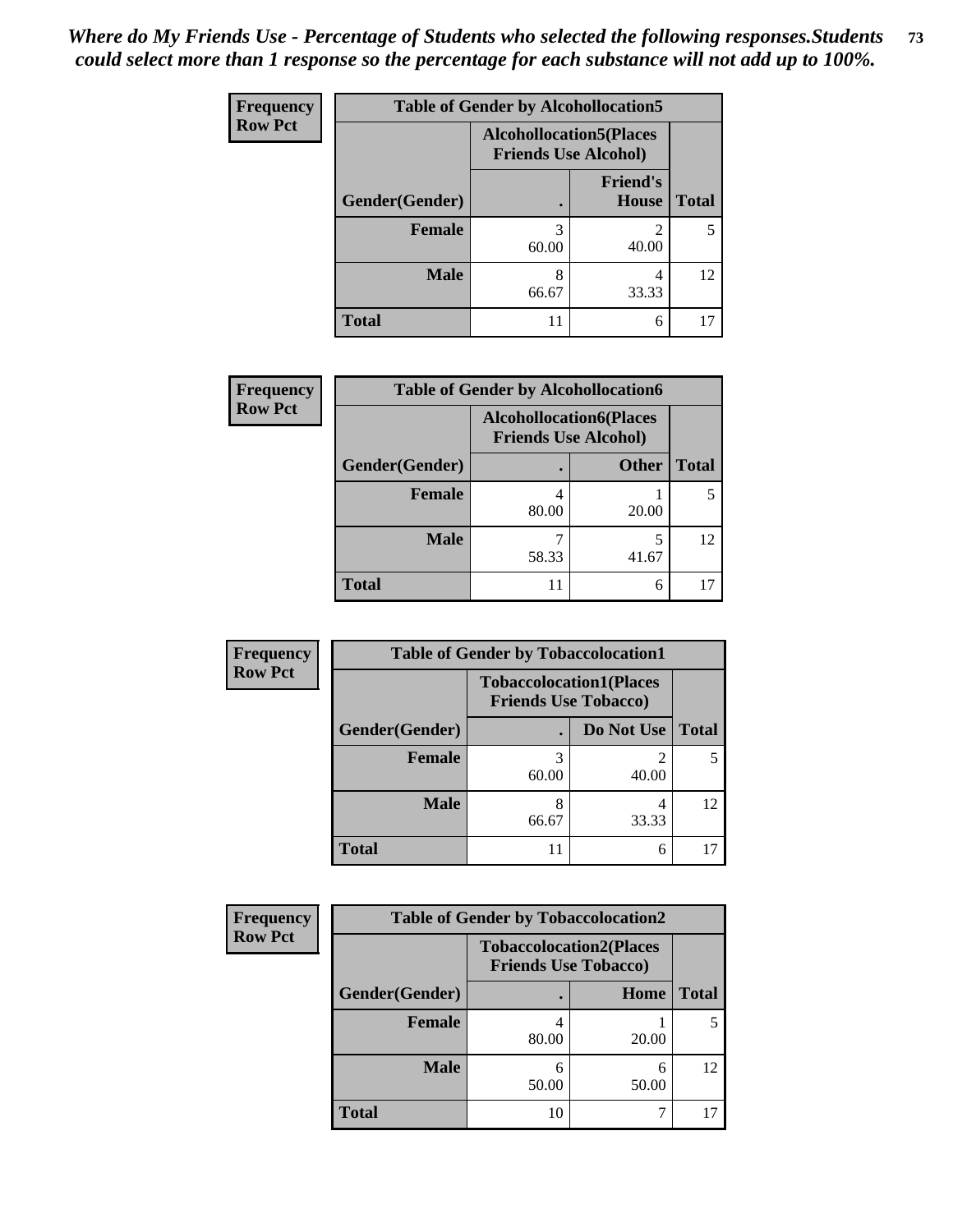| <b>Frequency</b> | <b>Table of Gender by Alcohollocation5</b> |                                                               |                          |              |
|------------------|--------------------------------------------|---------------------------------------------------------------|--------------------------|--------------|
| <b>Row Pct</b>   |                                            | <b>Alcohollocation5(Places</b><br><b>Friends Use Alcohol)</b> |                          |              |
|                  | Gender(Gender)                             |                                                               | <b>Friend's</b><br>House | <b>Total</b> |
|                  | <b>Female</b>                              | 3<br>60.00                                                    | 40.00                    | 5            |
|                  | <b>Male</b>                                | 8<br>66.67                                                    | 4<br>33.33               | 12           |
|                  | <b>Total</b>                               | 11                                                            | 6                        | 17           |

| <b>Frequency</b> | <b>Table of Gender by Alcohollocation6</b> |                                                               |              |              |  |
|------------------|--------------------------------------------|---------------------------------------------------------------|--------------|--------------|--|
| <b>Row Pct</b>   |                                            | <b>Alcohollocation6(Places</b><br><b>Friends Use Alcohol)</b> |              |              |  |
|                  | Gender(Gender)                             |                                                               | <b>Other</b> | <b>Total</b> |  |
|                  | <b>Female</b>                              | 80.00                                                         | 20.00        |              |  |
|                  | <b>Male</b>                                | 58.33                                                         | 41.67        | 12           |  |
|                  | <b>Total</b>                               | 11                                                            | 6            |              |  |

| Frequency      | <b>Table of Gender by Tobaccolocation1</b> |                                                               |            |              |  |
|----------------|--------------------------------------------|---------------------------------------------------------------|------------|--------------|--|
| <b>Row Pct</b> |                                            | <b>Tobaccolocation1(Places</b><br><b>Friends Use Tobacco)</b> |            |              |  |
|                | Gender(Gender)                             |                                                               | Do Not Use | <b>Total</b> |  |
|                | Female                                     | 60.00                                                         | 40.00      |              |  |
|                | <b>Male</b>                                | 66.67                                                         | 33.33      | 12           |  |
|                | <b>Total</b>                               | 11                                                            | 6          |              |  |

| <b>Frequency</b> | <b>Table of Gender by Tobaccolocation2</b> |                                                               |            |              |
|------------------|--------------------------------------------|---------------------------------------------------------------|------------|--------------|
| <b>Row Pct</b>   |                                            | <b>Tobaccolocation2(Places</b><br><b>Friends Use Tobacco)</b> |            |              |
|                  | Gender(Gender)                             |                                                               | Home       | <b>Total</b> |
|                  | Female                                     | 80.00                                                         | 20.00      |              |
|                  | <b>Male</b>                                | 50.00                                                         | 6<br>50.00 | 12           |
|                  | <b>Total</b>                               | 10                                                            |            |              |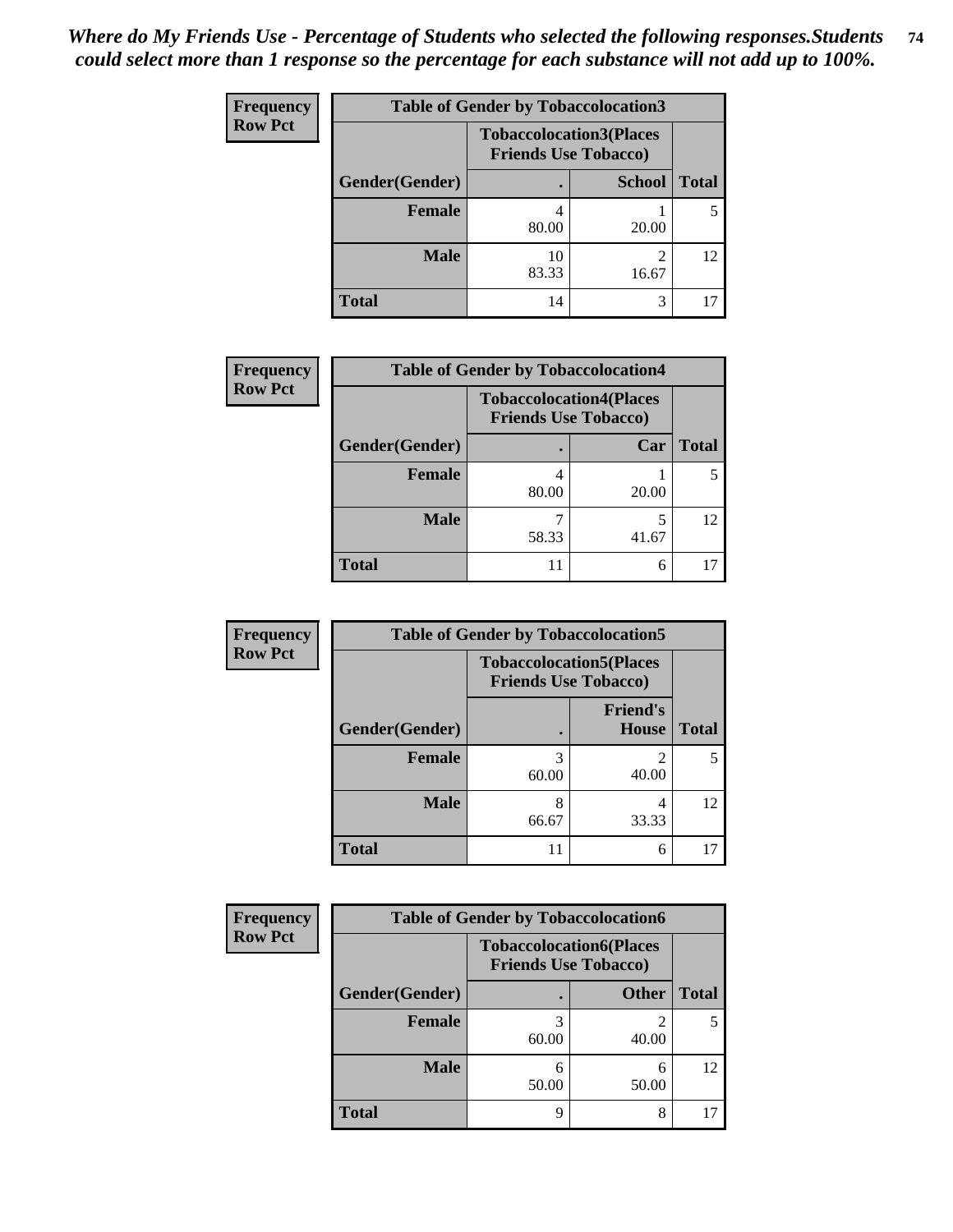| <b>Frequency</b> | <b>Table of Gender by Tobaccolocation3</b> |                             |                                |              |  |
|------------------|--------------------------------------------|-----------------------------|--------------------------------|--------------|--|
| <b>Row Pct</b>   |                                            | <b>Friends Use Tobacco)</b> | <b>Tobaccolocation3(Places</b> |              |  |
|                  | Gender(Gender)                             |                             | <b>School</b>                  | <b>Total</b> |  |
|                  | Female                                     | 80.00                       | 20.00                          |              |  |
|                  | <b>Male</b>                                | 10<br>83.33                 | 16.67                          | 12           |  |
|                  | <b>Total</b>                               | 14                          | 3                              |              |  |

| <b>Frequency</b> | <b>Table of Gender by Tobaccolocation4</b> |                                                               |       |              |  |
|------------------|--------------------------------------------|---------------------------------------------------------------|-------|--------------|--|
| <b>Row Pct</b>   |                                            | <b>Tobaccolocation4(Places</b><br><b>Friends Use Tobacco)</b> |       |              |  |
|                  | Gender(Gender)                             |                                                               | Car   | <b>Total</b> |  |
|                  | <b>Female</b>                              | 80.00                                                         | 20.00 |              |  |
|                  | <b>Male</b>                                | 58.33                                                         | 41.67 | 12           |  |
|                  | <b>Total</b>                               | 11                                                            | 6     |              |  |

| <b>Frequency</b> | <b>Table of Gender by Tobaccolocation5</b> |                                                               |                                 |              |
|------------------|--------------------------------------------|---------------------------------------------------------------|---------------------------------|--------------|
| <b>Row Pct</b>   |                                            | <b>Tobaccolocation5(Places</b><br><b>Friends Use Tobacco)</b> |                                 |              |
|                  | Gender(Gender)                             |                                                               | <b>Friend's</b><br><b>House</b> | <b>Total</b> |
|                  | Female                                     | 60.00                                                         | 2<br>40.00                      | 5            |
|                  | <b>Male</b>                                | 66.67                                                         | 4<br>33.33                      | 12           |
|                  | <b>Total</b>                               | 11                                                            | 6                               | 17           |

| <b>Frequency</b> | <b>Table of Gender by Tobaccolocation6</b> |                                                               |              |              |  |
|------------------|--------------------------------------------|---------------------------------------------------------------|--------------|--------------|--|
| <b>Row Pct</b>   |                                            | <b>Tobaccolocation6(Places</b><br><b>Friends Use Tobacco)</b> |              |              |  |
|                  | Gender(Gender)                             |                                                               | <b>Other</b> | <b>Total</b> |  |
|                  | <b>Female</b>                              | 60.00                                                         | 40.00        |              |  |
|                  | <b>Male</b>                                | 50.00                                                         | 6<br>50.00   | 12           |  |
|                  | <b>Total</b>                               | O                                                             | 8            |              |  |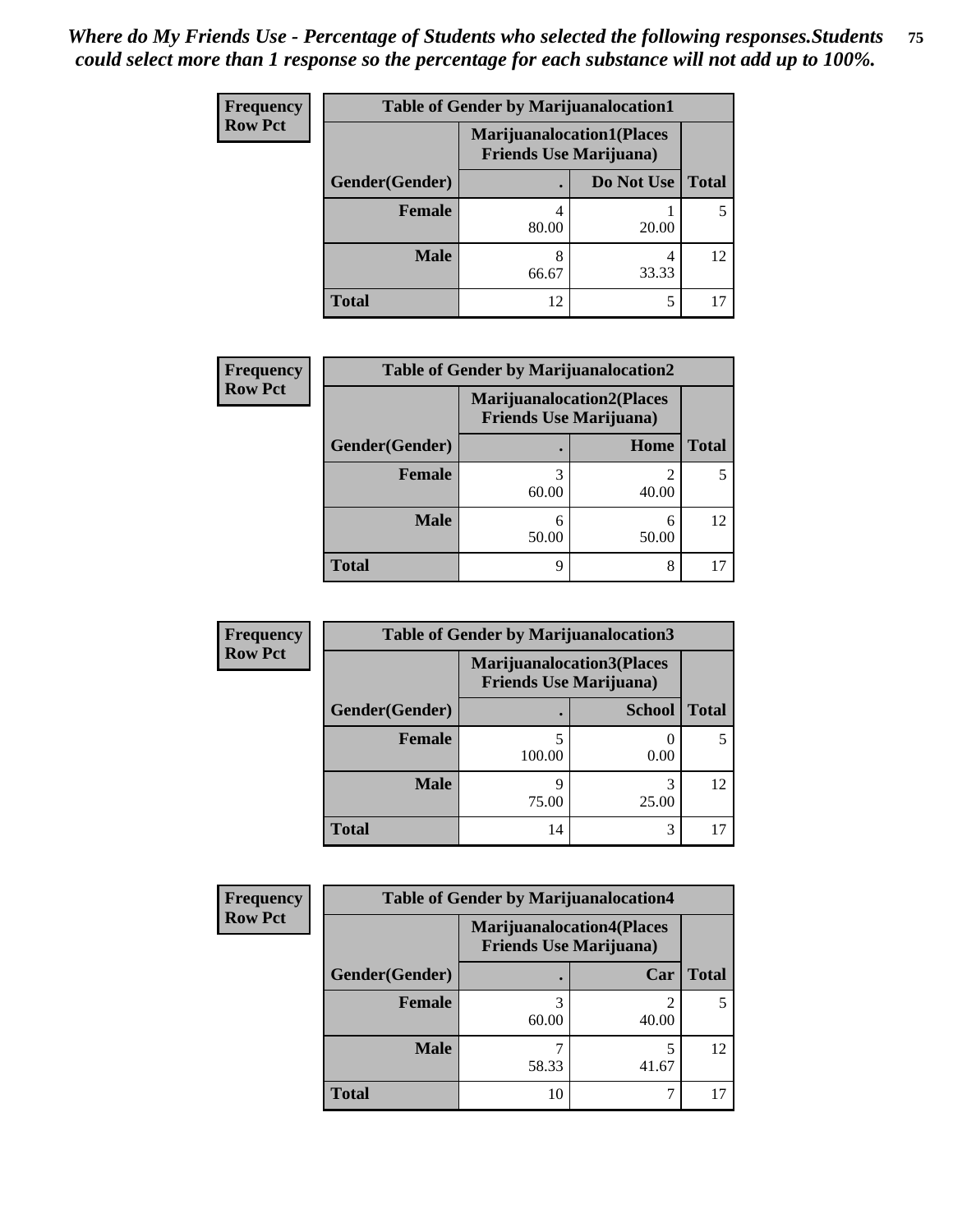| <b>Frequency</b> | <b>Table of Gender by Marijuanalocation1</b> |                                                                    |            |              |
|------------------|----------------------------------------------|--------------------------------------------------------------------|------------|--------------|
| <b>Row Pct</b>   |                                              | <b>Marijuanalocation1(Places</b><br><b>Friends Use Marijuana</b> ) |            |              |
|                  | Gender(Gender)                               |                                                                    | Do Not Use | <b>Total</b> |
|                  | <b>Female</b>                                | 80.00                                                              | 20.00      |              |
|                  | <b>Male</b>                                  | 8<br>66.67                                                         | 33.33      | 12           |
|                  | <b>Total</b>                                 | 12                                                                 | 5          |              |

| <b>Frequency</b> | <b>Table of Gender by Marijuanalocation2</b> |                                                                    |            |              |  |
|------------------|----------------------------------------------|--------------------------------------------------------------------|------------|--------------|--|
| <b>Row Pct</b>   |                                              | <b>Marijuanalocation2(Places</b><br><b>Friends Use Marijuana</b> ) |            |              |  |
|                  | Gender(Gender)                               |                                                                    | Home       | <b>Total</b> |  |
|                  | <b>Female</b>                                | 60.00                                                              | 40.00      |              |  |
|                  | <b>Male</b>                                  | 6<br>50.00                                                         | 6<br>50.00 | 12           |  |
|                  | <b>Total</b>                                 | q                                                                  | 8          |              |  |

| <b>Frequency</b> | <b>Table of Gender by Marijuanalocation3</b> |                                                                    |               |              |
|------------------|----------------------------------------------|--------------------------------------------------------------------|---------------|--------------|
| <b>Row Pct</b>   |                                              | <b>Marijuanalocation3(Places</b><br><b>Friends Use Marijuana</b> ) |               |              |
|                  | Gender(Gender)                               |                                                                    | <b>School</b> | <b>Total</b> |
|                  | Female                                       | 100.00                                                             | 0.00          |              |
|                  | <b>Male</b>                                  | 9<br>75.00                                                         | 25.00         | 12           |
|                  | <b>Total</b>                                 | 14                                                                 | 3             |              |

| <b>Frequency</b> |                | <b>Table of Gender by Marijuanalocation4</b> |                                                                    |              |
|------------------|----------------|----------------------------------------------|--------------------------------------------------------------------|--------------|
| <b>Row Pct</b>   |                |                                              | <b>Marijuanalocation4(Places</b><br><b>Friends Use Marijuana</b> ) |              |
|                  | Gender(Gender) |                                              | Car                                                                | <b>Total</b> |
|                  | Female         | 60.00                                        | 40.00                                                              |              |
|                  | <b>Male</b>    | 58.33                                        | 41.67                                                              | 12           |
|                  | <b>Total</b>   | 10                                           |                                                                    |              |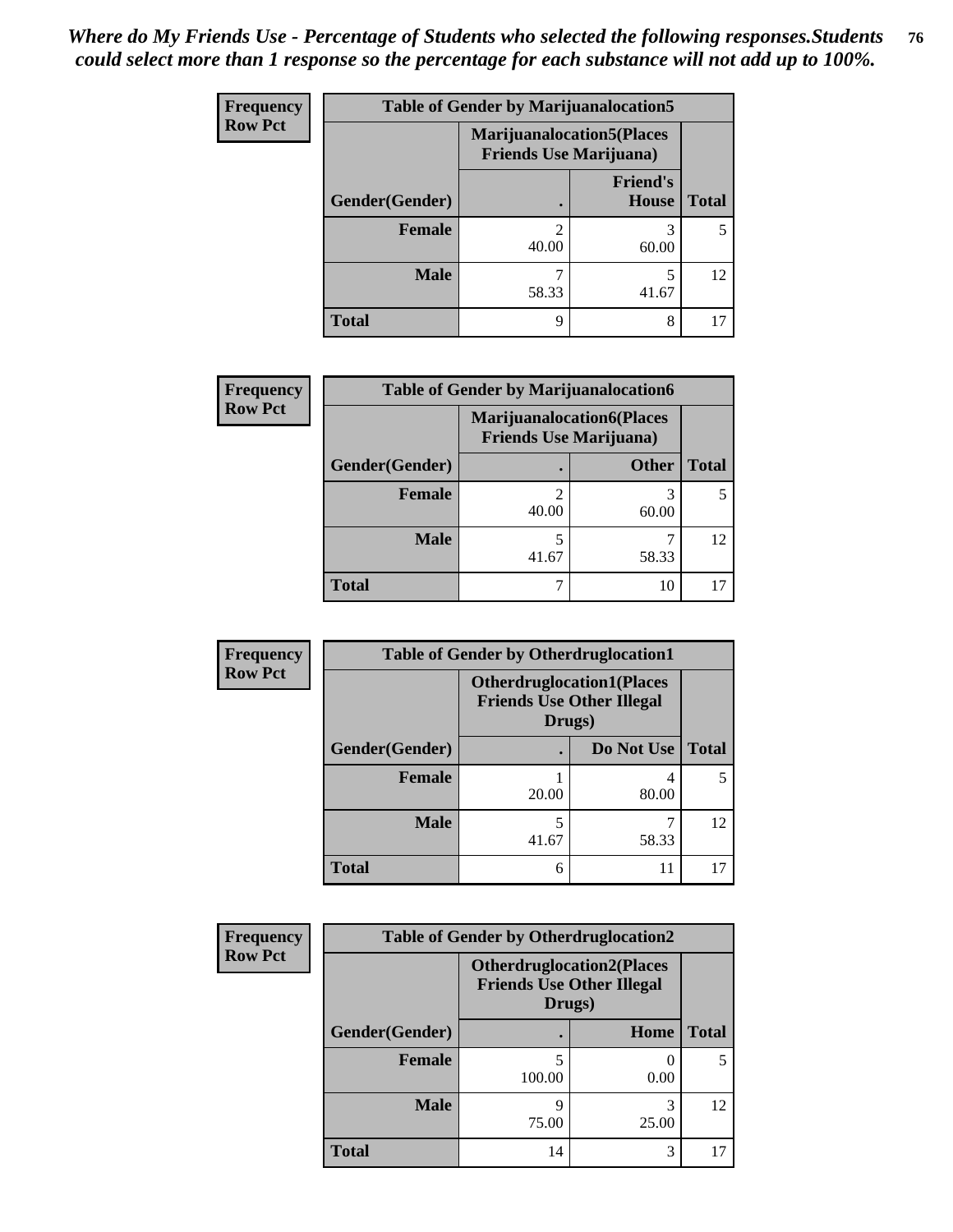| <b>Frequency</b> | <b>Table of Gender by Marijuanalocation5</b> |       |                                                                    |              |
|------------------|----------------------------------------------|-------|--------------------------------------------------------------------|--------------|
| <b>Row Pct</b>   |                                              |       | <b>Marijuanalocation5(Places</b><br><b>Friends Use Marijuana</b> ) |              |
|                  | Gender(Gender)                               |       | <b>Friend's</b><br>House                                           | <b>Total</b> |
|                  | <b>Female</b>                                | 40.00 | 3<br>60.00                                                         | 5            |
|                  | <b>Male</b>                                  | 58.33 | 5<br>41.67                                                         | 12           |
|                  | <b>Total</b>                                 | 9     | 8                                                                  |              |

| <b>Frequency</b> | <b>Table of Gender by Marijuanalocation6</b> |                                |                                  |              |  |
|------------------|----------------------------------------------|--------------------------------|----------------------------------|--------------|--|
| <b>Row Pct</b>   |                                              | <b>Friends Use Marijuana</b> ) | <b>Marijuanalocation6(Places</b> |              |  |
|                  | Gender(Gender)                               |                                | <b>Other</b>                     | <b>Total</b> |  |
|                  | <b>Female</b>                                | 40.00                          | 60.00                            |              |  |
|                  | <b>Male</b>                                  | 41.67                          | 58.33                            | 12           |  |
|                  | <b>Total</b>                                 |                                | 10                               |              |  |

| Frequency      | <b>Table of Gender by Otherdruglocation1</b> |        |                                                                      |              |
|----------------|----------------------------------------------|--------|----------------------------------------------------------------------|--------------|
| <b>Row Pct</b> |                                              | Drugs) | <b>Otherdruglocation1(Places</b><br><b>Friends Use Other Illegal</b> |              |
|                | Gender(Gender)                               |        | Do Not Use                                                           | <b>Total</b> |
|                | Female                                       | 20.00  | 80.00                                                                |              |
|                | <b>Male</b>                                  | 41.67  | 58.33                                                                | 12           |
|                | <b>Total</b>                                 | 6      | 11                                                                   |              |

| Frequency      | <b>Table of Gender by Otherdruglocation2</b> |            |                                                                      |              |
|----------------|----------------------------------------------|------------|----------------------------------------------------------------------|--------------|
| <b>Row Pct</b> |                                              | Drugs)     | <b>Otherdruglocation2(Places</b><br><b>Friends Use Other Illegal</b> |              |
|                | Gender(Gender)                               |            | Home                                                                 | <b>Total</b> |
|                | Female                                       | 100.00     | 0.00                                                                 | 5            |
|                | <b>Male</b>                                  | q<br>75.00 | 25.00                                                                | 12           |
|                | <b>Total</b>                                 | 14         | 3                                                                    | 17           |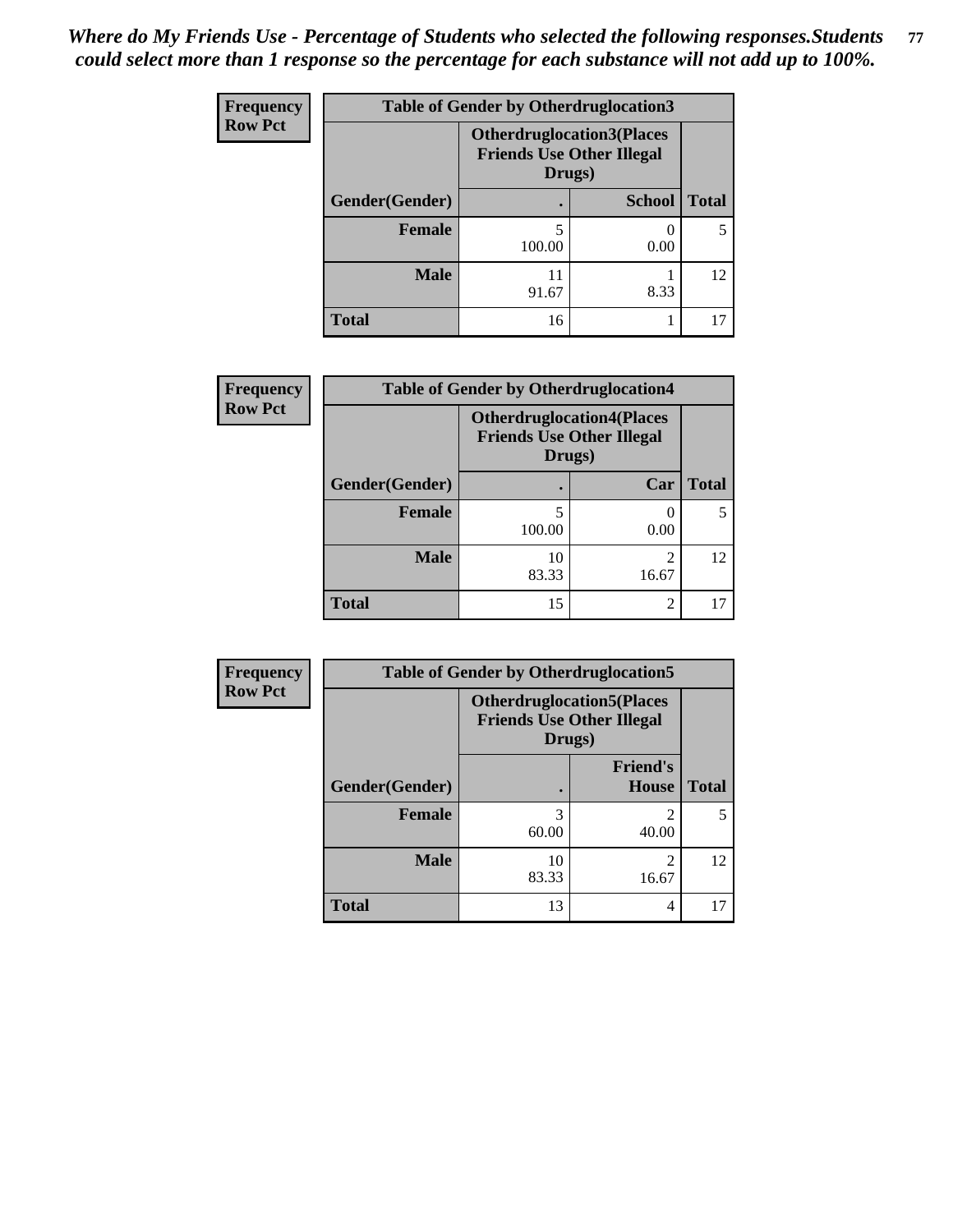| <b>Frequency</b> | <b>Table of Gender by Otherdruglocation3</b> |                                                                                |               |              |
|------------------|----------------------------------------------|--------------------------------------------------------------------------------|---------------|--------------|
| <b>Row Pct</b>   |                                              | <b>Otherdruglocation3(Places</b><br><b>Friends Use Other Illegal</b><br>Drugs) |               |              |
|                  | Gender(Gender)                               |                                                                                | <b>School</b> | <b>Total</b> |
|                  | Female                                       | 100.00                                                                         | 0.00          |              |
|                  | <b>Male</b>                                  | 11<br>91.67                                                                    | 8.33          | 12           |
|                  | <b>Total</b>                                 | 16                                                                             |               |              |

| Frequency      | <b>Table of Gender by Otherdruglocation4</b> |                                                                                |                         |              |
|----------------|----------------------------------------------|--------------------------------------------------------------------------------|-------------------------|--------------|
| <b>Row Pct</b> |                                              | <b>Otherdruglocation4(Places</b><br><b>Friends Use Other Illegal</b><br>Drugs) |                         |              |
|                | Gender(Gender)                               |                                                                                | Car                     | <b>Total</b> |
|                | <b>Female</b>                                | 100.00                                                                         | 0.00                    | 5            |
|                | <b>Male</b>                                  | 10<br>83.33                                                                    | $\mathfrak{D}$<br>16.67 | 12           |
|                | <b>Total</b>                                 | 15                                                                             | 2                       |              |

| <b>Frequency</b> | <b>Table of Gender by Otherdruglocation5</b> |             |                                                                      |              |
|------------------|----------------------------------------------|-------------|----------------------------------------------------------------------|--------------|
| <b>Row Pct</b>   |                                              | Drugs)      | <b>Otherdruglocation5(Places</b><br><b>Friends Use Other Illegal</b> |              |
|                  | Gender(Gender)                               |             | <b>Friend's</b><br>House                                             | <b>Total</b> |
|                  | <b>Female</b>                                | 60.00       | 40.00                                                                | 5            |
|                  | <b>Male</b>                                  | 10<br>83.33 | ◠<br>16.67                                                           | 12           |
|                  | <b>Total</b>                                 | 13          | 4                                                                    | 17           |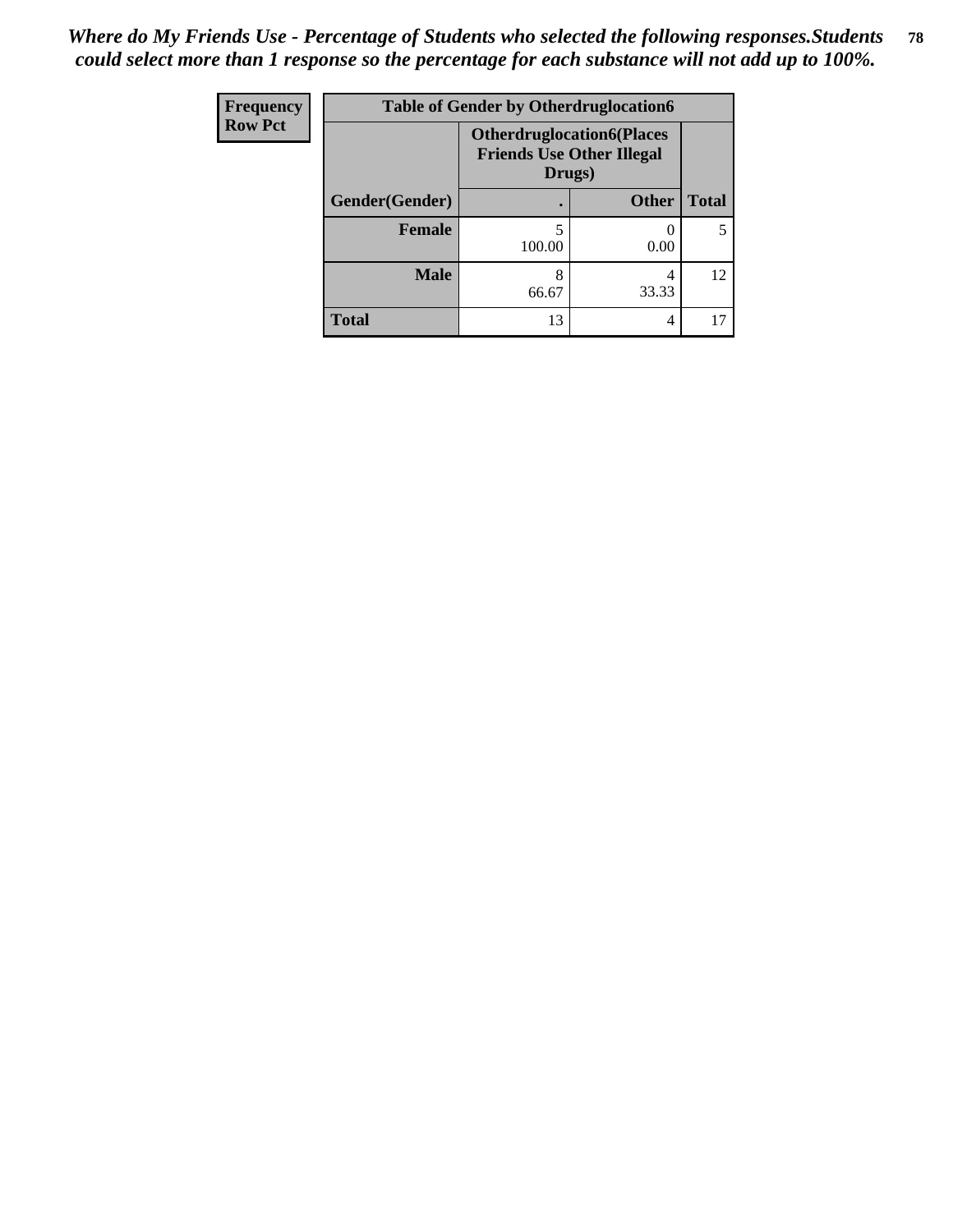| <b>Frequency</b> | <b>Table of Gender by Otherdruglocation6</b> |                                                                                |              |              |
|------------------|----------------------------------------------|--------------------------------------------------------------------------------|--------------|--------------|
| <b>Row Pct</b>   |                                              | <b>Otherdruglocation6(Places</b><br><b>Friends Use Other Illegal</b><br>Drugs) |              |              |
|                  | Gender(Gender)                               |                                                                                | <b>Other</b> | <b>Total</b> |
|                  | Female                                       | 100.00                                                                         | 0.00         |              |
|                  | <b>Male</b>                                  | 8<br>66.67                                                                     | 33.33        | 12           |
|                  | <b>Total</b>                                 | 13                                                                             | 4            |              |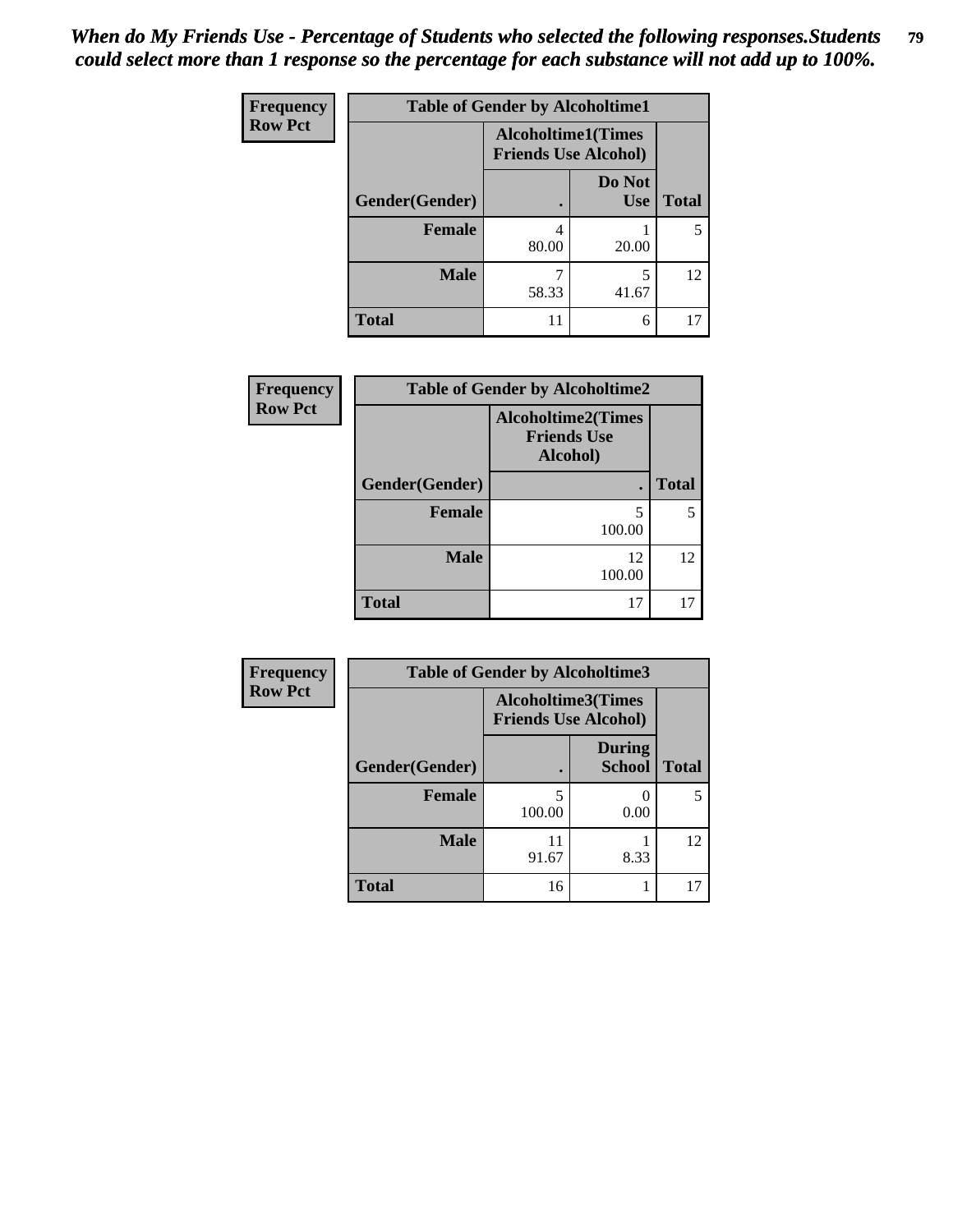| Frequency      | <b>Table of Gender by Alcoholtime1</b> |                                                          |                      |              |
|----------------|----------------------------------------|----------------------------------------------------------|----------------------|--------------|
| <b>Row Pct</b> |                                        | <b>Alcoholtime1(Times</b><br><b>Friends Use Alcohol)</b> |                      |              |
|                | Gender(Gender)                         |                                                          | Do Not<br><b>Use</b> | <b>Total</b> |
|                | <b>Female</b>                          | 4<br>80.00                                               | 20.00                | 5            |
|                | <b>Male</b>                            | 58.33                                                    | 5<br>41.67           | 12           |
|                | <b>Total</b>                           | 11                                                       | 6                    | 17           |

| Frequency      | <b>Table of Gender by Alcoholtime2</b> |                                                             |                 |  |
|----------------|----------------------------------------|-------------------------------------------------------------|-----------------|--|
| <b>Row Pct</b> |                                        | <b>Alcoholtime2(Times</b><br><b>Friends Use</b><br>Alcohol) |                 |  |
|                | Gender(Gender)                         |                                                             | <b>Total</b>    |  |
|                | <b>Female</b>                          | 5<br>100.00                                                 |                 |  |
|                | <b>Male</b>                            | 12<br>100.00                                                | 12 <sub>1</sub> |  |
|                | <b>Total</b>                           | 17                                                          |                 |  |

| <b>Frequency</b> | <b>Table of Gender by Alcoholtime3</b> |                                                          |                                |              |
|------------------|----------------------------------------|----------------------------------------------------------|--------------------------------|--------------|
| <b>Row Pct</b>   |                                        | <b>Alcoholtime3(Times</b><br><b>Friends Use Alcohol)</b> |                                |              |
|                  | Gender(Gender)                         |                                                          | <b>During</b><br><b>School</b> | <b>Total</b> |
|                  | Female                                 | 5<br>100.00                                              | 0.00                           | 5            |
|                  | <b>Male</b>                            | 91.67                                                    | 8.33                           | 12           |
|                  | <b>Total</b>                           | 16                                                       |                                | 17           |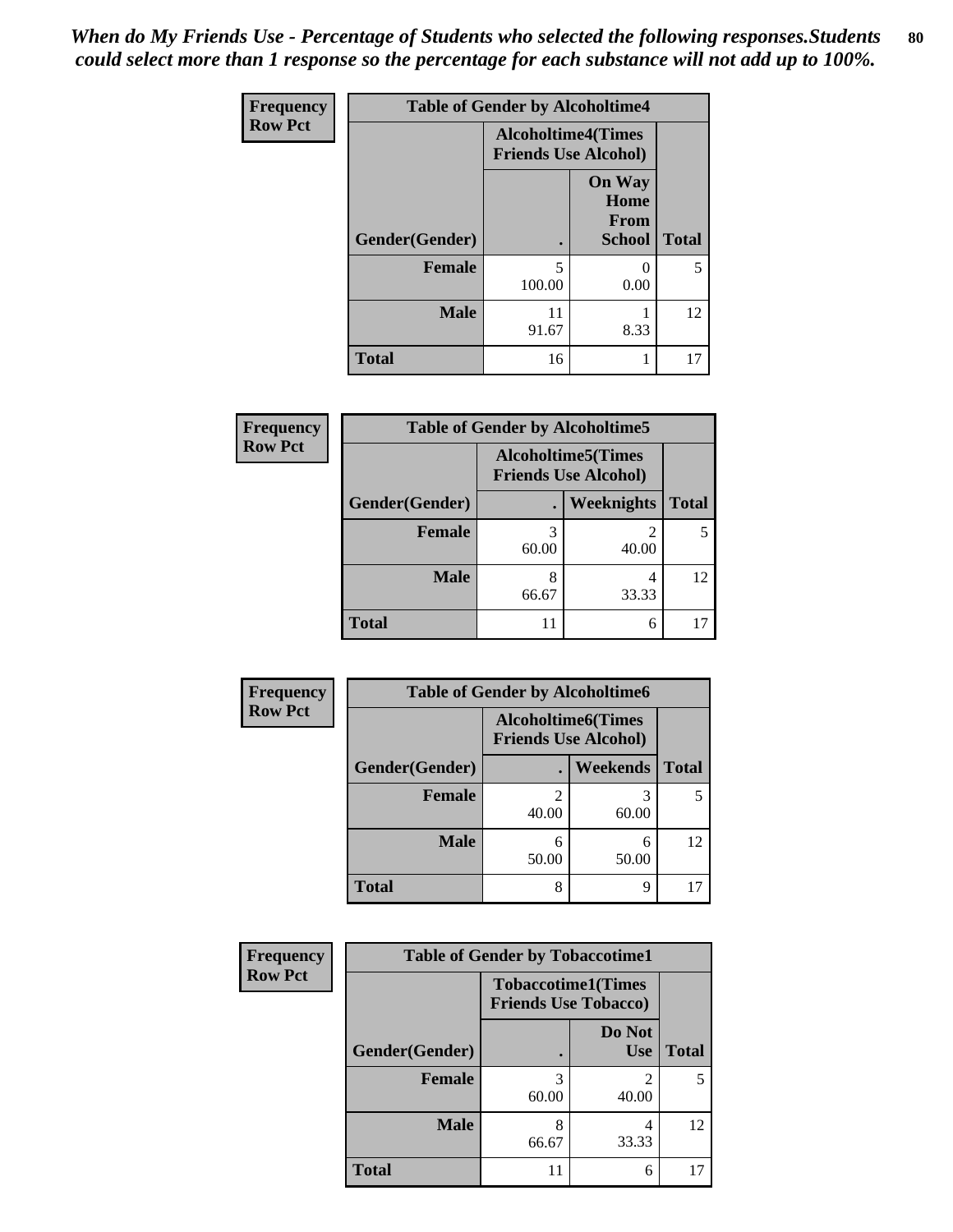*When do My Friends Use - Percentage of Students who selected the following responses.Students could select more than 1 response so the percentage for each substance will not add up to 100%.* **80**

| <b>Frequency</b> | <b>Table of Gender by Alcoholtime4</b> |                                                          |                                                       |              |
|------------------|----------------------------------------|----------------------------------------------------------|-------------------------------------------------------|--------------|
| <b>Row Pct</b>   |                                        | <b>Alcoholtime4(Times</b><br><b>Friends Use Alcohol)</b> |                                                       |              |
|                  | Gender(Gender)                         |                                                          | <b>On Way</b><br>Home<br><b>From</b><br><b>School</b> | <b>Total</b> |
|                  | <b>Female</b>                          | 5<br>100.00                                              | 0.00                                                  | 5            |
|                  | <b>Male</b>                            | 11<br>91.67                                              | 8.33                                                  | 12           |
|                  | <b>Total</b>                           | 16                                                       | 1                                                     | 17           |

| <b>Frequency</b> | <b>Table of Gender by Alcoholtime5</b> |                                                          |            |              |
|------------------|----------------------------------------|----------------------------------------------------------|------------|--------------|
| <b>Row Pct</b>   |                                        | <b>Alcoholtime5(Times</b><br><b>Friends Use Alcohol)</b> |            |              |
|                  | Gender(Gender)                         |                                                          | Weeknights | <b>Total</b> |
|                  | <b>Female</b>                          | 3<br>60.00                                               | 2<br>40.00 | 5            |
|                  | <b>Male</b>                            | 8<br>66.67                                               | 4<br>33.33 | 12           |
|                  | <b>Total</b>                           | 11                                                       | 6          |              |

| <b>Frequency</b> |                | <b>Table of Gender by Alcoholtime6</b> |                                                          |              |
|------------------|----------------|----------------------------------------|----------------------------------------------------------|--------------|
| <b>Row Pct</b>   |                |                                        | <b>Alcoholtime6(Times</b><br><b>Friends Use Alcohol)</b> |              |
|                  | Gender(Gender) |                                        | <b>Weekends</b>                                          | <b>Total</b> |
|                  | Female         | 40.00                                  | 60.00                                                    | 5            |
|                  | <b>Male</b>    | 6<br>50.00                             | 6<br>50.00                                               | 12           |
|                  | <b>Total</b>   | 8                                      | 9                                                        | 17           |

| <b>Frequency</b> | <b>Table of Gender by Tobaccotime1</b> |                                                          |                      |              |
|------------------|----------------------------------------|----------------------------------------------------------|----------------------|--------------|
| <b>Row Pct</b>   |                                        | <b>Tobaccotime1(Times</b><br><b>Friends Use Tobacco)</b> |                      |              |
|                  | Gender(Gender)                         |                                                          | Do Not<br><b>Use</b> | <b>Total</b> |
|                  | Female                                 | 3<br>60.00                                               | 2<br>40.00           | 5            |
|                  | <b>Male</b>                            | 8<br>66.67                                               | 4<br>33.33           | 12           |
|                  | <b>Total</b>                           |                                                          | 6                    | 17           |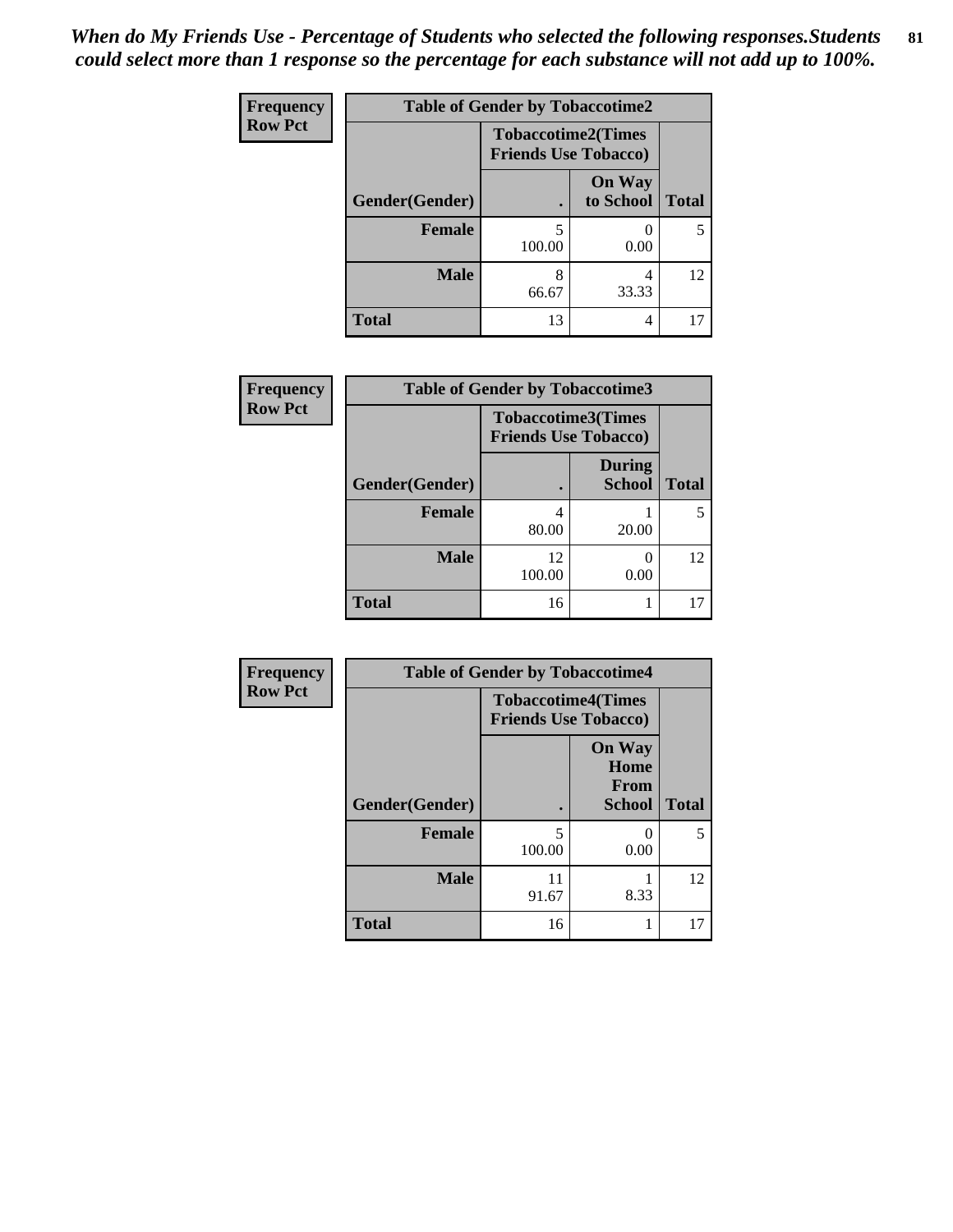| Frequency      | <b>Table of Gender by Tobaccotime2</b> |                                                          |                            |              |
|----------------|----------------------------------------|----------------------------------------------------------|----------------------------|--------------|
| <b>Row Pct</b> |                                        | <b>Tobaccotime2(Times</b><br><b>Friends Use Tobacco)</b> |                            |              |
|                | Gender(Gender)                         | $\bullet$                                                | <b>On Way</b><br>to School | <b>Total</b> |
|                | Female                                 | 5<br>100.00                                              | 0.00                       | 5            |
|                | <b>Male</b>                            | 8<br>66.67                                               | 4<br>33.33                 | 12           |
|                | <b>Total</b>                           | 13                                                       | 4                          | 17           |

| <b>Frequency</b> | <b>Table of Gender by Tobaccotime3</b> |                                                          |                                |              |
|------------------|----------------------------------------|----------------------------------------------------------|--------------------------------|--------------|
| <b>Row Pct</b>   |                                        | <b>Tobaccotime3(Times</b><br><b>Friends Use Tobacco)</b> |                                |              |
|                  | Gender(Gender)                         |                                                          | <b>During</b><br><b>School</b> | <b>Total</b> |
|                  | <b>Female</b>                          | 4<br>80.00                                               | 20.00                          | 5            |
|                  | <b>Male</b>                            | 12<br>100.00                                             | 0.00                           | 12           |
|                  | <b>Total</b>                           | 16                                                       |                                | 17           |

| Frequency      | <b>Table of Gender by Tobaccotime4</b> |                                                          |                                                |              |
|----------------|----------------------------------------|----------------------------------------------------------|------------------------------------------------|--------------|
| <b>Row Pct</b> |                                        | <b>Tobaccotime4(Times</b><br><b>Friends Use Tobacco)</b> |                                                |              |
|                | Gender(Gender)                         |                                                          | <b>On Way</b><br>Home<br>From<br><b>School</b> | <b>Total</b> |
|                | <b>Female</b>                          | 5<br>100.00                                              | 0<br>0.00                                      | 5            |
|                | <b>Male</b>                            | 11<br>91.67                                              | 8.33                                           | 12           |
|                | <b>Total</b>                           | 16                                                       | 1                                              | 17           |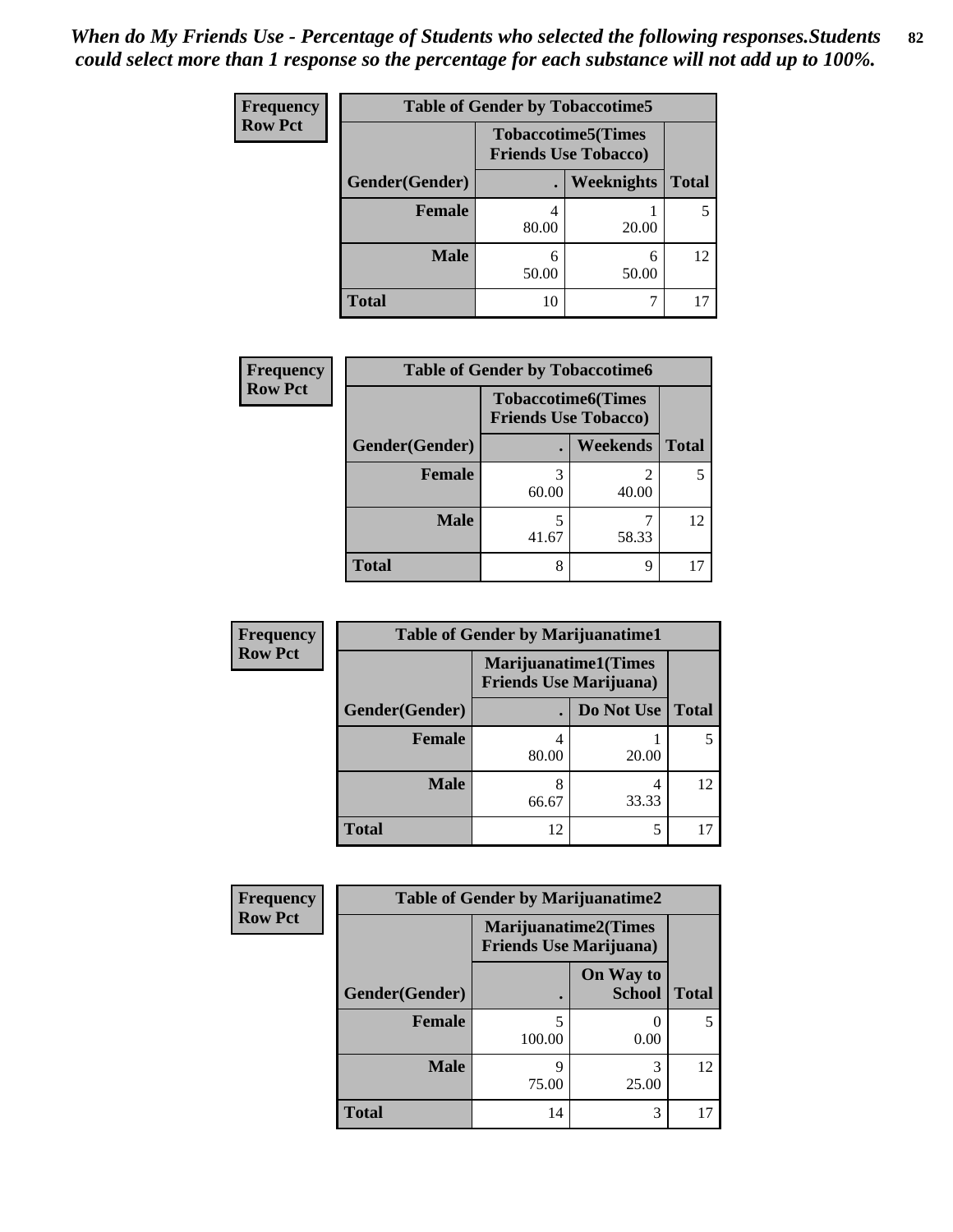| <b>Frequency</b> | <b>Table of Gender by Tobaccotime5</b> |            |                                                           |              |  |
|------------------|----------------------------------------|------------|-----------------------------------------------------------|--------------|--|
| <b>Row Pct</b>   |                                        |            | <b>Tobaccotime5</b> (Times<br><b>Friends Use Tobacco)</b> |              |  |
|                  | Gender(Gender)                         |            | Weeknights                                                | <b>Total</b> |  |
|                  | <b>Female</b>                          | 80.00      | 20.00                                                     | 5            |  |
|                  | <b>Male</b>                            | 6<br>50.00 | 6<br>50.00                                                | 12           |  |
|                  | Total                                  | 10         | ┑                                                         | 17           |  |

| <b>Frequency</b> | <b>Table of Gender by Tobaccotime6</b> |                                                          |                 |              |
|------------------|----------------------------------------|----------------------------------------------------------|-----------------|--------------|
| <b>Row Pct</b>   |                                        | <b>Tobaccotime6(Times</b><br><b>Friends Use Tobacco)</b> |                 |              |
|                  | Gender(Gender)                         |                                                          | <b>Weekends</b> | <b>Total</b> |
|                  | Female                                 | 3<br>60.00                                               | 2<br>40.00      |              |
|                  | <b>Male</b>                            | 41.67                                                    | 58.33           | 12           |
|                  | <b>Total</b>                           | 8                                                        | 9               |              |

| <b>Frequency</b> | <b>Table of Gender by Marijuanatime1</b> |       |                                                               |              |  |
|------------------|------------------------------------------|-------|---------------------------------------------------------------|--------------|--|
| <b>Row Pct</b>   |                                          |       | <b>Marijuanatime1(Times</b><br><b>Friends Use Marijuana</b> ) |              |  |
|                  | Gender(Gender)                           |       | Do Not Use                                                    | <b>Total</b> |  |
|                  | <b>Female</b>                            | 80.00 | 20.00                                                         |              |  |
|                  | <b>Male</b>                              | 66.67 | 4<br>33.33                                                    | 12           |  |
|                  | <b>Total</b>                             | 12    | 5                                                             |              |  |

| Frequency      | <b>Table of Gender by Marijuanatime2</b> |                                |                             |              |
|----------------|------------------------------------------|--------------------------------|-----------------------------|--------------|
| <b>Row Pct</b> |                                          | <b>Friends Use Marijuana</b> ) | <b>Marijuanatime2(Times</b> |              |
|                | Gender(Gender)                           |                                | On Way to<br><b>School</b>  | <b>Total</b> |
|                | <b>Female</b>                            | 5<br>100.00                    | 0.00                        |              |
|                | <b>Male</b>                              | q<br>75.00                     | 3<br>25.00                  | 12           |
|                | <b>Total</b>                             | 14                             | 3                           |              |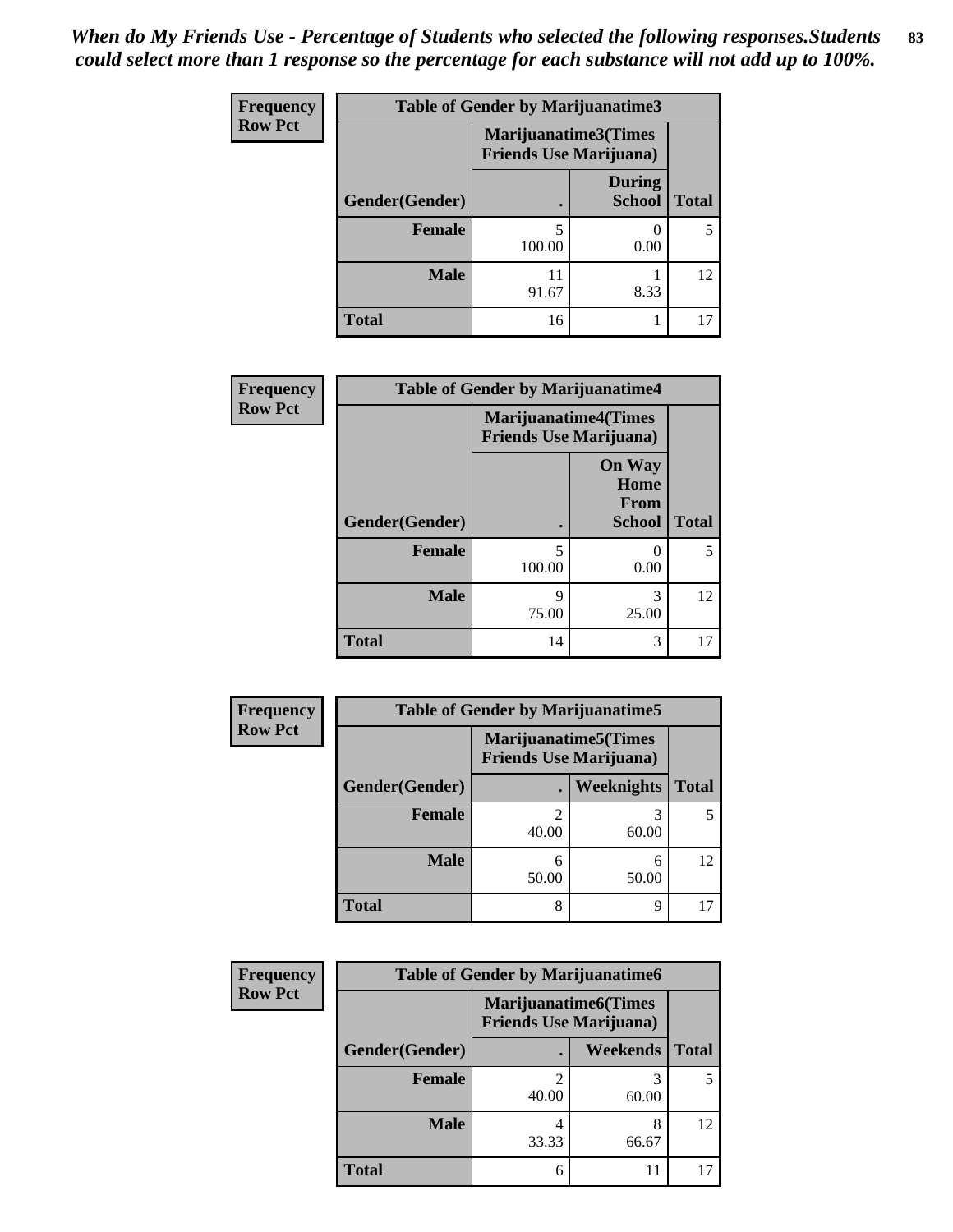| <b>Frequency</b> | <b>Table of Gender by Marijuanatime3</b> |                                |                                |              |
|------------------|------------------------------------------|--------------------------------|--------------------------------|--------------|
| <b>Row Pct</b>   |                                          | <b>Friends Use Marijuana</b> ) | Marijuanatime3(Times           |              |
|                  | Gender(Gender)                           |                                | <b>During</b><br><b>School</b> | <b>Total</b> |
|                  | <b>Female</b>                            | 5<br>100.00                    | 0.00                           |              |
|                  | <b>Male</b>                              | 11<br>91.67                    | 8.33                           | 12           |
|                  | <b>Total</b>                             | 16                             |                                |              |

| Frequency      | <b>Table of Gender by Marijuanatime4</b> |                             |                                                |              |
|----------------|------------------------------------------|-----------------------------|------------------------------------------------|--------------|
| <b>Row Pct</b> |                                          | <b>Marijuanatime4(Times</b> | <b>Friends Use Marijuana</b> )                 |              |
|                | Gender(Gender)                           |                             | <b>On Way</b><br>Home<br>From<br><b>School</b> | <b>Total</b> |
|                | <b>Female</b>                            | 5<br>100.00                 | 0.00                                           | 5            |
|                | <b>Male</b>                              | 9<br>75.00                  | 3<br>25.00                                     | 12           |
|                | <b>Total</b>                             | 14                          | 3                                              | 17           |

| Frequency      | <b>Table of Gender by Marijuanatime5</b> |       |                                                                |              |  |
|----------------|------------------------------------------|-------|----------------------------------------------------------------|--------------|--|
| <b>Row Pct</b> |                                          |       | <b>Marijuanatime5</b> (Times<br><b>Friends Use Marijuana</b> ) |              |  |
|                | Gender(Gender)                           | ٠     | Weeknights                                                     | <b>Total</b> |  |
|                | <b>Female</b>                            | 40.00 | 3<br>60.00                                                     | 5            |  |
|                | <b>Male</b>                              | 50.00 | 6<br>50.00                                                     | 12           |  |
|                | <b>Total</b>                             | 8     | 9                                                              |              |  |

| Frequency      | <b>Table of Gender by Marijuanatime6</b> |                                                               |            |              |  |
|----------------|------------------------------------------|---------------------------------------------------------------|------------|--------------|--|
| <b>Row Pct</b> |                                          | <b>Marijuanatime6(Times</b><br><b>Friends Use Marijuana</b> ) |            |              |  |
|                | Gender(Gender)                           |                                                               | Weekends   | <b>Total</b> |  |
|                | <b>Female</b>                            | ↑<br>40.00                                                    | 60.00      | 5            |  |
|                | <b>Male</b>                              | 4<br>33.33                                                    | 8<br>66.67 | 12           |  |
|                | <b>Total</b>                             | 6                                                             | 11         |              |  |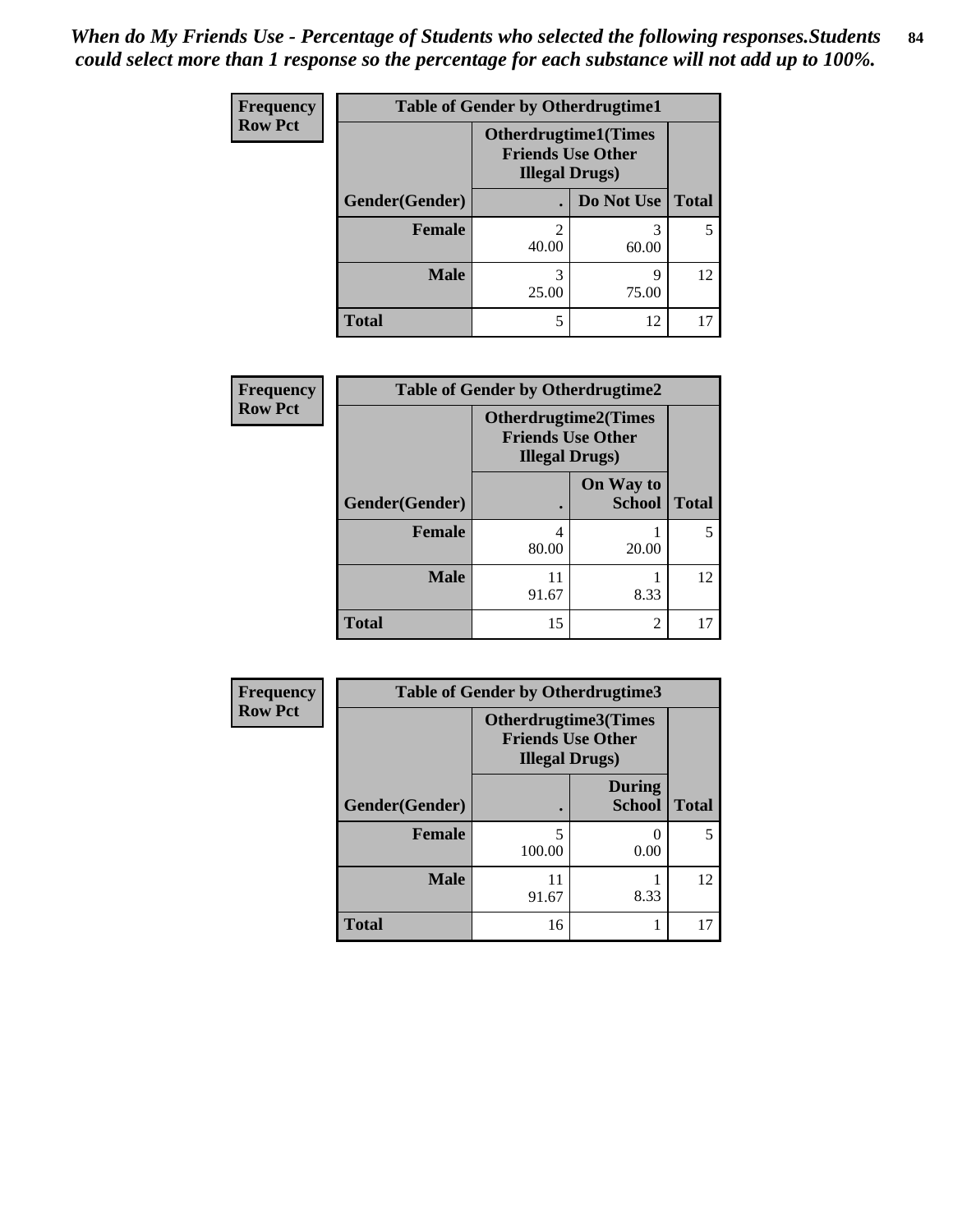| <b>Frequency</b>                                                                                    | <b>Table of Gender by Otherdrugtime1</b> |            |            |              |  |
|-----------------------------------------------------------------------------------------------------|------------------------------------------|------------|------------|--------------|--|
| <b>Row Pct</b><br><b>Otherdrugtime1(Times</b><br><b>Friends Use Other</b><br><b>Illegal Drugs</b> ) |                                          |            |            |              |  |
|                                                                                                     | Gender(Gender)                           |            | Do Not Use | <b>Total</b> |  |
|                                                                                                     | <b>Female</b>                            | 2<br>40.00 | 3<br>60.00 | 5            |  |
|                                                                                                     | <b>Male</b>                              | 3<br>25.00 | Q<br>75.00 | 12           |  |
|                                                                                                     | <b>Total</b>                             | 5          | 12         |              |  |

| Frequency      | <b>Table of Gender by Otherdrugtime2</b> |                                                                                   |                            |              |  |
|----------------|------------------------------------------|-----------------------------------------------------------------------------------|----------------------------|--------------|--|
| <b>Row Pct</b> |                                          | <b>Otherdrugtime2(Times</b><br><b>Friends Use Other</b><br><b>Illegal Drugs</b> ) |                            |              |  |
|                | Gender(Gender)                           |                                                                                   | On Way to<br><b>School</b> | <b>Total</b> |  |
|                | <b>Female</b>                            | 4<br>80.00                                                                        | 20.00                      |              |  |
|                | <b>Male</b>                              | 11<br>91.67                                                                       | 8.33                       | 12           |  |
|                | <b>Total</b>                             | 15                                                                                | $\mathfrak{D}$             | 17           |  |

| <b>Frequency</b> | <b>Table of Gender by Otherdrugtime3</b> |                        |                                                  |              |  |
|------------------|------------------------------------------|------------------------|--------------------------------------------------|--------------|--|
| <b>Row Pct</b>   |                                          | <b>Illegal Drugs</b> ) | Otherdrugtime3(Times<br><b>Friends Use Other</b> |              |  |
|                  | Gender(Gender)                           |                        | <b>During</b><br><b>School</b>                   | <b>Total</b> |  |
|                  | <b>Female</b>                            | 5<br>100.00            | 0<br>0.00                                        | 5            |  |
|                  | <b>Male</b>                              | 11<br>91.67            | 8.33                                             | 12           |  |
|                  | <b>Total</b>                             | 16                     |                                                  | 17           |  |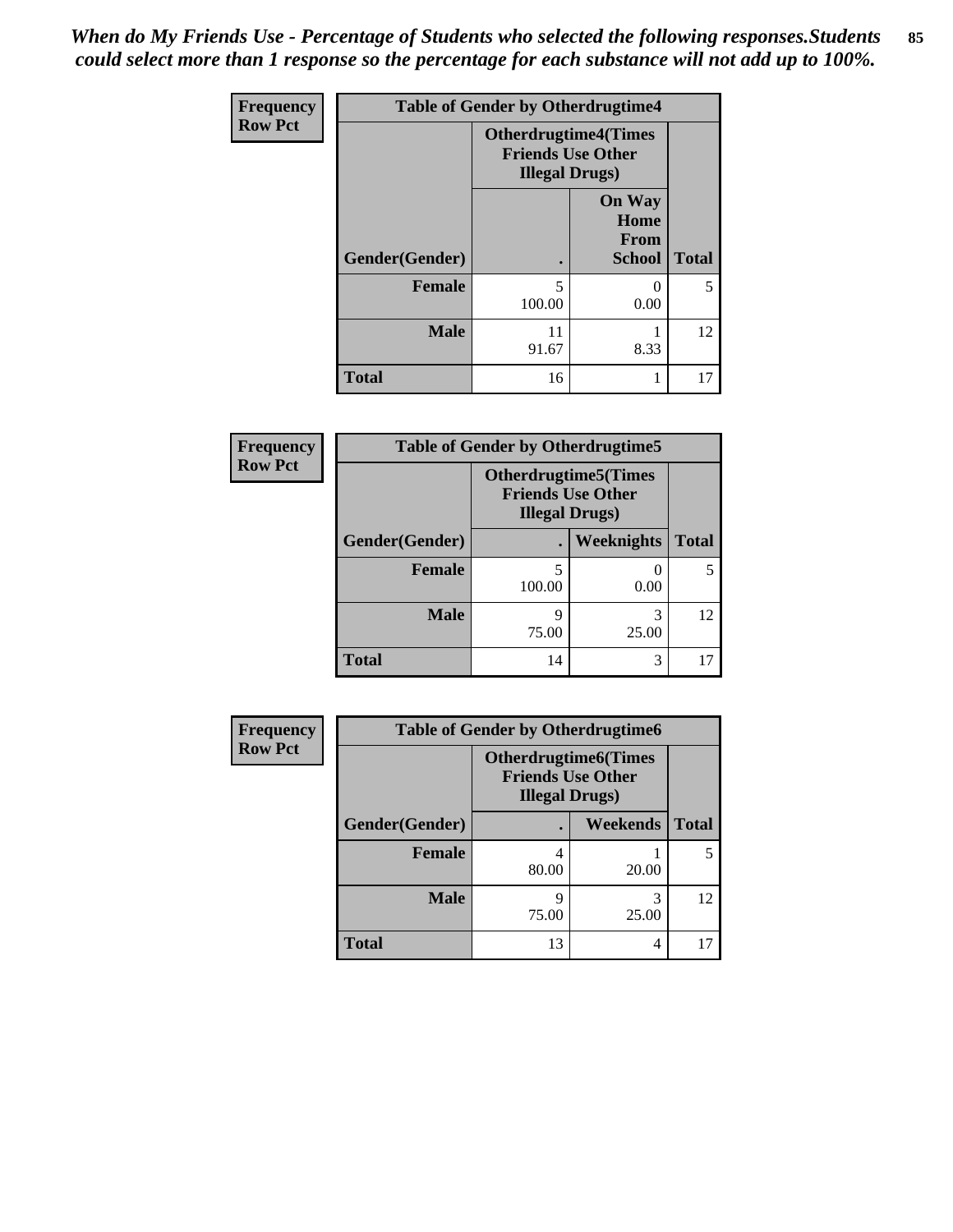*When do My Friends Use - Percentage of Students who selected the following responses.Students could select more than 1 response so the percentage for each substance will not add up to 100%.* **85**

| Frequency      |                | <b>Table of Gender by Otherdrugtime4</b>                                          |                                         |                          |
|----------------|----------------|-----------------------------------------------------------------------------------|-----------------------------------------|--------------------------|
| <b>Row Pct</b> |                | <b>Otherdrugtime4(Times</b><br><b>Friends Use Other</b><br><b>Illegal Drugs</b> ) |                                         |                          |
|                | Gender(Gender) |                                                                                   | <b>On Way</b><br>Home<br>From<br>School | <b>Total</b>             |
|                | <b>Female</b>  | 5<br>100.00                                                                       | $\mathbf{\Omega}$<br>0.00               | $\overline{\phantom{0}}$ |
|                | <b>Male</b>    | 11<br>91.67                                                                       | 8.33                                    | 12                       |
|                | <b>Total</b>   | 16                                                                                |                                         | 17                       |

| Frequency      | <b>Table of Gender by Otherdrugtime5</b> |                                                                                    |                   |              |  |
|----------------|------------------------------------------|------------------------------------------------------------------------------------|-------------------|--------------|--|
| <b>Row Pct</b> |                                          | <b>Otherdrugtime5</b> (Times<br><b>Friends Use Other</b><br><b>Illegal Drugs</b> ) |                   |              |  |
|                | Gender(Gender)                           |                                                                                    | <b>Weeknights</b> | <b>Total</b> |  |
|                | <b>Female</b>                            | 5<br>100.00                                                                        | 0.00              |              |  |
|                | <b>Male</b>                              | 9<br>75.00                                                                         | 25.00             | 12           |  |
|                | <b>Total</b>                             | 14                                                                                 | 3                 |              |  |

| <b>Frequency</b> | <b>Table of Gender by Otherdrugtime6</b> |                                                                                   |            |              |  |
|------------------|------------------------------------------|-----------------------------------------------------------------------------------|------------|--------------|--|
| <b>Row Pct</b>   |                                          | <b>Otherdrugtime6(Times</b><br><b>Friends Use Other</b><br><b>Illegal Drugs</b> ) |            |              |  |
|                  | Gender(Gender)                           |                                                                                   | Weekends   | <b>Total</b> |  |
|                  | <b>Female</b>                            | 4<br>80.00                                                                        | 20.00      | 5            |  |
|                  | <b>Male</b>                              | q<br>75.00                                                                        | 3<br>25.00 | 12           |  |
|                  | <b>Total</b>                             | 13                                                                                | 4          | 17           |  |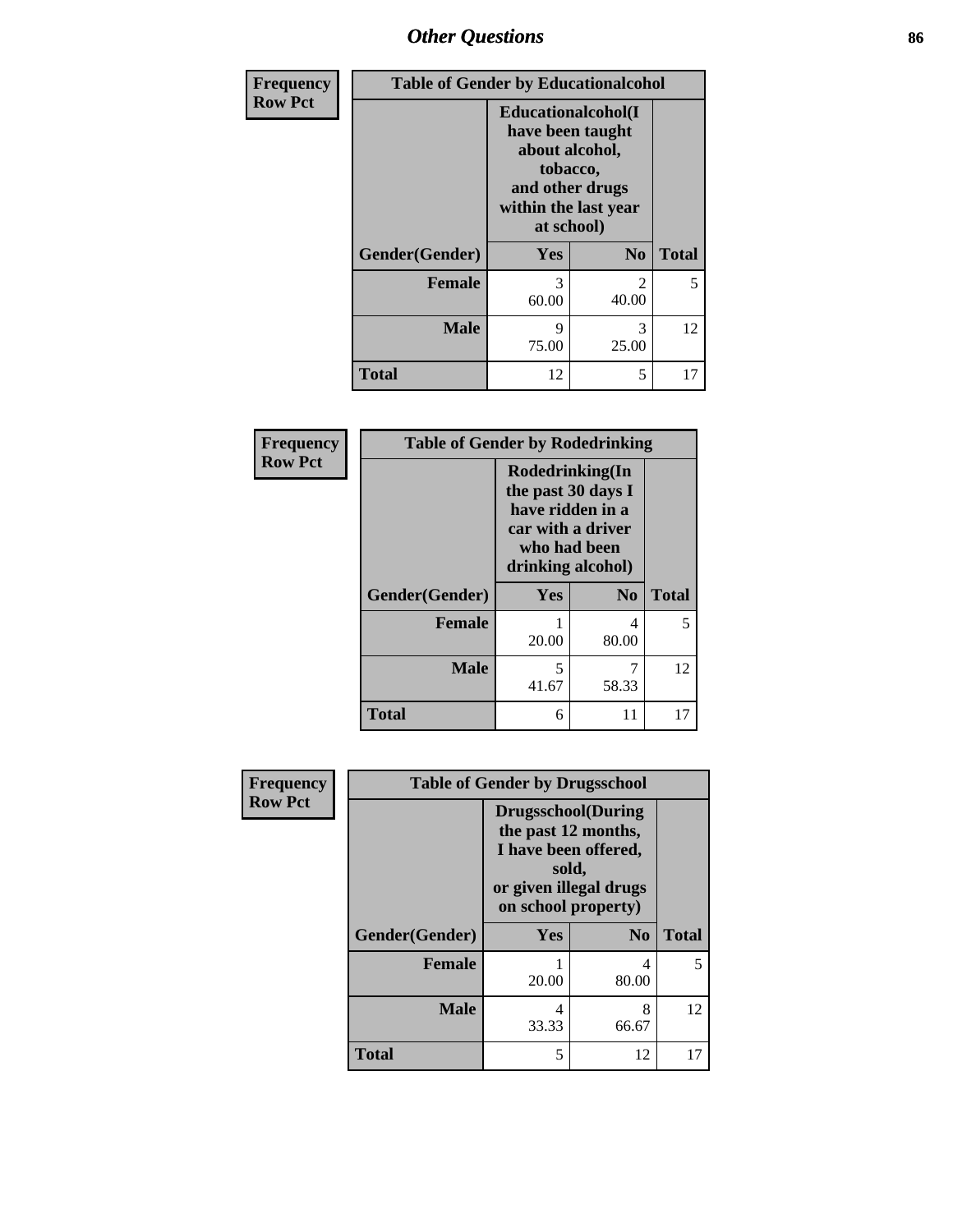## *Other Questions* **86**

| Frequency      | <b>Table of Gender by Educationalcohol</b> |                                                                                                                                       |                |              |
|----------------|--------------------------------------------|---------------------------------------------------------------------------------------------------------------------------------------|----------------|--------------|
| <b>Row Pct</b> |                                            | <b>Educationalcohol</b> (I<br>have been taught<br>about alcohol,<br>tobacco,<br>and other drugs<br>within the last year<br>at school) |                |              |
|                | Gender(Gender)                             | Yes                                                                                                                                   | N <sub>0</sub> | <b>Total</b> |
|                | <b>Female</b>                              | 3<br>60.00                                                                                                                            | 2<br>40.00     | 5            |
|                | <b>Male</b>                                | 9<br>75.00                                                                                                                            | 3<br>25.00     | 12           |
|                | <b>Total</b>                               | 12                                                                                                                                    | 5              | 17           |

| Frequency      | <b>Table of Gender by Rodedrinking</b> |                                                                                                                     |                |              |
|----------------|----------------------------------------|---------------------------------------------------------------------------------------------------------------------|----------------|--------------|
| <b>Row Pct</b> |                                        | Rodedrinking(In<br>the past 30 days I<br>have ridden in a<br>car with a driver<br>who had been<br>drinking alcohol) |                |              |
|                | Gender(Gender)                         | Yes                                                                                                                 | N <sub>0</sub> | <b>Total</b> |
|                | <b>Female</b>                          | 20.00                                                                                                               | 4<br>80.00     | 5            |
|                | <b>Male</b>                            | 5<br>41.67                                                                                                          | 7<br>58.33     | 12           |
|                | <b>Total</b>                           | 6                                                                                                                   | 11             | 17           |

| Frequency      | <b>Table of Gender by Drugsschool</b> |                                                                                                                                     |                |              |
|----------------|---------------------------------------|-------------------------------------------------------------------------------------------------------------------------------------|----------------|--------------|
| <b>Row Pct</b> |                                       | <b>Drugsschool</b> (During<br>the past 12 months,<br>I have been offered,<br>sold,<br>or given illegal drugs<br>on school property) |                |              |
|                | Gender(Gender)                        | <b>Yes</b>                                                                                                                          | N <sub>0</sub> | <b>Total</b> |
|                | <b>Female</b>                         | 20.00                                                                                                                               | 4<br>80.00     | 5.           |
|                | <b>Male</b>                           | 4<br>33.33                                                                                                                          | 8<br>66.67     | 12           |
|                | <b>Total</b>                          | 5                                                                                                                                   | 12             |              |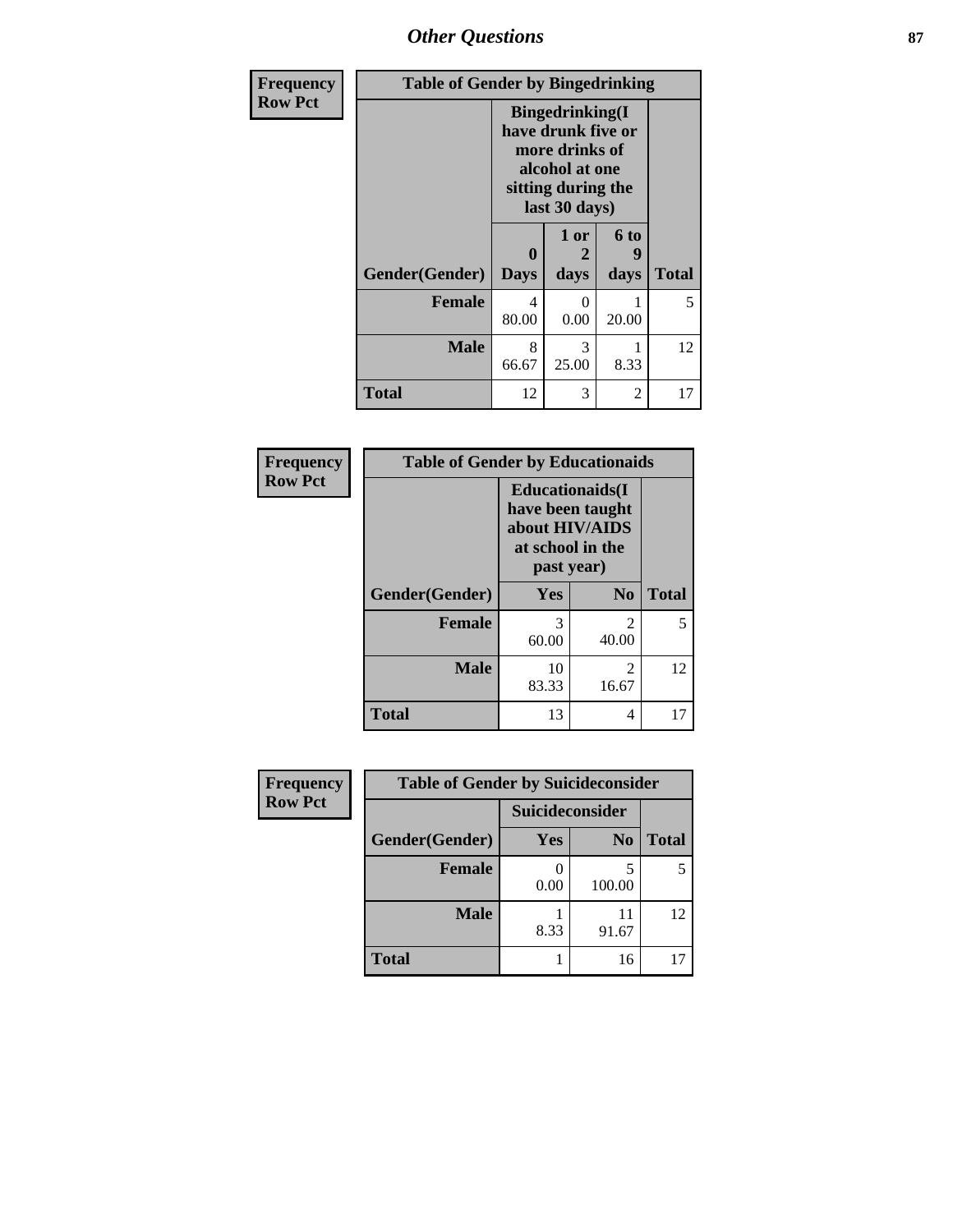# *Other Questions* **87**

| Frequency      | <b>Table of Gender by Bingedrinking</b> |                                                                                                                          |                   |                   |              |
|----------------|-----------------------------------------|--------------------------------------------------------------------------------------------------------------------------|-------------------|-------------------|--------------|
| <b>Row Pct</b> |                                         | <b>Bingedrinking</b> (I<br>have drunk five or<br>more drinks of<br>alcohol at one<br>sitting during the<br>last 30 days) |                   |                   |              |
|                | Gender(Gender)                          | 0<br><b>Days</b>                                                                                                         | 1 or<br>2<br>days | 6 to<br>9<br>days | <b>Total</b> |
|                | <b>Female</b>                           | 4<br>80.00                                                                                                               | $\Omega$<br>0.00  | 20.00             | 5            |
|                | <b>Male</b>                             | 8<br>66.67                                                                                                               | 3<br>25.00        | 8.33              | 12           |
|                | <b>Total</b>                            | 12                                                                                                                       | 3                 | 2                 | 17           |

| Frequency      | <b>Table of Gender by Educationaids</b> |                                                                                                 |                         |              |
|----------------|-----------------------------------------|-------------------------------------------------------------------------------------------------|-------------------------|--------------|
| <b>Row Pct</b> |                                         | <b>Educationaids</b> (I<br>have been taught<br>about HIV/AIDS<br>at school in the<br>past year) |                         |              |
|                | Gender(Gender)                          | Yes                                                                                             | N <sub>0</sub>          | <b>Total</b> |
|                | <b>Female</b>                           | $\mathcal{R}$<br>60.00                                                                          | 2<br>40.00              | 5.           |
|                | <b>Male</b>                             | 10<br>83.33                                                                                     | $\mathfrak{D}$<br>16.67 | 12           |
|                | <b>Total</b>                            | 13                                                                                              | 4                       | 17           |

| Frequency      | <b>Table of Gender by Suicideconsider</b> |                 |                |              |
|----------------|-------------------------------------------|-----------------|----------------|--------------|
| <b>Row Pct</b> |                                           | Suicideconsider |                |              |
|                | Gender(Gender)                            | Yes             | N <sub>0</sub> | <b>Total</b> |
|                | <b>Female</b>                             | 0.00            | 100.00         | 5            |
|                | <b>Male</b>                               | 8.33            | 11<br>91.67    | 12           |
|                | <b>Total</b>                              |                 | 16             | 17           |